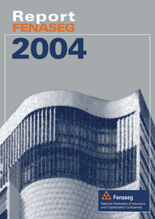# Report<br>FENASEG 2004

**AA** Fenaseg National Federation of Insurance and Capitalization Companies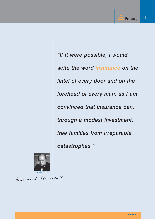1

*"If it were possible, I would write the word insurance on the lintel of every door and on the forehead of every man, as I am convinced that insurance can, through a modest investment, free families from irreparable catastrophes."*



Luisburg, Chumbell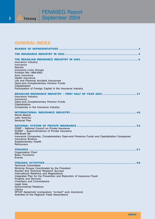<span id="page-2-0"></span>

# GENERAL INDEX

| Insurance Industry<br>Insurance<br><b>Results</b><br><b>Insurance Lines Groups</b><br>Portfolio Mix 1999-2003<br>Auto Insurance<br><b>Health Insurance</b><br>Life and Personal Accident Insurances<br><b>Open-end Complementary Pension Funds</b><br>Capitalization<br>Participation of Foreign Capital in the Insurance Industry                                                                                                                                                                                                |
|-----------------------------------------------------------------------------------------------------------------------------------------------------------------------------------------------------------------------------------------------------------------------------------------------------------------------------------------------------------------------------------------------------------------------------------------------------------------------------------------------------------------------------------|
| Insurance Industry<br>Insurance<br><b>Open-end Complementary Pension Funds</b><br>Capitalization<br>Companies in the Insurance Industry                                                                                                                                                                                                                                                                                                                                                                                           |
| <b>World Market</b><br>Latin America<br><b>Sectorial Plan</b>                                                                                                                                                                                                                                                                                                                                                                                                                                                                     |
| <b>CNSP</b> – National Council on Private Insurance<br>SUSEP - Superintendence of Private Insurance<br><b>IRB-Brasil Re</b><br>Insurance Companies, Complementary Open-end Pensions Funds and Capitalization Companies<br><b>Insurance Brokers</b><br><b>Supplementary Health</b><br><b>Reinsurers</b>                                                                                                                                                                                                                            |
| <b>Organization Chart</b><br><b>Basic Functions</b><br>Events                                                                                                                                                                                                                                                                                                                                                                                                                                                                     |
| <b>FENASEG ACTIVITIES.</b><br>69<br><b>Technical Committees</b><br>Working Groups Coordinated by the President<br><b>Studies and Technical Research Surveys</b><br><b>International Relations and Negotiations</b><br>Integrated Plan for the Prevention and Reduction of Insurance Fraud<br><b>Projects and Services</b><br><b>Chambers and Commissions</b><br>Legal Area<br><b>Governmental Relations</b><br>Library<br>DPVAT Agreement (compulsory "no-fault" auto insurance)<br>Activities of the Regional Trade Associations |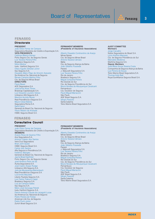# Board of Representatives

**Fenaseg** 

### <span id="page-3-0"></span>FENASEG

### **Directorate**

### PRESIDENT

João Elisio Ferraz de Campos Seguradora Brasileira de Crédito à Exportação S.A. VICE-PRESIDENTS Casimiro Blanco Gomez Porto Seguro Cia. de Seguros Gerais Luiz Tavares Pereira Filho Bradesco Seguros S.A. Nilton Molina Icatu Hartford Seguros S.A. Olavo Egydio Setúbal Junior Itaú Seguros S.A. Oswaldo Mário Pêgo de Amorim Azevedo Sul América Cia. Nacional de Seguros Renato Campos Martins Filho Cia. de Seguros Minas Brasil **DIRECTORS Flavio Baue** ACE Seguradora S.A. José Ismar Alves Tôrres Brasilcap Capitalização S.A. Luiz Eduardo Loureiro Veloso Unibanco AIG Seguros S.A. Maurício Accioly Neves Real Previdência e Seguros S.A. Mauro César Batista Seguradora Roma S.A. Santi Cianci Generali do Brasil Cia. Nacional de Seguros Vilson Ribeiro de Andrade HSBC Seguros Brasil S.A.

### PERMANENT MEMBERS (Presidents of Insurance Associations)

Alberto Oswaldo Continentino de Araújo Minas Gerais Cia. de Seguros Minas Brasil Antonio Tavares Câmara Bahia Cia. de Seguros Aliança da Bahia João Gilberto Possiede Paraná J. Malucelli Seguradora S.A. Luiz Tavares Pereira Filho Rio de Janeiro Bradesco Seguros S.A. Miguel Junqueira Pereira Rio Grande do Sul Cia. de Seguros Previdência do Sul Mucio Novaes de Albuquerque Cavalcanti **Pernambuco** Cia. Excelsior de Seguros Paulo Miguel Marraccini São Paulo AGF Brasil Seguros S.A. Sérgio Passold Santa Catarina Tokio Marine Brasil Seguradora S.A.

### AUDIT COMMITTEE Members Jorge Carvalho Nobre Seguradora do Brasil S.A. Lúcio Antônio Marques Cia. de Seguros Previdência do Sul Marivaldo Medeiros Marítima Seguros S.A. Deputy Members José Maria Souza Teixeira Costa Companhia de Seguros Aliança da Bahia Luiz Pereira de Souza Tokio Marine Brasil Seguradora S.A. Thomas Kelly Batt Royal SunAlliance Seguros Brasil S.A.

### FENASEG

### **Consultative Council**

PRESIDENT

João Elisio Ferraz de Campos Seguradora Brasileira de Crédito à Exportação S.A. **MEMBERS** Acacio Rosa de Queiroz Filho Ace Seguradora S.A. Antonio Cássio dos Santos Vera Cruz Seguradora Brian John Quest HSBC Seguros Brasil S.A. Carlos dos Santos Alfa Seguros e Previdência S.A. Federico Baroglio Generali do Brasil Cia. Nacional de Seguros Jayme Brasil Garfinkel Porto Seguro Cia. de Seguros Gerais José Américo Peón de Sá Áurea Seguradora S.A. José Castro Araújo Rudge Unibanco AIG Seguros S.A. Julio de Albuquerque Bierrenbach Real Previdência e Seguros S.A. Luis Emilio Maurette Liberty Paulista Seguros S.A. Luiz Carlos Trabuco Cappi Bradesco Seguros S.A. Luiz de Campos Salles Itaú Seguros S.A. Mário José Gonzaga Petrelli Icatu Hartford Seguros S.A. Patrick Antonio Claude de Larragoiti Lucas Sul América Cia. Nacional de Seguros Pedro Pereira de Freitas American Life Cia. de Seguros Pedro Purm Junio Zurich Brasil Seguros S.A.

### PERMANENT MEMBERS (Presidents of Insurance Associations)

Alberto Oswaldo Continentino de Araújo Minas Gerais Cia. de Seguros Minas Brasil Antonio Tavares Câmara **Bahia** Cia. de Seguros Aliança da Bahia João Gilberto Possiede Paraná J. Malucelli Seguradora S.A. Luiz Tavares Pereira Filho Rio de Janeiro Bradesco Seguros S.A. Miguel Junqueira Pereira Rio Grande do Sul Cia. de Seguros Previdência do Sul Mucio Novaes de Albuquerque Cavalcanti Pernambuco Cia. Excelsior de Seguros Paulo Miguel Marraccini São Paulo AGF Brasil Seguros S.A. Sérgio Passold Santa Catarina Tokio Marine Brasil Seguradora S.A.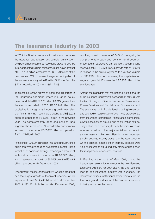<span id="page-4-0"></span>4

# The Insurance Industry in 2003

In 2003, the Brazilian insurance industry, which includes the insurance, capitalization and complementary openend pension fund segments, recorded a growth of 20.34% in its aggregated volume of income, reaching an amount of R\$ 51,161 billion, compared to R\$ 42,512 billion of the previous year. With this value, the global participation of the insurance industry in the Brazilian GNP rose from the 3.22%, recorded in 2002, to 3.38% in 2003.

The most expressive growth of income was recorded in the insurance segment, where insurance policy premiums totaled R\$ 37,326 billion, 23.81% greater than the amount recorded in 2002 - R\$ 30.148 billion. The capitalization segment income growth was also significant - 15.44% - reaching a global total of R\$ 6,022 billon as opposed to R\$ 5,217 billion in the previous year. The complementary open-end pension fund segment also increased 9.3% with a total of contributions income in the order of R\$ 7,812 billion compared to R\$ 7,147 billion in 2002.

At the end of 2003, the Brazilian insurance industry once again confirmed its position as a strategic sector in the formation of domestic savings, reaching an amount of technical provisions in the order of R\$ 66,072 billion, which represents a growth of 36.51% over the R\$ 48,4 billion recorded in 31<sup>st</sup> December 2002.

By segment, the insurance activity was the area that had the largest growth of technical reserves, which expanded from R\$ 14,443 billion at 31st December 2002, to R\$ 23,184 billion at 31st December 2003, resulting in an increase of 60.54%. Once again, the complementary open-end pension fund segment presented an expressive participation, accumulating reserves of R\$ 34,665 billion, a growth rate of 29.57% in relation to the previous year. With a verified volume of R\$8,223 billion of reserves, the capitalization segment grew 14.16% over the R\$ 7,202 billion of the previous year.

Among the highlights that marked the institutional life of the insurance industry in the second half of 2003, was the 2nd Conseguro - Brazilian Insurance, Re-insurance, Private Pensions and Capitalization Conference held. The event was run in Rio de Janeiro during November and counted on participation of over 1,400 professionals from insurance companies, reinsurance companies, private pension fund groups, and capitalization entities. They all had the opportunity to hear the voices of those who are tuned in to the major social and economic transformations in this new millennium which represent the challenges to industry growth over the years to come. On the agenda, among other themes, debates were held on insurance fraud, industry ethics and the need for transparency in consumer relations.

In Brasilia, in the month of May, 2004, during the inauguration solemnity to welcome the new Fenaseg Executive Directory for 2004-2007, the 2nd Sectorial Plan for the Insurance Industry was launched. The document defines institutional action vectors for the functioning and production of the Brazilian insurance industry for the next few years.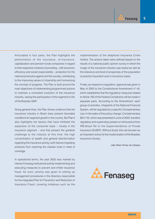

<span id="page-5-0"></span>Articulated in four parts, the Plan highlights the performance of the insurance, re-insurance, capitalization and pension funds companies in regard to their respective missions of providing – with economic efficiency and social responsibility – protection for the national productive agents and the society, contributing to the improving values of citizenship and humanizing the concept of progress. The Plan is built around the main objectives of implementing programmed actions to maintain a consistent evolution of the insurance industry, raising the participation of the segment to 5% of the Brazilian GNP.

Along general lines, the Plan shows evidence that the insurance industry in Brazil does present favorable conditions for segment growth in the country. But Plan II also highlights the factors that have inhibited the expansion of the consumer base – mostly in the insurance segment – and that present the greatest challenge to the industry at this time: the high concentration of wealth and general disinformation regarding the insurance activity, both factors impeding products from reaching the classes most in need of coverage.

In operational terms, the year 2003 was marked by intense Fenaseg institutional activity implementing and executing measures to prevent and inhibit insurance fraud. As such, priority was given to setting up management procedures in the directory responsible for the integrated Plan for Prevention and Reduction of Insurance Fraud, covering initiatives such as the

implementation of the telephone Insurance Crime Hotline. The actions taken were defined based on the results of a national public opinion survey in which the image of the insurance industry was tested as well as the tolerance and level of propensity of the population to practice fraudulent acts in insurance cases.

Finally, as respects to regulation, approval was given in May of 2003 to the Constitutional Amendment  $n^{\circ}$  40, which establishes that the regulatory measures related to Article 192 of the Federal Constitution will be made in separate parts. According to the Amendment, each group of activities, integrants of the National Financial System, will be regulated by a specific Complementary Law. In the wake of this policy change, Complementary Bill nº 55, which was presented in June of 2003, transfers regulatory and supervisory powers on reinsurance from IRB-Brasil Re to the Superintendence of Private Insurance (SUSEP). Without doubt, this can be seen as an important victory for the modernization of the Brazilian insurance industry.

João Elisio Ferraz de Campos

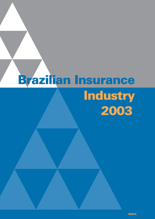# <span id="page-6-0"></span>**Brazilian Insurance Industry** 2003

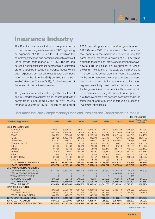

# <span id="page-7-0"></span>Insurance Industry

The Brazilian insurance industry has presented a continuous annual growth rate since 1997, registering an expansion of 104.31% up to 2003 in which the complementary open-end pension segment stands out for its growth performance of 251.8%. The life and personal accident insurances segment also registered growth of 242.6%. In 2003, the insurance industry once again expanded achieving indices greater than those recorded by the Brazilian GNP, consolidating a new level of reference ( 3.4% of GNP), for the dimension of the industry in the national scenario.

This growth shows itself most pungently in the total of accumulated technical provisions, counterpart to the commitments assumed by the activity, having reached a volume of R\$ 66,1 billion by the end of

2003, recording an accumulative growth rate of 351.35% since 1997. The net assets of the companies that operate in the insurance industry, during this same period, recorded a growth of 168.6%, which added to the technical provisions mentioned above, now total R\$ 92,4 billion, a sum equivalent to 6.1% of the GNP. The disparity of the expansion of provisions in relation to the actual premium income is explained by the performance of the complementary open-end pension funds and life insurance in a capitalization regimen, an activity based on financial accumulation for the generation of future benefits. This characteristic of the insurance industry demonstrates its importance as a financial agent in the economic segment and in the formation of long-term savings through a process of investment of its assets.

Insurance Industry, Complementary Open-end Pensions and Capitalization 1997/2003

| <b>Market Segments</b>          | 1997       | 1998       | 1999           | 2000       | 2001       | 2002         | 2003       | Variation%<br>2003/1997 |
|---------------------------------|------------|------------|----------------|------------|------------|--------------|------------|-------------------------|
| <b>GENERAL INSURANCE</b>        |            |            |                |            |            |              |            |                         |
| <b>AUTOMOBILE</b>               | 5,790,621  | 6,601,831  | 6,296,512      | 7,293,101  | 7,945,472  | 8,202,439    | 8,940,534  | 54.40%                  |
| <b>PROPERTY</b>                 | 2,045,709  | 1,513,891  | 1,530,938      | 1,712,137  | 2,105,571  | 2,776,033    | 3,456,819  | 68.98%                  |
| <b>DPVAT</b>                    | 686,233    | 763,445    | 1,047,978      | 1,209,796  | 1,280,997  | 1,418,149    | 1,469,618  | 114.16%                 |
| <b>HOME</b>                     | 925,123    | 1,069,870  | 1,009,619      | 893,294    | 797,715    | 776,634      | 771,126    | $(16.65)\%$             |
| <b>TRANSPORT</b>                | 678,141    | 643,581    | 752,409        | 834,971    | 980,295    | 1,071,081    | 1,176,636  | 73.51%                  |
| <b>FINANCIAL RISKS</b>          | 74,895     | 77,559     | 74,039         | 97,824     | 122,670    | 189.677      | 163,718    | 118.60%                 |
| <b>CREDIT</b>                   | 86,485     | 90,436     | 98,716         | 129,968    | 155,036    | 191,218      | 251,901    | 191.27%                 |
| <b>LIABILITY</b>                | 86,156     | 106,362    | 122,898        | 154,002    | 193,147    | 281,777      | 412,777    | 379.11%                 |
| <b>MARINE</b>                   | 135,518    | 115,087    | 168,484        | 157,291    | 274,887    | 440,684      | 543,231    | 300.86%                 |
| <b>RURAL</b>                    | 37,220     | 40,319     | 52,880         | 79,946     | 81,137     | 105,441      | 192,066    | 416.03%                 |
| <b>SPECIAL RISKS</b>            | 20,508     | 17,181     | 38,061         | 28,457     | 128,700    | 123,445      | 139,536    | 580.39%                 |
| <b>OTHERS</b>                   | 2,212      | 1,321      | 2,455          | 1,598      | 355        | 1,710        | 777        | $(64.87)\%$             |
| <b>TOTAL GENERAL INSURANCE</b>  | 10,568,821 | 11,040,883 | 11,194,990     | 12,592,385 | 14,065,983 | 15,578,287   | 17,518,739 | 65.76%                  |
| <b>HEALTH INSURANCE</b>         | 3,975,502  | 4,295,188  | 4,923,668      | 5,694,418  | 6,063,217  | 6,326,594    | 6,617,610  | 66.46%                  |
| LIFE AND PERSONAL ACCIDENTE     |            |            |                |            |            |              |            |                         |
| LIFE INDIVIDUAL/GROUP/APC       | 3,331,769  | 3,499,836  | 3,552,425      | 4,005,868  | 4,384,840  | 4,742,842    | 5,208,374  | 56.32%                  |
| VGBL/VAGP/VRGP INDIVIDUAL       | $\Omega$   | $\Omega$   | $\overline{0}$ | $\Omega$   | $\Omega$   | 2,547,698    | 7,041,239  |                         |
| <b>VGBL/VAGP/VRGP GROUP</b>     | $\Omega$   | $\Omega$   | $\Omega$       | $\Omega$   | $\Omega$   | $\Omega$     | 1,165      |                         |
| PERSONAL ACCIDENT               | 518,695    | 562,153    | 615,873        | 700,261    | 827,298    | 953,840      | 940,325    | 81.29%                  |
| TOTAL LIFE & P.A.               | 3,850,463  | 4,061,989  | 4,168,298      | 4,706,129  | 5,212,138  | 8,244,380    | 13,191,102 | 242.58%                 |
| <b>TOTAL INSURANCE</b>          | 18,394,786 | 19,398,060 | 20,286,956     | 22,992,932 | 25,341,338 | 30,149,261   | 37,327,451 | 102.92%                 |
| <b>OPEN PENSION FUNDS</b>       |            |            |                |            |            |              |            |                         |
| <b>INSURERS</b>                 | 1,502,968  | 2,564,739  | 3,061,473      | 4,381,062  | 6,321,586  | 6,735,440    | 7,319,223  | 386.98%                 |
| <b>NON PROFIT ENTITIES</b>      | 300,747    | 315,473    | 332,314        | 356,511    | 383,218    | 410,772      | 465,295    | 54.71%                  |
| PROFIT MAKING ENTITIES          | 408.932    | 348.477    | 503.810        | 640.756    | 820,223    | $\mathbf{0}$ | $\circ$    |                         |
| <b>TOTAL OPEN PENSION FUNDS</b> | 2,212,647  | 3,228,689  | 3,897,596      | 5,378,329  | 7,525,028  | 7,146,211    | 7,784,518  | 251.82%                 |
| <b>TOTAL CAPITALIZATION</b>     | 4,420,772  | 3,553,996  | 4,090,174      | 4,391,491  | 4,789,563  | 5,217,204    | 6,022,577  | 36.23%                  |
| TOTAL INSURANCE, PENS. AND CAP. | 25,028,205 | 26,180,745 | 28,274,726     | 32,762,753 | 37,655,929 | 42,512,677   | 51,134,546 | 104.31%                 |

Sources: SUSEP and ANS

R\$ thousands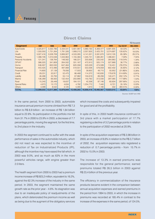<span id="page-8-0"></span>

|                           |            |            |            |            |            |            |            |                  | R\$ thousands   |
|---------------------------|------------|------------|------------|------------|------------|------------|------------|------------------|-----------------|
| <b>Segment</b>            | 1997       | 1998       | 1999       | 2000       | 2001       | 2002       | 2003       | <b>Var 03/97</b> | <b>Mix 2003</b> |
| Automobile                | 4,325,617  | 5,032,786  | 5,434,541  | 5,601,987  | 5,960,192  | 6,369,477  | 6,891,935  | 59.33%           | 34.77%          |
| Life                      | 1,550,050  | 1,731,264  | 1,791,326  | 1,908,215  | 2,057,835  | 2,425,701  | 3,574,697  | 130.62%          | 18.03%          |
| Health                    | 3,027,416  | 3,528,709  | 3,806,927  | 4,533,265  | 4,141,021  | 5,591,670  | 5,612,105  | 85.38%           | 28.31%          |
| <b>Property</b>           | 1,398,726  | 1,010,048  | 1,043,964  | 1,155,384  | 1,345,741  | 1,580,261  | 1,496,651  | 7.00%            | 7.55%           |
| <b>Personal Accidents</b> | 121,241    | 138.784    | 148,562    | 166,221    | 203,836    | 235,542    | 264,963    | 118.54%          | 1.34%           |
| <b>DPVAT</b>              | 386,025    | 341,809    | 264,502    | 331.167    | 472,913    | 505,174    | 527,969    | 36.77%           | 2.66%           |
| Home                      | 536,007    | 602,030    | 647,464    | 620,358    | 520,029    | 474,599    | 116,451    | $(78.27)\%$      | 0.59%           |
| <b>Transport</b>          | 443,425    | 413,496    | 497,069    | 519,551    | 553,506    | 579,059    | 602,402    | 35.85%           | 3.12%           |
| <b>Financial Risk</b>     | 74,800     | 37,139     | 79,056     | 17,503     | 39,902     | 49,715     | 50,952     | $(31.88)\%$      | 0.26%           |
| Credit                    | 29,231     | 32,817     | 52,475     | 86,468     | 114,372    | 140,830    | 179,678    | 514.69%          | 0.91%           |
| Liability                 | 46,496     | 33,793     | 55,114     | 67,982     | 104,619    | 89,206     | 140,471    | 202.12%          | 0.71%           |
| Marine                    | 136,289    | 66,563     | 132,454    | 203.990    | 143,762    | 313,556    | 297,085    | 117.98%          | 1.54%           |
| Rural                     | 15,240     | 26,449     | 18,637     | 184,101    | 42,308     | 97,146     | 60,604     | 297.66%          | 0.31%           |
| <b>Special Risks</b>      | 4,973      | 13,172     | 4,634      | 4,792      | 1,254,772  | 7,440      | 6,721      | 35.16%           | 0.03%           |
| <b>Others</b>             | 3,499      | 8,532      | 3,125      | 5,300      | 1,610      | 1,190      | 332        | $(90.51)\%$      | 0.00%           |
| <b>TOTAL</b>              | 12,099,033 | 13,017,389 | 13,979,849 | 15,406,283 | 16,956,418 | 18,460,567 | 19,823,015 | 63,84%           | 100%            |

# Direct Claims

Sources: SUSEP and ANS

In the same period, from 2000 to 2003, automobile insurance annual premium income climbed from R\$ 7,3 billion to R\$ 8,9 billion - an increase of R\$ 1,64 billion equal to 22.6%. Its participation in the portfolio mix fell from 31.7% in 2000 to 23.9% in 2003, a decrease of 7.7 percentage points, moving the segment, for the first time, to 2nd place in the industry.

In 2003 the segment continued to suffer with the weak performance of sales in the automobile industry, which did not react as was expected to the incentive of reduction of Tax on Industrialized Products (IPI), although the incentive may have eased the fall which, in 2003 was 9.0%, and as much as 63% in the more powerful vehicles range, with engine greater than 2.0 liters.

The health segment from 2000 to 2003 had a premium income increase of R\$ 923,2 million, equivalent to 16.2%, against the 62.3% increase of the industry in the same period. In 2003, the segment maintained the same growth rate as the prior year – 4.6%. Its stagnation was due to an inadequate policy of readjustments of the plans, which deteriorated the premium income as well as being due to the augment of the obligatory services

which increased the costs and subsequently impaired for good and all the profitability.

In spite of this, in 2003 health insurance continued in 3rd place with a market participation of 17.7% registering a decline of 3.2 percentage points in relation to the participation of 2002 recorded at 20.9%.

In spite of the acquisition expenses of R\$ 3,98 billion in 2003, an increase of 8,6% in relation to the R\$ 3,7 billion of 2002, the acquisition expenses ratio registered a reduction of 0.7 percentage points – from 15.7% in 2002 to 15.0% in 2003.

The increase of 13.3% in earned premiums was responsible for the general performance; earned premiums totaled R\$ 26,5 billion in 2003 against R\$ 23,4 billion of the previous year.

The efficiency in commercialization of the insurance products became evident in the comparison between annual acquisition expenses and earned premiums in the period from 1994 to 2003, in which the increase in premiums was recorded at 185.4% in contrast to the increase of the expenses in the same period, of 124.5%.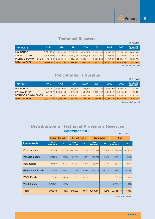# **Technical Reserves**

|  |  | R\$ thousands |  |
|--|--|---------------|--|
|  |  |               |  |

| <b>MARKETS</b>                          | 1997       | 1998       | 1999       | 2000      | 2001                                              | 2002                  | 2003       | Variation(%)<br>2003/1997 |
|-----------------------------------------|------------|------------|------------|-----------|---------------------------------------------------|-----------------------|------------|---------------------------|
| <b>INSURANCE</b>                        | 6.321.776  | 7.294.706  | 8.789.891  |           | $10,569,238$ 10,194,149                           | 14,443,496 23,184.299 |            | 266.74%                   |
| <b>CAPITALIZATION</b>                   | 3.700.600  | 4.087.049  | 4,579,035  | 5,534,615 | 6,315,391                                         | 7,202,962             | 8.223.082  | 122.21%                   |
| <b>OPEN-END PENSION FUNDS 4.616.406</b> |            | 6.769.011  | 9.917.372  |           | 13,665,447   20,782,833   26,754,328   34,665,477 |                       |            | 650.92%                   |
| <b>TOTAL MARKET</b>                     | 14,638,782 | 18,150,766 | 23,286,297 |           | 29,769,300 37,292,372                             | 48,400,786            | 66.072.858 | 351.35%                   |

Sources: SUSEP and ANS

R\$ thousands

# **Policyholder's Surplus**

| <b>MARKETS</b>                          | 1997      | 1998       | 1999       | 2000      | 2001                                       | 2002       | 2003       | Variation(%)<br>2003/1997 |
|-----------------------------------------|-----------|------------|------------|-----------|--------------------------------------------|------------|------------|---------------------------|
| <b>INSURANCE</b>                        | 7.978.091 | 8.454.989  | 9,851,530  |           | 9,765,170 11,321,226 13,369,994 18,894,140 |            |            | 136.83%                   |
| <b>CAPITALIZATION</b>                   | 691,180   | 2.358.454  | 3.371.659  | 3,513,456 | 3,159,167                                  | 3.003.125  | 3.575.500  | 417.30%                   |
| <b>OPEN-END PENSION FUNDS 1.147.961</b> |           | 1.132.061  | 1,369,973  | 2,027,620 | 3,326,474                                  | 3.909.030  | 3.894.160  | 239.22%                   |
| <b>TOTAL MARKET</b>                     | 9.817.232 | 11.945.504 | 14,593,162 |           | 15,306,246 17,806,867                      | 20.282.149 | 26,363,800 | 168,55%                   |

Sources: SUSEP and ANS

### **Distribuition of Technical Provisions Reserves** December of 2003  $D^{\mathbf{A}}$

|                        |                            |                            |                            |                          |                            |                       |                            | no lliuusalius |  |
|------------------------|----------------------------|----------------------------|----------------------------|--------------------------|----------------------------|-----------------------|----------------------------|----------------|--|
|                        |                            | <b>Insurance Companies</b> |                            | <b>Open-end Pensions</b> |                            | <b>Capitalization</b> | <b>Total</b>               |                |  |
| <b>Reserve Assets</b>  | <b>Total</b><br>Res. Prov. | %                          | <b>Total</b><br>Res. Prov. | %                        | <b>Total</b><br>Res. Prov. | %                     | <b>Total</b><br>Res. Prov. | %              |  |
| <b>Fixed Income</b>    | 22,756,058                 | 39.60%                     | 1,067,744                  | 81.28%                   | 7,801,003                  | 75.38%                | 31,624,805                 | 45.75%         |  |
| Variable Income        | 1,264,948                  | 2.20%                      | 53,436                     | 4.07%                    | 656,790                    | 6.35%                 | 1,975,175                  | 2.86%          |  |
| <b>Real Estate</b>     | 443,018                    | 0.77%                      | 61,962                     | 4.72%                    | 55,805                     | 0.54%                 | 560,786                    | 0.81%          |  |
| <b>Govemment Bonds</b> | 11,206,155                 | 19.50%                     | 127,953                    | 9.74%                    | 1,834,773                  | 17.73%                | 13,168,881                 | 19.05%         |  |
| <b>PGBL Funds</b>      | 12,033,963                 | 20.94%                     | 2,563                      | 0.20%                    |                            |                       | 12,036,526                 | 17.41%         |  |
| <b>VGBL Funds</b>      | 9,756,571                  | 16.98%                     |                            |                          |                            |                       | 9,756,571                  | 14.11%         |  |
| <b>Total</b>           | 57,460,713                 | 100%                       | 1,313,659                  | 100%                     | 10,348,371                 | 100%                  | 69,122,743                 | 100%           |  |

Sources: SUSEP and ANS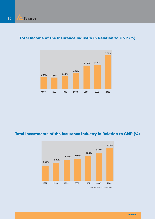

# Total Income of the Insurance Industry in Relation to GNP (%)



# Total Investments of the Insurance Industry in Relation to GNP (%)



Sources: IBGE, SUSEP and ANS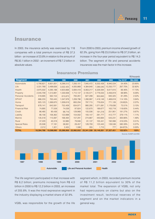$D\Phi$  thousands

# <span id="page-11-0"></span>**Insurance**

In 2003, the insurance activity was exercised by 118 companies with a total premium income of R\$ 37,3 billion - an increase of 23.8% in relation to the amount of R\$ 30,1 billion in 2002 - an increment of R\$ 7,2 billion in absolute values.

From 2000 to 2003, premium income showed growth of 62.3%, going from R\$ 23,0 billion to R\$ 37,3 billion, an increase in the four-year period equivalent to R\$ 14,3 billion. The segment of life and personal accidents insurances was the main factor in this increase.

|                           |            |            |            |            |            |            |            |             | .               |
|---------------------------|------------|------------|------------|------------|------------|------------|------------|-------------|-----------------|
| <b>Segment</b>            | 1997       | 1998       | 1999       | 2000       | 2001       | 2002       | 2003       | Var 03/97   | <b>Mix 2003</b> |
| Automobile                | 5,790,621  | 6,601,831  | 6,296,512  | 7,293,101  | 7,945,472  | 8,202,439  | 8,940,534  | 54.40%      | 23.95%          |
| Life                      | 3,331,769  | 3,499,836  | 3,552,425  | 4,005,868  | 4,384,840  | 7,290,540  | 12,250,777 | 267.70%     | 32.82%          |
| Health                    | 3,975,502  | 4,295,188  | 4,923,668  | 5,694,418  | 6,063,217  | 6,326,594  | 6,617,610  | 66.46%      | 17.73%          |
| Property                  | 2,045,709  | 1,513,891  | 1,530,938  | 1,712,137  | 2,105,571  | 2,776,033  | 3,456,819  | 68.98%      | 9.26%           |
| <b>Personal Accidents</b> | 518,695    | 562,153    | 615,873    | 700,261    | 827,298    | 953,840    | 940,325    | 81.29%      | 2.52%           |
| <b>DPVAT</b>              | 686,233    | 763,445    | 1,047,978  | 1,209,796  | 1,280,997  | 1,418,149  | 1,469,618  | 114.16%     | 3.94%           |
| Home                      | 925,123    | 1,069,870  | 1,009,619  | 893,294    | 797,715    | 776,634    | 771,126    | $(16.65)\%$ | 2.07%           |
| Transport                 | 678,141    | 643,581    | 752,409    | 834,971    | 980,295    | 1,071,081  | 1,176,636  | 73.51%      | 3.15%           |
| <b>Financial Risk</b>     | 74,895     | 77,559     | 74,039     | 97,824     | 122,670    | 189,677    | 163,718    | 118.60%     | 0.44%           |
| Credit                    | 86,485     | 90,436     | 98,716     | 129,968    | 155,036    | 191,218    | 251,901    | 191.27%     | 0.67%           |
| <b>Liability</b>          | 86,156     | 106,362    | 122,898    | 154,002    | 193,147    | 281,777    | 412,777    | 379.11%     | 1.11%           |
| Marine                    | 135,518    | 115,087    | 168,484    | 157,291    | 274,887    | 440,684    | 543,231    | 300.86%     | 1.46%           |
| Rural                     | 37,220     | 40,319     | 52,880     | 79,946     | 81,137     | 105,441    | 192,066    | 416.03%     | 0.51%           |
| <b>Special Risks</b>      | 20,508     | 17,181     | 38,061     | 28,457     | 128,700    | 123,445    | 139,536    | 580.39%     | 0.37%           |
| <b>Others</b>             | 2,212      | 1,321      | 2,455      | 1,598      | 355        | 1,710      | 777        | $(64.87)\%$ | 0.00%           |
| <b>TOTAL</b>              | 18,394,786 | 19,398,060 | 20,286,956 | 22,992,932 | 25,341,338 | 30.149.261 | 37,327,451 | 102.92%     | 100%            |

# Insurance Premiums



The life segment participated in that increase with R\$ 8,2 billion; premiums increasing from R\$ 4,0 billion in 2000 to R\$ 12,2 billion in 2003, an increase of 205.8%. It was the most expressive segment in the industry displaying a market share of 32.8%.

VGBL was responsible for the growth of the life

segment which, in 2003, recorded premium income of R\$ 11,2 billion equivalent to 30% of the market total. The expansion of VGBL not only had repercussions on claims but also on the investment result, technical reserves of the segment and on the market indicators in a general way.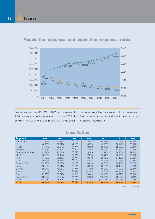<span id="page-12-0"></span>



# Acquisition expenses and acquisition expenses ratios

Overall loss ratio of 68.49% in 2003: an increase of 1.56 percentage points in relation to that of 2002 of 66.93%. The segments that presented the greatest increase were life insurance, with an increase of 6.0 percentage points and health insurance with 4.2 percentage points.

| <b>Segment</b>        | 1997    | 1998    | 1999    | 2000    | 2001         | 2002   | 2003       |
|-----------------------|---------|---------|---------|---------|--------------|--------|------------|
| Automobile            | 72.86%  | 70.88%  | 76.11%  | 72.67%  | 68.98%       | 71.01% | 72.44%     |
| Life                  | 46.79%  | 52.01%  | 51.77%  | 49.87%  | 49.19%       | 53.44% | 59.51%     |
| <b>Health</b>         | 77.74%  | 79.67%  | 79.02%  | 80.30%  | 83.19%       | 82.08% | 86.21%     |
| Property              | 67.62%  | 63.12%  | 66.81%  | 64.76%  | 60.10%       | 54.62% | 47.65%     |
| Personal Accidents    |         |         | 24.10%  |         |              |        |            |
|                       | 21.79%  | 25.24%  |         | 23.76%  | 25.29%       | 28.73% | 27.66%     |
| <b>DPVAT</b>          | 76.93%  | 62.13%  | 72.90%  | 77.27%  | 78.77%       | 75.78% | 76.66%     |
| Home                  | 74.78%  | 70.15%  | 43.94%  | 39.34%  | 29.10%       | 34.15% | 37.60%     |
| Transport             | 58.33%  | 59.93%  | 67.22%  | 57.92%  | 54.97%       | 51.63% | 50.58%     |
| <b>Financial Risk</b> | 105.98% | 69.80%  | 75.47%  | 40.02%  | 88.66%       | 38.13% | 53.77%     |
| Credit                | 25.25%  | 35.01%  | 42.82%  | 33.27%  | 68.52%       | 85.18% | 98.73%     |
| Liability             | 66.84%  | 46.66%  | 73.65%  | 61.12%  | 85.28%       | 71.23% | 56.37%     |
| Marine                | 75.44%  | 59.15%  | 74.39%  | 101.08% | 139.86%      | 90.93% | 61.37%     |
| Rural                 | 29.93%  | 66.61%  | 37.95%  | 78.46%  | 50.46%       | 66.92% | 30.91%     |
| <b>Special Risks</b>  | 82.50%  | 81.28%  | 48.69%  | 64.96%  | 118.51%      | 92.32% | $(8.58)$ % |
| <b>Others</b>         | 114.29% | 275.70% | 120.79% | 321.24% | $(120.42)\%$ | 68.90% | 42.76%     |
| <b>TOTAL</b>          | 66.41%  | 66,61%  | 69,00%  | 67.29%  | 66,48%       | 66,93% | 68,49%     |

# Loss Ratios

Sources: SUSEP and ANS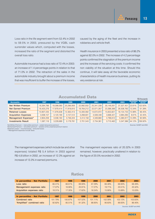

Loss ratio in the life segment went from 53.4% in 2002 to 59.5% in 2003, pressured by the VGBL cash surrender values which, computed with the losses, increased the ratio of the segment and distorted the overall loss ratio.

Automobile insurance had a loss ratio of 72.4% in 2003: an increase of 1.4 percentage points in relation to that of 71.0% in 2002. The retraction of the sales in the automobile industry brought about a premium income that was insufficient to buffer the increase of the losses,

caused by the aging of the fleet and the increase in robberies and vehicle theft.

Health insurance in 2003 presented a loss ratio of 86.2% against 82.0% in 2002. The increase of 4.2 percentage points confirmed the stagnation of the premium income and the increase of the servicing costs: it confirmed the non viability of the situation at this time. Should this continue, it will take away all the favorable economic characteristics of health insurance business, putting its very existence at risk.

# Accumulated Data

| <b>Accounts</b>             | 1997       | 1998       | 1999       | 2000       | 2001       | 2002       | 2003         | <b>Evolution</b><br>03/02 | <b>Evolution</b><br>03/97 |
|-----------------------------|------------|------------|------------|------------|------------|------------|--------------|---------------------------|---------------------------|
| Net Written Premium         | 18,394,786 | 19.398.060 | 20.286.956 | 22,992,932 | 25,341,338 | 30,149,261 | 37.327.451   | 23.81%                    | 102.92%                   |
| <b>Net Earned Premium</b>   | 16,425,276 | 17.979.414 | 17,918,810 | 19,764,212 | 22,071,267 | 23,388,388 | 26,508,760   | 13.34%                    | 61.39%                    |
| <b>Retained Losses</b>      | 10,907,235 | 11.976.638 | 12,363,413 | 13,300,082 | 14,672,972 | 15,653,821 | 18, 154, 733 | 15.98%                    | 66.45%                    |
| <b>Acquisition Expenses</b> | 3,008,157  | 3.120.190  | 3,157,512  | 3.268.601  | 3,508,348  | 3.668.421  | 3.984.260    | 8.61%                     | 32.45%                    |
| Management Expenses*        | 2,804,259  | 3.038.183  | 3,746,224  | 3,414,158  | 4,349,860  | 4,796,612  | 5.385.917    | 12.29%                    | 92.06%                    |
| <b>Investments Result</b>   | 1,587,116  | 3,228,689  | 3,179,781  | 2,701,543  | 2,734,361  | 3,710,462  | 5,347,386    | 44.12%                    | 236.92%                   |

Net Written Premium = total written premium – ceded reinsurance premium Net Earned Premium = net written premium – variation of the unearned premium reserve

Retained Losses = incurred losses – reinsured losses \* Management expenses include Taxes

The management expenses (which include tax and other expenses) totaled R\$ 5,4 billion in 2003 against R\$ 4,8 billion in 2002, an increase of 12.3% against an increase of 13.3% in earned premiums.

The management expenses ratio of 20.32% in 2003 remained, however, practically unaltered in relation to the figure of 20.5% recorded in 2002.

| In percentiles - Net Portfolio    | 1997    | 1998    | 1999    | 2000    | 2001    | 2002    | 2003    |
|-----------------------------------|---------|---------|---------|---------|---------|---------|---------|
| Loss ratio                        | 66.41%  | 66.61%  | 69.00%  | 67.29%  | 66.48%  | 66.93%  | 68.49%  |
| Managememt expenses ratio         | 17.07%  | 16.90%  | 20.91%  | 17.27%  | 19.71%  | 20.51%  | 20.32%  |
| <b>Acquisition expenses ratio</b> | 18.31%  | 17.35%  | 17.62%  | 16.54%  | 15.90%  | 15.68%  | 15.03%  |
|                                   |         |         |         |         |         |         |         |
| In percentiles - Net Portfolio    | 1997    | 1998    | 1999    | 2000    | 2001    | 2002    | 2003    |
| <b>Combined ratio</b>             | 101.79% | 100.87% | 107.52% | 101.11% | 102.08% | 103.12% | 103.83% |
| "Amplified" combined ratio        | 92.82%  | 85.51%  | 91.32%  | 88.95%  | 90.83%  | 89.00%  | 86.40%  |
|                                   |         |         |         |         |         |         |         |

# **Ratios**

Sources: SUSEP and ANS

Sources: SUSEP and ANS

R\$ thousands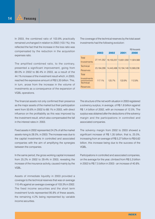

In 2003, the combined ratio of 103.8% practically remained unchanged in relation to 2002 (103.1%); this reflected the fact that the increase in the loss ratio was compensated by the reduction in the acquisition expenses ratio.

The amplified combined ratio, to the contrary, presented a significant improvement, going from 89.0% in 2002 to 86.4% in 2003, as a result of the 44.1% increase of the investment result which, in 2003, reached the expressive amount of R\$ 5,35 billion. This, in turn, arose from the increase in the volume of investments as a consequence of the expansion of VGBL operations.

The financial assets not only confirmed their presence as the major assets of the market but their participation went from 50.6% in 2002 to 68.1% in 2003, with direct influence on the profitability as this was improved by the investment result, which also compensated the fall in the interest rates in 2003.

Fixed assets in 2002 represented 24.2% of all the market assets rising to 28.5%, in 2003. The increase was due to the capital investments in controlled and associated companies with the aim of amplifying the synergies between the companies.

In the same period, the gross working capital increased from 25.2% in 2002 to 29.4% in 2003, revealing the increase of the insurance activity, caused mainly by the VGBL.

Assets of immediate liquidity in 2003 provided a coverage to the technical reserves that was on average 110.4% against an average coverage of 103.3% in 2002. The fixed income securities and the short term investment funds represented 95.8% of these assets, the remaining 4.2% being represented by variable income securities.

The coverage of the technical reserves by the total asset investments had the following evolution:

|                  | 2003         | 2002                             | 2001                             | R\$ thousands<br>2000 |
|------------------|--------------|----------------------------------|----------------------------------|-----------------------|
| Total            | 27, 141, 352 | 18,150,257 13,651,059 11,924,568 |                                  |                       |
| Investments      |              |                                  |                                  |                       |
| <b>Technical</b> | 23,184,299   |                                  | 14,443,496 10,194,149 10,569,238 |                       |
| <b>Reserves</b>  |              |                                  |                                  |                       |
| Total            |              |                                  |                                  |                       |
| Investments      | 117.1%       | 125.7%                           | 133.9%                           | 112.8%                |
| <b>Technical</b> |              |                                  |                                  |                       |
| Reserves         |              |                                  |                                  |                       |

The structure of the net worth situation in 2003 registered a solvency surplus, in average, of R\$ 1,6 billion against R\$ 1,4 billion of 2002, with an increase of 12.5%. The surplus was obtained after the deductions of the solvency margin and the participations in controlled and associated companies.

The solvency margin from 2002 to 2003 showed a significant increase of R\$ 1,35 billion, that is, 25.5%, increasing from an average of R\$ 5,27 billion to R\$ 6,62 billion, this increase being due to the success of the VGBL.

Participations in controlled and associated companies, on the average for the year, climbed from R\$ 5,3 billion in 2002 to R\$ 7,5 billion in 2003 - an increase of 40.8%.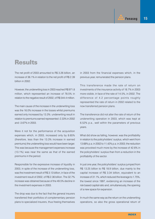

# <span id="page-15-0"></span>**Results**

The net profit of 2003 amounted to R\$ 3.26 billion, an increase of 36.1% in relation to the net profit of R\$ 2.39 billion in 2002.

However, the underwriting loss in 2003 reached R\$ 971.8 million, which represented an increase of 78.5% in relation to the negative result of 2002, of R\$ 544.4 million.

The main cause of the increase in the underwriting loss was the 16.0% increase in the losses whilst premiums earned only increased by 13.3%: underwriting result in relation to premiums earned represented -2.33% in 2002 and -3.67% in 2003.

Were it not for the performance of the acquisition expenses which, in 2003, increased only by 8.65% (therefore, less than the 13.3% increase in earned premiums) the underwriting loss would have been larger. This was because the management expenses increase (13.1%) was near the same as that of the earned premiums in the period.

Responsible for the expressive increase of liquidity in 2003, in spite of the increase of the underwriting loss, was the investment result of R\$ 3.13 billion, in face of the investment result of 2002, of R\$ 2.36 billion. The 32.7% increase was obtained because of the 49.5% decline in the investment expenses in 2003.

The drop was due to the fact that the general insurers transferred their portfolios of complementary pension plans to specialized insurers, thus freeing themselves

in 2003 from the financial expenses which, in the previous year, remunerated the pension plans.

This transference made the rate of return on investments of the insurance activity of 18.7% in 2003 more visible, in face of the rate of 14.5%, in 2002. The difference of 4.2 percentage points roughly represented the rate of return in 2002 related to the now transferred pension plans.

The transference did not alter the rate of return of the underwriting operation in 2003, which was kept at 6.52% p.a., well within the parameters of previous years.

What did show as falling, however, was the profitability in relation to the policyholders' surplus, which went from 13.68% p.a. in 2002 to 11,42% p.a. in 2003; the reduction was provoked much more by the increase of 42.6% in the policyholders' surplus than from a reduction in the profitability of the sector.

In just one year, the policyholders' surplus jumped from R\$ 13.25 billion to R\$ 18.9 billion, due mainly to the capital increase of R\$ 3.34 billion, equivalent to an increase of 31.1%, which reduced the leverage to 1.75%, the lowest since 1997, evidencing an increase of the risk based capital ratio and, simultaneously, the opening of a new space for expansion.

In much the same way as the return on the underwriting operations, so also the gross operational return of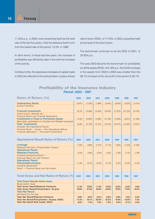<span id="page-16-0"></span>

11.35% p.a., in 2003, even presenting itself as the best rate of the last five years, it did not distance itself much from the lowest rate of the period, 10.2%, in 1999.

In other terms, in these last few years, the increase of profitability was efficiently kept in line with the increase of the activity.

Contrary to this, the expressive increases of capital made in 2003 are reflected in the policyholders' surplus whose rate of return (ROE), of 17.24%, in 2003, presented itself as the least of the last 5 years.

The benchmark continues to be the ROE of 2001, of 20.92% p.a.

The year 2003 became the benchmark for profitability on all the assets (ROA), of 8.18% p.a.: the 23.6% increase in the assets from 2002 to 2003 was smaller than the 36.1% increase of the net profit in the period of 36.1%.

### Profitability of the Insurance Industry Period: 2003 - 1997

| <b>Rates of Return (%)</b>                                                                      | 2003          | 2002          | 2001          | 2000          | 1999          | 1998          | 1997         |
|-------------------------------------------------------------------------------------------------|---------------|---------------|---------------|---------------|---------------|---------------|--------------|
| <b>Underwriting Result</b>                                                                      | $-3.67%$      | $-2.33%$      | $-1.99%$      | $-3.64%$      | $-8.84%$      | $-4.52%$      | $-5.41%$     |
| <b>Earned Premiums</b>                                                                          |               |               |               |               |               |               |              |
| <b>Financial Investments</b>                                                                    | 18.7%         | 14.46%        | 14.55%        | 16.40%        | 21.97%        | 20.73%        | 18.74%       |
| (Fixed income, deposits etc.)                                                                   |               |               |               |               |               |               |              |
| Financial Result over Financial Applications<br><b>Investments in Fixed or Permanent Assets</b> | 14.5%         | 12.00%        | 14.98%        | 12.18%        | 14.06%        | 8.81%         | 14.18%       |
| Real estate, participation in controlled and Affiliated companies                               |               |               |               |               |               |               |              |
| <b>Total Investments</b>                                                                        | 16.8%         | 14.18%        | 15.21%        | 16.10%        | 20.27%        | 16.42%        | 13.61%       |
| (Includes Non-Operational Result)<br>Financial Result + Assets + Non-Operational Without        |               |               |               |               |               |               |              |
| Financial Application + Permanent Investiments                                                  |               |               |               |               |               |               |              |
|                                                                                                 |               |               |               |               |               |               |              |
| <b>Operational Result Rates of Return (%)</b>                                                   |               |               |               |               |               |               |              |
|                                                                                                 | 2003          | 2002          | 2001          | 2000          | 1999          | 1998          | 1997         |
| Leverage                                                                                        | 1.75%         | 1.99%         | 2.21%         | 2.11%         | 1.83%         | 2.15%         | 2.16%        |
| Retained Premiums / Polycyholders' Surplus                                                      |               |               |               |               |               |               |              |
| <b>Operational Result</b><br><b>Retained Premiums</b>                                           | 6.5%          | 6.9%          | 6.9%          | 6.0%          | 5.0%          | 5.7%          | 2.9%         |
| Industrial Operational Result +                                                                 |               |               |               |               |               |               |              |
| Financial Result over Net Premium                                                               |               |               |               |               |               |               |              |
| <b>Operational Result</b><br><b>Policyholders Surplus</b>                                       | 11.4%         | 13.7%         | 15.2%         | 12.7%         | 9.2%          | 12.2%         | 6.2%         |
| Industrial Operational+                                                                         |               |               |               |               |               |               |              |
| Result + Financial Result over Net Assets                                                       |               |               |               |               |               |               |              |
|                                                                                                 |               |               |               |               |               |               |              |
| <b>Total Gross and Net Rates of Return (%)</b>                                                  | 2003          | 2002          | 2001          | 2000          | 1999          | 1998          | 1997         |
| <b>Total Gross Results before taxes</b>                                                         |               |               |               |               |               |               |              |
| <b>Result before Taxes</b>                                                                      |               |               |               |               |               |               |              |
| <b>Total Gross Result/Retained Premiums</b>                                                     | 11.4%         | 10.9%         | 11.3%         | 10.5%         | 10.2%         | 8.3%          | 4.8%         |
| <b>Total Gross Result/Policyholders' Surplus</b><br><b>Total Net Result</b>                     | 19.9%         | 21.8%         | 24.9%         | 22.0%         | 18.6%         | 17.9%         | 10.4%        |
| Net Result For the Year                                                                         |               |               |               |               |               |               |              |
| <b>Total Net Result/Retained Premiums</b>                                                       | 9.9%          | 9.0%          | 9.5%          | 8.6%          | 8.8%          | 7.0%          | 3.4%         |
| Total Net Result/Policyholders' Surplus (ROE)<br>Total Net Result/Total Assets (ROA)            | 17.2%<br>8.2% | 18.1%<br>7.4% | 20.9%<br>7.9% | 18.2%<br>7.0% | 16.0%<br>6.5% | 15.0%<br>6.1% | 7.3%<br>3.2% |
|                                                                                                 |               |               |               |               |               |               |              |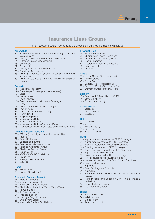

17

# Insurance Lines Groups

From 2003, the SUSEP reorganized the groups of insurance lines as shown below:

### <span id="page-17-0"></span>Automobile

- 20 Personal Accident Coverage for Passengers of Land Motor Vehicles
- 23 Liability of Interstate/International Land Carriers.
- 24 Extended Guarantee/Mechanical
- 25 Green Card
- 31 Automobile
- 44 Liability International Travel/Transport.
- 53 Facultative Auto Liability
- 88 DPVAT (Categories 1, 2, 9 and 10): compulsory no-fault auto insurance
- 89 DPVAT (Categories 3 and 4): compulsory no-fault auto insurance

### **Property**

- 11 Traditional Fire Policy
- 12 Fire Simple Coverage (cover note form)
- 13 Glass
- 14 Homeowners
- 15 Theft/Robbery
- 16 Comprehensive Condominium Coverage
- 17 Riots
- 18 Comprehensive Business Coverage
- 41 Lost of Profits
- 42 Loss of Profits Simple Coverage
- 43 Fidelity Bond
- 67 Engineering Risks
- 71 Miscelaneous Risks
- 73 Bankers Blanket Bond
- 76 Miscelaneous Risks Combined Plans 96 – Miscelaneous Risks - Nominated and Operational Risks

### Life and Personal Accident

- 36 P.C.H.V. (loss of flight license due to disability)
- 69 Tourism
- 77 Credit Life Insurance
- 80 Educational Insurance
- 81 Personal Accidents Individual
- 82 Personal Accidents Group
- 90 Disability Random Events
- 91 Individual Life
- 92 VGBL/VAGP/VRGP Individual
- 93 Group Life
- 94 VGBL/VAGP/VRGP Group
- 97 VG/APC

### Home

- 66 Home SFH
- 68 Home Outside the SFH

### Transport (Goods in Transit)

- 21 National Transport
- 22 International Transport
- 27 Intermodal Carriers' Liability
- 32 Civil Liab. International Travel /Cargo Transp.
- 38 Railways Liability
- 52 Air Carriers' Liability
- 54 Truckers' Liability
- 55 Liability Cargo Diversion
- 56 Ship owner's Liability
- 58 Intermodal Carriers' Op. Liability

### Financial Risks

- 39 Financial Guarantee
- 40 Guarantee of Private Obligations
- 45 Guarantee of Public Obligations
- 46 Rental Guarantee
- 47 Guarantee of Public Concessions
- 50 Legal Guarantee
- 75 Guarantee

### **Credit**

- 19 Export Credit Commercial Risks
- 48 Internal Credit
- 49 Export Credit
- 59 Export Credit Political Risks
- 60 Domestic Credit Commercial Risks
- 70 Domestic Credit Personal Risks

### **Liability**

- 10 Directors & Officers Liability (D&O)
- 51 General Liability
- 78 Professional Liability

### Speciail Risks

- $34 -$  Oil Risks
- 72 Nuclear Risks
- 74 Satellites

### Hull

- 33 Marine Hull
- 35 Aircraft
- 37 Hangar Liability
- 57 D. P. E. M.
- 84 Aircraft Tickets

### Rural

- 01 Agricultural Insurance without FESR Coverage
- 02 Agricultural Insurance with FESR Coverage
- 03 Farming Insurance without FESR Coverage
- 04 Farming Insurance with FESR Coverage
- 05 Aquiculture Insurance without FESR Coverage
- 06 Aquiculture with FESR Coverage
- 07 Forest Insurance without FESR Coverage
- 08 Forest Insurance with FESR Coverage
- 09 Insurance in respect of the Rural Product Certificate
- 28 Farming Livestock
- 29 Aquiculture

Institutions

79 – Insurance Abroad 86 – Individual Health 87 – Group Health 99 – Branches Abroad

30 – Farm Buildings and Products

64 – Bloodstock and Livestock 65 – Comprehensive Forest

61 – Agricultural

**Others** 

62 – Rural Property and Goods on Lien – Private Financial **Institutions** 63 – Rural Property and Goods on Lien – Public Financial

[INDEX](#page-2-0)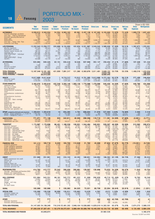# 1) Insurance Premium = premium issued - cancellation - restitution - discount (Total Pension<br>funds contribution values were considered); 2) Gross Premium Received = Premium issued +<br>co-insurance accepted - restitution - d

20 **Fenaseg**

<span id="page-18-0"></span>18

| <b>SEGMENTS</b>                                                                                                                                                                                                                                                                                                            | <b>Total</b><br><b>Premium</b>                                                                                                     | <b>Insurance</b><br><b>Premium</b>                                                                                    | <b>Ceded</b><br><b>Co-insurer</b>                                                                                  | <b>Gross Earned</b><br><b>Premium</b>                                                                                            | <b>Ceded</b><br><b>Re-insurer</b>                                                                                         | <b>Net Earned</b><br><b>Premium</b>                                                                                  | <b>Gross Loss</b>                                                                                                            | <b>Net Loss</b>                                                                                                                 | <b>Gross Loss</b><br><b>Ratio</b>                                                                                                           | <b>Net Loss</b><br><b>Ratio</b>                                                                                                        | <b>Gross</b><br><b>Expenses</b>                                                                                                    | Shown in R\$ 1000<br><b>Net Expenses</b>                                                                                                                                                                  |
|----------------------------------------------------------------------------------------------------------------------------------------------------------------------------------------------------------------------------------------------------------------------------------------------------------------------------|------------------------------------------------------------------------------------------------------------------------------------|-----------------------------------------------------------------------------------------------------------------------|--------------------------------------------------------------------------------------------------------------------|----------------------------------------------------------------------------------------------------------------------------------|---------------------------------------------------------------------------------------------------------------------------|----------------------------------------------------------------------------------------------------------------------|------------------------------------------------------------------------------------------------------------------------------|---------------------------------------------------------------------------------------------------------------------------------|---------------------------------------------------------------------------------------------------------------------------------------------|----------------------------------------------------------------------------------------------------------------------------------------|------------------------------------------------------------------------------------------------------------------------------------|-----------------------------------------------------------------------------------------------------------------------------------------------------------------------------------------------------------|
| AUTOMOBILE<br>Personal passenger accidents<br>Civil resp. - Road & International<br>Extended warranty/Mechanical<br>Green card<br>Automobiles<br>Civil resp. - Transp. Inter. Trips<br>Collective Civil Resp.                                                                                                              | 8,938,813<br>131,496<br>15,334<br>4,627<br>602<br>6,999,407<br>3,834<br>1.783,513                                                  | 8,940,534<br>131,646<br>15,364<br>4.627<br>602<br>7,001,051<br>3,812<br>1,783,432                                     | 54,554<br>1,049<br>358<br>$\cup$<br>42,895<br>22<br>10,229                                                         | 8,563,105<br>93,876<br>8,974<br>3,947<br>562<br>6,721,211<br>3,914<br>1,730,622                                                  | 65,961<br>764<br>1,754<br>2,178<br>33,097<br>1,274<br>26,893                                                              | $8,497,130$<br>$93,112$<br>$\frac{7,221}{1,769}$<br>6,688,097<br>$2,640$<br>1,703,731                                | 6,167,505<br>10,120<br>5,211<br>1,138<br>5,046,719<br>605<br>1,103,707                                                       | 6,155,680<br>12,057<br>5,412<br>712<br>5,039,594<br>362<br>1,097,536                                                            | 72.02%<br>10.78%<br>58.06%<br>28.84%<br>1.11%<br>75.09%<br>15.45%<br>63.78%                                                                 | 72.44%<br>12.95%<br>74.96%<br>40.25%<br>1.21%<br>75.35%<br>13.71%<br>64.42%                                                            | 137<br>1,338,630<br>284<br>329,606                                                                                                 | <b>1,689,770 1,637,492</b><br>19,521 18,917<br>1,930 1,870<br>(338) (327)<br>$\begin{array}{r} \n 1,870 \\ \hline\n 1,870 \\ \hline\n 133 \\ \hline\n 1,297,215 \\ \hline\n 275\n \end{array}$<br>319,409 |
| LIFE/PERSONAL<br>Monthly payments<br>Educational insurance<br>Random events income (9)<br>Individual life<br>VGBL/VAGP/VRGP - Individual<br>Group life<br>VGBL/VAGP/VRGP - Group<br>VG/APC                                                                                                                                 | 12,252,943 12,250,777<br>227,535<br>13,972<br>188,182<br>463,286<br>7,041,906<br>4,152,810<br>1,165<br>164,088                     | 226,324<br>13,712<br>184,727<br>462,591<br>7,041,239<br>4,165,876<br>1,165<br>155,144                                 | 359,808<br>1,716<br>302<br>23,527<br>696<br>742<br>320,117<br>12,707                                               | 6,134,800<br>156,404<br>13,329<br>177,444<br>358,418<br>1,045,017<br>4,228,315<br>334<br>155,539                                 | 102,834<br>$\frac{154}{119}$<br>950<br>2,532<br>369<br>97,827<br>$\theta$<br>883                                          | 6,031,907<br>156,251<br>13,210<br>176,493<br>355,879<br>1,044,648<br>4,130,436<br>334<br>154,656                     | $3,549,345$<br>$31,658$<br>7,704<br>71,753<br>266,066<br>829,144<br>2,270,653<br>72,259                                      | 3.589,698<br>$42.298$<br>$8,781$<br>72,277<br>262,540<br>829,262<br>2,301,213<br>73,220                                         | 57.86%<br>20.24%<br>40.44%<br>79.34%<br>53.70%<br>32.47%<br>46.46%                                                                          | 59.51%<br>27.07%<br>66.47%<br>40.95%<br>73.77%<br>79.38%<br>55.71%<br>32.47%<br>47.34%                                                 | 1,262,872<br>$\frac{40,862}{3,170}$<br>38,857<br>92,411<br>57,903<br>1,009,529<br>-97<br>20,043                                    | 1,223,801<br>$39,598$<br>3,072<br>3,072<br>37,655<br>39,552<br>66,111<br>978,296<br>$94$<br>19,423                                                                                                        |
| <b>AP/PERSONAL</b><br>P.C.H.V.<br>Tourism<br>Personal accident<br>Group accident                                                                                                                                                                                                                                           | 935,003<br>7,699<br>246,768<br>680,533                                                                                             | 940,325<br>739<br>7,699<br>258,255<br>673,632                                                                         | 62,151<br>$\left($<br>$\Omega$<br>2,675<br>59,476                                                                  | 956,518<br>736<br>7,605<br>299,468<br>648,709                                                                                    | 18,526<br>727<br>243<br>8,450<br>9,106                                                                                    | 937,969<br>8<br>7,362<br>290,999<br>639,599                                                                          | 262,137<br>4<br>2.677<br>85,011<br>174,444                                                                                   | 259,454<br>$\begin{array}{c} (0) \\ 2,637 \end{array}$<br>74,248<br>182,570                                                     | 27.41%<br>0.56%<br>35.20%<br>28.39%<br>26.89%                                                                                               | 27.66%<br>$-0.78%$<br>35.82%<br>25.51%<br>28.54%                                                                                       | 197,339<br>$\frac{(37)}{1,774}$<br>73,454<br>122,147                                                                               | 191,234<br>$(35)$<br>1,719<br>71,182<br>71,368                                                                                                                                                            |
| TOTAL PERSONAL<br>TOTAL PENSION (8)<br>TOTAL PERSONAL + PENSION                                                                                                                                                                                                                                                            | 13,187,946 13,191,102<br>7,319,223<br>20,510,325                                                                                   |                                                                                                                       |                                                                                                                    | 421,959 7,091,317                                                                                                                |                                                                                                                           | 121,360 6,969,876 3,811,481                                                                                          |                                                                                                                              | 3,849,152<br>4,810,793<br>8,659,945                                                                                             | 53.75%                                                                                                                                      | 55.23%                                                                                                                                 | 1,460,210                                                                                                                          | 1,415,034<br>180,820<br>1,595,854                                                                                                                                                                         |
| HEALTH<br>Individual health<br>Group health                                                                                                                                                                                                                                                                                | 2.451,661<br>4,165,949                                                                                                             | 6,617,609 6,617,610<br>2,451,661<br>4,165,949                                                                         | $\theta$                                                                                                           | 6,715,217<br>2,433,410<br>4,281,806                                                                                              | 13,912<br>$\frac{3,469}{10,443}$                                                                                          | 6,701,305<br>2.429,941<br>4,271,364                                                                                  | 5,612,066<br>2,081,183<br>3,530,883                                                                                          | 5,777,263<br>2,146,794<br>3,630,468                                                                                             | 83.57%<br>85.53%<br>82.46%                                                                                                                  | 86.21%<br>88.35%<br>85.00%                                                                                                             | 277,499<br>28,631<br>248,868                                                                                                       | 246,604<br>25,443<br>221,160                                                                                                                                                                              |
| OTHER BRANCHES<br>Traditional fire<br>Fire loss of tickets<br>Glass/Windows<br>Comprehensive residential<br>Theft<br>Comprehensive condominium<br>Riot<br>Comprehensive business<br>Profit loss<br>Profit loss - Basic coverage<br>Fidelity<br>Engineering risk<br>Diverse risk                                            | 3,483,070<br>667,855<br>15,310<br>$(6)$<br>460,114<br>41,238<br>96,389<br>742,141<br>13,209<br>$\cup$<br>114<br>138,148<br>518,099 | 3,456,819<br>640,052<br>14,952<br>$(3)$ 460,566<br>41,335<br>96,217<br>739,949<br>13,219<br>112<br>140,152<br>519,819 | 432,348<br>205,385<br>$\Omega$<br>2,594<br>486<br>719<br>$\Omega$<br>19,699<br>187<br>$\Omega$<br>14,803<br>13,903 | 3,355,149<br>1,042,694<br>14,328<br>276,703<br>39,742<br>62,604<br>$\frac{(12)}{501,265}$<br>12,736<br>142<br>141,817<br>516,218 | 1,583,139<br>510,117<br>2,441<br>$\cup$<br>10,233<br>7,932<br>16,036<br>208,021<br>10,604<br>$\theta$<br>99,393<br>81,312 | 1,776,588<br>535,958<br>11,887<br>23<br>266,470<br>31,810<br>46,569<br>293, 152<br>2,133<br>143<br>43,717<br>434,892 | 1,478,096<br>780,231<br>1,599<br>41<br>103,371<br>15,449<br>22,549<br>235,018<br>(327)<br>$\cup$<br>(7)<br>69,647<br>181,165 | 846,458<br>349,712<br>1,436<br>30<br>107,472<br>10,658<br>20,701<br>$(0)$ 171,078<br>190<br>$\theta$<br>21<br>11,382<br>168,690 | 44.05%<br>74.83%<br>11.16%<br>175.20%<br>37.36%<br>38.87%<br>36.02%<br>0.00%<br>46.88%<br>$-2.57%$<br>1.12%<br>$-4.60%$<br>49.11%<br>35.09% | 47.65%<br>65.25%<br>12.08%<br>126.22%<br>40.33%<br>33.50%<br>44.45%<br>0.23%<br>58.36%<br>8.92%<br>1.12%<br>14.46%<br>26.04%<br>38.79% | 448,780<br>163,795<br>4,748<br>$6\overline{6}$<br>69,888<br>3,253<br>18,163<br>92,148<br>285<br>$\theta$<br>22<br>14,342<br>63,075 | 434,896<br>158,727<br>4,601<br>67,726<br>3,153<br>17,601<br>$89,297$<br>$276$<br>$\begin{array}{r} 276 \\ 22 \\ 13,898 \\ 61,124 \\ 2,894 \end{array}$                                                    |
| Global bank<br>Diverse risk - Mixed plan<br>Specified and operation risk                                                                                                                                                                                                                                                   | 62,088<br>728,384                                                                                                                  | 62,088<br>728,374                                                                                                     | 86<br>$\Omega$<br>174,482                                                                                          | 60,966<br>685,914                                                                                                                | 11,345<br>625,708                                                                                                         | 49,631<br>60,206                                                                                                     | 2,002<br>67,358                                                                                                              | (1, 133)<br>6,223                                                                                                               | 3.28%<br>9.82%                                                                                                                              | $-2.28%$<br>$-7.73%$<br>10.34%                                                                                                         | 2,986<br>16,065                                                                                                                    | 15,568                                                                                                                                                                                                    |
| DPVAT: (compulsory thrid party auto insurance)<br>DPVAT - Group Categories 1, 2, 9 and 10<br>DPVAT - Categories 3 and 4                                                                                                                                                                                                    | 1,469,631<br>1,441,455<br>28,176                                                                                                   | 1,469,618<br>1,441,454<br>28,164                                                                                      | 15<br>$\mathbf{0}$<br>15                                                                                           | 693,395<br>677,994<br>15,401                                                                                                     | 4,701<br>132<br>4,569                                                                                                     | 688,694<br>677,862<br>10,832                                                                                         | 21,078<br>303<br>20,775                                                                                                      | 527,969<br>508,464<br>19,505                                                                                                    | 3.04%<br>0.04%<br>134.89%                                                                                                                   | 76.66%<br>75.01%<br>180.07%                                                                                                            | 2,495<br>430<br>2,065                                                                                                              | 2,418<br>416<br>2,001                                                                                                                                                                                     |
| <b>HABITATIONAL</b><br>Habitational - SFH<br>Habitational non SFH                                                                                                                                                                                                                                                          | 771,071<br>416,108<br>354,964                                                                                                      | 771,126<br>416,108<br>355,019                                                                                         | 823<br>$\mathbf{0}$<br>823                                                                                         | 342,611<br>$\cup$<br>342,611                                                                                                     | 46,309<br>Ю<br>46,309                                                                                                     | 296,268<br>296,268                                                                                                   | 116,710<br>,311<br>109,400                                                                                                   | 111,391<br>111,391                                                                                                              | 34.06%<br>31.93%                                                                                                                            | 37.60%<br>0.00%<br>37.60%                                                                                                              | (3,891)<br>287<br>(4, 178)                                                                                                         | (3, 771)<br>278<br>(4,048)                                                                                                                                                                                |
| <b>TRANSPORT</b><br>Domestic transport<br>International transport<br>Civil resp. - Intermodal<br>Civil resp. - International Cargo<br>Civil resp. - Railroad Cargo<br>Civil resp. - Air Cargo<br>Civil resp. - Road Cargo<br>Civil resp. - Cargo Deviation<br>Civil resp. - Ship owner<br>Civil resp. - Multimodal transp. | 1,174,987<br>341,253<br>340,233<br>8<br>8,933<br>137<br>8,823<br>299,524<br>174,332<br>1,743                                       | 1,176,636<br>341,650<br>340,437<br>9,029<br>136<br>8,572<br>300,433<br>174,626<br>1,745                               | 86,451<br>23,908<br>37,599<br>$\cup$<br>(32)<br>11<br>1,122<br>16,092<br>7,737<br>14<br>$\mathbf{0}$               | 1,180,558<br>343,107<br>340,858<br>8<br>8,946<br>129<br>8,578<br>301,389<br>175,797<br>1,746                                     | 136,051<br>22,957<br>95.,505<br>$\Box$<br>1,488<br>12<br>160<br>11,285<br>4,472<br>172<br>$\theta$                        | 1,044,484<br>320,140<br>245,343<br>8<br>7,458<br>117<br>8,415<br>290,104<br>171,325<br>1,573                         | 549,931<br>182,383<br>92,772<br>99<br>3,565<br>5,838<br>151,221<br>113,792<br>252<br>4                                       | 528,287<br>180,856<br>67,463<br>3,068<br>$\sqrt{6}$<br>6,611<br>153,612<br>116,049<br>518<br>4                                  | 46.58%<br>53.16%<br>27.22%<br>1.252.73%<br>39.85%<br>3.80%<br>68.06%<br>50.17%<br>64.73%<br>14.45%<br>541.11%                               | 50.58%<br>56.49%<br>27.50%<br>1282.78%<br>41.14%<br>4.88%<br>78.55%<br>52.95%<br>67.74%<br>32.91%<br>548.88%                           | 213,582<br>62,183<br>47,923<br>1,352<br>$693$<br>2,152<br>60,864<br>38,241<br>173<br>$\mathbf{0}$                                  | 206,974<br>60,259<br>46,441<br>1,310<br>672<br>672,086<br>58,981<br>37,058<br>168                                                                                                                         |
| FINANCIAL RISK<br>Financial guarantee<br>Private obligation guarantee<br>Public obligation guarantee<br>Rental guarantee<br>Public concession guarantee<br>Judicial guarantee<br>Guarantee                                                                                                                                 | 161,413<br>4,045<br>42,827<br>37,987<br>26,663<br>22,468<br>7,937<br>19,485                                                        | 163,718<br>2,181<br>42,679<br>$\begin{array}{c} 37,745 \\ 26,656 \\ 22,349 \\ \end{array}$<br>7,928<br>24,179         | 6,222<br>$2,139$<br>$757$<br>$\begin{array}{c} 745 \\ 23 \end{array}$<br>1,047<br>42<br>1,469                      | 162,733<br>3,039<br>$\begin{array}{c} 38,951 \\ 35,820 \\ 25,550 \\ 22,204 \\ \hline \end{array}$<br>7,699<br>29,470             | 112,048<br>,145<br>34,147<br>29,981<br>492<br>22,036<br>7,569<br>16,677                                                   | 51,762<br>2,211<br>4,819<br>5,839<br>25,082<br>167<br>129<br>13,514                                                  | 45,359<br>:,577<br>1,028<br>3,817<br>14,491<br>23,445                                                                        | 27,834<br>808<br>934<br>1,548<br>12,066<br>20<br>633<br>11,825                                                                  | 27.87%<br>84.78%<br>2.64%<br>10.66%<br>56.72%<br>0.00%<br>79.56%                                                                            | 53.77%<br>36.57%<br>19.38%<br>26.50%<br>48.11%<br>11.88%<br>489.34%<br>87.50%                                                          | (10, 051)<br>$(270)$<br>$(4,374)$<br>$(3,242)$<br>5,284<br>(2,776)<br>(1,417<br>(3, 256)                                           | (9,740)<br>$(261)$<br>$(4,239)$<br>$(3,142)$<br>$5,121$<br>$(2,690)$<br>$(1,374)$<br>(3, 155)                                                                                                             |
| CREDIT<br>Export commercial risk credit<br>Internal risk<br>Export risk<br>Political export risk<br>Domestic commercial risk<br>Domestic personal risk                                                                                                                                                                     | 251.889<br>142,782<br>12,766<br>79,597<br>16,743                                                                                   | 251,901<br>142,782<br>12,766<br>80,453<br>15,900                                                                      | 843<br>$\cup$<br>$\Omega$<br>$\mathbf{0}$<br>$\Omega$<br>$\theta$<br>843                                           | 233,133<br>$\Omega$<br>124,377<br>13,268<br>$\Box$<br>80,152<br>15,336                                                           | 44,493<br>$\Omega$<br>7,450<br>10,565<br>26,259<br>219                                                                    | 188,651<br>(0)<br>116,936<br>2,703<br>$(0)$<br>53,894<br>15,118                                                      | 144,994<br>(4)<br>99,242<br>3,738<br>39,539<br>2,480                                                                         | 186,263<br>$(39)$<br>151,910<br>347<br>30,331<br>3,711                                                                          | 62.19%<br>79.79%<br>28.17%<br>49.33%<br>16.17%                                                                                              | 98.73%<br>129.91%<br>12.85%<br>56.28%<br>24.54%                                                                                        | 27,380<br>$\frac{1}{2}$<br>18,024<br>(3, 147)<br>8,728<br>3,698                                                                    | 26,533<br>75<br>17,466<br>16<br>(3,050)<br>8,458<br>3,584                                                                                                                                                 |
| RESPONSIBILITIES<br>Civil resp. - Administrators and Executives (D&O)<br>General civil responsibility<br>Professional civil responsibility                                                                                                                                                                                 | 414,763<br>51,865<br>314,281<br>48,617                                                                                             | 412.777<br>52.466<br>311.688<br>48.623                                                                                | 22,342<br>,621<br>20,647<br>73                                                                                     | 398,559<br>$47,844$<br>$307,340$<br>$43,375$                                                                                     | 268,981<br>42,197<br>191,604<br>35,180                                                                                    | <b>129,567</b><br>5,648<br>115,725<br>8,195                                                                          | 136,696<br>134,995<br>1,701                                                                                                  | 73,033<br>,317<br>69,533<br>2,183                                                                                               | 34.30%<br>0.00%<br>43.92%<br>3.92%                                                                                                          | 56.37%<br>23.32%<br>60.08%<br>26.64%                                                                                                   | 11,045<br>841<br>8,105<br>2,100                                                                                                    | 10,704<br>$\begin{array}{r} 815 \\ 7,854 \\ 2,035 \end{array}$                                                                                                                                            |
| HULL COVERAGE<br>Maritime<br>Aircraft<br>Hangar - civil resp.<br>D. P.E. M.<br>Air travel tickets                                                                                                                                                                                                                          | 531,004<br>10,683<br>417,236<br>1,392<br>1,692<br>$\cup$                                                                           | 543,231<br>110,094<br>430,052<br>1,392<br>1,692                                                                       | 68,101<br>3,713<br>64,388<br>$\cup$<br>$\Omega$<br>$\Omega$                                                        | 542,772<br>106,557<br>433,148<br>1,357<br>1,710<br>O                                                                             | 461,522<br>65,803<br>394,208<br>1,367<br>145<br>$\cup$                                                                    | 81,009<br>38,744<br>40,711<br>(10)<br>1,565<br>$\Omega$                                                              | 290,920<br>69,597<br>220,683<br>$\cup$<br>639                                                                                | 49,719<br>30,064<br>19,178<br>19<br>457                                                                                         | 53.,60%<br>65.31%<br>50.95%<br>0.00%<br>37.38%                                                                                              | 61.37%<br>77.60%<br>47.11%<br>$-191.68%$<br>29.22%                                                                                     | 16,765<br>11,469<br>4,561<br>(10)<br>745<br>$\mathbf{0}$                                                                           | 16,246<br>11,115<br>4,420<br>(10)<br>722<br>$\sqrt{ }$                                                                                                                                                    |
| <b>RURAL</b>                                                                                                                                                                                                                                                                                                               | 192,068                                                                                                                            | 192,066                                                                                                               | 2                                                                                                                  | 156,362                                                                                                                          | 84,325                                                                                                                    | 72,021                                                                                                               | 60,739                                                                                                                       | 22,264                                                                                                                          | 38.84%                                                                                                                                      | 30.91%                                                                                                                                 | (1, 054)                                                                                                                           | (1, 021)                                                                                                                                                                                                  |
| <b>SPECIAL DISK</b><br>Petroleum related risk<br>Nuclear related risk<br>Satellite                                                                                                                                                                                                                                         | 139,990<br>127,430<br>12,560<br>$\Omega$                                                                                           | 139,536<br>126,976<br>12,560<br>$\theta$                                                                              | 38,609<br>38,609<br>$\theta$<br>$\theta$                                                                           | 136,911<br>124,352<br>12,560<br>$\Omega$                                                                                         | 126,663<br>113,880<br>12,783<br>$\cup$                                                                                    | 10,629<br>10,852<br>(223)<br>$\Omega$                                                                                | 4,592<br>4,592<br>$\Omega$<br>$\mathbf{0}$                                                                                   | $(912)$<br>(912)<br>(0)                                                                                                         | 3.35%<br>3.69%<br>0.00%                                                                                                                     | $-8.58%$<br>$-8.41%$<br>0.00%                                                                                                          | $1,909$<br>$2,309$<br>(400)<br>$\Omega$                                                                                            | $1,849$<br>$2,237$<br>(388)<br>0                                                                                                                                                                          |
| OTHER<br>Overseas Insurance<br>Overseas offices/operations                                                                                                                                                                                                                                                                 | 777<br>$\cup$<br>777                                                                                                               | 777<br>$\Omega$<br>777                                                                                                | $\mathbf{0}$<br>$\cup$<br>$\Omega$                                                                                 | 777<br>$\cup$<br>777                                                                                                             | 0<br>$\cup$<br>$\Omega$                                                                                                   | 777<br>$\theta$<br>777                                                                                               | 332<br>$\frac{(3)}{336}$                                                                                                     | 332<br>$\frac{(3)}{336}$                                                                                                        | 42.76%<br>43.20%                                                                                                                            | 42.76%<br>43.20%                                                                                                                       | 42<br>$\Omega$<br>42                                                                                                               | 4.<br>41                                                                                                                                                                                                  |
| TOTAL NON-PERSONAL<br>TOTAL INSURANCE                                                                                                                                                                                                                                                                                      | 24, 147, 085 24, 136, 349                                                                                                          | 37,335,030 37,327,451 1,132,270 29,572,601 3,069,464 26,508,760 18,440,500 18,154,733 62.36%                          |                                                                                                                    |                                                                                                                                  |                                                                                                                           |                                                                                                                      |                                                                                                                              |                                                                                                                                 | 65.07%                                                                                                                                      | 73,22%<br>68.49%                                                                                                                       | 2,674,273                                                                                                                          | 2,569,225<br>4, 134, 483 3, 984, 259                                                                                                                                                                      |

PORTFOLIO MIX -

2003

**TOTAL INSURANCE AND PENSION**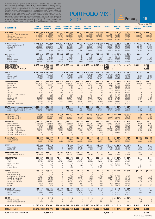<span id="page-19-0"></span>**1)** Insurance Premium = premium issued - cancellation - restitution - discount (Total Pension<br>timds contribuition values were considered); **2)** Gross Premium Received = Premium issued +<br>co-insurance accepted - restitutio

# **PORTFOLIO MIX -**2002



19

| <b>SEGMENTS</b>                                                                                                                                                                                                                         | <b>Total</b><br>Premium                                                                                            | <b>Insurance</b><br><b>Premium</b>                                                                                 | <b>Ceded</b><br><b>Co-insurer</b>                                                                                               | <b>Gross Earned</b><br><b>Premium</b>                                                                              | Ceded<br><b>Re-insurer</b>                                                                                                                     | <b>Net Earned</b><br><b>Premium</b>                                                                             | <b>Gross Loss</b>                                                                                                      | <b>Net Loss</b>                                                                                           | <b>Gross Loss</b><br><b>Ratio</b>                                                                                            | <b>Net Loss</b><br><b>Ratio</b>                                                                                                         | <b>Gross</b><br><b>Expenses</b>                                                                                                            | SHOWN IN RS TUUU<br><b>Net Expenses</b>                                                        |
|-----------------------------------------------------------------------------------------------------------------------------------------------------------------------------------------------------------------------------------------|--------------------------------------------------------------------------------------------------------------------|--------------------------------------------------------------------------------------------------------------------|---------------------------------------------------------------------------------------------------------------------------------|--------------------------------------------------------------------------------------------------------------------|------------------------------------------------------------------------------------------------------------------------------------------------|-----------------------------------------------------------------------------------------------------------------|------------------------------------------------------------------------------------------------------------------------|-----------------------------------------------------------------------------------------------------------|------------------------------------------------------------------------------------------------------------------------------|-----------------------------------------------------------------------------------------------------------------------------------------|--------------------------------------------------------------------------------------------------------------------------------------------|------------------------------------------------------------------------------------------------|
| <b>AUTOMOBILE</b><br>Civil resp. - Road & Internacional<br>Automobiles<br>Civil resp. - Transp. Inter. Trips<br>Collecetive Civil resp.                                                                                                 | 8.198.106<br>5,930<br>6,468,508<br>7,665<br>1,716,003                                                              | 8.202.439<br>5,703<br>6,473,387<br>7,657<br>1,715,692                                                              | 57,177<br>226<br>45,400<br>8<br>11.542                                                                                          | 7,998,800<br>5,690<br>6,294,558<br>7,556<br>1,690,996                                                              | 55,271<br>1,284<br>28,866<br>2,359<br>22,762                                                                                                   | 7,943,650<br>4,406<br>6,265,700<br>5,197<br>1,668,349                                                           | 5,663,906<br>11,487<br>4,673,004<br>1,266<br>978,149                                                                   | 5.640.667<br>2,132<br>4,657,764<br>80<br>980,691                                                          | 70.81%<br>201.88%<br>74.24%<br>16.75%<br>57.84%                                                                              | 71.01%<br>48.40%<br>74.34%<br>1.53%<br>58.78%                                                                                           | 1,546,069<br>832<br>1,243,449<br>726<br>301,062                                                                                            | 1,548,494<br>832<br>1,245,207<br>714<br>301,741                                                |
| <b>LIFE/PERSONAL</b><br>Random events income (9)<br>Individual life<br>Group life<br>VG/APC                                                                                                                                             | 131,649<br>2,963,065<br>3,945,700<br>200,604                                                                       | 7,241,018 7,.290,540<br>127,871<br>2.962,376<br>4.004,074<br>196,220                                               | 332,372<br>7,108<br>689<br>314,373<br>10,202                                                                                    | 4,661,913<br>126,541<br>391,898<br>3,952,523<br>190,950                                                            | 86,451<br>2,868<br>1,332<br>80,656<br>1,596                                                                                                    | 4,575,420<br>123,673<br>390,564<br>3,871,829<br>189,355                                                         | 2,601,533<br>62,703<br>188,380<br>2,281,808<br>68,643                                                                  | 2,445,089<br>62,647<br>193,657<br>2,124,172<br>64,612                                                     | 55.80%<br>49.55%<br>48.07%<br>57.73%<br>35.95%                                                                               | 53.44%<br>50.66%<br>49.58%<br>54.86%<br>34.12%                                                                                          | 1,142,227<br>17,095<br>121,407<br>971,885<br>31,840                                                                                        | 1,102,452<br>20,318<br>112,102<br>941,988<br>28,044                                            |
| <b>AP/PERSONAL</b><br>P.C.H.V.<br>Tourism<br>Personal accident<br>Group accident                                                                                                                                                        | 938,619<br>101<br>9,784<br>517,512<br>411,222                                                                      | 953,840<br>101<br>9,784<br>532,366<br>411,589                                                                      | 50,535<br>$\mathbf 0$<br>$\mathbf{0}$<br>6,360<br>44,175                                                                        | 905,584<br>101<br>9,638<br>536,236<br>359,608                                                                      | 12,852<br>81<br>98<br>7,493<br>5,180                                                                                                           | 892,746<br>20<br>9,541<br>528,756<br>354,429                                                                    | 244,085<br>3<br>3,310<br>140,423<br>100,349                                                                            | 256,503<br>5<br>3,415<br>139,258<br>113,825                                                               | 26.95%<br>2.98%<br>34.35%<br>26.19%<br>27.91%                                                                                | 28.73%<br>23.74%<br>35.80%<br>26.34%<br>32.12%                                                                                          | 189,490<br>8<br>1,695<br>110,070<br>77,716                                                                                                 | 187,628<br>10<br>1,585<br>110,080<br>75,953                                                    |
| <b>TOTAL PERSONAL</b><br><b>TOTAL PENSION (8)</b><br>TOTAL PERSONAL + PENSION                                                                                                                                                           | 8,179,636                                                                                                          | 8,244,380<br>6,735,440<br>14,979,820                                                                               |                                                                                                                                 | 382,907 5,567,496                                                                                                  | 99,303                                                                                                                                         |                                                                                                                 | 5,468,166 2,845,619                                                                                                    | 2,701,591<br>3,839,521<br>6,541,112                                                                       | 51.11%                                                                                                                       | 49.41%                                                                                                                                  |                                                                                                                                            | 1,331,717 1,290,080<br>100,786<br>1,390,866                                                    |
| <b>HEALTH</b><br>Health<br>Individual health<br>Group health                                                                                                                                                                            | 6,067,689<br>117,236<br>141,663                                                                                    | 6,326,589 6,326,594<br>6,067,689<br>117,236<br>141,669                                                             | $\theta$<br>19<br>$\overline{4}$                                                                                                | 24 6,315,000<br>6,003,548<br>127,009<br>184,443                                                                    | 56,644<br>$\Omega$<br>9,866<br>46,779                                                                                                          | 6.003,548<br>117,144<br>137,664                                                                                 | 6,258,356 5,374,129<br>5,159,178<br>93,876<br>121,074                                                                  | 5,136,611<br>4,930,553<br>91,859<br>114,199                                                               | 85.10%<br>85.94%<br>73.91%<br>65.64%                                                                                         | 82.08%<br>82.13%<br>78.42%<br>82.95%                                                                                                    | 257,205<br>$\theta$<br>30,593<br>226,611                                                                                                   | 233,521<br>32,345<br>201,176                                                                   |
| <b>OTHER BRANCHES</b><br>Traditional fire<br>Fire tickets<br>Glass/windows<br>Theft<br>Riot<br>Profit loss<br>Profit loss - Basic coverage<br>Fidelity<br>Engineering risk<br>Diverse risk<br>Global banck<br>Diverse risk - Mixed plan | 2,744,421<br>1,955,031<br>28,052<br>57<br>27,609<br>24<br>6,384<br>90<br>840<br>208,988<br>456,087<br>61,245<br>14 | 2,776,033<br>1,986,588<br>28,051<br>57<br>27,721<br>24<br>6,342<br>90<br>849<br>206,323<br>458,730<br>61,245<br>12 | 291,578<br>242,287<br>$\Omega$<br>$\mathbf{0}$<br>454<br>$\Omega$<br>193<br>3<br>(3)<br>28,281<br>20,163<br>198<br>$\mathbf{1}$ | 2,696,012<br>1,928,551<br>24,293<br>63<br>25,903<br>23<br>6,073<br>129<br>904<br>202,371<br>446,841<br>60,856<br>6 | 1,252,019<br>971,928<br>4,301<br>$\mathbf{0}$<br>10,968<br>11<br>4,616<br>$\overline{2}$<br>443<br>158,601<br>84,744<br>16,404<br>$\mathbf{0}$ | 1,444,974<br>956,612<br>19,992<br>63<br>14,934<br>12<br>1,454<br>127<br>461<br>44,868<br>361,972<br>44,475<br>6 | 1,587,819<br>1,204,131<br>3,129<br>40<br>17,843<br>19<br>2,066<br>29<br>75<br>117,253<br>229,393<br>13,840<br>$\theta$ | 789.311<br>538,642<br>3,155<br>78<br>8,573<br>19<br>(995)<br>32<br>(165)<br>23,736<br>219,827<br>(3, 591) | 58.90%<br>62.44%<br>12.88%<br>64.02%<br>68.88%<br>85.31%<br>34.02%<br>22.85%<br>8.30%<br>57.94%<br>51.34%<br>22.74%<br>0.00% | 54.62%<br>56.31%<br>15.78%<br>123.87%<br>57.41%<br>162.24%<br>$-68.42%$<br>24.89%<br>$-35.91%$<br>52.90%<br>60.73%<br>$-8.07%$<br>8.81% | 369,101<br>259,034<br>7,910<br>$\overline{\phantom{a}}$<br>3,045<br>$\theta$<br>583<br>31<br>52<br>10,683<br>87,566<br>194<br>$\mathbf{0}$ | 365,504<br>256,922<br>8,219<br>2,916<br>365<br>32<br>58<br>11,209<br>85,552<br>225<br>$\theta$ |
| <b>DPVAT:</b> (compulsory third party auto insurance)<br>DPVAT - Group Categories 1, 2, 9 and 10<br>DPVAT - Categories 3 and 4                                                                                                          | 1,418,165<br>1,365,234<br>52,931                                                                                   | 1,418,149<br>1,365,234<br>52,915                                                                                   | 195<br>$\theta$<br>195                                                                                                          | 670,341<br>642,512<br>27,830                                                                                       | 3.687<br>161<br>3,526                                                                                                                          | 666,652<br>642,348<br>24,304                                                                                    | 505,174<br>483,757<br>21,417                                                                                           | 505,174<br>483,760<br>21,413                                                                              | 75.36%<br>75.29%<br>76.96%                                                                                                   | 75.78%<br>75.31%<br>88.11%                                                                                                              | 13,987<br>878<br>13,109                                                                                                                    | 14,002<br>1,070<br>12,932                                                                      |
| <b>HABITATIONAL</b><br>Habitational - SFH<br>Habitational non SFH                                                                                                                                                                       | 776.607<br>443,258<br>333,348                                                                                      | 776.634<br>441,413<br>335,221                                                                                      | 5,075<br>1,894<br>3,181                                                                                                         | 309,077<br>22<br>309,055                                                                                           | 44,095<br>$\theta$<br>44,095                                                                                                                   | 264.981<br>22<br>264,959                                                                                        | 473,180<br>372,821<br>100,359                                                                                          | 13<br>90,472                                                                                              | 90,486 153.09%<br>32.47%                                                                                                     | 34.15%<br>60.02%<br>34.15%                                                                                                              | (248)<br>1,372<br>(1,619)                                                                                                                  | (1, 091)<br>1,009<br>(2, 100)                                                                  |
| <b>TRANSPORT</b><br>Domestic transport<br>International transport<br>Civil resp. - Air Cargo<br>Civil resp. - Road Cargo<br>Civil resp. - Cargo Deviation<br>Civil resp. - Ship owner<br>Civil resp. - Multimodal transp.               | 1,048,721<br>291,693<br>327,275<br>3,429<br>266,765<br>159,297<br>261<br>$\theta$                                  | 1,071,081<br>298,760<br>339,215<br>3,133<br>268,648<br>161,076<br>248<br>$\theta$                                  | 24,151<br>35,011<br>234<br>12,592<br>4,752<br>38<br>$\mathbf{0}$                                                                | 76,777 1,062,381<br>294,429<br>337,004<br>3,135<br>268,028<br>159,538<br>247<br>$\mathbf{0}$                       | 129,792<br>22,410<br>93,095<br>78<br>10,653<br>3,526<br>30<br>$\theta$                                                                         | 932,541<br>272,047<br>243,834<br>3,056<br>257,375<br>156,012<br>217<br>$\mathbf{0}$                             | 531,468<br>173,274<br>111,996<br>1,479<br>143,716<br>100,832<br>170<br>$\theta$                                        | 481,457<br>170,722<br>61,372<br>1,114<br>146,429<br>101,820<br>$\overline{2}$<br>$\mathbf{0}$             | 50.03%<br>58.85%<br>33.23%<br>47.19%<br>53.62%<br>63.20%<br>68.89%                                                           | 51.63%<br>62.75%<br>25.17%<br>36.44%<br>56.89%<br>65.26%<br>0.84%                                                                       | 193,683<br>58,006<br>46,708<br>822<br>53,682<br>34,423<br>43<br>$\mathbf{0}$                                                               | 188,647<br>55,474<br>44,268<br>822<br>53,578<br>34,462<br>43<br>$\theta$                       |
| <b>FINANCIAL RISK</b><br>Rental guarantee<br>Guarantee                                                                                                                                                                                  | 192,260<br>27,709<br>164,551                                                                                       | 189,677<br>27,688<br>161,988                                                                                       | 8,715<br>26<br>8,689                                                                                                            | 182,267<br>24,178<br>158,089                                                                                       | 135,472<br>787<br>134,685                                                                                                                      | 48,560<br>23,416<br>25,144                                                                                      | 50,853<br>11,340<br>39,513                                                                                             | 12,318<br>6,196                                                                                           | 18.514 27.90%<br>46.90%<br>24.99%                                                                                            | 38.13%<br>52.61%<br>24.64%                                                                                                              | (8, 365)<br>4,701<br>(13,065)                                                                                                              | (10, 160)<br>4,685<br>(14, 845)                                                                |
| <b>CREDIT</b><br>Internal credit<br>Export credit                                                                                                                                                                                       | 190,899<br>177,027<br>13,872                                                                                       | 191,218<br>177,346<br>13,872                                                                                       | 0<br>$\mathbf 0$<br>0                                                                                                           | 174,400<br>161,940<br>12,460                                                                                       | 27,664<br>16,064<br>11,599                                                                                                                     | 146,992<br>146,130<br>862                                                                                       | 114,503<br>107,900<br>6,603                                                                                            | 125,213<br>124,293<br>920                                                                                 | 65.66%<br>66.63%<br>52.99%                                                                                                   | 85.18%<br>85.06%<br>106.76%                                                                                                             | 23,113<br>25,686<br>(2, 573)                                                                                                               | 23,081<br>25,750<br>(2,670)                                                                    |
| <b>RESPONSIBILITIES</b><br>General civil responsibility                                                                                                                                                                                 | 280,456<br>280,456                                                                                                 | 281,777<br>281,777                                                                                                 | 18,502<br>18,502                                                                                                                | 272,081<br>272,081                                                                                                 | 174,164<br>174,164                                                                                                                             | 98.544<br>98,544                                                                                                | 87,863<br>87,863                                                                                                       | 70,197                                                                                                    | 70,197 32.29%<br>32.29%                                                                                                      | 71.23%<br>71.23%                                                                                                                        | 8,591<br>8,591                                                                                                                             | 7,150<br>7,150                                                                                 |
| <b>HULL COVERAGE</b><br>Maritime<br>Aircraft<br>Hangar - civil resp.<br>D. P.E. M.<br>Air travel tickets                                                                                                                                | 381,287<br>92,289<br>287,085<br>5<br>1,908<br>$\mathbf{0}$                                                         | 440,684<br>92,512<br>346,259<br>5<br>1,908<br>$\mathbf{0}$                                                         | 70,811<br>2,525<br>68,286<br>$\mathbf{0}$<br>0<br>$\mathbf{0}$                                                                  | 435,376<br>89,463<br>343,881<br>5<br>1,841<br>185                                                                  | 362,783<br>54,386<br>308,253<br>$\mathbf{0}$<br>145<br>$\mathbf{0}$                                                                            | 72,215<br>34,884<br>35,629<br>5<br>1,697<br>$\theta$                                                            | 295,458<br>64,716<br>249,208<br>0<br>461<br>(18, 926)                                                                  | 65.663<br>37,601<br>27,499<br>$\mathbf{0}$<br>559<br>4                                                    | 67.86%<br>72.34%<br>72.47%<br>0.00%<br>25.03%                                                                                | 90.93%<br>107.79%<br>77.18%<br>0.00%<br>32.95%                                                                                          | 12,533<br>8,995<br>$\mathbf{0}$<br>$\mathbf{0}$<br>716<br>2,.821                                                                           | 12,811<br>9,161<br>2,931<br>$\cup$<br>719<br>0                                                 |
| <b>RURAL</b><br>Animal husbandry<br>Water based breeding                                                                                                                                                                                | 105,453<br>$\theta$<br>$\theta$                                                                                    | 105,441<br>$\theta$<br>$\theta$                                                                                    | $\overline{I}$<br>$\theta$<br>$\theta$                                                                                          | 100,302<br>$\mathbf{0}$<br>$\mathbf{0}$                                                                            | 60,558<br>$\cup$<br>$\mathbf{0}$                                                                                                               | 39,745<br>$\theta$<br>$\theta$                                                                                  | 96,716<br>$\theta$<br>$\theta$                                                                                         | 26,596                                                                                                    | 96.42%                                                                                                                       | 66.92%                                                                                                                                  | (4, 774)<br>$\Omega$<br>$\mathbf{0}$                                                                                                       | (4, 657)                                                                                       |
| Farm installations & products<br>Agricultural plantations<br>Priv. Fin. Inst. rural lien<br>Pub. Fin. Inst. rural lien<br>Livestock<br>Forestry                                                                                         | 2,411<br>48,445<br>12,694<br>38,727<br>2,476<br>698                                                                | 2,411<br>48,449<br>12,682<br>38,727<br>2,473<br>698                                                                | $\mathbf{0}$<br>$\theta$<br>$\overline{4}$<br>(0)<br>3<br>$\theta$                                                              | 1,399<br>49,083<br>11,853<br>34,961<br>2,395<br>612                                                                | 906<br>43,731<br>4,050<br>9,954<br>1,357<br>560                                                                                                | 493<br>5,352<br>7,803<br>25,007<br>1,038<br>53                                                                  | 1,286<br>78,291<br>7,358<br>7,487<br>2,139<br>155                                                                      | 1,059<br>12,170<br>5,481<br>7,012<br>816<br>58                                                            | 91.90%<br>159.51%<br>62.08%<br>21.42%<br>89.30%<br>25.42%                                                                    | 214.76%<br>227.41%<br>70.24%<br>28.04%<br>78.60%<br>108.28%                                                                             | 82<br>(4,012)<br>943<br>(1, 728)<br>17<br>(76)                                                                                             | 88<br>(3, 979)<br>992<br>(1, 715)<br>17<br>(60)                                                |
| <b>SPECIAL DISK</b><br>Petroleum related risk<br>Nuclear related risk<br>Satellite                                                                                                                                                      | 134,157<br>125,391<br>8,766<br>$\mathbb O$                                                                         | 123,445<br>114,679<br>8,766<br>$\mathbf{0}$                                                                        | 52,193<br>52,193<br>$\mathbf 0$<br>0                                                                                            | 123,507<br>114,741<br>8,766<br>(0)                                                                                 | 118,937<br>109,879<br>9,058<br>$\mathbf 0$                                                                                                     | 1,787<br>2,080<br>(292)<br>(1)                                                                                  | 8,323<br>8,323<br>$\mathbf{0}$<br>$\theta$                                                                             | 1,650<br>1,649<br>$\theta$<br>$\mathbb O$                                                                 | 6.74%<br>7.25%<br>0.00%<br>0.00%                                                                                             | 92.32%<br>79.29%<br>$-0.01%$<br>0.00%                                                                                                   | 811<br>1,276<br>(465)<br>$\mathbf{0}$                                                                                                      | 933<br>1,402<br>(470)                                                                          |
| <b>OTHER</b><br>Overseas Insurance<br>Overseas offices/operations                                                                                                                                                                       | 1,710<br>(3)<br>1,713                                                                                              | 1,710<br>(3)<br>1,713                                                                                              | $\pmb{0}$<br>$\mathbf{0}$<br>$\mathbf{0}$                                                                                       | 1,710<br>(3)<br>1,713                                                                                              | $\bf{0}$<br>$\mathbf{0}$<br>$\overline{0}$                                                                                                     | 1,710<br>(3)<br>1,713                                                                                           | 1,190<br>1,065<br>125                                                                                                  | 1,178<br>1,053<br>125                                                                                     | 69.59%<br>7.29%                                                                                                              | 68.90%<br>7.29%                                                                                                                         | 622<br>23<br>599                                                                                                                           | 107<br>23<br>83                                                                                |
| <b>TOTAL NON-PERSONAL</b>                                                                                                                                                                                                               | 21,518,374 21,904,881                                                                                              |                                                                                                                    |                                                                                                                                 | 581,052 20,341,254 2,421,085 17,920,708 14,790,582 12,952,716                                                      |                                                                                                                                                |                                                                                                                 |                                                                                                                        |                                                                                                           | 72.71%                                                                                                                       | 72.28%                                                                                                                                  |                                                                                                                                            | 2,412,327 2,378,341                                                                            |
| <b>TOTAL INSURANCE</b>                                                                                                                                                                                                                  | 29,978,466 30,148,775                                                                                              |                                                                                                                    |                                                                                                                                 | 963,959 25,908,750 2,520,389 23,388,874 17,636,201 15,653,849 68.07%                                               |                                                                                                                                                |                                                                                                                 |                                                                                                                        |                                                                                                           |                                                                                                                              | 66.93%                                                                                                                                  |                                                                                                                                            | 3,744,044 3,668,421                                                                            |
| TOTAL INSURANCE AND PENSION                                                                                                                                                                                                             |                                                                                                                    | 36,884,215                                                                                                         |                                                                                                                                 |                                                                                                                    |                                                                                                                                                |                                                                                                                 |                                                                                                                        | 19,493,370                                                                                                |                                                                                                                              |                                                                                                                                         |                                                                                                                                            | 3.769.206                                                                                      |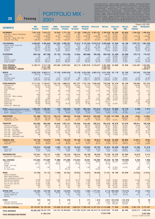# **1)** Insurance Premium = premium issued - cancellation - restitution - discount (Total Pension<br>tunds contribuition values were considered); **2)** Gross Premium Received = Premium issued +<br>co-insurance accepted - restitutio



# **PORTFOLIO MIX -**2001

| <b>SEGMENTS</b>                                                                                                                                                                                                                                        | <b>Total</b><br><b>Premium</b>                                                                                                      | <b>Insurance</b><br><b>Premium</b>                                                                                                       | <b>Ceded</b><br><b>Co-insurer</b>                                                                                                                  | <b>Gross Earned</b><br><b>Premium</b>                                                                                                     | <b>Ceded</b><br><b>Re-insurer</b>                                                                                     | <b>Net Earned</b><br><b>Premium</b>                                                                                                         | <b>Gross Loss</b>                                                                                                                  | <b>Net Loss</b>                                                                                                            | <b>Gross Loss</b><br><b>Ratio</b>                                                                                        | <b>Net Loss</b><br><b>Ratio</b>                                                                                                      | <b>Gross</b><br><b>Expenses</b>                                                                                 | Shown in R\$ 1000<br><b>Net Expenses</b>                                                                               |
|--------------------------------------------------------------------------------------------------------------------------------------------------------------------------------------------------------------------------------------------------------|-------------------------------------------------------------------------------------------------------------------------------------|------------------------------------------------------------------------------------------------------------------------------------------|----------------------------------------------------------------------------------------------------------------------------------------------------|-------------------------------------------------------------------------------------------------------------------------------------------|-----------------------------------------------------------------------------------------------------------------------|---------------------------------------------------------------------------------------------------------------------------------------------|------------------------------------------------------------------------------------------------------------------------------------|----------------------------------------------------------------------------------------------------------------------------|--------------------------------------------------------------------------------------------------------------------------|--------------------------------------------------------------------------------------------------------------------------------------|-----------------------------------------------------------------------------------------------------------------|------------------------------------------------------------------------------------------------------------------------|
| <b>AUTOMOBILE</b><br>Civil resp. - Road & International<br>Automobiles<br>Civil resp. - Transp. Inter. Trips<br>Collective Civil Resp.                                                                                                                 | 7,931,616<br>3,308<br>6,222,546<br>7,003<br>1,698,760                                                                               | 7,945,472<br>3,466<br>6,236,079<br>6,836<br>1,699,091                                                                                    | 83,949<br>134<br>66,376<br>167<br>17,272                                                                                                           | 7,721,250<br>3,554<br>6,046,679<br>6,516<br>1,664,501                                                                                     | 25,180<br>905<br>8.103<br>1,914<br>14,258                                                                             | 7,696,479<br>2,649<br>6,038,786<br>4,602<br>1,650,441                                                                                       | 5,303,431<br>884<br>4,406,720<br>3,918<br>891,910                                                                                  | 5,309,026<br>893<br>4,420,121<br>2,930<br>885,082                                                                          | 68.69%<br>24.87%<br>72.88%<br>60.13%<br>53.58%                                                                           | 68.98%<br>33.70%<br>73.20%<br>63.66%<br>53.63%                                                                                       | 1,558,056<br>417<br>1,259,129<br>590<br>297,920                                                                 | 1,498,844<br>406<br>1,209,852<br>548<br>288,037                                                                        |
| <b>LIFE/PERSONAL</b><br>Random events income (9)<br>Individual life<br>Group life<br>VG/APC                                                                                                                                                            | 4,329,987<br>101,822<br>392,699<br>3,644,757<br>190,710                                                                             | 4,384,840<br>99,882<br>391,864<br>3,707,755<br>185,339                                                                                   | 353,282<br>3,007<br>933<br>331,280<br>18,062                                                                                                       | 4,262,567<br>100,293<br>3,777,378<br>199,615<br>185,281                                                                                   | 75,915<br>2,679<br>856<br>69,968<br>2,412                                                                             | 4,187,239<br>97,614<br>198,787<br>3,707,964<br>182,874                                                                                      | 2,018,519<br>50,341<br>1,827,596<br>69,477<br>71,104                                                                               | 2,059,506<br>51,847<br>69,268<br>1,864,711<br>73,680                                                                       | 47.35%<br>50.19%<br>48.38%<br>34,81%<br>38.38%                                                                           | 49.19%<br>53.11%<br>34.85%<br>50.29%<br>40.29%                                                                                       | 1,075,757<br>14,448<br>966,465<br>65,660<br>29,184                                                              | 1,061,553<br>14,402<br>64,637<br>955,152<br>27,363                                                                     |
| <b>AP/PERSONAL</b><br>P.C.H.V.<br>Tourism<br>Personal accident<br>Group accident                                                                                                                                                                       | 808,185<br>82<br>9.782<br>542,942<br>255,379                                                                                        | 827,298<br>82<br>9.785<br>549,110<br>268,321                                                                                             | 67,103<br>0<br>$\overline{4}$<br>38,079<br>29,019                                                                                                  | 813,095<br>82<br>9.782<br>536,604<br>266,627                                                                                              | 12,804<br>41<br>195<br>8,738<br>3,831                                                                                 | 800,680<br>41<br>9,587<br>528,230<br>262,822                                                                                                | 198,358<br>43<br>3,857<br>124,700<br>69,758                                                                                        | 202,493<br>47<br>3.797<br>125,098<br>73,552                                                                                | 24.40%<br>52.94%<br>39.43%<br>23.24%<br>26.16%                                                                           | 25.29%<br>114.64%<br>39.60%<br>23.68%<br>27.99%                                                                                      | 178,710<br>3<br>993<br>113,214<br>64,499                                                                        | 173,437<br>1,061<br>107,829<br>64,544                                                                                  |
| <b>TOTAL PERSONAL</b><br><b>TOTAL PENSION (8)</b><br><b>TOTAL PERSONAL + PENSION</b>                                                                                                                                                                   |                                                                                                                                     | 5, 138, 172 5, 212, 138<br>6,321,586<br>11,533,724                                                                                       |                                                                                                                                                    | 420,384 5,075,662                                                                                                                         | 88,719                                                                                                                | 4,987,919                                                                                                                                   | 2,216,877                                                                                                                          | 2,261,999<br>2.939.754<br>5,201,753                                                                                        | 43.68%                                                                                                                   | 45.35%                                                                                                                               |                                                                                                                 | 1,254,467 1,234,991<br>94,620<br>1,329,611                                                                             |
| <b>HEALTH</b><br><b>Health ANS</b><br>Health<br>Individual health                                                                                                                                                                                      | 6,052,658<br>1,053,418<br>$\Omega$<br>2,102,451                                                                                     | 6,063,217<br>1,053,418<br>$\theta$<br>2,102,331                                                                                          | $\Omega$<br>$\theta$<br>3,674                                                                                                                      | 27,458 6,044,804<br>$\mathbf{0}$<br>$\theta$<br>2,447,483                                                                                 | 20,208<br>$\mathbf{0}$<br>$\mathbf{0}$<br>688                                                                         | 6,024,595<br>1,020,312<br>$\theta$<br>2,097,571                                                                                             | 4,963,318<br>$\Omega$<br>$\theta$<br>1.904.042                                                                                     | 5,011,928<br>848,269<br>$\theta$<br>1,675,057                                                                              | 82.11%<br>77.80%                                                                                                         | 83.19%<br>83.14%<br>79.86%                                                                                                           | 242,042<br>$\mathbf{0}$<br>$\mathbf{0}$<br>47,846                                                               | 233,989<br>48,844<br>0<br>40,404                                                                                       |
| Group health<br><b>OTHER BRANCHES</b><br>Traditional fire<br>Fire tickets<br>Glass/Windows<br>Theft<br>Riot<br>Profit loss<br>Profit loss - Basic coverage<br>Fidelity<br>Engineering risk<br>Diverse risk<br>Global bank<br>Diverse risk - Mixed plan | 2,896,789<br>2,111,331<br>1,461,983<br>22,564<br>46<br>21,707<br>24<br>4,586<br>222<br>1,069<br>156,486<br>402,060<br>40,586<br>(0) | 2,907,468<br>2,105,571<br>1,451,959<br>22,563<br>46<br>21,832<br>24<br>4,484<br>220<br>1,060<br>160,012<br>402,742<br>40,630<br>$\theta$ | 23,785<br>235,726<br>191,278<br>$\theta$<br>$\mathbf{0}$<br>462<br>$\overline{0}$<br>344<br>$\overline{3}$<br>16<br>15,071<br>28,428<br>125<br>(0) | 3.597.321<br>1,680,637<br>1,430,326<br>18,748<br>54<br>21,894<br>74<br>5,041<br>179<br>1,003<br>157,987<br>$\theta$<br>45,332<br>$\theta$ | 19,521<br>619,545<br>3,688<br>$\theta$<br>7,649<br>8<br>3,526<br>16<br>647<br>119,849<br>64,005<br>18,774<br>$\theta$ | 2,906,712<br>837,707 1,247,130<br>812,125<br>15,059<br>55<br>14,252<br>66<br>1,537<br>162<br>356<br>42,177<br>334,071<br>27,268<br>$\theta$ | 3,059,276<br>1,046,458<br>972,235<br>2,501<br>11<br>13,797<br>3<br>(25)<br>39<br>(147)<br>47,938<br>$\theta$<br>10,105<br>$\Omega$ | 2,488,602<br>749,566<br>507,648<br>2,548<br>16<br>9,055<br>23<br>(385)<br>43<br>(888)<br>18,699<br>210,411<br>2,259<br>138 | 85.04%<br>62.27%<br>67.97%<br>13.34%<br>20.28%<br>63.02%<br>4.47%<br>$-0.49%$<br>22.11%<br>$-14.70%$<br>30.34%<br>22.29% | 85.62%<br>60.10%<br>62.51%<br>16.92%<br>29.00%<br>63.53%<br>34.39%<br>$-25.06%$<br>26.37%<br>$-249.65%$<br>44.33%<br>62.98%<br>8.28% | 194,196<br>350,885<br>246,492<br>6,290<br>11<br>2,661<br>23<br>578<br>51<br>56<br>6,629<br>87,507<br>589<br>(1) | 144,741<br>337,922<br>234,518<br>6,275<br>11<br>2,615<br>$\frac{23}{558}$<br>51<br>53<br>6,363<br>86,958<br>497<br>(1) |
| <b>DPVAT:</b> (compulsory thrid party auto insurance)<br>DPVAT - Group Categories 1, 2, 9 and 10<br>DPVAT - Categories 3 and 4                                                                                                                         | 1,280,605<br>1,249,612<br>30,993                                                                                                    | 1,280,997<br>1,250,045<br>30,953                                                                                                         | 1,345<br>594<br>752                                                                                                                                | 625,900<br>607,315<br>18,585                                                                                                              | 25,497<br>20,852<br>4,645                                                                                             | 600,404<br>586,464<br>13,940                                                                                                                | 472,913<br>459,019<br>13,894                                                                                                       | 472,913<br>457,955<br>14,958                                                                                               | 75.56%<br>75.58%<br>74.76%                                                                                               | 78.77%<br>78.09%<br>107.30%                                                                                                          | 8,590<br>8,588                                                                                                  | 7,277<br>7,271                                                                                                         |
| <b>HABITATIONAL</b><br>Habitational - SFH<br>Habitational non SFH                                                                                                                                                                                      | 791,856<br>501.385<br>290,471                                                                                                       | 797,715<br>507,258<br>290,457                                                                                                            | 158,419<br>143,113<br>15,306                                                                                                                       | 298,923<br>875<br>298,048                                                                                                                 | 50,330<br>957<br>49,374                                                                                               | 248,619<br>(82)<br>248,701                                                                                                                  | 423,229<br>347,185<br>76,044                                                                                                       | (661)<br>73,010                                                                                                            | 72,350 141.58%<br>25.51%                                                                                                 | 29.10%<br>808.83%<br>29.36%                                                                                                          | (540)<br>593<br>(1, 132)                                                                                        | (4, 204)<br>(1,065)<br>(3, 139)                                                                                        |
| <b>TRANSPORT</b><br>Domestic transport<br>International transport<br>Civil resp. - Air Cargo<br>Civil resp. - Road Cargo<br>Civil resp. - Cargo Deviation<br>Civil resp. - Ship owner<br>Civil resp. - Multimodal transp.                              | 954,805<br>261,629<br>300,037<br>2,604<br>247,149<br>143,026<br>360<br>$\theta$                                                     | 980,295<br>268,410<br>312,124<br>3,415<br>252,109<br>143,904<br>334<br>$\theta$                                                          | 84,946<br>26,343<br>39,909<br>148<br>13,767<br>4,731<br>48<br>$\mathbf{0}$                                                                         | 1,021,441<br>282,107<br>323,241<br>3,613<br>261,495<br>150,617<br>368<br>$\theta$                                                         | 103,949<br>15,470<br>78,705<br>108<br>6,258<br>3,406<br>$\mathbf{0}$                                                  | 918,402<br>266,635<br>245,447<br>3,506<br>255,236<br>147,211<br>367<br>$\theta$                                                             | 506,312<br>165,938<br>108,594<br>2,020<br>119,191<br>110,612<br>(44)<br>$\theta$                                                   | 504,876<br>169,420<br>94,501<br>2,896<br>123,401<br>114,738<br>(80)<br>$\theta$                                            | 49.57%<br>58.82%<br>33.60%<br>55.92%<br>45.58%<br>73.44%<br>$-11.99%$                                                    | 54.97%<br>63.54%<br>38.50%<br>82.62%<br>48.35%<br>77.94%<br>$-21.70%$                                                                | 169,611<br>52,406<br>41,794<br>1,060<br>46,570<br>27,744<br>39<br>$\mathbf{0}$                                  | 165,426<br>51,038<br>40,833<br>999<br>45,316<br>27,201<br>38<br>$\theta$                                               |
| <b>FINANCIAL RISK</b><br>Rental guarantee<br>Guarantee                                                                                                                                                                                                 | 122,725<br>24,086<br>98,639                                                                                                         | 122,670<br>24,029<br>98,642                                                                                                              | 3,261<br>75<br>3,186                                                                                                                               | 120,229<br>22,024<br>98,205                                                                                                               | 80,185<br>738<br>79,447                                                                                               | 41,324<br>21,350<br>19,975                                                                                                                  | 39,613<br>8,870<br>30,743                                                                                                          | 36,636<br>9,289<br>27,348                                                                                                  | 32.95%<br>40.27%<br>31.31%                                                                                               | 88.66%<br>43.51%<br>136.91%                                                                                                          | (2,691)<br>4,478<br>(7, 169)                                                                                    | (918)<br>4,590<br>(5,508)                                                                                              |
| <b>CREDIT</b><br>Internal risk<br>Export risk                                                                                                                                                                                                          | 156,074<br>146,632<br>9,443                                                                                                         | 155,036<br>145,593<br>9,443                                                                                                              | 3,083<br>3,083<br>$\mathbf{0}$                                                                                                                     | 141.103<br>132,006<br>9,097                                                                                                               | 20,843<br>12,980<br>7,863                                                                                             | 120,623<br>119,390<br>1,233                                                                                                                 | 83,760<br>76,529<br>7,232                                                                                                          | 82,654<br>79,819<br>2,835                                                                                                  | 59.36%<br>57.97%<br>79.49%                                                                                               | 68.52%<br>66.86%<br>229.92%                                                                                                          | 21,592<br>23,497<br>(1, 905)                                                                                    | 21,816<br>23,719<br>(1, 903)                                                                                           |
| <b>RESPONSIBILITIES</b><br>General civil responsibility                                                                                                                                                                                                | 192,051<br>192,051                                                                                                                  | 193,147<br>193,147                                                                                                                       | 8,991<br>8,991                                                                                                                                     | 192,326<br>192,326                                                                                                                        | 106,524<br>106,524                                                                                                    | 88,188<br>88,188                                                                                                                            | 96,646<br>96,646                                                                                                                   | 75,206<br>75,206                                                                                                           | 50.25%<br>50.25%                                                                                                         | 85.28%<br>85.28%                                                                                                                     | 10,016<br>10,016                                                                                                | 9,474<br>9,474                                                                                                         |
| <b>HULL COVERAGE</b><br>Maritime<br>Aircraft<br>Hangar - civil resp.<br>D. P.E. M.<br>Air travel tickets                                                                                                                                               | 315,824<br>71,437<br>242,911<br>$\Omega$<br>1,475<br>$\theta$                                                                       | 274,887<br>71,656<br>201,751<br>$\mathbf{0}$<br>1,481<br>$\mathbb O$                                                                     | 71,666<br>5,023<br>66,642<br>$\mathbf{0}$<br>$\mathbf 0$<br>$\mathbf 0$                                                                            | 274,886<br>70,291<br>$\mathbf{0}$<br>$\mathbf{0}$<br>1,449<br>203,146                                                                     | 215,954<br>36,747<br>179,063<br>$\mathbf{0}$<br>145<br>$\mathbf{0}$                                                   | 46,931<br>34,278<br>11,349<br>$\theta$<br>1,304<br>$\mathbf 0$                                                                              | 145,085<br>46,919<br>3<br>$\Omega$<br>543<br>97,620                                                                                | 65,639<br>39,173<br>25,928<br>$\cup$<br>535<br>3                                                                           | 52.78%<br>66.75%<br>37.50%<br>48.05%                                                                                     | 139.86%<br>114.28%<br>228.46%<br>41.02%                                                                                              | 8,334<br>8,175<br>$\mathbf 0$<br>$\mathbf{0}$<br>566<br>(408)                                                   | 7,862<br>8,099<br>(792)<br>555<br>$\theta$                                                                             |
| <b>RURAL</b><br>Animal husbandry<br>Water based breeding<br>Farm installations & products<br>Agricultural plantations<br>Priv. Fin. Inst. rural lien<br>Pub. Fin. Inst. rural lien<br>Livestock<br>Forestry                                            | 81,568<br>$\Omega$<br>$\mathbf{0}$<br>$\theta$<br>34,706<br>12,791<br>31,063<br>2,496<br>513                                        | 81,137<br>$\theta$<br>$\mathbf{0}$<br>$\theta$<br>34,219<br>12,837<br>31,062<br>2,507<br>513                                             | 2,368<br>0<br>$\theta$<br>$\mathbf{0}$<br>2,063<br>252<br>$\mathbf{3}$<br>50<br>$\mathbf{0}$                                                       | 82,302<br>$\mathbf{0}$<br>$\mathbf{0}$<br>$\theta$<br>39,144<br>11,715<br>28,531<br>2,310<br>602                                          | 39,633<br>$\theta$<br>$\mathbf{0}$<br>$\mathbf{0}$<br>26,137<br>4,321<br>7,244<br>1,458<br>471                        | 42,670<br>$\Omega$<br>$\theta$<br>$\theta$<br>13,006<br>7,394<br>21,287<br>853<br>130                                                       | 38,006<br>$\Omega$<br>$\mathbf{0}$<br>$\theta$<br>20,469<br>6,336<br>9,700<br>1,389<br>112                                         | 21,531<br>$\theta$<br>$\mathbf{0}$<br>8,948<br>5,015<br>6,866<br>594<br>109                                                | 46.18%<br>52.29%<br>54.08%<br>34.00%<br>60.15%<br>18.56%                                                                 | 50.46%<br>68.80%<br>67.82%<br>32.25%<br>69.59%<br>83.74%                                                                             | (4, 033)<br>$\theta$<br>$\mathbf{0}$<br>(3, 548)<br>667<br>(962)<br>(47)<br>(143)                               | (4, 018)<br>$\theta$<br>(3, 552)<br>644<br>(975)<br>$(45)$<br>$(90)$                                                   |
| <b>SPECIAL DISK</b><br>Petroleum related risk<br>Nuclear related risk<br>Satellite                                                                                                                                                                     | 135,399<br>128,047<br>7,352<br>$\theta$                                                                                             | 128,700<br>121,348<br>7,352<br>$\mathbb O$                                                                                               | 62,595<br>62,595<br>$\theta$<br>$\mathbf 0$                                                                                                        | 129,835<br>122,485<br>7,351<br>$\theta$                                                                                                   | 122,922<br>115,558<br>7,364<br>$\mathbf 0$                                                                            | 7,707<br>(13)<br>$\theta$                                                                                                                   | 7,693 1,177,457<br>1,177,447<br>10<br>$\mathbf 0$                                                                                  | 9,108<br>10<br>$\pmb{0}$                                                                                                   | 9,118 906.88%<br>961.30%<br>0.14%                                                                                        | 118.51%<br>118.18%<br>$-76.41%$                                                                                                      | (210)<br>206<br>(417)<br>$\mathbf{0}$                                                                           | (162)<br>212<br>(375)<br>0                                                                                             |
| <b>OTHER</b><br>Overseas Insurance<br>Overseas offices/operations                                                                                                                                                                                      | 355<br>9<br>345                                                                                                                     | 355<br>9<br>345                                                                                                                          | 0<br>$\mathbf 0$<br>$\mathbf{0}$                                                                                                                   | 355<br>9<br>345                                                                                                                           | 0<br>$\mathbf{0}$<br>$\mathbf{0}$                                                                                     | 371<br>26<br>345                                                                                                                            | 1,610<br>367<br>1,243                                                                                                              | (1,690)<br>1,243                                                                                                           | $(447)$ 454.05%<br>3868.74%<br>360.26%                                                                                   | -120.42%<br>$-6405.86%$<br>360.26%                                                                                                   | 51<br>49<br>$\overline{c}$                                                                                      | 50<br>48<br>2                                                                                                          |
| <b>TOTAL NON-PERSONAL</b>                                                                                                                                                                                                                              | 20,126,867 20,129,200                                                                                                               |                                                                                                                                          |                                                                                                                                                    | 743,806 18,333,991 1,648,932 17,083,430 14,297,839 12,410,996 77.99%                                                                      |                                                                                                                       |                                                                                                                                             |                                                                                                                                    |                                                                                                                            |                                                                                                                          | 72.65%                                                                                                                               |                                                                                                                 | 2,361,704 2,273,357                                                                                                    |
| <b>TOTAL INSURANCE</b><br><b>TOTAL INSURANCE AND PENSION</b>                                                                                                                                                                                           | 25, 265, 039 25, 341, 254                                                                                                           | 31,662,840                                                                                                                               |                                                                                                                                                    | 1,64,191 23,409,653 1,737,652 22,071,349 16,514,716 14,672,972 70.55%                                                                     |                                                                                                                       |                                                                                                                                             |                                                                                                                                    | 17,612,726                                                                                                                 |                                                                                                                          | 66.48%                                                                                                                               |                                                                                                                 | 3,616,171 3,508,348<br>3,602,968                                                                                       |
|                                                                                                                                                                                                                                                        |                                                                                                                                     |                                                                                                                                          |                                                                                                                                                    |                                                                                                                                           |                                                                                                                       |                                                                                                                                             |                                                                                                                                    |                                                                                                                            |                                                                                                                          |                                                                                                                                      |                                                                                                                 | Sources: SUSEP and ANS                                                                                                 |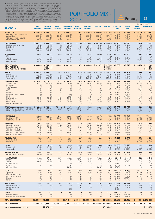1) Insurance Premium = premium issued - cancellation - restitution - discount (Total Pension<br>funds contribution values were considered); 2) Gross Premium Received = Premium issued +<br>co-insurance accepted - restitution - d

# PORTFOLIO MIX - 2002

| <b>Fenaseg</b> | -21 |
|----------------|-----|
|                |     |

| <b>SEGMENTS</b>                                                                                                                                                                                                                         | <b>Total</b><br><b>Premium</b>                                                                                            | <b>Insurance</b><br><b>Premium</b>                                                                                        | <b>Ceded</b><br><b>Co-insurer</b>                                                                               | <b>Gross Earned</b><br><b>Premium</b>                                                                                                  | <b>Ceded</b><br><b>Re-insurer</b>                                                                               | <b>Net Earned</b><br><b>Premium</b>                                                                                      | <b>Gross Loss</b>                                                                                                                   | <b>Net Loss</b>                                                                                                                 | <b>Gross Loss</b><br><b>Ratio</b>                                                                                       | <b>Net Loss</b><br><b>Ratio</b>                                                                                         | <b>Gross</b><br><b>Expenses</b>                                                                             | Shown in R\$ 1000<br><b>Net Expenses</b>                                                                 |
|-----------------------------------------------------------------------------------------------------------------------------------------------------------------------------------------------------------------------------------------|---------------------------------------------------------------------------------------------------------------------------|---------------------------------------------------------------------------------------------------------------------------|-----------------------------------------------------------------------------------------------------------------|----------------------------------------------------------------------------------------------------------------------------------------|-----------------------------------------------------------------------------------------------------------------|--------------------------------------------------------------------------------------------------------------------------|-------------------------------------------------------------------------------------------------------------------------------------|---------------------------------------------------------------------------------------------------------------------------------|-------------------------------------------------------------------------------------------------------------------------|-------------------------------------------------------------------------------------------------------------------------|-------------------------------------------------------------------------------------------------------------|----------------------------------------------------------------------------------------------------------|
| <b>AUTOMOBILE</b><br>Civil resp. - Road & International<br>Automobiles<br>Civil resp. - Transp. Inter. Trips<br>Collective Civil resp.                                                                                                  | 7,243,910<br>2,684<br>5,649,521<br>3,084<br>1,588,620                                                                     | 7.293.101<br>2,876<br>5,694,725<br>2,834<br>1,592,666                                                                     | 175,721<br>42<br>138,027<br>250<br>37,403                                                                       | 6,869,591<br>2,806<br>5,309,472<br>2,701<br>1,554,612                                                                                  | 29,651<br>435<br>8,653<br>609<br>19,954                                                                         | 6,840,529<br>2,371<br>5,301,078<br>2,067<br>1,535,013                                                                    | 4.980.468<br>298<br>4,083,405<br>762<br>896,003                                                                                     | 4,971,098<br>344<br>4,071,193<br>1,592<br>897,969                                                                               | 72.50%<br>10.63%<br>76.91%<br>28.21%<br>57.64%                                                                          | 72.67%<br>14.53%<br>76.80%<br>77.03%<br>58.50%                                                                          | 1,400,176<br>439<br>1,112,876<br>278<br>286,583                                                             | 1,350,407<br>453<br>1,071,912<br>293<br>277,750                                                          |
| <b>LIFE/PERSONAL</b><br>Random events income (9)<br>Individual life<br>Group life<br>VG/APC                                                                                                                                             | 3,991,299<br>88,402<br>299,443<br>3,406,709<br>196,746                                                                    | 4,005,868<br>87,853<br>299,175<br>3,434,023<br>184,818                                                                    | 384,070<br>1,380<br>863<br>352,237<br>29,589                                                                    | 3,786,946<br>87,257<br>145,776<br>3,372,042<br>181,872                                                                                 | 68,560<br>61<br>287<br>65,774<br>2,438                                                                          | 3,720,082<br>87,195<br>147,126<br>3,306,270<br>179,491                                                                   | 1,862,566<br>35,376<br>22,003<br>1,732,027<br>73,160                                                                                | 1,855,038<br>35,231<br>21,089<br>1,721,711<br>77,008                                                                            | 49.18%<br>40.54%<br>15.09%<br>51.36%<br>40.23%                                                                          | 49.87%<br>40.40%<br>14.33%<br>52.07%<br>42.90%                                                                          | 996,874<br>17,464<br>60,743<br>880,783<br>37,883                                                            | 984,297<br>16,424<br>57,738<br>872,711<br>37,423                                                         |
| <b>AP/PERSONAL</b><br>P.C.H.V.<br>Tourism<br>Personal accident<br>Group accident                                                                                                                                                        | 705,537<br>$\theta$<br>8.101<br>542,877<br>154,558                                                                        | 700,261<br>$\mathbf{0}$<br>8,100<br>541,325<br>150,836                                                                    | 70,336<br>$\mathbf{0}$<br>16<br>51,356<br>18,964                                                                | 695,258<br>$\mathbf{0}$<br>8,099<br>543,687<br>143,472                                                                                 | 11,315<br>$\mathbf{0}$<br>137<br>9,316<br>1,862                                                                 | 683,957<br>$\theta$<br>7,974<br>534,370<br>141,613                                                                       | 158,506<br>$\mathbf{0}$<br>2,146<br>121,688<br>34,673                                                                               | 162,542<br>(3)<br>1,857<br>123,463<br>37,225                                                                                    | 22.80%<br>26.49%<br>22.38%<br>24.17%                                                                                    | 23.76%<br>23.29%<br>23.10%<br>26.29%                                                                                    | 146,802<br>$\theta$<br>665<br>108,968<br>37,168                                                             | 143,605<br>751<br>107,858<br>34,996                                                                      |
| <b>TOTAL PERSONAL</b><br><b>TOTAL PENSION (8)</b><br><b>TOTAL PERSONAL + PENSION</b>                                                                                                                                                    | 4,696,836                                                                                                                 | 4,706,129<br>4,381,062<br>9,087,191                                                                                       |                                                                                                                 | 454,405 4,482,204                                                                                                                      | 79,875                                                                                                          | 4,404,040                                                                                                                | 2,021,072 2,017,580                                                                                                                 | 1,934,745<br>3,952,325                                                                                                          | 45.09%                                                                                                                  | 45.81%                                                                                                                  | 1,143,676                                                                                                   | 1,127,902<br>124,974<br>1,252,876                                                                        |
| <b>HEALTH</b><br>Health<br>Individual health<br>Group health                                                                                                                                                                            | 5,694,892<br>9,967<br>2,558,825<br>3,126,099                                                                              | 5,694,418<br>9,967<br>2.558.983<br>3,125,468                                                                              | 33,646<br>$\cup$<br>5,573<br>28,073                                                                             | 5,578,234<br>9,829<br>2.549.813<br>3,018,592                                                                                           | 149,730<br>$\Omega$<br>98,433<br>51,297                                                                         | 5,428,507<br>9,829<br>2,451,380<br>2,967,297                                                                             | 4,531,759<br>7,917<br>1,950,113<br>2,573,729                                                                                        | 4,359,341<br>7,812<br>1,859,475<br>2,492,054                                                                                    | 81.24%<br>80.54%<br>76.48%<br>85.26%                                                                                    | 80.30%<br>79.48%<br>75.85%<br>83.98%                                                                                    | 261,490<br>581<br>100,499<br>160,410                                                                        | 272,981<br>679<br>102,595<br>169,708                                                                     |
| <b>OTHER BRANCHES</b><br>Traditional fire<br>Fire tickets<br>Glass/windows<br>Theft<br>Riot<br>Profit loss<br>Profit loss - Basic coverage<br>Fidelity<br>Engineering risk<br>Diverse risk<br>Global banck<br>Diverse risk - Mixed plan | 1,701,021<br>1,173,729<br>7,697<br>63<br>17,857<br>140<br>3,809<br>150<br>775<br>126,044<br>348,342<br>22,413<br>$\theta$ | 1,712,137<br>1,179,058<br>7,695<br>63<br>17,750<br>140<br>3,867<br>146<br>788<br>126,034<br>353,978<br>22,617<br>$\theta$ | 135,363<br>3<br>$\mathbb O$<br>335<br>112<br>477<br>$\overline{4}$<br>20<br>12,354<br>24,476<br>234<br>$\theta$ | 173,377 1,709,167<br>1,52,807<br>5,158<br>88<br>17,823<br>101<br>4,774<br>(896)<br>(3, 47)<br>142,046<br>365,012<br>25,403<br>$\theta$ | 576,626<br>401,780<br>2,539<br>3<br>6,762<br>30<br>2,192<br>51<br>502<br>96,282<br>54,240<br>12,246<br>$\theta$ | 1,189,685<br>791,837<br>2,655<br>85<br>13,579<br>87<br>2,584<br>68<br>421<br>45,764<br>319,448<br>13,157<br>$\mathbf{0}$ | 1,168,327<br>837,304<br>733<br>14<br>16,071<br>(2)<br>3,084<br>$\mathbf{0}$<br>291<br>53,714<br>233,435<br>23,680<br>$\mathfrak{p}$ | 770,411<br>502,218<br>855<br>9<br>8,341<br>48<br>218<br>(0)<br>1,342<br>29,982<br>206,272<br>21,124<br>$\overline{\phantom{0}}$ | 68.36%<br>72.63%<br>14.20%<br>15.48%<br>90.17%<br>$-1.56%$<br>64.59%<br>0.00%<br>$-9.26%$<br>37.81%<br>63.95%<br>93.22% | 64.76%<br>63.42%<br>32.20%<br>10.40%<br>61.43%<br>55.59%<br>8.44%<br>$-0.05%$<br>318.51%<br>65.51%<br>64.57%<br>160.55% | 332,322<br>234,415<br>1,393<br>26<br>2,424<br>204<br>778<br>39<br>54<br>10,018<br>82,404<br>567<br>$\theta$ | 324.817<br>230,008<br>1,339<br>25<br>2,326<br>203<br>760<br>37<br>55<br>9,802<br>79,701<br>561<br>$\Box$ |
| <b>DPVAT:</b> (compulsory third party auto insurance)<br>DPVAT - Group Categories 1, 2, 9 and 10<br>DPVAT - Categorieas 3 and 4                                                                                                         | 1,206,050<br>1,174,008<br>32,042                                                                                          | 1,209,796<br>1,177,754<br>32,042                                                                                          | (3, 726)<br>(3, 727)                                                                                            | 1,212,671<br>1,176,129<br>36,542                                                                                                       | 648,710<br>629,646<br>19,064                                                                                    | 565,655<br>548,120<br>17,534                                                                                             | 330,524<br>315,013<br>15,511                                                                                                        | 437,076<br>426,021<br>11,055                                                                                                    | 27.26%<br>26.78%<br>42.45%                                                                                              | 77.27%<br>77.72%<br>63.05%                                                                                              | 7,606<br>627<br>6,979                                                                                       | 7,025<br>360<br>6,665                                                                                    |
| <b>HABITATIONAL</b><br>Habitational - SFH<br>Habitational non SFH                                                                                                                                                                       | 898,366<br>672,157<br>226,210                                                                                             | 893,294<br>674,570<br>218,724                                                                                             | 213,212<br>198,727<br>14,485                                                                                    | 883,052<br>664,594<br>218,459                                                                                                          | 698,870<br>659,024<br>39,846                                                                                    | 198,148<br>15,172<br>182,976                                                                                             | 465,170<br>384,150<br>81,020                                                                                                        | 77,950<br>7,102<br>70,847                                                                                                       | 52.68%<br>57.80%<br>37.09%                                                                                              | 39.34%<br>46.81%<br>38.72%                                                                                              | (7, 719)<br>(1, 446)<br>(6, 273)                                                                            | (7, 377)<br>(1, 534)<br>(5,844)                                                                          |
| <b>TRANSPORT</b><br>Domestic transport<br>International transport<br>Civil resp. - Air Cargo<br>Civil resp. - Road Cargo<br>Civil resp. - Cargo Deviation<br>Civil resp. - Ship owner                                                   | 819,011<br>232,176<br>235,402<br>2,055<br>219,848<br>128,982<br>548                                                       | 834,971<br>237,242<br>244,446<br>2,396<br>220,426<br>129,954<br>507                                                       | 62,939<br>20,469<br>28,240<br>4<br>10,996<br>3,154<br>76                                                        | 830,081<br>234,326<br>243,218<br>2,260<br>219,919<br>129,883<br>475                                                                    | 71,220<br>8,295<br>55,668<br>47<br>4,295<br>2,888<br>26                                                         | 784,667<br>232,426<br>206,956<br>2,213<br>215,624<br>126,993<br>455                                                      | 482,270<br>162,304<br>81,752<br>922<br>105,484<br>131,788<br>20                                                                     | 454,459<br>156,098<br>69,521<br>902<br>99,090<br>128,787<br>61                                                                  | 58.10%<br>69.26%<br>33.61%<br>40.78%<br>47.96%<br>101.47%<br>4.30%                                                      | 57.92%<br>67.16%<br>33.59%<br>40.77%<br>45.95%<br>101.41%<br>13.45%                                                     | 153,018<br>44,613<br>39,043<br>787<br>41,887<br>26,637<br>51                                                | 148,064<br>43,441<br>38,417<br>724<br>39,988<br>25,452<br>43                                             |
| <b>FINANCIAL RISK</b><br>Rental guarantee<br>Guarantee                                                                                                                                                                                  | 95,893<br>17,947<br>77,946                                                                                                | 97,824<br>17,906<br>79,919                                                                                                | 5,174<br>91<br>5,083                                                                                            | 85,699<br>(1, 356)<br>87,055                                                                                                           | 62,537<br>.502<br>61,034                                                                                        | 43,338<br>17,297<br>26,041                                                                                               | 14,659<br>10.141<br>4,518                                                                                                           | 17,343<br>13,144<br>4,199                                                                                                       | 17.11%<br>-747.95%<br>5.19%                                                                                             | 40,02%<br>75 99%<br>16.13%                                                                                              | 1,876<br>3,869<br>(1,993)                                                                                   | 2,691<br>3,758<br>(1,068)                                                                                |
| <b>CREDIT</b><br>Internal credit<br>Export credit                                                                                                                                                                                       | 129,988<br>123,418<br>6,569                                                                                               | 129,968<br>123,399<br>6,569                                                                                               | 2,408<br>2,408<br>$\mathbf{0}$                                                                                  | 124,338<br>118,263<br>6,075                                                                                                            | 16,334<br>10,554<br>5,780                                                                                       | 108,360<br>107,709<br>651                                                                                                | 41,686<br>33,497<br>8,189                                                                                                           | 36,056<br>33,805<br>2,251                                                                                                       | 33.53%<br>28.32%<br>134.79%                                                                                             | 33.27%<br>31.39%<br>345.86%                                                                                             | 23,132<br>24,439<br>(1, 307)                                                                                | 21,920<br>23,225<br>(1, 305)                                                                             |
| <b>RESPONSIBILITIES</b><br>General civil responsibility                                                                                                                                                                                 | 153,594<br>153,594                                                                                                        | 154,002<br>154,002                                                                                                        | 7,726<br>7,726                                                                                                  | 170,376<br>170,376                                                                                                                     | 79,816<br>79,816                                                                                                | 90,560<br>90,560                                                                                                         | 66,288<br>66,288                                                                                                                    | 55,354<br>55,354                                                                                                                | 38.91%<br>38.91%                                                                                                        | 61.12%<br>61.12%                                                                                                        | 13,885<br>13,885                                                                                            | 13,458<br>13,458                                                                                         |
| <b>HULL COVERAGE</b><br>Maritime<br>Aircraft<br>Hangar - civil resp.<br>D. P.E. M.<br>Air travel tickets                                                                                                                                | 151,035<br>48,696<br>100,714<br>$\theta$<br>1,625<br>$\mathbf{0}$                                                         | 157,291<br>49,453<br>106,208<br>$\theta$<br>1,631<br>$\mathbf{0}$                                                         | 19,874<br>3,057<br>16,817<br>$\mathbf{0}$<br>0<br>$\mathbf{0}$                                                  | 159,936<br>51,005<br>$\theta$<br>(91)<br>1,929<br>107,093                                                                              | 100,679<br>22,308<br>78,229<br>$\mathbf 0$<br>143<br>$\mathbf{0}$                                               | 60,168<br>28,697<br>29,724<br>$\mathbf{0}$<br>1,748<br>$\mathbf{0}$                                                      | 172,956<br>39,891<br>$\mathbf{0}$<br>$\mathbf{0}$<br>748<br>132,317                                                                 | 31,775<br>28,037<br>$\mathbf 0$<br>1,016<br>(10)                                                                                | 60,818 108.14%<br>78.21%<br>0.00%<br>38.77%<br>123.55%                                                                  | 101.08%<br>110.73%<br>94.33%<br>58.13%                                                                                  | 9,668<br>7,476<br>$\theta$<br>$\mathbf{0}$<br>947<br>1,245                                                  | 9,315<br>7,161<br>1,257<br>$\mathbf{0}$<br>898<br>$\theta$                                               |
| <b>RURAL</b><br>Agriculture<br>Priv. Fin. Inst. rural lien<br>Pub. Fin. Inst. rural lien<br>Livestock<br>Forestry                                                                                                                       | 78,163<br>43,036<br>9,403<br>23,593<br>1,534<br>596                                                                       | 79,946<br>44,899<br>9,293<br>23,593<br>1,565<br>596                                                                       | 6,980<br>6,247<br>677<br>10<br>46<br>$\theta$                                                                   | 53,835<br>42,340<br>8,113<br>1,062<br>1,536<br>785                                                                                     | 32,112<br>21,433<br>2,974<br>6,344<br>938<br>424                                                                | 41,900<br>21,036<br>5,164<br>14,724<br>603<br>373                                                                        | 181,363<br>171,339<br>3,647<br>5,082<br>1,026<br>268                                                                                | 24,590<br>2,905<br>3,802<br>1,331<br>247                                                                                        | 32,875 336.89%<br>404.68%<br>44.96%<br>478.41%<br>66.83%<br>34.10%                                                      | 78.46%<br>116.90%<br>56.24%<br>25.82%<br>220.73%<br>66.11%                                                              | (2,601)<br>(1,909)<br>570<br>(1, 337)<br>55<br>20                                                           | (2, 762)<br>(1,987)<br>529<br>(1, 373)<br>53<br>17                                                       |
| <b>SPECIAL DISK</b><br>Petroleum related risk<br>Nuclear related risk<br>Satellite                                                                                                                                                      | 28,454<br>25,237<br>3,217<br>$\theta$                                                                                     | 28,457<br>25,240<br>3,217<br>$\mathbf{0}$                                                                                 | 7,087<br>7,087<br>$\mathbf 0$<br>$\mathbf{0}$                                                                   | 31,589<br>29,153<br>3,218<br>(781)                                                                                                     | 25,310<br>21,999<br>3,311<br>$\mathbf{0}$                                                                       | 7,061<br>7,153<br>(93)<br>$\theta$                                                                                       | 4,104<br>4,104<br>$\mathbf{0}$<br>$\mathbf{0}$                                                                                      | 4,579<br>$\pmb{0}$                                                                                                              | 4,586 12.99%<br>14.08%<br>0.00%<br>0.00%                                                                                | 64.96%<br>64.01%<br>$-7.89%$                                                                                            | (67)<br>(43)<br>(23)<br>$\theta$                                                                            | (86)<br>(64)<br>(23)<br>$\Omega$                                                                         |
| <b>OTHER</b><br>Overseas Insurance<br>Overseas offices/operations                                                                                                                                                                       | 1,598<br>395<br>1,204                                                                                                     | 1,598<br>395<br>1,204                                                                                                     | $\pmb{0}$<br>$\theta$<br>$\mathbf{0}$                                                                           | 1,598<br>394<br>1,204                                                                                                                  | 0<br>$\mathbf{0}$<br>$\mathbf{0}$                                                                               | 1,598<br>394<br>1,204                                                                                                    | 5,319<br>1,799<br>3,520                                                                                                             | 1,614<br>3,520                                                                                                                  | 5,134 332.83%<br>456.05%<br>292.45%                                                                                     | 321.24%<br>409.11%<br>292.45%                                                                                           | 246<br>196<br>49                                                                                            | 245<br>196<br>49                                                                                         |
| <b>TOTAL NON-PERSONAL</b>                                                                                                                                                                                                               | 18,201,974 18,286,803                                                                                                     |                                                                                                                           |                                                                                                                 |                                                                                                                                        |                                                                                                                 | 704,419 17,710,170 2,491,596 15,360,173 12,444,893 11,282,502 70,27%                                                     |                                                                                                                                     |                                                                                                                                 |                                                                                                                         | 73,45%                                                                                                                  |                                                                                                             | 2,193,031 2,140,.699                                                                                     |
| <b>TOTAL INSURANCE</b>                                                                                                                                                                                                                  |                                                                                                                           | 22,898,810 22,992,932 1,158,824 22,192,374 2,571,471 19,764,212 14,465,965 13,300,082 65.18%                              |                                                                                                                 |                                                                                                                                        |                                                                                                                 |                                                                                                                          |                                                                                                                                     |                                                                                                                                 |                                                                                                                         | 67.29%                                                                                                                  |                                                                                                             | 3,336,706 3,268,601                                                                                      |
| <b>TOTAL INSURANCE AND PENSION</b>                                                                                                                                                                                                      |                                                                                                                           | 27,373,994                                                                                                                |                                                                                                                 |                                                                                                                                        |                                                                                                                 |                                                                                                                          |                                                                                                                                     | 15,234,827                                                                                                                      |                                                                                                                         |                                                                                                                         |                                                                                                             | 3,393,575                                                                                                |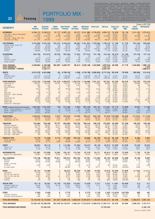| <b>Fenased</b> |  |
|----------------|--|

22

**1)** Insurance Premium = premium issued - cancellation - restitution - discount (Total Pension<br>tinds contribuition values were considered); **2)** Gross Premium Received = Premium issued +<br>co-insurance accepted - restitutio

| <b>SEGMENTS</b>                                                                                                                                                                                                                               | <b>Total</b><br><b>Premium</b>                                                                                            | <b>Insurance</b><br><b>Premium</b>                                                                                        | <b>Ceded</b><br><b>Co-insurer</b>                                                                                           | <b>Gross Earned</b><br><b>Premium</b>                                                                                      | <b>Ceded</b><br><b>Re-insurer</b>                                                                                                        | <b>Net Earned</b><br><b>Premium</b>                                                                                             | <b>Gross Loss</b>                                                                                   | <b>Net Loss</b>                                                                                           | <b>Gross Loss</b><br><b>Ratio</b>                                                                                   | <b>Net Loss</b><br><b>Ratio</b>                                                                                           | <b>Gross</b><br><b>Expenses</b>                                                                           | Shown in R\$ 1000<br><b>Net Expenses</b>                                                      |
|-----------------------------------------------------------------------------------------------------------------------------------------------------------------------------------------------------------------------------------------------|---------------------------------------------------------------------------------------------------------------------------|---------------------------------------------------------------------------------------------------------------------------|-----------------------------------------------------------------------------------------------------------------------------|----------------------------------------------------------------------------------------------------------------------------|------------------------------------------------------------------------------------------------------------------------------------------|---------------------------------------------------------------------------------------------------------------------------------|-----------------------------------------------------------------------------------------------------|-----------------------------------------------------------------------------------------------------------|---------------------------------------------------------------------------------------------------------------------|---------------------------------------------------------------------------------------------------------------------------|-----------------------------------------------------------------------------------------------------------|-----------------------------------------------------------------------------------------------|
| <b>AUTOMOBILE</b><br>Civil resp. - Road & International<br>Automobiles<br>Civil resp. - Transp. Inter. Trips<br>Collective Civil Resp.                                                                                                        | 6.296.174<br>1,643<br>4,781,945<br>1,395<br>1,511,191                                                                     | 6,296,512<br>1,595<br>4,794,154<br>1,381<br>1,499,382                                                                     | 57.177<br>226<br>45,400<br>8<br>11,542                                                                                      | 6.397.135<br>2,375<br>4,874,853<br>3,391<br>1,516,515                                                                      | 55,271<br>1,284<br>28,866<br>2,359<br>22,762                                                                                             | 6,341,985<br>1,091<br>4,845,995<br>1,032<br>1,493,867                                                                           | 4,728,970<br>1,076<br>3,820,952<br>823<br>906,119                                                   | 4.826.747<br>504<br>3,918,587<br>779<br>906,876                                                           | 73.92%<br>45.31%<br>78.38%<br>24.26%<br>59.75%                                                                      | 76.11%<br>46.17%<br>80.86%<br>75.54%<br>60.71%                                                                            | 1,241,424<br>208<br>964,900<br>152<br>276,163                                                             | 1,273,913<br>197<br>991,482<br>146<br>282,089                                                 |
| <b>LIFE/PERSONAL</b><br>Random events income (9)<br>Individual life<br>Group life<br>VG/APC                                                                                                                                                   | 3,575,089<br>46,633<br>203,320<br>3,119,037<br>206,099                                                                    | 3,552,425<br>45,195<br>203,938<br>3,105,703<br>197,588                                                                    | 332,372<br>7,108<br>689<br>314,373<br>10,202                                                                                | 3,448,324<br>46,972<br>100,102<br>3,102,716<br>198,534                                                                     | 86,662<br>2,868<br>1,332<br>80,867<br>1,596                                                                                              | 3,361,622<br>44,105<br>98,768<br>3,021,811<br>196,939                                                                           | 1,783,882<br>31,988<br>9,641<br>1,670,267<br>71,986                                                 | 1,740,376<br>33,868<br>10,026<br>1,624,742<br>71,740                                                      | 51.73%<br>68.10%<br>9.63%<br>53.83%<br>36.26%                                                                       | 51.77%<br>76.79%<br>10.15%<br>53.77%<br>36.43%                                                                            | 922,255<br>12,344<br>45,130<br>809,135<br>55,647                                                          | 938,995<br>12,231<br>45,055<br>826,227<br>55,482                                              |
| <b>AP/PERSONAL</b><br>P.C.H.V.<br>Tourism<br>Personal accident<br>Group accident                                                                                                                                                              | 634,795<br>$\theta$<br>6,775<br>559,016<br>69,005                                                                         | 615,873<br>$\mathbf{0}$<br>6,772<br>543,438<br>65,663                                                                     | 50,535<br>$\mathbf{0}$<br>$\mathbf{0}$<br>6,360<br>44,175                                                                   | 590,383<br>81<br>6,872<br>520,497<br>62,932                                                                                | 12,852<br>81<br>98<br>7,493<br>5,180                                                                                                     | 577,544<br>(0)<br>6,774<br>513,017<br>57,752                                                                                    | 157,106<br>8<br>3,613<br>143,102<br>10,382                                                          | 139,164<br>20<br>3,722<br>123,572<br>11,851                                                               | 26.61%<br>9.59%<br>52.57%<br>27.49%<br>16.50%                                                                       | 24.10%<br>$-85.456.52%$<br>54.94%<br>24.09%<br>20.52%                                                                     | 123,428<br>$\mathbf{0}$<br>800<br>105,903<br>16,725                                                       | 127,133<br>760<br>110,448<br>15,925                                                           |
| TOTAL PERSONAL<br>TOTAL PENSION (8)<br>TOTAL PERSONAL + PENSION                                                                                                                                                                               | 4,209,884                                                                                                                 | 4,168,298<br>3,061,473<br>7,229,771                                                                                       | 382,907                                                                                                                     | 4,038,707                                                                                                                  | 99,514                                                                                                                                   |                                                                                                                                 | 3,939,166 1,940,988                                                                                 | 1,879,540<br>1,345,247<br>3,224,787                                                                       | 48.06%                                                                                                              | 47.71%                                                                                                                    | 1,045,682                                                                                                 | 1,066,129<br>2,684<br>1,068,813                                                               |
| HEALTH<br>Health                                                                                                                                                                                                                              | 4,915,276<br>$\cup$                                                                                                       | 4,923,668<br>$\Omega$                                                                                                     | (6)<br>$\mathbf{0}$                                                                                                         | 4,709,195<br>$\mathbf{0}$                                                                                                  | 4,399<br>$\mathbf{0}$                                                                                                                    | $\Omega$                                                                                                                        | 4,704,796 3,806,929<br>$\theta$                                                                     | 3,717,524<br>$\sqrt{ }$                                                                                   | 80.84%                                                                                                              | 79.02%                                                                                                                    | 308,804<br>4                                                                                              | 312,419                                                                                       |
| Individual health<br>Group health                                                                                                                                                                                                             | 2,372,576<br>2,542,701                                                                                                    | 2,373,278<br>2,550,390                                                                                                    | $\mathbf{0}$<br>(6)                                                                                                         | 2,248,693<br>2,460,501                                                                                                     | $\Omega$<br>4,399                                                                                                                        | 2,248,693<br>2,456,102                                                                                                          | 1,693,178<br>2,113,751                                                                              | 1,655,141<br>2,062,383                                                                                    | 75.30%<br>85.91%                                                                                                    | 73.60%<br>83.97%                                                                                                          | 136,747<br>172,053                                                                                        | 142,954<br>169,462                                                                            |
| <b>OTHER BRANCHES</b><br>Tradicional fire<br>Fire tickets<br>Glass/Windows<br><b>Theft</b><br>Riot<br>Profit loss<br>Profit loss - Basic coverage<br>Fidelity<br>Engineering risk<br>Diverse risk<br>Global bank<br>Diverse risk - Mixed plan | 1,523,705<br>1,038,537<br>1,432<br>106<br>15,870<br>62<br>3,466<br>99<br>1,023<br>80,685<br>367,673<br>14,750<br>$\Omega$ | 1.530.938<br>1.036.196<br>1,421<br>106<br>15,934<br>65<br>3,746<br>99<br>1,027<br>83,928<br>373,813<br>14,602<br>$\Omega$ | 291,578<br>242,287<br>$\theta$<br>$\theta$<br>454<br>$\theta$<br>193<br>3<br>(3)<br>28,281<br>20,163<br>198<br>$\mathbf{1}$ | 2,399,097<br>1,667,701<br>5,461<br>127<br>24,340<br>73<br>7,171<br>33<br>1,293<br>203,663<br>461,675<br>27,560<br>$\Omega$ | 1.252.019<br>971,928<br>4,301<br>$\cup$<br>10,968<br>11<br>4,616<br>$\overline{c}$<br>443<br>158,601<br>84,744<br>16,404<br>$\mathbf{0}$ | 1,148,060 1,051,522<br>695,762<br>1,160<br>126<br>13,372<br>62<br>2,552<br>31<br>850<br>46,160<br>376,806<br>11,178<br>$\theta$ | 710,028<br>522<br>8<br>8,235<br>19<br>(535)<br>$\cup$<br>1,188<br>74,538<br>241,173<br>16,332<br>14 | 767,001<br>490,666<br>573<br>(16)<br>7,096<br>28<br>1,174<br>6<br>932<br>22,426<br>231,250<br>12,860<br>6 | 43.83%<br>42.58%<br>9.56%<br>5.98%<br>33.83%<br>26.30%<br>$-7.46%$<br>0.16%<br>91.87%<br>36.60%<br>52.24%<br>59.26% | 66.81%<br>70.52%<br>49.39%<br>$-12.97%$<br>53.06%<br>44.94%<br>46.01%<br>19.43%<br>109.65%<br>48.58%<br>61.37%<br>115.05% | 319,785<br>203,000<br>645<br>36<br>2,122<br>20<br>721<br>32<br>115<br>7,177<br>105,432<br>485<br>$\theta$ | 324,548<br>206,417<br>639<br>37<br>2,145<br>20<br>720<br>31<br>123<br>7,468<br>106,424<br>523 |
| <b>DPVAT:</b> (compulsory thrid party auto insurance)<br>DPVAT - Group Categories 1, 2, 9 and 10<br>DPVAT - Categories 3 and 4<br><b>DPVAT Extinct</b>                                                                                        | 1,062,062<br>678,889<br>28,855<br>354,318                                                                                 | 1,047,978<br>656,167<br>28,855<br>362,957                                                                                 | 195<br>$\mathbf{0}$<br>195<br>$\mathbf{0}$                                                                                  | 313,405<br>291,846<br>21,559<br>$\mathbf{0}$                                                                               | 3,687<br>161<br>3,526<br>$\mathbf{0}$                                                                                                    | 567,430<br>291,682<br>18,033<br>257,714                                                                                         | 165,187<br>155,729<br>9,458<br>$\theta$                                                             | 413,661<br>233,011<br>10,939<br>169,711                                                                   | 52.71%<br>53.36%<br>43.87%                                                                                          | 72.90%<br>79.89%<br>60.66%<br>65.85%                                                                                      | 10,691<br>937<br>4,349<br>5,405                                                                           | 11,386<br>920<br>4,350<br>6,117                                                               |
| <b>HABITATIONAL</b><br>Habitational - SFH<br>Habitational non SFH                                                                                                                                                                             | 1,040,022<br>842,890<br>197,132                                                                                           | 1,009,619<br>815,986<br>193,634                                                                                           | 5,075<br>1,894<br>3,181                                                                                                     | 230,543<br>46,802<br>183,741                                                                                               | 44,095<br>$\mathbf{0}$<br>44,095                                                                                                         | 186,447<br>46,802<br>139,645                                                                                                    | 645,429<br>586,384<br>59,044                                                                        | 33,162<br>48,758                                                                                          | 81,920 279.96%<br>1252.90%<br>32.13%                                                                                | 43.94%<br>70.86%<br>34.92%                                                                                                | (12, 524)<br>(5,839)<br>(6,685)                                                                           | (11, 419)<br>(5,024)<br>(6, 395)                                                              |
| TRANSPORT<br>Domestic transport<br>International transport<br>Civil resp. - Air Cargo<br>Civil resp. - Road Cargo<br>Civil resp. - Cargo Deviation<br>Civil resp. - Ship owner                                                                | 742,004<br>204,930<br>224,175<br>1,366<br>199,580<br>111,549<br>403                                                       | 752,409<br>206,967<br>232,060<br>1,360<br>199,591<br>112,037<br>394                                                       | 76,777<br>24,151<br>35,011<br>234<br>12,592<br>4,752<br>38                                                                  | 839,282<br>224,058<br>299,958<br>1,408<br>202,646<br>110,759<br>453                                                        | 129,792<br>22,410<br>93,095<br>78<br>10,653<br>3,526<br>30                                                                               | 709,442<br>201,676<br>206,787<br>1,329<br>191,993<br>107,233<br>424                                                             | 449,478<br>140,226<br>93,682<br>736<br>81,554<br>133,111<br>169                                     | 476,867<br>150,374<br>100,961<br>808<br>88,340<br>136,277<br>108                                          | 53.56%<br>62.58%<br>31.23%<br>52.27%<br>40,.24%<br>120.18%<br>37.23%                                                | 67.22%<br>74.56%<br>48.82%<br>60.75%<br>46.01%<br>127.08%<br>25.55%                                                       | 136,453<br>38,832<br>40,025<br>440<br>36,150<br>20,973<br>34                                              | 138,196<br>39,229<br>41,182<br>412<br>36,243<br>21,100<br>31                                  |
| <b>FINANCIAL RISK</b><br>Rental quarantee<br>Guarantee                                                                                                                                                                                        | 74,770<br>20,023<br>54,748                                                                                                | 74.039<br>19,865<br>54,174                                                                                                | 8,715<br>26<br>8,689                                                                                                        | 177.602<br>18,534<br>159,068                                                                                               | 135.472<br>181<br>134,685                                                                                                                | 43,895<br>17,772<br>26,124                                                                                                      | 80,193<br>18,483<br>61,710                                                                          | 33.127<br>17,082<br>16,045                                                                                | 45.15%<br>99.73%<br>38.79%                                                                                          | 75.47%<br>96.12%<br>61.42%                                                                                                | 6,285<br>3,365<br>2,920                                                                                   | 2,657<br>3,418<br>(761)                                                                       |
| <b>CREDIT</b><br>Internal risk<br>Export risk                                                                                                                                                                                                 | 98,887<br>94,747<br>4,140                                                                                                 | 98,716<br>94,576<br>4,140                                                                                                 | 0<br>$\theta$<br>$\mathbb O$                                                                                                | 113,383<br>101,237<br>12,146                                                                                               | 27,664<br>16,064<br>11,599                                                                                                               | 85,975<br>85,427<br>548                                                                                                         | 26,148<br>24,287<br>1,861                                                                           | 36,815<br>36,194<br>621                                                                                   | 23.06%<br>23.99%<br>15.32%                                                                                          | 42.82%<br>42.37%<br>113.32%                                                                                               | 18,239<br>19,067<br>(827)                                                                                 | 18,052<br>18,879<br>(827)                                                                     |
| <b>RESPONSIBILITES</b><br>General civil responsibility                                                                                                                                                                                        | 122,687<br>122,687                                                                                                        | 122,898<br>122,898                                                                                                        | 18,502<br>18,502                                                                                                            | 256,107<br>256,107                                                                                                         | 174,164<br>174,164                                                                                                                       | 82,570<br>82,570                                                                                                                | 53,771<br>53,771                                                                                    | 60,814<br>60,814                                                                                          | 21.00%<br>21.00%                                                                                                    | 73.65%<br>73.65%                                                                                                          | 11,792<br>11,792                                                                                          | 12,261<br>12,261                                                                              |
| <b>HULL COVERAGE</b><br>Maritime<br>Aircraft<br>Hangar - civil resp.<br>D. P.E. M.<br>Air travel tickets                                                                                                                                      | 176,168<br>43,553<br>130,020<br>$\Omega$<br>2,595<br>$\Omega$                                                             | 168,484<br>42,990<br>122,887<br>$\theta$<br>2,607<br>$\theta$                                                             | 70,811<br>2,525<br>68,286<br>$\theta$<br>$\mathbf 0$<br>$\mathbf 0$                                                         | 430,512<br>81,265<br>0<br>$\mathbf{0}$<br>2,755<br>346,493                                                                 | 362,783<br>54,386<br>308,253<br>$\mathbf{0}$<br>145<br>0                                                                                 | 67,351<br>26,686<br>38,055<br>$\mathbf{0}$<br>2,610<br>(0)                                                                      | 114,352<br>43,064<br>$\mathbb O$<br>$\mathbb O$<br>577<br>70,711                                    | 50,100<br>28,454<br>21,152<br>$\theta$<br>491<br>$\overline{4}$                                           | 26.56%<br>52.99%<br>20.93%<br>20.41%                                                                                | 74,39%<br>106.63%<br>55.58%<br>18.82%<br>$-1459.50%$                                                                      | 10,168<br>6,162<br>$\theta$<br>(1)<br>1,117<br>2,890                                                      | $9,867$<br>5,949<br>2,827<br>$(2)$<br>1,093<br>$\bigcap$                                      |
| <b>RURAL</b><br>Agriculture<br>Priv. Fin. Inst. rural lien<br>Pub. Fin. Inst. rural lien<br>Livestock<br>Forestry                                                                                                                             | 55,134<br>23,785<br>5,864<br>24,321<br>749<br>415                                                                         | 52,880<br>21,614<br>5,838<br>24,321<br>693<br>415                                                                         | $\overline{1}$<br>$\pmb{0}$<br>$\overline{4}$<br>(0)<br>3<br>$\mathbf{0}$                                                   | 88,537<br>55,168<br>8,598<br>22,121<br>1,914<br>736                                                                        | 60,558<br>44,637<br>4,050<br>9,954<br>1,357<br>560                                                                                       | 27,980<br>10,531<br>4,548<br>12,166<br>556<br>178                                                                               | 18,207<br>11,506<br>2,623<br>3,566<br>374<br>138                                                    | 10,618<br>6,538<br>2,062<br>1,655<br>823<br>(460)                                                         | 20.56%<br>20.86%<br>30.50%<br>16.12%<br>19.55%<br>18.69%                                                            | 37.95%<br>62.08%<br>45.33%<br>13.60%<br>147.95%<br>$-258.46%$                                                             | (1, 192)<br>222<br>542<br>(2, 288)<br>134<br>197                                                          | $(1, 211)$ <sub>229</sub><br>505<br>(2, 276)<br>136<br>195                                    |
| <b>SPECIAL DISK</b><br>Petroleum related risk<br>Nuclear related risk<br>Satellite                                                                                                                                                            | 39,110<br>35,246<br>3,865<br>$\theta$                                                                                     | 38,061<br>34,197<br>3,865<br>$\theta$                                                                                     | 52,193<br>52,193<br>$\mathbf 0$<br>$\mathbf 0$                                                                              | 132,659<br>121,827<br>10,831<br>$\overline{1}$                                                                             | 118,937<br>109,879<br>9,058<br>$\theta$                                                                                                  | 10,939<br>9,167<br>1,772<br>$\theta$                                                                                            | 5,517<br>5,517<br>$\mathbb O$<br>$\mathbb O$                                                        | 5,327<br>5,328<br>(1)<br>(0)                                                                              | 4.16%<br>4.53%<br>0.00%<br>0.00%                                                                                    | 48.69%<br>58.13%<br>$-0.07%$                                                                                              | 315<br>409<br>(96)<br>$\overline{2}$                                                                      | 311<br>412<br>(103)<br>2                                                                      |
| <b>OTHER</b><br>Overseas Insurance<br>Overseas offices/operations                                                                                                                                                                             | 2,455<br>826<br>1,629                                                                                                     | 2,455<br>826<br>1,629                                                                                                     | 0<br>$\mathbf 0$<br>$\mathbf 0$                                                                                             | 2,775<br>1,146<br>1,629                                                                                                    | 0<br>0<br>0                                                                                                                              | 2,775<br>1,146<br>1,629                                                                                                         | 3,125<br>1,834<br>1,292                                                                             | 2,061<br>1,292                                                                                            | 3,352 112.61%<br>159.97%<br>79.29%                                                                                  | 120.79%<br>179.77%<br>79.29%                                                                                              | 402<br>301<br>101                                                                                         | 401<br>301<br>101                                                                             |
| <b>TOTAL NON-PERSONAL</b>                                                                                                                                                                                                                     | 16, 148, 456 16, 118, 658                                                                                                 |                                                                                                                           |                                                                                                                             | 581,023 16,090,230 2,368,840 13,979,644 11,148,828 10,483,873                                                              |                                                                                                                                          |                                                                                                                                 |                                                                                                     |                                                                                                           | 69.29%                                                                                                              | 74.99%                                                                                                                    |                                                                                                           | 2,050,642 2,091,383                                                                           |
| <b>TOTAL INSURANCE</b>                                                                                                                                                                                                                        | 20,358,340 20,286,956                                                                                                     |                                                                                                                           |                                                                                                                             | 963,930 20,128,937 2,468,354 17,918,810 13,089,816 12,363,413 65.03%                                                       |                                                                                                                                          |                                                                                                                                 |                                                                                                     |                                                                                                           |                                                                                                                     | 69.00%                                                                                                                    |                                                                                                           | 3,096,325 3,157,512                                                                           |
| <b>TOTAL INSURANCE AND PENSION</b>                                                                                                                                                                                                            |                                                                                                                           | 23,348,429                                                                                                                |                                                                                                                             |                                                                                                                            |                                                                                                                                          |                                                                                                                                 |                                                                                                     | 13,708,660                                                                                                |                                                                                                                     |                                                                                                                           |                                                                                                           | 3,160,196                                                                                     |

**PORTFOLIO MIX -**

1999

Sources: SUSEP e ANS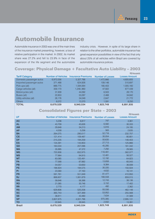# <span id="page-23-0"></span>Automobile Insurance

Automobile insurance in 2003 was one of the main lines of the insurance market presenting, however, a loss of relative participation in the market. In 2002, its market share was 27.2% and fell to 23.9% in face of the expansion of the life segment and the automobile industry crisis. However, in spite of its large share in relation to the other portfolios, automobile insurance has great expansion possibilities in view of the fact that only about 25% of all vehicles within Brazil are covered by automobile insurance polices.

# Coverage: Physical Damage + Facultative Auto Liability – 2003

|                          |                           |                           |                         | R\$ thousands        |
|--------------------------|---------------------------|---------------------------|-------------------------|----------------------|
| <b>Tariff Category</b>   | <b>Number of Vehicles</b> | <b>Insurance Premiums</b> | <b>Number of Losses</b> | <b>Losses Amount</b> |
| Domestic passenger autos | 6,972,056                 | 5,327,786                 | 1,472,866               | 4,605,605            |
| Imported passenger autos | 371,488                   | 624.926                   | 109.148                 | 510.697              |
| Pick-ups (all)           | 889,775                   | 1.594.064                 | 180,403                 | 1,005,160            |
| Cargo vehicles (all)     | 359,170                   | 1,248.,960                | 47,922                  | 677,439              |
| Motorcycles (all)        | 31,939                    | 44,092                    | 6.503                   | 28,170               |
| Buses (all)              | 22,853                    | 53.287                    | 2.468                   | 34,842               |
| Utility vehicles (all)   | 26,176                    | 34,049                    | 2.847                   | 21,772               |
| <b>Others</b>            | 6.072                     | 13.370                    | 1.591                   | 8.250                |
| <b>TOTAL</b>             | 8,679,529                 | 8,940,534                 | 1,823,749               | 6,891,935            |

# Consolidated Figures per State – 2003

| UF            |           | <b>Number of Vehicles Insurance Premiums</b> | <b>Number of Losses</b> | <b>Losses Amount</b> |
|---------------|-----------|----------------------------------------------|-------------------------|----------------------|
| <b>AC</b>     | 5,236     | 6,817                                        | 747                     | 3,361                |
| <b>AL</b>     | 43,709    | 45,626                                       | 6,582                   | 30,333               |
| <b>AM</b>     | 29,848    | 34,213                                       | 5,916                   | 24,195               |
| <b>AP</b>     | 4,558     | 5,256                                        | 563                     | 2,635                |
| <b>BA</b>     | 264,075   | 290,017                                      | 52,718                  | 232,707              |
| <b>CE</b>     | 121,414   | 109,487                                      | 30,054                  | 80,801               |
| DF            | 215,235   | 194,259                                      | 50,635                  | 148,403              |
| <b>ES</b>     | 134,391   | 143,903                                      | 27,713                  | 125,866              |
| GO            | 183,034   | 207,096                                      | 45,285                  | 181,342              |
| <b>MA</b>     | 35,995    | 47,372                                       | 7,292                   | 29,565               |
| <b>MG</b>     | 720,906   | 652,975                                      | 118,481                 | 562,077              |
| <b>MS</b>     | 77,964    | 94,915                                       | 12,481                  | 56,527               |
| <b>MT</b>     | 83,085    | 120,491                                      | 12,192                  | 64,823               |
| PA            | 77,568    | 87,882                                       | 13,858                  | 60,043               |
| <b>PB</b>     | 54,057    | 53,650                                       | 9,384                   | 36,939               |
| PE            | 196,924   | 194,575                                      | 30,335                  | 150,504              |
| PI            | 23,580    | 27,163                                       | 4,632                   | 16,141               |
| <b>PR</b>     | 591,761   | 551,849                                      | 81,477                  | 410,950              |
| <b>RJ</b>     | 868,607   | 1,061,879                                    | 168,558                 | 859,015              |
| <b>RN</b>     | 58,646    | 56,388                                       | 12,743                  | 38,136               |
| <b>RO</b>     | 21,085    | 30,746                                       | 3,152                   | 17,402               |
| <b>RR</b>     | 2,770     | 4,177                                        | 492                     | 2,362                |
| <b>RS</b>     | 629,806   | 520,208                                      | 93,556                  | 462,148              |
| <b>SC</b>     | 365,743   | 327,369                                      | 53,952                  | 255,568              |
| <b>SE</b>     | 38,811    | 43,480                                       | 7,634                   | 31,569               |
| <b>SP</b>     | 3,807,875 | 4,001,796                                    | 970,385                 | 2,995,131            |
| <b>TO</b>     | 22,845    | 26,945                                       | 2,932                   | 13,391               |
| <b>Brazil</b> | 8,679,529 | 8,940,534                                    | 1,823,749               | 6,891,935            |

R\$ thousands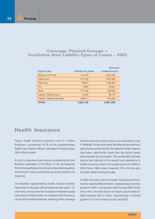<span id="page-24-0"></span>

# Coverage: Physical Damage + Facultative Auto Liability–Types of Losses – 2003

|                             |                         | R\$ thousands        |
|-----------------------------|-------------------------|----------------------|
| <b>Type of Loss</b>         | <b>Number of Losses</b> | <b>Losses Amount</b> |
| Robbery and Thelf           | 116,100                 | 2,273,392            |
| <b>Partial Loss</b>         | 577,376                 | 1,927,002            |
| <b>Total Loss</b>           | 58,813                  | 1,406,423            |
| <b>Fire</b>                 | 2.620                   | 34.651               |
| Other                       | 714,136                 | 228,955              |
| Liability - Boldily Injury  | 14.093                  | 68,110               |
| Liability - Material damage | 360,611                 | 953,402              |
| TOTAL                       | 1,823,749               | 6,891,935            |

# Health Insurance

Today, Health Insurance policies cover 5,7 million Brazilians, constituting 14.7% of the supplementary health care market in Brazil, estimated to include nearly 38,8 million people.

It is still a relatively small number considering the total Brazilian population (174 million). It can be expected that in the hypothesis of evolving to a favorable regulatory environment, there would still be an ample market to be captured.

The Brazilian supplementary health industry however has shown to be quite difficult these last few years. On one hand, one has seen the increase of medical-hospital costs above inflation rates, an increase in the frequency of use of the medical services, widening of the coverage

and the extinction of the limits of use instituted by Law nº 9656/98. On the other hand, the financial and premium adjustments authorized by the National Health Agency have been significantly lower than the actual needs demonstrated by the Insurers. The combination of these factors has reflected in the overall loss experience of health insurance, which hit the alarming level of 86% in 2003. Since 1994, when it reached 72%, the loss ratio has been deteriorating annually.

In 2003, the total volume of health insurance premium income reached R\$ 6,62 billion, representing a nominal growth of 4.6% in comparison with the year 2002. At the same time, the total volume of losses accumulated in 2003 reached R\$ 5,7 billion, representing a nominal growth of 12.5% in relation to the year 2002.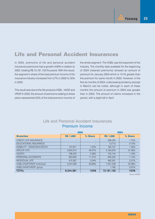

# <span id="page-25-0"></span>Life and Personal Accident Insurances

In 2003, premiums of life and personal accident insurances premiums had a growth of 60% in relation to 2002, totaling R\$ 13,191,102 thousand. With this result, the segment's share of the total premium income of the insurance industry increased from 27% in 2002 to 35% in 2003.

This result was due to the life products VGBL, VAGP, and VRGP. In 2003, the amount of premiums relating to these plans represented 53% of the total premium income of the whole segment. The VGBL was the exponent of the industry. The monthly data available for the beginning of 2004 (retained premiums) showed an amount of premium for January 2004 which is 151% greater than the premium for same month in 2003. However, in the first six months of 2004, a decreasing tendency (except in March) can be noted, although in each of these months the amount of premium in 2004 was greater than in 2003. The amount of claims increased in the period, with a slight fall in April.

# Life and Personal Accident Insurances Premium Income

|                                  | 2002             |         | 2003             |         |  |
|----------------------------------|------------------|---------|------------------|---------|--|
| <b>Branches</b>                  | <b>R\$ 1,000</b> | % Share | <b>R\$ 1,000</b> | % Share |  |
| <b>CREDIT LIFE INSURANCE</b>     |                  |         | 226,324          | 1.72%   |  |
| EDUCATIONAL INSURANCE            | -                |         | 13,712           | 0.10%   |  |
| <b>DIABILITY - RANDOM EVENTS</b> | 127.871          | 1.55%   | 184,727          | 1.40%   |  |
| <b>GROUP LIFE</b>                | 4,004,074        | 48.57%  | 4,165,876        | 31.58%  |  |
| <b>VG/APC</b>                    | 196.220          | 2.38%   | 155.144          | 1.18%   |  |
| PERSONAL ACCIDENTS               | 953,840          | 11.57%  | 940,325          | 7.13%   |  |
| <b>INDIVIDUAL LIFE</b>           | 415,367          | 5.04%   | 462.591          | 3.51%   |  |
| VGBL/VAGP/VRGP individual        | 2,547,009        | 30.89%  | 7,041,239        | 53.38%  |  |
| VGBL/VAGP/VRGP group             |                  |         | 1,165            | 0.01%   |  |
| <b>TOTAL</b>                     | 8,244,381        | 100%    | 13,191,102       | 100%    |  |

Source: SUSEP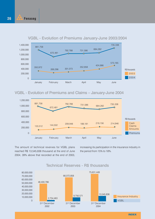<span id="page-26-0"></span>



# VGBL - Evolution of Premiums January-June 2003/2004

VGBL - Evolution of Premiums and Claims – January-June 2004



The amount of technical reverves for VGBL plans reached R\$ 13,545,836 thousand at the end of June 2004, 39% above that recorded at the end of 2003, increasing its participation in the insurance industry in the period from 15% to 18%.



# Technical Reserves - R\$ thousands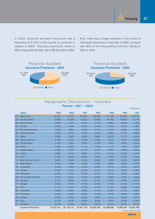

R\$ thousands

In 2003, personal accident insurance had a decrease of 0.15% in the volume of premium in relation to 2002. Insurance premiums, which in 2002 totaled R\$ 943,955, fell to R\$ 935,003 in 2003. Also, there was a large reduction in the share of individual insurances in that total. In 2002, its share was 56% of the total premium income, falling to 28% in 2003.



# Geographic Distribution - Insurers Period: 1997 – 2003

|                 | <b>States</b>           | 2003       | 2002       | 2001       | 2000       | 1999       | 1998                  | 1997   |
|-----------------|-------------------------|------------|------------|------------|------------|------------|-----------------------|--------|
| $01^{\circ}$    | São Paulo               | 52.34%     | 55.27%     | 52.03%     | 49.53%     | 47.73%     | 48.42%                | 47.87% |
| $02^{\circ}$    | Rio de Janeiro          | 13.96%     | 14.25%     | 15.91%     | 16.49%     | 19.16%     | 17.64%                | 17.21% |
| $03^\circ$      | <b>Minas Gerais</b>     | 5.96%      | 5.21%      | 4.95%      | 5.17%      | 5.39%      | 5.93%                 | 6.02%  |
| $04^\circ$      | Paraná                  | 5.06%      | 4.44%      | 4.52%      | 5.14%      | 5.05%      | 5.33%                 | 5.40%  |
| $05^\circ$      | Rio Grande do Sul       | 4.85%      | 4.25%      | 4.34%      | 4.71%      | 5.10%      | 5.26%                 | 5.35%  |
| $06^\circ$      | <b>Distrito Federal</b> | 3.28%      | 4.07%      | 4.09%      | 3.81%      | 2.95%      | 2.71%                 | 2.60%  |
| $07^\circ$      | Bahia                   | 2.99%      | 2.94%      | 3.60%      | 3.88%      | 3.67%      | 3.17%                 | 3.40%  |
| $08^\circ$      | Santa Catarina          | 2.59%      | 2.15%      | 2.30%      | 2.36%      | 2.34%      | 2.67%                 | 2.64%  |
| $09^\circ$      | Pernambuco              | 2.15%      | 2.20%      | 2.70%      | 2.70%      | 2.64%      | 2.39%                 | 2.52%  |
| 10 <sup>o</sup> | Goiás                   | 1.38%      | 0.99%      | 1.11%      | 1.21%      | 1.11%      | 1.32%                 | 1.94%  |
| 11 <sup>o</sup> | <b>Espírito Santo</b>   | 0.88%      | 0.74%      | 0.77%      | 0.87%      | 0.88%      | 0.94%                 | 0.86%  |
| $12^{\circ}$    | Ceará                   | 0.83%      | 0.61%      | 0.69%      | 0.76%      | 0.71%      | 0.79%                 | 0.72%  |
|                 | 13 <sup>°</sup> Pará    | 0.79%      | 0.63%      | 0.62%      | 0.67%      | 0.75%      | 0.70%                 | 0.75%  |
| $14^{\circ}$    | Mato Grosso do Sul      | 0.65%      | 0.54%      | 0.52%      | 0.56%      | 0.62%      | 0.66%                 | 0.58%  |
| $15^\circ$      | Mato Grosso             | 0.61%      | 0.35%      | 0.42%      | 0.42%      | 0.38%      | 0.44%                 | 0.50%  |
| $16^\circ$      | Amazonas                | 0.30%      | 0.18%      | 0.20%      | 0.25%      | 0.21%      | 0.25%                 | 0.27%  |
| $17^\circ$      | Paraíba                 | 0.24%      | 0.15%      | 0.15%      | 0.19%      | 0.21%      | 0.20%                 | 0.16%  |
| 18 <sup>o</sup> | Maranhão                | 0.24%      | 0.17%      | 0.18%      | 0.21%      | 0.21%      | 0.26%                 | 0.26%  |
| $19^\circ$      | Rio Grande do Norte     | 0.21%      | 0.21%      | 0.22%      | 0.26%      | 0.26%      | 0.25%                 | 0.25%  |
| $20^\circ$      | Alagoas                 | 0.21%      | 0.26%      | 0.24%      | 0.27%      | 0.27%      | 0.29%                 | 0.31%  |
| $21^{\circ}$    | Sergipe                 | 0.20%      | 0.12%      | 0.12%      | 0.12%      | 0.13%      | 0.14%                 | 0.15%  |
| $22^\circ$      | Piauí                   | 0.11%      | 0.10%      | 0.10%      | 0.11%      | 0.10%      | 0.08%                 | 0.10%  |
| $23^\circ$      | Rondônia                | 0.09%      | 0.08%      | 0.09%      | 0.10%      | 0.08%      | 0.10%                 | 0.09%  |
| $24^\circ$      | <b>Tocantins</b>        | 0.06%      | 0.05%      | 0.05%      | 0.12%      | 0.03%      | 0.03%                 | 0.03%  |
| $25^\circ$      | Amapá                   | 0.02%      | 0.02%      | 0.03%      | 0.02%      | 0.01%      | 0.02%                 | 0.01%  |
| $26^\circ$      | Acre                    | 0.01%      | 0.01%      | 0.02%      | 0.03%      | 0.02%      | 0.02%                 | 0.02%  |
| $27^\circ$      | Roraima                 | 0.01%      | 0.01%      | 0.01%      | 0.01%      | 0.01%      | 0.01%                 | 0.01%  |
|                 | Insurance Premium       | 37,327,451 | 30,148,775 | 25,341,254 | 22,992,932 | 20,286,956 | 19,398,060 18,394,786 |        |

Sources: SUSEP and ANS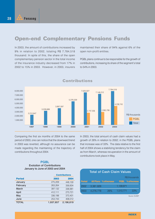<span id="page-28-0"></span>

# Open-end Complementary Pensions Funds

In 2003, the amount of contributions increased by 9% in relation to 2002, totaling R\$ 7,784,518 thousand. In spite of this, the share of the open complementary pension sector in the total income of the insurance industry decreased from 17% in 2002 to 15% in 2003. However, in 2003, insurers

maintained their share of 94% against 6% of the open non-profit entities.

PGBL plans continue to be responsible for the growth of contributions, increasing its share of the segment's total to 54% in 2003.



### Contributions

Comparing the first six months of 2004 to the same period of 2003, one can notice that the downward trend in 2003 was reverted, although no assurance can be made regarding the maintaining of the trajectory of contributions throughout 2004.

In 2003, the total amount of cash claim values had a growth of 26% in relation to 2002; in the PGBL plans that increase was of 33%. The data relative to the first half of 2004 shows a stabilizing tendency for the claim as from March, whereas recuperation in the amount of contributions took place in May.

### **PGBL** Evolution of Contributions January to June of 2003 and 2004

|               | <b>Contributions</b> |           |  |
|---------------|----------------------|-----------|--|
| <b>Period</b> | 2003                 | 2004      |  |
| January       | 275,209              | 448,100   |  |
| February      | 263,264              | 356,604   |  |
| <b>March</b>  | 397,132              | 336,981   |  |
| April         | 412,111              | 273,721   |  |
| May           | 336,198              | 373,401   |  |
| June          | 253,743              | 408,012   |  |
| <b>TOTAL</b>  | 1,937,657            | 2,196,819 |  |

|               | <b>Total of Cash Claim Values</b> |                                |           |                           |  |  |
|---------------|-----------------------------------|--------------------------------|-----------|---------------------------|--|--|
|               |                                   |                                |           | R\$ thousands             |  |  |
| <b>Period</b> |                                   | <b>All Plans % of increase</b> |           | <b>PGBL</b> % of increase |  |  |
| 2002          | 3,381,826                         |                                | 1.139.971 |                           |  |  |
| 2003          | 4.276.778                         | 26%                            | 1,510,771 | 33%                       |  |  |
|               |                                   |                                |           | Source: SUSFP             |  |  |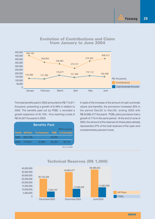29

<span id="page-29-0"></span>

## Evolution of Contributions and Claim from January to June 2004

The total benefits paid in 2003 amounted to R\$ 713,911 thousand, presenting a growth of 6.49% in relation to 2002. The benefits paid out by PGBL´s recorded a growth expansion of 45.10% - thus reaching a total of R\$ 34,507 thousand in 2003.

| <b>Benefits Paid</b> |         |                                                          |        |               |  |  |  |
|----------------------|---------|----------------------------------------------------------|--------|---------------|--|--|--|
|                      |         | <b>Period</b> All Plans % of increase PGBL % of increase |        | R\$ thousands |  |  |  |
| 2002                 | 670,378 |                                                          | 23,781 |               |  |  |  |
| 2003                 | 713.911 | 6.49%                                                    | 34.507 | 45.1%         |  |  |  |
|                      |         |                                                          |        | Source: SUSFP |  |  |  |

In spite of the increase of the amount of cash surrender values and benefits, the provisions increased 30% in the period Dec/02 to Dec/03, ending 2003 with R\$ 34,665,477 thousand. PGBL plans provisions had a growth of 71% in the same period. At the end of June of 2004, the amount of the reserves for these plans already represented 37% of the total reserves of the open-end complementary pension funds.



# Technical Reserves (R\$ 1,000)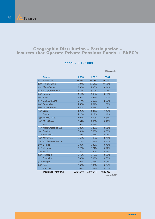

# Geographic Distribution - Participation - Insurers that Operate Private Pensions Funds + EAPC's

### Period: 2001 - 2003

|                 | <b>States</b>             | 2003      | 2002      | 2001      |  |
|-----------------|---------------------------|-----------|-----------|-----------|--|
| $01^{\circ}$    | São Paulo                 | 51.26%    | 51.03%    | 55.90%    |  |
| $02^{\circ}$    | Rio de Janeiro            | 13.97%    | 13.54%    | 11.60%    |  |
| $03^\circ$      | <b>Minas Gerais</b>       | 7.38%     | 7.33%     | 6.14%     |  |
| $04^\circ$      | Rio Grande do Sul         | 5.17%     | 5.10%     | 4.24%     |  |
| $05^\circ$      | Paraná                    | 4.48%     | 4.66%     | 6.39%     |  |
| $06^{\circ}$    | <b>Bahia</b>              | 2.91%     | 2.97%     | 2.62%     |  |
| $07^\circ$      | Santa Catarina            | 2.47%     | 2.65%     | 2.07%     |  |
| $08^\circ$      | Pernambuco                | 1.56%     | 1.61%     | 1.50%     |  |
| $09^\circ$      | <b>Distrito Federal</b>   | 1.50%     | 1.44%     | 1.26%     |  |
| 10 <sup>o</sup> | Goiás                     | 1.26%     | 1.31%     | 1.17%     |  |
| 11 <sup>°</sup> | Ceará                     | 1.25%     | 1.29%     | 1.18%     |  |
| $12^{\circ}$    | <b>Espírito Santo</b>     | 1.09%     | 1.00%     | 0.86%     |  |
| 13 <sup>o</sup> | <b>Mato Grosso</b>        | 0.94%     | 1.00%     | 0.76%     |  |
| $14^{\circ}$    | Pará                      | 0.91%     | 1.02%     | 1.01%     |  |
| 15 <sup>o</sup> | Mato Grosso do Sul        | 0.82%     | 0.88%     | 0.78%     |  |
| 16 <sup>o</sup> | Paraíba                   | 0.61%     | 0.69%     | 0.55%     |  |
| $17^\circ$      | Amazonas                  | 0.54%     | 0.44%     | 0.24%     |  |
| $18^{\circ}$    | Maranhão                  | 0.51%     | 0.48%     | 0.42%     |  |
| $19^\circ$      | Rio Grande do Norte       | 0.45%     | 0.41%     | 0.30%     |  |
| $20^\circ$      | Sergipe                   | 0.39%     | 0.39%     | 0.40%     |  |
| $21^{\circ}$    | Alagoas                   | 0.26%     | 0.24%     | 0.22%     |  |
| $22^{\circ}$    | Piauí                     | 0.21%     | 0.20%     | 0.15%     |  |
| $23^\circ$      | Rondônia                  | 0.15%     | 0.12%     | 0.09%     |  |
| $24^\circ$      | <b>Tocantins</b>          | 0.09%     | 0.07%     | 0.05%     |  |
| $25^\circ$      | Amapá                     | 0.07%     | 0.06%     | 0.04%     |  |
| $26^\circ$      | Acre                      | 0.06%     | 0.05%     | 0.04%     |  |
| $27^\circ$      | Roraima                   | 0.05%     | 0.04%     | 0.03%     |  |
|                 | <b>Insurance Premiums</b> | 7,784,518 | 7,146,211 | 7,525,028 |  |

Source: SUSEP

R\$ thousands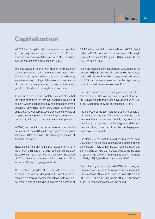# <span id="page-31-0"></span>**Capitalization**

In 2003, the 15 capitalization companies that operated in the industry obtained a gross revenue of R\$ 6,02 billion, which, in comparison with the amount of R\$ 5,22 billion. in 2002, represented an increase of 15.4%.

The capitalization plans, with greater emphasis on savings programs than on the attractive lottery draws for capitalization plan holders have been consolidating in the last 4 years, during which there was an expansion of monthly-payment plans as opposed to the slower growth of plans based on single payment plans.

It became evident in the monthly-payment plans that the basis of behavior of whoever acquired this kind of security was the concept of savings and secondly the possibility of winning lottery draw prizes; whereas the prize potential concept always prevailed in the sale of single-payment plans – the savings concept was secondary, although this aspect was always present.

In 2003, the monthly payments plans accumulated a premium volume of R\$ 4,43 billion against a premium volume of R\$ 3,10 billion in 2000, showing an increase of 42.9% in the period.

In 2003, the single-payment plans totaled premiums in the amount of R\$ 1,59 billion against the amount totaled in 2000 of R\$ 1,29 billion, with an increase in the period of 23.3%, that is, an increase of little more than half the increase of the monthly-payments plans.

The number of capitalization contracts issued also confirmed the greater demand in the last 4 years for monthly-payments schemes rather than for the singlepayment: plans, the first group showed an increase of 58.4% in the period (from 94,5 million in 2000 to 149,7 million in 2003), compared to the increase of the single payment plans of 33.4% (from 126,3 million in 2000 to 169,0 million in 2003).

Technical reserves, on the average, in 2003, reached the amount of R\$ 7,81 billion which, compared to the average recorded in 2002 of R\$ 6,59 billion, represents an increase of 18.6% – an increment greater by more than 3 percentage points than the increase in revenue of 15.4%.

The assets of immediate liquidity also benefited from this behavior. The average value in 2003 was of R\$ 9,15 billion compared to the average value of 2002 of R\$ 7,52 billion, showing an increase of 21.5%.

The increase of the technical reserves and assets of immediate liquidity was higher than the increase of the revenues because the new monthly payments plans have longer terms, which conferred greater stability to the cash flow, more than from the single-payment capitalization contracts.

The stability of the cash flow and its greater volume in 2003 than in the previous years allowed better return on the net worth (ROE) which, in 2003, reached 37.9% p.a. compared to 28.35% p.a. in 2002, despite the increase of 25,0% in the net worth, from R\$ 2,85 billion, in average in 2002, to R\$ 3,56 billion, in average in 2003.

The profitability on the total assets (ROA) also consigned an increase consistent in its rate of remuneration which, on the average of the assets, climbed from 7.64% p.a. in 2002 to 10.25% p.a. in 2003, in spite of the 21.1% increase of 25.0% these same assets in the period.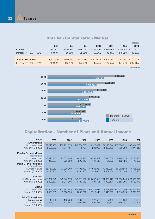<span id="page-32-0"></span>

|                                                           | 1997                 | 1998                 | 1999                 | 2000                 | 2001                 | 2002                           | R\$ thousands<br>2003 |
|-----------------------------------------------------------|----------------------|----------------------|----------------------|----------------------|----------------------|--------------------------------|-----------------------|
| Income                                                    | 4,420,772            | 3.553.996            | 4.090.174            | 4,391,491            | 4.789.563            | 5.217.204                      | 6,022,577             |
| Increase $(\%) 1997 = 100\%$                              | 100.00%              | 80.39%               | 92.52%               | 99.34%               | 108.34%              | 118.02%                        | 136,23%               |
| <b>Technical Reserves</b><br>Increase $(\%) 1997 = 100\%$ | 3.700,600<br>100.00% | 4.087.049<br>110.44% | 4.579.035<br>123.74% | 5.534.615<br>149.56% | 6.315.391<br>170.66% | 7,202,962 8,223,082<br>194.64% | 222.21%               |

# Brazilian Capitalization Market

Source: SUSEP



# Capitalization - Number of Plans and Annual Income

| Single                                                        | 2003                       | 2002                     | 2001                     | 2000                     | 1999                     | 1998                     | 1997                     |
|---------------------------------------------------------------|----------------------------|--------------------------|--------------------------|--------------------------|--------------------------|--------------------------|--------------------------|
| <b>Payment Plans</b><br>Number of plans<br>Amount (R\$ 1,000) | 169,010,430<br>1,592,059   | 136,251,675<br>1,544,181 | 149,354,256<br>1,414,757 | 126,325,467<br>1,290,929 | 174,116,344<br>1,238,473 | 159,578,891<br>729,390   | 266,414,883<br>1,977,310 |
| <b>Monthly Payments Plans</b>                                 |                            |                          |                          |                          |                          |                          |                          |
| <b>News Plans</b><br>Number of plans<br>Amount (R\$ 1,000)    | 23,525,457<br>316,587      | 20,073,896<br>285,893    | 6,811,036<br>209,445     | 6,581,359<br>181,548     | 6,015,068<br>181,933     | 4,788,775<br>162,426     | 5,125,360<br>170,002     |
| <b>Monthly Payments Plans</b><br>In Force Plans               |                            |                          |                          |                          |                          |                          |                          |
| Number of plans<br>Amount (R\$ 1,000)                         | 126, 151, 952<br>4,113,932 | 91,920,303<br>3,387,131  | 87,395,900<br>3,165,360  | 87,936,087<br>2,919,013  | 70,959,064<br>2,669,768  | 66,302,583<br>2,662,180  | 57,495,536<br>2,273,460  |
| <b>All Plans</b>                                              |                            |                          |                          |                          |                          |                          |                          |
| <b>Total Number of plans</b><br>Amount (R\$ 1,000)            | 318,687,840<br>6,022,577   | 248,245,873<br>5,217.204 | 243,561,191<br>4,789,563 | 220.842.912<br>4,391,491 | 251,090,477<br>4,090,174 | 230,670,249<br>3,553,996 | 329,035,778<br>4,420,772 |
| Claims                                                        |                            |                          |                          |                          |                          |                          |                          |
| Number of plans<br>Amount (R\$ 1,000)                         | 126,509,635<br>4,538,583   | 142,757,558<br>3,508,090 | 165,238,194<br>3,356,291 | 162.176.042<br>2,715,446 | 173,458,734<br>3.045.957 | 193,511,790<br>2,516,628 | 357,876,693<br>3.709,793 |
| <b>Prize Winning Plans</b>                                    |                            |                          |                          |                          |                          |                          |                          |
| (Lottery Draw)<br>Number of plans<br>Amount (R\$ 1,000)       | 140,930<br>259,001         | 133,753<br>211,951       | 139,166<br>561,939       | 122,525<br>497,343       | 107,459<br>193,222       | 71,834<br>196,341        | 36,899<br>275,904        |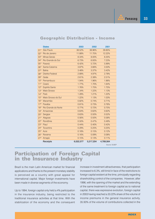|                 | <b>States</b>           | 2003      | 2002      | 2001      |
|-----------------|-------------------------|-----------|-----------|-----------|
| $01^{\circ}$    | São Paulo               | 38.52%    | 38.96%    | 39.85%    |
| $02^{\circ}$    | Rio de Janeiro          | 11.88%    | 11.75%    | 12.22%    |
| $03^\circ$      | <b>Minas Gerais</b>     | 8.34%     | 8.00%     | 8.35%     |
| $04^\circ$      | Rio Grande do Sul       | 6.73%     | 6.93%     | 7.23%     |
| $05^\circ$      | Paraná                  | 6.42%     | 5.72%     | 5.99%     |
| $06^\circ$      | Santa Catarina          | 3.87%     | 3.66%     | 3.50%     |
| $07^\circ$      | Bahia                   | 3.48%     | 3.37%     | 3.42%     |
| $08^\circ$      | <b>Distrito Federal</b> | 2.89%     | 4.97%     | 2.78%     |
| $09^\circ$      | Goiás                   | 2.61%     | 2.38%     | 2.51%     |
| 10 <sup>o</sup> | Pernambuco              | 1.94%     | 1.96%     | 1.96%     |
| 11 <sup>°</sup> | Ceará                   | 1.77%     | 1.70%     | 1.64%     |
| $12^{\circ}$    | <b>Espírito Santo</b>   | 1.76%     | 1.75%     | 1.75%     |
| 13 <sup>o</sup> | <b>Mato Grosso</b>      | 1.34%     | 1.22%     | 1.13%     |
| $14^\circ$      | Pará                    | 1.28%     | 1.21%     | 1.22%     |
| 15 <sup>o</sup> | Mato Grosso do Sul      | 1.22%     | 1.13%     | 1.03%     |
| 16 <sup>o</sup> | Maranhão                | 0.82%     | 0.74%     | 0.71%     |
| 17 <sup>°</sup> | Paraíba                 | 0.81%     | 0.73%     | 0.76%     |
| 18 <sup>o</sup> | Rio Grande do Norte     | 0.77%     | 0.72%     | 0.75%     |
| $19^\circ$      | Amazonas                | 0.64%     | 0.62%     | 0.62%     |
| $20^\circ$      | Sergipe                 | 0.63%     | 0.50%     | 0.52%     |
| 21°             | Alagoas                 | 0.56%     | 0.50%     | 0.58%     |
| $22^{\circ}$    | Rondônia                | 0.50%     | 0.47%     | 0.49%     |
| $23^\circ$      | Piauí                   | 0.44%     | 0.40%     | 0.42%     |
| $24^{\circ}$    | <b>Tocantins</b>        | 0.29%     | 0.25%     | 0.25%     |
| $25^\circ$      | Acre                    | 0.18%     | 0.15%     | 0.12%     |
| $26^\circ$      | Roraima                 | 0.16%     | 0.09%     | 0.08%     |
| $27^\circ$      | Amapá                   | 0.15%     | 0.13%     | 0.11%     |
|                 | Receipts                | 6,022,577 | 5,217,204 | 4,789,564 |

# <span id="page-33-0"></span>Geographic Distribuition - Income

Source: SUSEP

# Participation of Foreign Capital in the Insurance Industry

Brazil is the main Latin American market for financial applications and thanks to the present monetary stability is perceived as a country with great appeal for international capital. Major foreign investments have been made in diverse segments of the economy.

Up to 1994, foreign capital only held a 4% participation in the insurance industry, being restricted to the traditional insurance activities at that time. With the stabilization of the economy and the consequent increase in investment attractiveness, that participation increased to 6.3%, still timid in face of the restrictions to foreign capital existent at the time, principally regarding shareholding control of the companies. However, after 1996, with the opening of the market and the extending of the same treatment to foreign capital as to national capital, there was expressive evolution, foreign capital in 2003 having reached a 33.22% share of the volume of income premiums in the general insurance activity, 35.93% of the volume of contributions collected in the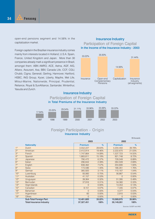<span id="page-34-0"></span>36 **Fenaseg**

Foreign capital in the Brazilian insurance industry comes mainly from interests located in Holland, U.S.A. Spain, France, United Kingdom and Japan. More than 30 companies already mark a significant presence in Brazil, amongst them: ABN AMRO, ACE, Aetna, AGF, AIG, Allianz, Assurant, Axa, BBV, Canada Life, CCF, CGU, Chubb, Cigna, Generali, Gerling, Hannover, Hartford, HSBC, ING Group, Kyoei, Liberty, Mapfre, Met Life, Mitsui-Marine, Nationwide, Principal, Prudential, Reliance, Royal & SunAlliance, Santander, Winterthur, Yasuda and Zurich.

# Insurance Industry Participation of Foreign Capital In the Income of the Insurance Industry - 2003



# Insurance Industry Participation of Foreign Capital in Total Premiums of the Insurance Industry



### Foreign Participation - Origin Insurance Industry

|                 |                                 |                |          |            | R\$ thousands |
|-----------------|---------------------------------|----------------|----------|------------|---------------|
|                 |                                 | 2003           |          | 2002       |               |
|                 | <b>Nationality</b>              | <b>Premium</b> | %        | Premium    | $\%$          |
| $1^{\circ}$     | <b>Dutch</b>                    | 3,552,227      | 28.64%   | 4,204,450  | 39.78%        |
| $2^{\circ}$     | American                        | 2,412,914      | 19.46%   | 2,222,670  | 21.03%        |
| $3^\circ$       | French                          | 1,747,864      | 14.09%   | 1,537,723  | 14.55%        |
| $4^\circ$       | <b>Spanish</b>                  | 1,883,811      | 15.19%   | 921,748    | 8.72%         |
| $5^\circ$       | Japanese                        | 790,472        | 6.37%    | 728,049    | 6.89%         |
| $6^\circ$       | <b>Italian</b>                  | 296,844        | 2.39%    | 284,509    | 2.69%         |
| $7^\circ$       | English                         | 938,462        | 7.57%    | 203,690    | 1.93%         |
| $8^\circ$       | <b>Swiss</b>                    | 173,596        | 1.40%    | 186,261    | 1.76%         |
| $9^\circ$       | German                          | 385,920        | 3.11%    | 110,167    | 1.04%         |
| 10 <sup>o</sup> | Luxemburg                       | 93,060         | 0.75%    | 56,867     | 0.54%         |
| $11^{\circ}$    | Australian                      | 41,157         | 0.33%    | $\Omega$   | $0.00\%$      |
| $12^{\circ}$    | Uruguayan                       | 39.364         | 0.32%    | 51,395     | 0.49%         |
| 13 <sup>o</sup> | Bermudan                        | 37,916         | 0.31%    | 34,360     | 0.33%         |
| $14^\circ$      | <b>Virgin Islands</b>           | $\Omega$       | 0.00%    | 13,453     | 0.13%         |
| $15^\circ$      | Canadian                        | 8,151          | 0.07%    | 7,345      | 0.07%         |
| 16 <sup>o</sup> | <b>Bahamian</b>                 | $\Omega$       | $0.00\%$ | 4,377      | 0.04%         |
| $17^\circ$      | Argentinean                     | 60             | $0.00\%$ | 2,910      | 0.03%         |
| $18^\circ$      | <b>Others</b>                   | $\Omega$       | 0.00%    | $\Omega$   | 0.00%         |
|                 | Sub-Total Foreign Part.         | 12,401,820     | 33.22%   | 10,569,975 | 35.06%        |
|                 | <b>Total Insurance Industry</b> | 37,327,451     | 100%     | 30,149,261 | 100%          |

Sources: SUSEP and ANS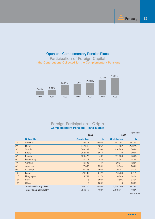**Fenaseg** 35

# Open-end Complementary Pension Plans

Participation of Foreign Capital in the Contributions Collected for the Complementary Pensions



### Foreign Participation - Origin Complementary Pensions Plans Market

|                 |                                |                     |        | R\$ thousands       |          |
|-----------------|--------------------------------|---------------------|--------|---------------------|----------|
|                 |                                | 2003                |        | 2002                |          |
|                 | <b>Nationality</b>             | <b>Contribution</b> | $\%$   | <b>Contribution</b> | %        |
| 1 <sup>0</sup>  | American                       | 1,116,414           | 39.92% | 942,791             | 39.70%   |
| $2^{\circ}$     | <b>Dutch</b>                   | 342,646             | 12.25% | 594,282             | 25.02%   |
| 3 <sup>o</sup>  | <b>Spanish</b>                 | 503,101             | 17.99% | 418,889             | 17.64%   |
| $4^\circ$       | English                        | 352,801             | 12.61% | $\Omega$            | $0.00\%$ |
| 5 <sup>o</sup>  | French                         | 320,470             | 11.46% | 281,088             | 11.84%   |
| $6^\circ$       | Luxemburg                      | 40,274              | 1.44%  | 34,082              | 1.44%    |
| $7^\circ$       | German                         | 40,333              | 1.44%  | 29,074              | 1.22%    |
| $8^\circ$       | Japanese                       | 27,662              | 0.99%  | 19,944              | 0.84%    |
| $9^\circ$       | Canadian                       | 27,368              | 0.98%  | 19,281              | 0.81%    |
| 10 <sup>o</sup> | <b>Italian</b>                 | 20,183              | 0.72%  | 16,753              | 0.71%    |
| 11 <sup>°</sup> | Uruguayan                      | 4,751               | 0.17%  | 10,089              | 0.42%    |
| $12^{\circ}$    | <b>Swiss</b>                   | 718                 | 0.03%  | 8,506               | 0.36%    |
| 13 <sup>o</sup> | <b>Others</b>                  | $\mathbf{O}$        | 0.00%  | $\Omega$            | $0.00\%$ |
|                 | Sub-Total Foreign Part.        | 2,796,720           | 35.93% | 2,374,780           | 33.23%   |
|                 | <b>Total Pensions Industry</b> | 7,784,518           | 100%   | 7,146,211           | 100%     |

Source: SUSEP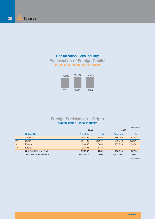

## Capitalization Plans Industry Participation of Foreign Capital in the Total Income of the Industry



#### Foreign Participation - Origin Capitalization Plans Industry

|                |                                |                 |        |                 | R\$ thousands |
|----------------|--------------------------------|-----------------|--------|-----------------|---------------|
|                |                                | 2003            |        | 2002            |               |
|                | <b>Nationality</b>             | <b>Receipts</b> | $\%$   | <b>Receipts</b> | $\%$          |
| 1 <sup>0</sup> | American                       | 393,796         | 44.92% | 386,056         | 48.44%        |
| $2^{\circ}$    | <b>Dutch</b>                   | 201,433         | 22.97% | 240,948         | 30.24%        |
| 3 <sup>o</sup> | French                         | 154,633         | 17.64% | 169.910         | 21.32%        |
| $4^\circ$      | English                        | 126,894         | 14.47% |                 |               |
|                | Sub-Total Foreign Part.        | 876,757         | 14.56% | 796,914         | 15.27%        |
|                | <b>Total Pensions Industry</b> | 6,022,577       | 100%   | 5,217,204       | 100%          |
|                |                                |                 |        |                 |               |

Source: SUSEP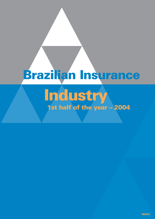# Brazilian Insurance

# Industry 1st half of the year – 2004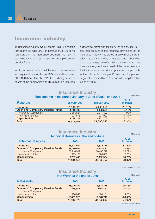

# Insurance industry

The Insurance Industry overall income 18.35% in relation to the same period of 2003; an increase of 23.19% being registered in the insurance segment, 12.15% in capitalization and 2.10% in open-end complementary pension funds.

Worthy of note is the fact that the total of the insurance industry investments in June of 2004 reached the volume of R\$ 104 billion, of which, R\$ 28,4 billion being net worth assets of the companies and R\$ 75,6 billion recorded as technical provisions assets. At the end of June 2004, the total amount of the technical provisions of the insurance industry registered a growth of 33.4% in relation to the same date of last year and it should be highlighted the growth of 61.2% in the provisions of the insurance segment, as a result of the performance of the life insurance line (with emphasis on the products with an element of savings). Provisions in the pension segment increased by 23.3%, and in the capitalization plans by 10.8%.

# Insurance Industry

|                                          |              | Total Income in the period January to June of 2004 and 2003 | R\$ thousands             |
|------------------------------------------|--------------|-------------------------------------------------------------|---------------------------|
| <b>Receipts</b>                          | Jan/Jun 2004 | <b>Jan/Jun 2003</b>                                         | $%$ of<br><b>Increase</b> |
| <b>Insurance</b>                         | 23.19%       |                                                             |                           |
| <b>Open-end Completary Pension Funds</b> | 4,118,402    | 4,033,526                                                   | 2.10%                     |
| <b>Insurance Companies</b>               | 3,886,827    | 3,811,527                                                   | 1.98%                     |
| <b>Non-Profit Entities</b>               | 231,575      | 221,999                                                     | 4.31%                     |
| Capitalization                           | 12.15%       |                                                             |                           |
| <b>Total</b>                             | 28,511,357   | 24,090,543                                                  | 18.35%                    |

# **Insurance Industry<br>See Because at the end of June**

#### Technical Reserves at

R\$ thousands

R\$ thousands

| <u>iculiliual neselves al lile ellu Ul Julie</u> | $%$ of     |            |                 |
|--------------------------------------------------|------------|------------|-----------------|
| <b>Technical Reserves</b>                        | 2004       | 2003       | <b>Increase</b> |
| Insurance                                        | 28.427.954 | 17,632,774 | 61.22%          |
| <b>Open-end Completary Pension Funds</b>         | 38,496,024 | 31,213,411 | 23.33%          |
| <b>Insurance Companies</b>                       | 37,716,902 | 30,486,792 | 23.72%          |
| <b>Non-Profit Entities</b>                       | 779.122    | 726,620    | 7.23%           |
| Capitalization                                   | 8,707,469  | 7,862,564  | 10.75%          |
| <b>Total</b>                                     | 75,631,447 | 56,708,750 | 33,37%          |

Sources: SUSEP and ANS

R\$ thousands

#### Insurance Industry Not Worth at the end of June

|                                          | <u>NGC VYOLUL ACUIG GINI OL UULIG</u> |            |                           |
|------------------------------------------|---------------------------------------|------------|---------------------------|
| <b>Net Assets</b>                        | 2004                                  | 2003       | $%$ of<br><b>Increase</b> |
| <b>Insurance</b>                         | 25,020,104                            | 18,515,478 | 35.13%                    |
| <b>Open-end Completary Pension Funds</b> | 768,647                               | 670,151    | 14.70%                    |
| <b>Insurance Companies</b>               |                                       |            |                           |
| <b>Non-Profit Entities</b>               | 768.647                               | 670.151    | 14.70%                    |
| Capitalization                           | 2.608.629                             | 3,546,710  | $-26.45%$                 |
| Total                                    | 28,397,379                            | 22,732,339 | 24.92%                    |

Sources: SUSEP and ANS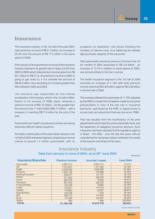# **Insurance**

The insurance industry, in the 1st half of the year 2004, had a premium income of R\$ 21.2 billion, an increase of 23.2% over the amount of R\$ 17.2 billion in the same period of 2003.

If the volume of annual premium income of the insurance industry maintains its growth rate of nearly 23.0% from 2002 to 2003 (when total premium income grew from R\$ 30.1 billion to R\$ 37.3), the premium income of 2004 is going to get close to, if not overtake the amount of R\$ 46.2 billion, thus recording an increase greater than 50% between 2002 and 2004.

Life insurance was responsible for this intense acceleration of the industry, which in the 1st half of 2004, thanks to the success of VGBL plans, obtained a premium income of R\$7.37 billion – 54.4% greater than the income in the 1st half of 2003 (R\$4.77 billion) – with a prospect of reaching R\$17.9 billion by the end of the year.

Automobile and health insurances business are facing extremely difficult market situations.

Domestic market sales of the automobile industry in the 1st half of 2004 remained stagnant, projecting an annual volume of around 1.4 million automobiles, with no prospects for expansion, and prices following the increase of internal costs, thus flattening the already tight purchase capacity of the consumer.

Total automobile insurance premium income in the 1st six months of 2004 amounted to R\$ 4.9 billion - an increase of 13.7% in relation to same period of 2003, due almost entirely to the rise in prices.

The health insurance segment in the 1st half of 2004 recorded an increase of 11.6% with total premium income reaching R\$ 3.64 billion against R\$ 3.26 billion in the first half of 2003.

The increase reflected the parameter of 11.75% adopted by the ANS to contain the complaints made by insurance policyholders in view of the last rise in insurance premiums, authorized by the ANS, to adjust prices to actual costs (an adjustment that was due since 1999).

That rise resulted from the insufficiency of the prior adjustments which kept the prices practically fixed, and the expansion of obligatory insurance services. Such measures had been adopted by the regulatory agency in Brazil – the ANS – over the last few years without considering the necessary balance between the needs of the Insurers and those of the Users.

#### Insurance Industry Data from January to June of 2004, as at 30<sup>th</sup> June 2004

R\$ thousands

| <b>Insurance Branches</b> | <b>Premium Income</b> | <b>Incurred Losses</b> | <b>Loss Ratio</b> |
|---------------------------|-----------------------|------------------------|-------------------|
| Automobile                | 4,897,613             | 3,682,515              | 74.41%            |
| Life                      | 7.370.927             | 1,471,260              | 54.18%            |
| Health                    | 3.639.069             | 3,040,938              | 87.39%            |
| Property                  | 1,828,128             | 723,698                | 45.44%            |
| <b>Personal Accident</b>  | 509,077               | 151,737                | 30.15%            |
| <b>DPVAT</b>              | 911,903               | 335,676                | 78.28%            |
| Home                      | 384.334               | 75,635                 | 40.21%            |
| <b>Transport</b>          | 691.839               | 335,532                | 46.65%            |
| <b>Financial Risks</b>    | 133.038               | 18,063                 | 23.74%            |
| Credit                    | 176.951               | 114,574                | 53.52%            |
| Liability                 | 178,963               | 84,267                 | 66.81%            |
| <b>Special Risks</b>      | 126,509               | 1,476                  | 23.19%            |
| Hull                      | 258,710               | 147.854                | 65.55%            |
| Rural                     | 87,066                | 125,557                | 49.52%            |
| <b>Others</b>             | 983                   | 1.994                  | 202.93%           |
| <b>TOTAL</b>              | 21,195,109            | 10,310,776             | 68.03%            |

Sources: SUSEP and ANS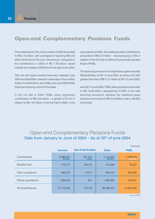

# Open-end Complementary Pensions Funds

The contributions in the 1st six months of 2004 amounted to R\$ 4,12 billion, with a prospect of reaching R\$ 8,53 billion at the end of the year; this amount, compared to the contributions in 2003 of R\$ 7,78 billion, would indicate an increase of 9.63% from one year to the other.

Over the last twelve months there was, between July/ 2003 and April/2004, a trend to a decrease in the monthly totals of contributions, but in May and June 2004 these totals are showing a trend of increase.

In the 1st half of 2004, PGBL plans registered contributions of R\$ 2,04 billion – a growth of 9.51% in relation to R\$ 1,87 billion in the first half of 2003. In the same period of 2004, the traditional plans contributions amounted to R\$ 2,07 billion – decreasing by 3.18% in relation to the first half of 2003 and practically equaled those of PGBL.

The technical provisions for all pensions plans reached R\$ 38,50 billion at 30th of June 2004, an amount 23.34% greater than that of R\$ 31,21 billion at 30<sup>th</sup> of June 2003.

As at 30<sup>th</sup> of June 2004, PGBL plans provisions amounted to R\$ 14,06 billion, representing 27.02% of the total technical provisions, whereas the traditional plans provisions amounted to R\$ 24,43 billion, that is, 46.95% of the total.

## Open-end Complementary Pensions Funds Data from January to June of  $2004 - As$  at  $30<sup>th</sup>$  of june 2004

|                           | <b>Insurers</b>     | <b>Non-Profit Entities</b> | <b>Totals</b>        | R\$ thousands<br><b>PGBL</b> |
|---------------------------|---------------------|----------------------------|----------------------|------------------------------|
| Contributions             | 3,886,327<br>94.38% | 231,575<br>5.62%           | 4,118,402<br>100.00% | 2,196,819<br>53.34%          |
| <b>Benefits Paid</b>      | 275,277             | 139,107                    | 414,384              | 18,337                       |
| <b>Total Liquidations</b> | 895,237             | 10,217                     | 905,454              | 354,580                      |
| Partial Liquidations      | 1,288,553           | 841                        | 1,289,394            | 573,057                      |
| <b>Tecnical Reserves</b>  | 37,716,902          | 779,122                    | 38,496,024           | 14,063,093                   |

Source: SUSEP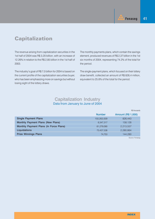# **Capitalization**

The revenue arising from capitalization securities in the 1st half of 2004 was R\$ 3,20 billion, with an increase of 12.26% in relation to the R\$ 2,85 billion in the 1st half of 2003.

The industry's goal of R\$ 7,0 billion for 2004 is based on the current profile of the capitalization securities buyer, who has been emphasizing more on savings but without losing sight of the lottery draws.

The monthly payments plans, which contain the savings element, produced revenues of R\$ 2,37 billion in the 1st six months of 2004, representing 74.2% of the total for the period.

The single-payment plans, which focused on their lottery draw benefit, collected an amount of R\$ 826,4 million, equivalent to 25.8% of the total for the period.

#### Capitalization Industry Data from January to June of 2004

|                                        |               | R\$ thousands             |
|----------------------------------------|---------------|---------------------------|
|                                        | <b>Number</b> | <b>Amount (R\$ 1,000)</b> |
| <b>Single Payment Plans</b>            | 150,263,009   | 826,443                   |
| Monthly Payment Plans (New Plans)      | 8,347,317     | 158,128                   |
| Monthly Payment Plans (In Force Plans) | 81,279,090    | 2,213,557                 |
| Liquidations                           | 73,437,538    | 2,280,864                 |
| <b>Prize Winnings Plans</b>            | 74.753        | 144,280                   |
|                                        |               |                           |

Source: Fenaseg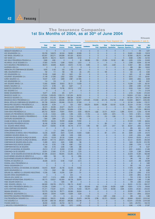42

#### The Insurance Companies 1st Six Months of 2004, as at 30th of June 2004

|                                                                    |                                |                              |                                |                   | <b>Complementary Pension Plans Segment (2)</b> |                                |                      | <b>Both Segments (1 and 2)</b> | R\$ thousands                       |                              |                                                                      |                             |                            |
|--------------------------------------------------------------------|--------------------------------|------------------------------|--------------------------------|-------------------|------------------------------------------------|--------------------------------|----------------------|--------------------------------|-------------------------------------|------------------------------|----------------------------------------------------------------------|-----------------------------|----------------------------|
| <b>Insurance Companies</b>                                         | <b>Total</b><br><b>Premium</b> | <b>Net</b><br><b>Premium</b> | <b>Claims</b><br><b>Losses</b> | <b>Claims</b>     | <b>Net Commercial</b><br><b>Expenses</b>       | <b>Contributors</b>            | <b>Benefits</b>      | <b>Total</b>                   | <b>Paid Liquidation Liquidation</b> |                              | <b>Partial Commercial Management</b><br><b>Expenses Expenses (*)</b> | <b>Net</b><br><b>Profit</b> | <b>Net</b><br><b>Worth</b> |
| ABSOLUTA SEGUROS S.A.                                              | $\overline{0}$                 | $\mathbf{0}$                 | $\overline{0}$                 | $\mathbf{0}$      | $\pmb{0}$                                      | $\mathbf{0}$                   | $\mathbf{0}$         | $\mathbf{0}$                   | $\overline{0}$                      | $\theta$                     | $\vert$                                                              | (9)                         | 1,977                      |
| ACE SEGURADORA S.A                                                 | 183,709                        | 148,670                      | 62,534                         | 56,883            | 42,589                                         | $\overline{0}$                 | $\theta$             | $\overline{0}$                 | $\overline{0}$                      | $\theta$                     | 35,681                                                               | 10,409                      | 70,919                     |
| AGF BRASIL SEGUROS S.A.                                            | 425,047                        | 292,271                      | 249,088                        | 181,420           | 68,453                                         | $\overline{0}$                 | $\theta$             | $\overline{0}$                 | $\theta$                            | $\theta$                     | 82,992                                                               | 38,375                      | 447,468                    |
| AGF SAÚDE S.A.                                                     | 86,070                         | 86,212                       | 63,219                         | 63,009            | 6,152                                          | $\mathbf{0}$                   | $\theta$             | $\theta$                       | $\theta$                            | $\mathbf{0}$                 | 8,568                                                                | 5,760                       | 53,752                     |
| AGF VIDA E PREVIDÊNCIA PRIVADA S.A.                                | 9,940                          | 4,961                        | $\overline{0}$                 | $\pmb{0}$         | 30                                             | 148,986                        | 733                  | 27,200                         | 19,182                              | 405                          | 5,203                                                                | 2,234                       | 55,858                     |
| AIG BRASIL CIA DE SEGUROS S.A                                      | 27,683                         | 19,476                       | 5,580                          | 10,852            | 2,012                                          | $\Omega$                       | $\theta$             | $\theta$                       | $\theta$                            | $\theta$                     | 2,369                                                                | 6.839                       | 83,149                     |
| ALFA SEGUROS E PREVIDÊNCIA S.A.                                    | 80,074                         | 64,689                       | 46,034                         | 43,972            | 11,159                                         | 8,493                          | $\theta$             | 4,373                          | 2,528                               | $\theta$                     | 12,967                                                               | 464                         | 29,990                     |
| ALVORADA VIDA S.A.                                                 | $\overline{0}$                 | $\bf{0}$                     | $\theta$                       | (7)               | $\theta$                                       | $\mathbf{0}$                   | $\theta$             | $\theta$                       | $\theta$                            | $\mathbf{0}$                 | 289                                                                  | 864                         | 18,652                     |
| AMERICAN LIFE COMPANHIA DE SEGUROS<br>AMIL SEGURADORA S.A.         | 9,078                          | 5,182                        | 533                            | 3,158             | 655                                            | $\theta$                       | $\theta$<br>$\theta$ | $\theta$<br>194                | $\overline{0}$<br>$\overline{0}$    | $\theta$<br>$\mathbf{0}$     | 2,066                                                                | (275)<br>45                 | 7,373                      |
| APS SEGURADORA S.A.                                                | 102<br>10,160                  | 111<br>5,648                 | 100<br>810                     | 105<br>3,631      | (0)<br>531                                     | 215<br>$\overline{0}$          | $\theta$             | $\theta$                       | $\overline{0}$                      | $\theta$                     | 252<br>1,601                                                         | 42                          | 4,583<br>8,956             |
| ASSURANT SEGURADORA S.A.                                           | 21,199                         | 21,083                       | 2,832                          | 4,053             | 1,694                                          | $\Omega$                       | $\theta$             | $\theta$                       | $\overline{0}$                      | $\theta$                     | 8,012                                                                | 173                         | 26,461                     |
| AUREA SEGUROS S.A.                                                 | 18,547                         | 4,341                        | 5,069                          | 2,967             | (2, 188)                                       | $\overline{0}$                 | $\theta$             | $\theta$                       | $\theta$                            | $\theta$                     | 4,659                                                                | (260)                       | 8,030                      |
| AVS SEGURADORA S.A                                                 | 114                            | 216                          | $\theta$                       |                   | 29                                             | $\Omega$                       | $\theta$             | $\theta$                       | $\overline{0}$                      | $\mathbf{0}$                 | $\overline{0}$                                                       | 338                         | 8,551                      |
| AXA SEGUROS BRASIL S.A.                                            | 72,565                         | 58,882                       | 39,823                         | 38,121            | 13,638                                         | $\overline{0}$                 | $\theta$             | $\theta$                       | $\overline{0}$                      | $\mathbf{0}$                 | 15,284                                                               | 1,420                       | 60,161                     |
| <b>BANERJ SEGUROS S.A.</b>                                         | 13,273                         | 6,790                        | 923                            | 6,827             | $\theta$                                       | $\Omega$                       | $\theta$             | $\theta$                       | $\overline{0}$                      | $\mathbf{0}$                 | 2,892                                                                | 2,994                       | 217,782                    |
| <b>BANESTES SEGUROS S.A.</b>                                       | 36,644                         | 32,300                       | 19,196                         | 20,914            | 5,787                                          | $\overline{0}$                 | $\theta$             | $\theta$                       | $\theta$                            | $\theta$                     | 6,353                                                                | 2,444                       | 33,047                     |
| <b>BCS SEGUROS S.A.</b>                                            | $\overline{0}$                 | $\theta$                     | $\theta$                       | $\overline{0}$    | $\theta$                                       | $\Omega$                       | $\theta$             | $\theta$                       | $\overline{0}$                      | $\mathbf{0}$                 | 137                                                                  | 711                         | 31,578                     |
| BEMGE SEGURADORA S.A.                                              | 16,077                         | 8,750                        | 325                            | 8,771             | $\overline{1}$                                 | $\Omega$                       | $\theta$             | $\overline{0}$                 | $\overline{0}$                      | $\theta$                     | 2,723                                                                | 14,202                      | 272,254                    |
| <b>BRADESCO SAUDE S.A</b>                                          | 1,472,634                      | 1,439,429                    | 1,258,174                      | 1,321,264         | 46,233                                         | $\Omega$                       | $\theta$             | $\theta$                       | $\overline{0}$                      | $\theta$                     | 149,854                                                              | (17, 163)                   | 548,138                    |
| <b>BRADESCO SEGUROS S.A.</b>                                       | 1,034,300                      | 810,183                      | 620,846                        | 668,304           | 135,467                                        | $\theta$                       | $\theta$             | $\overline{0}$                 | $\overline{0}$                      | $\overline{0}$               | 187,304                                                              | 374,714                     | 3,860,489                  |
| BRADESCO VIDA E PREVIDÊNCIA S.A.                                   | 2.411.297                      | 512,319                      | 258,036                        | 337,566           | 134,077                                        | 1,014,420                      | 172,594              | 421,735                        | 510,748                             | 47,561                       | 123,840                                                              | 388,917                     | 2,053,595                  |
| BRASIL VEICULOS COMPANHIA DE SEGUROS S.A.                          | 297,790                        | 249,204                      | 183,846                        | 176,270           | 27,930                                         | $\theta$                       | $\theta$             | $\theta$                       | $\overline{0}$                      | $\mathbf{0}$                 | 32,194                                                               | 14,264                      | 176,721                    |
| BRASILPREV SEGUROS E PREVIDÊNCIA S.A.                              | 426,209                        | 6,334                        | $\theta$                       | 623               | 4,057                                          | 659,250                        | 38,045               | 105,206                        | 120,183<br>$\overline{0}$           | 13,138                       | 55,324                                                               | 57,439                      | 172,292                    |
| BRASILSAUDE COMPANHIA DE SEGUROS<br>CAIXA SEGURADORA S.A.          | 60,474<br>492,091              | 60,465<br>293,969            | 42,677<br>175,916              | 44,474<br>163,656 | 3,117<br>2,736                                 | $\theta$<br>$\theta$           | $\theta$<br>$\theta$ | $\theta$<br>$\theta$           | $\overline{0}$                      | $\theta$<br>$\theta$         | 7,855<br>58,312                                                      | 1,525<br>147,234            | 41,250<br>885,916          |
| CAIXA VIDA E PREVIDÊNCIA S.A.                                      | 385,752                        | 88,931                       | 79,691                         | 79,691            | 4,202                                          | 180,576                        | 1,582                | 33,731                         | 44,251                              | 5,306                        | 10,455                                                               | 5,230                       | 40,199                     |
| CANADÁ LIFE PREVIDÊNCIA E SEGUROS S.A.                             | 13,126                         | 12,632                       | 4,469                          | 7,206             | 2,035                                          | 17,702                         | $\theta$             | 6,919                          | 3,915                               | 115                          | 7,818                                                                | (7,001)                     | 10,683                     |
| CARDIF DO BRASIL SEGUROS E PREVIDÊNCIA S                           | 31,906                         | 25,579                       | 7,101                          | 7,724             | 13,379                                         | 1,728                          | $\theta$             | 212                            | 1,526                               | $\overline{1}$               | 7,461                                                                | (2,626)                     | 16,248                     |
| CENTAURO SEGURADORA S.A                                            | 7,564                          | 3,884                        | 273                            | 2,539             | 136                                            | $\Omega$                       | $\theta$             | $\theta$                       | $\theta$                            | $\theta$                     | 942                                                                  | 5                           | 1,217                      |
| CHUBB DO BRASIL CIA DE SEGUROS                                     | 120,952                        | 90,235                       | 50,048                         | 46,886            | 19,482                                         | $\theta$                       | $\theta$             | $\theta$                       | $\overline{0}$                      | $\theta$                     | 31,350                                                               | 7,230                       | 80,054                     |
| CIA SEGUROS PREVIDÊNCIA DO SUL                                     | 36,180                         | 29,299                       | 13,302                         | 14,864            | 6,030                                          | 8                              | 5                    | 302                            | $\theta$                            | $\mathbf{0}$                 | 8,011                                                                | 857                         | 29,375                     |
| CIA. SEGUROS MINAS-BRASIL                                          | 163,477                        | 136,962                      | 97,498                         | 95,744            | 27,151                                         | 7,492                          | 158                  | 3,731                          | 3,417                               | 123                          | 36,507                                                               | (426)                       | 79,540                     |
| CIGNA COMPANHIA DE SEGUROS                                         | $\overline{0}$                 | $\mathbf 0$                  | $\theta$                       | $\overline{0}$    | $\theta$                                       | $\Omega$                       | $\theta$             | $\theta$                       | $\overline{0}$                      | $\pmb{0}$                    | 205                                                                  | (62)                        | 2,201                      |
| CIGNA SEGURADORA S.A.                                              | (1)                            | (1)                          | (346)                          | (2, 241)          | $\mathbf{0}$                                   | $\theta$                       | $\theta$             | $\pmb{0}$                      | $\overline{0}$                      | $\theta$                     | 2,809                                                                | 283                         | 14,185                     |
| CITIINSURANCE DO BRASIL VIDA E PREVIDÊNCIA                         | 52,238                         | 50,087                       | 8,624                          | 12,548            | 14,650                                         | 13.682                         | $\theta$             | 451                            | 1,714                               | 64                           | 8,084                                                                | 3,439                       | 24,575                     |
| COMBINED SEGUROS BRASIL S.A.                                       | 3,975                          | 3,908                        | 4,290                          | 1,839             | 3,560                                          | $\overline{0}$                 | $\theta$             | $\theta$                       | $\overline{0}$                      | $\overline{0}$               | 2,242                                                                | (506)                       | 9,800                      |
| COMPANHIA DE SEGUROS ALIANÇA DA BAHIA                              | 35,418                         | 19,529                       | 20,126                         | 13,649            | 4,412                                          | $\overline{0}$                 | $\theta$             | $\theta$                       | $\overline{0}$                      | $\mathbf{0}$                 | 10,454                                                               | 10,033                      | 81,212                     |
| COMPANHIA DE SEGUROS ALIANÇA DO BRASIL                             | 494,897                        | 447,116                      | 239,873                        | 183,994           | 102,334                                        | $\overline{0}$<br>$\mathbf{0}$ | $\theta$<br>$\theta$ | $\theta$<br>$\theta$           | $\overline{0}$<br>$\theta$          | $\mathbf{0}$<br>$\mathbf{0}$ | 53,121                                                               | 59,940                      | 203,508                    |
| COMPANHIA DE SEGUROS GRALHA AZUL<br>COMPANHIA EXCELSIOR DE SEGUROS | 15,468<br>42,134               | 6,814<br>9,702               | 3,645<br>1,790                 | 8,996<br>4,087    | 106<br>1,322                                   | $\overline{0}$                 | $\theta$             | $\theta$                       | $\mathbf{0}$                        | $\mathbf{0}$                 | 1,633<br>3,989                                                       | 35,239<br>1,016             | 613,785<br>12,128          |
| COMPANHIA MUTUAL DE SEGUROS                                        | 7,362                          | 6,755                        | 3,036                          | 1,485             | 580                                            | $\mathbf{0}$                   | $\theta$             | $\theta$                       | $\theta$                            | $\mathbf{0}$                 | 2,137                                                                | 18                          | 9,227                      |
| CONAPP CIA NACIONAL DE SEGUROS                                     | 29,214                         | 21,137                       | 16,049                         | 21,549            | 1,592                                          | $\mathbf{0}$                   | $\theta$             | $\theta$                       | $\theta$                            | $\theta$                     | 4,031                                                                | (4,602)                     | 21,466                     |
| CONFIANÇA CIA DE SEGUROS                                           | 63,001                         | 57,865                       | 37,170                         | 37,105            | 7,225                                          | $\mathbf{0}$                   | $\theta$             | $\overline{0}$                 | $\Omega$                            | $\mathbf{0}$                 | 7,529                                                                | 2.366                       | 30,840                     |
| COSESP - CIA DE SEGUROS DO ESTADO DE SÃO PAULO 261,696             |                                | 223,822                      | 160,845                        | 122,265           | 25,134                                         |                                |                      | U                              |                                     | U                            | 25,929                                                               | 14,364                      | 166,468                    |
| EULER HERMES SEGUROS DE CRÉDITO S.A.                               | 3,008                          | 198                          | 142                            | 34                | (398)                                          | $\overline{0}$                 | $\theta$             | $\theta$                       | $\theta$                            | $\theta$                     | 1,460                                                                | (425)                       | 7,297                      |
| EULER HERMES SEGUROS DE CRÉDITO À EXPORTAÇÃO S.A. 678              |                                | 29                           | $\overline{0}$                 | $\pmb{0}$         | (9)                                            | 0                              | $\theta$             | $\theta$                       | $\mathbf{0}$                        | $\theta$                     | 346                                                                  | 148                         | 8,381                      |
| FEDERAL DE SEGUROS S.A.                                            | 30,508                         | 24,733                       | 8,180                          | 11,037            | 4,213                                          | $\mathbf{0}$                   | $\theta$             | $\theta$                       | $\overline{0}$                      | $\theta$                     | 5,234                                                                | 246                         | 26,989                     |
| FEDERAL VIDA E PREVIDÊNCIA S.A.                                    | $\overline{0}$                 | $\theta$                     | $\overline{0}$                 | $\overline{0}$    | $\theta$                                       | $\mathbf{0}$                   | $\theta$             | $\pmb{0}$                      | $\mathbf{0}$                        | $\mathbf{0}$                 | 32                                                                   | $\theta$                    | 1,800                      |
| FINASA SEGURADORA S.A.                                             | $\overline{0}$                 | $\mathbf 0$                  | $\overline{0}$                 | $\theta$          | $\mathbf{0}$                                   | $\mathbf{0}$                   | $\theta$             | $\theta$                       | $\theta$                            | $\mathbf{0}$                 | 392                                                                  | 176                         | 9,416                      |
| GENERALI DO BRASIL CIA NACIONAL DE SEGUROS                         | 134,810                        | 86,907                       | 65,706                         | 55,438            | 19,082                                         | $\mathbf{0}$                   | $\theta$             | $\theta$                       | $\mathbf{0}$                        | $\mathbf{0}$                 | 17,978                                                               | 1,060                       | 71,224                     |
| <b>GENTE SEGURADORA S.A.</b>                                       | 7,718                          | 3,842                        | 260                            | 2,853             | 67                                             | $\mathbf{0}$                   | $\theta$             | $\theta$                       | $\theta$                            | $\pmb{0}$                    | 1,106                                                                | 30                          | 6,086                      |
| GERLING SUL AMÉRICA S.A. SEGUROS INDUSTRIAIS                       | 15,338                         | 7,495                        | 10,295                         | 5,391             | 731                                            | $\overline{0}$                 | $\theta$             | $\pmb{0}$                      | $\overline{0}$                      | $\mathbf{0}$                 | 2,730                                                                | (299)                       | 9,725                      |
| GOLDEN CROSS SEGURADORA S.A.<br>GRALHA AZUL SAÚDE S.A.             | 0<br>10,577                    | $\overline{2}$               | $\bf{0}$<br>8,899              | (52)<br>8,150     | 236                                            | $\mathbf{0}$<br>$\mathbf{0}$   | $\theta$<br>$\theta$ | $\theta$<br>$\theta$           | $\theta$<br>$\overline{0}$          | $\theta$<br>$\mathbf{0}$     | 2,550<br>724                                                         | (885)<br>2,162              | 45,102<br>16,796           |
| HANNOVER INTERNATIONAL SEGUROS S.A.                                | 136,175                        | 11,214<br>126,627            | 103,404                        | 89,738            | 28,045                                         | $\mathbf{0}$                   | $\theta$             | $\theta$                       | $\theta$                            | $\theta$                     | 23,859                                                               | 1,368                       | 71,286                     |
| <b>HSBC SEGURO SAÚDE S.A.</b>                                      | (16)                           | (7)                          | 1,005                          | 901               | $\mathbf{0}$                                   | $\overline{0}$                 | $\theta$             | $\theta$                       | $\theta$                            | $\mathbf{0}$                 | 729                                                                  | 2,092                       | 57,820                     |
| HSBC SEGUROS (BRASIL) S.A.                                         | 348,569                        | 338,795                      | 216,712                        | 196,174           | 45,497                                         | $\mathbf{0}$                   | $\theta$             | $\theta$                       | $\theta$                            | $\theta$                     | 56,351                                                               | 51,723                      | 350,727                    |
| HSBC VIDA E PREVIDÊNCIA (BRASIL) S.A.                              | 123,295                        | 22,660                       | $\overline{0}$                 | 5,535             | 162                                            | 202,849                        | 632                  | 12,458                         | 64,205                              | 6,897                        | 18,601                                                               | 5,733                       | 39,656                     |
| ICATU HARTFORD SEGUROS S.A.                                        | 141,211                        | 119,261                      | 53,515                         | 74,418            | 16,350                                         | 136,370                        | 6,467                | 9,744                          | 60,592                              | 2,636                        | 33,903                                                               | 24,563                      | 244,035                    |
| INDIANA SEGUROS S.A.                                               | 132,725                        | 126,736                      | 99,771                         | 85,900            | 30,634                                         | $\theta$                       | $\theta$             | $\pmb{0}$                      | $\mathbf{0}$                        | $\mathbf{0}$                 | 26,095                                                               | 1,361                       | 55,579                     |
| INTERBRAZIL SEGURADORA S.A.                                        | 66,925                         | 29,944                       | 13,929                         | 15,804            | 4,334                                          | $\bf{0}$                       | $\theta$             | $\pmb{0}$                      | $\theta$                            | $\theta$                     | 11,031                                                               | (949)                       | 20,024                     |
| INVESTPREV SEGUROS E PREVIDÊNCIA S.A.                              | 2,167                          | 473                          | $\overline{0}$                 | (2)               | $\mathbf{0}$                                   | 11,583                         | $6\phantom{1}$       | 3,097                          | 2,582                               | $\mathbf{0}$                 | 369                                                                  | 343                         | 7,360                      |
| ITAŬ PREVIDÊNCIA E SEGUROS S.A.                                    | 1,306,622                      | 188,251                      | 30,469                         | 47,096            | 25,678                                         | 344,766                        | 2,786                | 62,373                         | 133,039                             | 1,057                        | 60,684                                                               | 183,822                     | 2,010,343                  |
| ITAÙ SEGUROS S.A.                                                  | 923,289                        | 696,138                      | 495,922                        | 396,660           | 150,198                                        | $\mathbf{0}$                   | $\theta$             | $\pmb{0}$                      | $\mathbf{0}$                        | $\overline{0}$               | 153,441                                                              | 270,436                     | 2,474,438                  |
| <b>ITAUSEG SAUDE S.A.</b>                                          | 36,650                         | 34,384                       | 58,704                         | 58,713            | 47                                             | $\theta$                       | $\theta$             | $\pmb{0}$                      | $\theta$                            | $\pmb{0}$                    | 1,025                                                                | (20, 781)                   | 104,723                    |
| J. MALUCELLI SEGURADORA S.A.                                       | 35,087                         | 5,722                        | (268)                          | 2,672             | (4,005)                                        | 0                              | $\pmb{0}$            | $\theta$                       | $\overline{0}$                      | $\mathbf{0}$                 | 4,846                                                                | 4,749                       | 27,307                     |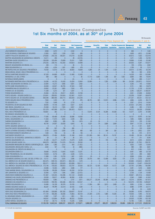#### The Insurance Companies 1st Six months of 2004, as at  $30<sup>th</sup>$  of june 2004

|                                                                                        |                                |                              | Insurance Segment (1)          |                   |                                          | R\$ thousands<br><b>Complementary Pension Plans Segment (2)</b><br><b>Both Segments (1 and 2)</b> |                                  |                            |                                     |                                  |                                                                      |                             |                            |
|----------------------------------------------------------------------------------------|--------------------------------|------------------------------|--------------------------------|-------------------|------------------------------------------|---------------------------------------------------------------------------------------------------|----------------------------------|----------------------------|-------------------------------------|----------------------------------|----------------------------------------------------------------------|-----------------------------|----------------------------|
| <b>Insurance Companies</b>                                                             | <b>Total</b><br><b>Premium</b> | <b>Net</b><br><b>Premium</b> | <b>Claims</b><br><b>Losses</b> | <b>Claims</b>     | <b>Net Commercial</b><br><b>Expenses</b> | <b>Contributors</b>                                                                               | <b>Benefits</b>                  | <b>Total</b>               | <b>Paid Liquidation Liquidation</b> |                                  | <b>Partial Commercial Management</b><br><b>Expenses Expenses (*)</b> | <b>Net</b><br><b>Profit</b> | <b>Net</b><br><b>Worth</b> |
| JAVA NORDESTE SEGUROS S.A.                                                             | 6,958                          | 3,272                        | $\theta$                       | 2,532             | $\pmb{0}$                                | $\overline{0}$                                                                                    | $\overline{0}$                   | $\theta$                   | $\overline{0}$                      | $\mathbf{0}$                     | 626                                                                  | -7                          | 1,442                      |
| KYOEI DO BRASIL COMPANHIA DE SEGUROS                                                   | 12,883                         | 9,875                        | 1,539                          | 7,455             | 626                                      | $\theta$                                                                                          | $\overline{0}$                   | $\theta$                   | $\overline{0}$                      | $\mathbf{0}$                     | 3,658                                                                | (457)                       | 23,388                     |
| LIBERTY PAULISTA SEGUROS S.A.                                                          | 279,082                        | 245,726                      | 185,641                        | 170,744           | 52,288                                   | $\theta$                                                                                          | $\overline{0}$                   | $\theta$                   | $\overline{0}$                      | $\overline{0}$                   | 64,813                                                               | 1,032                       | 132,416                    |
| MAPFRE SEGURADORA DE GARANTIAS E CRÉDITO                                               | 16,211                         | 293                          | $\theta$                       | 29                | (2,019)                                  | $\theta$                                                                                          | $\overline{0}$                   | $\theta$                   | $\overline{0}$                      | $\overline{0}$                   | 1,471                                                                | 1,459                       | 16,793                     |
| MARÍTIMA SAÚDE SEGUROS S.A.                                                            | 108,309                        | 105,494                      | 78,089                         | 76,241            | 7,005                                    | $\theta$                                                                                          | $\overline{0}$                   | $\theta$                   | $\overline{0}$                      | $\overline{0}$                   | 19,868                                                               | 3,149                       | 25,340                     |
| <b>MARÍTIMA SEGUROS S.A.</b>                                                           | 276,535                        | 236,743                      | 152.282                        | 129.823           | 54,988                                   | $\theta$                                                                                          | $\overline{0}$                   | $\theta$                   | $\overline{0}$                      | $\mathbf{0}$                     | 64,826                                                               | 4,297                       | 143,077                    |
| MAXLIFE SEGURADORA DO BRASIL S.A.                                                      | 258<br>4,265                   | 115<br>4,254                 | $\theta$<br>1,581              | 35<br>1,685       | 15                                       | $\theta$                                                                                          | $\theta$<br>$\theta$             | $\theta$                   | $\overline{0}$<br>$\overline{0}$    | $\overline{0}$<br>$\overline{0}$ | 159<br>1,708                                                         | (155)                       | 3,502                      |
| MBM SEGURADORA S.A.<br>METROPOLITAN LIFE SEGUROS E PREVIDÊNCIA                         | 79,438                         | 72,010                       | 37,101                         | 38,683            | 478<br>19,069                            | $\theta$<br>4,269                                                                                 | 34                               | $\overline{4}$<br>1,104    | 1,129                               | $\overline{0}$                   | 29,914                                                               | 58<br>(7, 199)              | 7,213<br>63,349            |
| MINAS BRASIL SEGUR. VIDA E PREVIDÊNCIA S.A.                                            | $\overline{0}$                 | $\overline{0}$               | $\theta$                       | $\theta$          | $\mathbf{0}$                             | $\theta$                                                                                          | $\theta$                         | $\theta$                   | $\overline{0}$                      | $\overline{0}$                   | 163                                                                  | 180                         | 8,763                      |
| MITSUI SUMITOMO SEGUROS S.A.                                                           | 97,320                         | 64,669                       | 64,051                         | 51,660            | 12,493                                   | $\theta$                                                                                          | $\theta$                         | $\overline{0}$             | $\overline{0}$                      | $\mathbf{0}$                     | 14,528                                                               | 220                         | 122,085                    |
| MONGERAL S.A. SEG. E PREV.                                                             | 569                            | 569                          | $\theta$                       | $\overline{0}$    | 85                                       | 17.710                                                                                            | 5,693                            | 1,186                      | 921                                 | 7,052                            | 8.889                                                                | 488                         | 19,944                     |
| NATIONALE NEDERLANDEN                                                                  | $\theta$                       | $\overline{0}$               | $\theta$                       | (5)               | $\theta$                                 | $\theta$                                                                                          | $\overline{0}$                   | $\overline{0}$             | $\overline{0}$                      | $\overline{0}$                   | 148                                                                  | 608                         | 11,317                     |
| NATIONWIDE MARÍTIMA VIDA E PREVIDÊNCIA S.A.                                            | 54,266                         | 44,703                       | 16,450                         | 24,264            | 13,864                                   | 33.984                                                                                            | $\overline{4}$                   | 7,292                      | 6.268                               | 186                              | 24,590                                                               | (16, 937)                   | 70,016                     |
| NOBRE SEGURADORA DO BRASIL S.A.                                                        | 22,894                         | 15,272                       | 4,956                          | 6,601             | 3,462                                    | $\theta$                                                                                          | $\overline{0}$                   | $\theta$                   | $\mathbf{0}$                        | $\theta$                         | 5,256                                                                | 145                         | 14,969                     |
| NOTRE DAME SEGURADORA S.A.                                                             | 44,848                         | 44,847                       | 36,705                         | 37,643            | 1.007                                    | $\theta$                                                                                          | $\overline{0}$                   | $\theta$                   | $\overline{0}$                      | $\theta$                         | 5,751                                                                | 560                         | 18,670                     |
| PANAMÉRICANA DE SEGUROS S.A.                                                           | 29,962                         | 25,281                       | 3,883                          | 7,634             | 470                                      | $\theta$                                                                                          | $\overline{0}$                   | $\overline{0}$             | $\overline{0}$                      | $\overline{0}$                   | 11,720                                                               | 2,129                       | 50,359                     |
| PARANA CIA. DE SEGUROS                                                                 | 11,208<br>25,084               | 5,272                        | 321                            | 5,307             | $\theta$                                 | $\theta$<br>$\theta$                                                                              | $\overline{0}$<br>$\theta$       | $\theta$<br>$\theta$       | $\overline{0}$<br>$\overline{0}$    | $\overline{0}$<br>$\theta$       | 2,345                                                                | 128,247                     | 1,168,547                  |
| PHENIX SEGURADORA S.A.<br>PORTO SEGURO - SEGURO SAÚDE S.A.                             | 210,841                        | 35,733<br>209,955            | 29,017<br>154,043              | 29,091<br>152,467 | 12,768<br>14,221                         | $\theta$                                                                                          | $\overline{0}$                   | $\theta$                   | $\overline{0}$                      | $\theta$                         | 5,931<br>35,209                                                      | 21,808<br>12,997            | 46,864<br>106,679          |
| PORTO SEGURO CIA. DE SEGUROS GERAIS                                                    | 958,390                        | 880,406                      | 564,715                        | 503,050           | 212,240                                  | $\theta$                                                                                          | $\theta$                         | $\theta$                   | $\overline{0}$                      | $\mathbf{0}$                     | 217,257                                                              | 64,351                      | 725,122                    |
| PORTO SEGURO VIDA E PREVIDÊNCIA S.A.                                                   | 7,844                          | 1,232                        | 611                            | 87                | 976                                      | 46.755                                                                                            | 320                              | 12,872                     | 6.986                               | 1,514                            | 4,666                                                                | 4,243                       | 96,174                     |
| PQ SEGUROS S.A.                                                                        | 7,332                          | 3,449                        | 10                             | 2,778             | $\theta$                                 | $\theta$                                                                                          | $\theta$                         | $\theta$                   | $\mathbf{0}$                        | $\theta$                         | 2,937                                                                | (514)                       | 14,304                     |
| PRUDENTIAL DO BR SEGUROS DE VIDA                                                       | 38,093                         | 14,736                       | 2,024                          | 6,027             | 4,216                                    | $\theta$                                                                                          | $\theta$                         | $\theta$                   | $\overline{0}$                      | $\theta$                         | 25,923                                                               | (11, 249)                   | 39,536                     |
| <b>QBE BRASIL SEGUROS S.A.</b>                                                         | 25,560                         | 18,410                       | 7,835                          | 8,857             | 3,638                                    | $\theta$                                                                                          | $\theta$                         | $\theta$                   | $\overline{0}$                      | $\theta$                         | 5,496                                                                | 292                         | 17,619                     |
| REAL PREVIDÊNCIA E SEGUROS S.A.                                                        | 531,578                        | 447,999                      | 312,714                        | 295,423           | 70.073                                   | $\bf{0}$                                                                                          | $\theta$                         | 9                          | $\overline{0}$                      | $\theta$                         | 74,512                                                               | 26,338                      | 379,895                    |
| REAL VIDA E PREVIDÊNCIA S.A.                                                           | 158,661                        | 262                          | $\theta$                       | 7                 | $\theta$                                 | 73,816                                                                                            | 8,124                            | 18,288                     | 44,366                              | 153                              | 15,077                                                               | 3,370                       | 81,698                     |
| RIO BRANCO SEGURADORA S.A.                                                             | $\overline{0}$                 | $\overline{0}$               | $\theta$                       | $\theta$          | $\theta$                                 | $\theta$                                                                                          | $\theta$                         | $\bf{0}$                   | $\mathbf{0}$                        | $\overline{0}$                   | $\theta$                                                             | $\theta$                    | $\Omega$                   |
| ROYAL & SUNALLIANCE SEGUROS (BRASIL) S.A.                                              | 77,095                         | 69,489                       | 43,440                         | 30,896            | 14,930                                   | $\theta$                                                                                          | $\theta$                         | $\theta$                   | $\overline{0}$                      | $\theta$                         | 19,757                                                               | 8,976                       | 91,784                     |
| RURAL SEGURADORA S.A.                                                                  | 11,263                         | 11,073                       | 3,643                          | 2.339             | 362                                      | $\theta$                                                                                          | $\theta$<br>18                   | $\theta$<br>9              | $\overline{0}$<br>$\overline{0}$    | $\mathbf{0}$<br>$\theta$         | 1,895<br>3.618                                                       | 9.895<br>378                | 84,307                     |
| SABEMI SEGURADORA S.A.<br>SAFRA SEGUROS S.A.                                           | 6,962<br>46.194                | 6,993<br>24.007              | 626<br>20,630                  | 745<br>6.843      | 1,874<br>42                              | 43<br>9.237                                                                                       | 79                               | 3.608                      | 3.849                               | $\overline{0}$                   | 9.647                                                                | 11,723                      | 21,565<br>95,188           |
| SAFRA SEGUROS GERAIS S.A.                                                              | $\overline{0}$                 | $\overline{0}$               | $\theta$                       | $\theta$          | $\theta$                                 | $\theta$                                                                                          | $\theta$                         | $\theta$                   | $\mathbf{0}$                        | $\overline{0}$                   | 81                                                                   | 1,101                       | 8,301                      |
| SALUTAR SAUDE SEGURADORA S.A.                                                          | 939                            | 937                          | 756                            | 685               | $\overline{2}$                           | $\theta$                                                                                          | $\theta$                         | $\overline{0}$             | $\overline{0}$                      | $\overline{0}$                   | 191                                                                  | 310                         | 6,204                      |
| SANTA CATARINA SEGUROS E PREVIDÊNCIA S.A.                                              | 3,120                          | 3,033                        | 3,350                          | 1,750             | 460                                      | 190                                                                                               | $\theta$                         | 349                        | 262                                 | $\overline{0}$                   | 1,181                                                                | (592)                       | 2,551                      |
| SANTANDER BANESPA SEGUROS S.A.                                                         | 1,358                          | 150                          | 53                             | 89                | 136                                      | $\bf{0}$                                                                                          | $\theta$                         | $\bf{0}$                   | $\theta$                            | $\overline{0}$                   | 83                                                                   | 914                         | 8,114                      |
| SANTANDER SEGUROS S.A.                                                                 | 246,678                        | 37,484                       | 26,828                         | 31,348            | 5,433                                    | 231,369                                                                                           | 643                              | 38,141                     | 74,197                              | $\overline{0}$                   | 18,496                                                               | 32,164                      | 237,389                    |
| SANTOS CIA. DE SEGUROS, GARANTIAS E CRÉDITO                                            | 29                             | 21                           | 98                             | 26                | (41)                                     | $\bf{0}$                                                                                          | $\theta$                         | $\theta$                   | $\mathbf{0}$                        | $\overline{0}$                   | 151                                                                  | 311                         | 8,545                      |
| SANTOS SEGURADORA S.A.                                                                 | 41,230                         | 32,277                       | 12,379                         | 15,379            | 6,230                                    | 849                                                                                               | $\theta$                         | 734                        | 398                                 | $\overline{0}$                   | 6,014                                                                | 2,043                       | 26,833                     |
| SAEPAR SEGURO SAUDE S.A.                                                               | 849,579                        | 847,095                      | 714,376                        | 734,145           | 50,583                                   | $\theta$                                                                                          | $\overline{0}$                   | $\theta$                   | $\theta$                            | $\mathbf{0}$                     | 80,392                                                               | (7, 792)                    | 358,781                    |
| SEGURADORA BRASILEIRA DE CRÉDITO À EXPORTAÇÃO S.A.<br>SEGURADORA BRASILEIRA RURAL S.A. | 6,049<br>2,042                 | 1,260<br>187                 | 3,315<br>7.182                 | 654<br>33         | (1, 452)<br>(968)                        | $\theta$<br>$\bf{0}$                                                                              | $\overline{0}$<br>$\overline{0}$ | $\theta$<br>$\theta$       | $\overline{0}$<br>$\overline{0}$    | $\overline{0}$<br>$\overline{0}$ | 4,835<br>989                                                         | 1,505<br>364                | 13,650<br>8,831            |
| SEGURADORA DE CRÉDITO DO BRASIL S.A.                                                   | $\bf{0}$                       | $\overline{0}$               | $\theta$                       | $\theta$          | $\theta$                                 | $\theta$                                                                                          | $\theta$                         | $\theta$                   | $\overline{0}$                      | $\theta$                         | 612                                                                  | (146)                       | 7,372                      |
| SEGURADORA ROMA S.A.                                                                   | 39.688                         | 34.555                       | 13.844                         | 14.825            | 13,201                                   | $\theta$                                                                                          | $\overline{0}$                   | $\theta$                   | $\overline{0}$                      | $\overline{0}$                   | 6.461                                                                | 606                         | 23,139                     |
| SINAF PREVIDENCIAL CIA. DE SEGUROS                                                     | 10,659                         | 6,716                        | 6/8                            | 3,228             | 1,219                                    | $\cup$                                                                                            | $\mathbf{0}$                     | $\cup$                     | $\cup$                              | $\cup$                           | 1,441                                                                | 299                         | 4,864                      |
| SOMA SEGURADORA S.A.                                                                   | 11,988                         | 7,491                        | 10,793                         | 1,487             | 1,023                                    | 20                                                                                                | $\mathbf{0}$                     | 15                         | 31                                  | $\mathbf{0}$                     | 6,969                                                                | (169)                       | 6,678                      |
| SUDAMERIS GENERALI CIA. NAC. DE SEG. E PREV. S.A.                                      | 10,151                         | 8,551                        | 2,616                          | 2,006             | 3,106                                    | 24,754                                                                                            | 645                              | 13,498                     | 8,303                               | 174                              | 2,734                                                                | 3,726                       | 20,882                     |
| SUL AMÉRICA CIA. DE SEGURO SAUDE S.A.                                                  | 652,375                        | 649.155                      | 544,074                        | 563,128           | 1,570                                    | $\theta$                                                                                          | $\overline{0}$                   | $\bf{0}$                   | $\mathbf{0}$                        | $\mathbf{0}$                     | 95,666                                                               | (13, 622)                   | 858,791                    |
| SUL AMÉRICA CIA. NACIONAL DE SEGUROS                                                   | 903,271                        | 695,470                      | 520,629                        | 453,088           | 158,117                                  | $\theta$                                                                                          | $\overline{0}$                   | $\boldsymbol{0}$           | $\overline{0}$                      | $\overline{0}$                   | 142,638                                                              | 13,407                      | 1,054,239                  |
| SUL AMÉRICA SEGUROS DE VIDA E PREVIDÊNCIA S.A. 173,146                                 |                                | 159,303                      | 108,653                        | 122,797           | 34,383                                   | 60,725                                                                                            | 13,106                           | 10,624                     | 14,172                              | 3,391                            | 23,783                                                               | (11, 896)                   | 165,985                    |
| SULINA SEGURADORA S.A.                                                                 | 23,696                         | 10,303<br>99,208             | 3,802                          | 4,588<br>65,550   | 177                                      | $\theta$<br>$\theta$                                                                              | $\overline{0}$<br>$\overline{0}$ | $\theta$<br>$\overline{0}$ | $\mathbf{0}$<br>$\overline{0}$      | $\mathbf{0}$                     | 4,491                                                                | 1,018                       | 8,830                      |
| TOKIO MARINE BRASIL SEGURADORA S.A.<br>UBF GARANTIAS & SEGUROS S.A.                    | 124,296<br>32,940              | 4,074                        | 70,644<br>1,595                | 2,950             | 18,704<br>(2, 472)                       | $\bf{0}$                                                                                          | $\overline{0}$                   | $\overline{0}$             | $\overline{0}$                      | $\mathbf{0}$<br>$\mathbf{0}$     | 23,290<br>3,738                                                      | 4,847<br>1,129              | 112,303<br>14,489          |
| UNIÃO NOVO HAMBURGO SEGUROS S.A.                                                       | 141,807                        | 124,445                      | 143,496                        | 151,122           | 24,920                                   | $\theta$                                                                                          | $\overline{0}$                   | $\overline{0}$             | $\overline{0}$                      | $\mathbf{0}$                     | 49,667                                                               | (87, 213)                   | 39,622                     |
| UNIBANCO AIG SAUDE SEGURADORA S.A.                                                     | 59,500                         | 59,817                       | 46,904                         | 46,956            | 4,335                                    | $\bf{0}$                                                                                          | $\overline{0}$                   | $\overline{0}$             | $\overline{0}$                      | $\pmb{0}$                        | 2,540                                                                | 3,890                       | 41,652                     |
| UNIBANCO AIG PREVIDÊNCIA S.A.                                                          | 189,669                        | 5,965                        | $\theta$                       | 2,747             | 3,911                                    | 595,277                                                                                           | 20,248                           | 90,366                     | 142,104                             | 5,612                            | 19,374                                                               | 26,995                      | 167,815                    |
| UNIBANCO AIG SEGUROS S.A.                                                              | 1,134,049                      | 709,785                      | 545,506                        | 394,133           | 122,557                                  | $\bf{0}$                                                                                          | $\overline{0}$                   | $\theta$                   | $\overline{0}$                      | $\mathbf{0}$                     | 122,570                                                              | 137,760                     | 1,294,027                  |
| UNIMED SEGURADORA S.A.                                                                 | 34,466                         | 34,109                       | 36,376                         | 24,185            | 117                                      | 11,994                                                                                            | 602                              | 3,613                      | 3,400                               | 212                              | 9.905                                                                | 2,156                       | 44,834                     |
| UNIMED SEGUROS SAUDE S.A.                                                              | 46,287                         | 46,286                       | 33,519                         | 34,165            | 1,594                                    | $\bf{0}$                                                                                          | $\overline{0}$                   | $\theta$                   | $\overline{0}$                      | $\mathbf{0}$                     | 8,996                                                                | 2,109                       | 23,111                     |
| VANGUARDA COMPANHIA DE SEGUROS GERAIS                                                  | $\overline{0}$                 | $\theta$                     | $\theta$                       | (0)               | $\theta$                                 | $\bf{0}$                                                                                          | $\theta$                         | $\overline{0}$             | $\theta$                            | $\mathbf{0}$                     | 98                                                                   | 53                          | 3,259                      |
| VERA CRUZ SEGURADORA S.A.                                                              | 451,804                        | 339,088                      | 287,292                        | 238,647           | 76,187                                   | $\overline{0}$                                                                                    | $\overline{0}$                   | $\overline{0}$             | $\overline{0}$                      | $\mathbf{0}$                     | 58,088                                                               | 9,783                       | 184,074                    |
| VERA CRUZ VIDA E PREVIDÊNCIA S.A.<br>XL INSURANCE BRAZIL SEGURADORA S.A.               | 171,144<br>12,987              | 166,266<br>7,327             | 56,836<br>1,811                | 73,863<br>1,061   | 60,104<br>734                            | 27,209<br>$\bf{0}$                                                                                | 2,753<br>$\overline{0}$          | 1,800<br>$\theta$          | 14,285<br>$\overline{0}$            | 84<br>$\mathbf{0}$               | 19,030<br>6,142                                                      | 1,940<br>1,025              | 78,126<br>56,628           |
| YASUDA SEGUROS S.A.                                                                    | 148,047                        | 123,894                      | 95,097                         | 80,552            | 23,639                                   | $\bf{0}$                                                                                          | $\overline{0}$                   | $\overline{0}$             | $\theta$                            | $\mathbf{0}$                     | 24,020                                                               | 12,288                      | 102,108                    |
| ZURICH BRASIL SEGUROS S.A.                                                             | 97,437                         | 36,712                       | 19,136                         | 15,226            | 5,640                                    | $\bf{0}$                                                                                          | $\boldsymbol{0}$                 | $\boldsymbol{0}$           | $\overline{0}$                      | $\pmb{0}$                        | 12,186                                                               | 1,392                       | 34,386                     |
| TOTAL COMPANHIAS DE SEGUROS                                                            |                                | 21,195,109 14,042,244        | 9,983,237                      |                   | 9,552,575 2,170,671                      | 3,886,320                                                                                         | 275,277                          | 895,237                    | 1,288,553                           | 95.686                           | 2,894,139                                                            |                             | 2,117,312 25,020,104       |

(1) Include tax expenses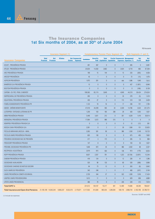

#### The Insurance Companies 1st Six months of 2004, as at  $30<sup>th</sup>$  of June 2004

R\$ thousands

|                                                                                           | Insurance Segment (1)          |                              | <b>Complementary Pension Plans Segment (2)</b> |               |                                          |                      | <b>Both Segments (1 and 2)</b> |                                                     |                |                |                                                                      |                             |                            |
|-------------------------------------------------------------------------------------------|--------------------------------|------------------------------|------------------------------------------------|---------------|------------------------------------------|----------------------|--------------------------------|-----------------------------------------------------|----------------|----------------|----------------------------------------------------------------------|-----------------------------|----------------------------|
| <b>Insurance Companies</b>                                                                | <b>Total</b><br><b>Premium</b> | <b>Net</b><br><b>Premium</b> | <b>IClaims</b>                                 | <b>Claims</b> | <b>Net Commercial</b><br><b>Expenses</b> | <b>Contribuitors</b> | <b>Benefits</b>                | <b>Total</b><br><b>Paid Liquidation Liquidation</b> |                |                | <b>Partial Commercial Management</b><br><b>Expenses Expenses (*)</b> | <b>Net</b><br><b>Profit</b> | <b>Net</b><br><b>Worth</b> |
| ACVAT - PREVIDÊNCIA PRIVADA                                                               |                                |                              |                                                |               |                                          | 401                  | 267                            | $\theta$                                            | $\overline{0}$ | $\overline{1}$ | 265                                                                  | $\mathbf{3}$                | 3,481                      |
| APLUB - PREVIDÊNCIA PRIVADA                                                               |                                |                              |                                                |               |                                          | 25,654               | 14,282                         | 2,662                                               | $\overline{0}$ | 2,024          | 6.718                                                                | 665                         | 67,304                     |
| ARC PREVIDÊNCIA PRIVADA                                                                   |                                |                              |                                                |               |                                          | 190                  | 15                             | 144                                                 | $\overline{0}$ | 15             | 233                                                                  | (305)                       | 4,428                      |
| ARCESP PREVIDÊNCIA                                                                        |                                |                              |                                                |               |                                          | 43                   | $\mathbf{1}$                   | $\mathbf{0}$                                        | $\overline{0}$ | $\mathbf{0}$   | 72                                                                   | (15)                        | 1,470                      |
| ASPECIR PREVIDÊNCIA                                                                       |                                |                              |                                                |               |                                          | 1,973                | 201                            | $\mathbf{0}$                                        | $\overline{0}$ | 444            | 1,386                                                                | 1,640                       | 7,812                      |
| BAMÉRCIO S/A PREVIDÊNCIA PRIVADA                                                          |                                |                              |                                                |               |                                          | 13                   | $\mathbb O$                    | $\mathbf 0$                                         | $\overline{0}$ | $\mathbf{0}$   | 427                                                                  | (1,087)                     | 6,948                      |
| <b>BOSTON PREVIDÊNCIA PRIVADA</b>                                                         |                                |                              |                                                |               |                                          | $\mathbf{0}$         | $\mathbf{0}$                   | $\mathbf{0}$                                        | $\overline{0}$ | $\mathbf{0}$   | $\overline{0}$                                                       | (166)                       | 9,139                      |
| CAPEMI - CX. PEC. PENS. E MONTEP.                                                         |                                |                              |                                                |               |                                          | 108,565              | 65,174                         | 3,649                                               | $\overline{0}$ | 4,049          | 44,219                                                               | 38,424                      | 274,024                    |
| EMPRESARIAL DE PREVIDÊNCIA PRIVADA                                                        |                                |                              |                                                |               |                                          | 202                  | $\mathbb O$                    | $\mathbf{0}$                                        | $\overline{0}$ | 33             | 278                                                                  | (5)                         | 1,410                      |
| EQUATORIAL PREVIDÊNCIA PRIVADA                                                            |                                |                              |                                                |               |                                          | 435                  | 27                             | $\mathbf{0}$                                        | $\overline{0}$ | 115            | 519                                                                  | 129                         | 3,429                      |
| FAMÍLIA BANDEIRANTE PREVIDÊNCIA PR                                                        |                                |                              |                                                |               |                                          | 1,123                | 19                             | 16                                                  | $\overline{0}$ | 17             | 236                                                                  | 721                         | 1,785                      |
| <b>GBOEX - GRÊMIO BENEFICIENTE</b>                                                        |                                |                              |                                                |               |                                          | 47,018               | 44,299                         | 595                                                 | 34             | 2,339          | 14,786                                                               | 3,523                       | 231,475                    |
| LUTERPREV- ENTIDADE LUTERANA DE PR                                                        |                                |                              |                                                |               |                                          | 1,259                | 103                            | 185                                                 | 290            | 29             | 420                                                                  | 1,055                       | 1,927                      |
| MBM PREVIDÊNCIA PRIVADA                                                                   |                                |                              |                                                |               |                                          | 5,448                | 3,421                          | 212                                                 | $\overline{0}$ | 351            | 4,329                                                                | 1,419                       | 30,614                     |
| MONGERAL PREVIDÊNCIA PRIVADA                                                              |                                |                              |                                                |               |                                          | 17,064               | 5,572                          | 990                                                 | 515            | $\mathbf{0}$   | $\mathbf{0}$                                                         | $\mathbf{0}$                | $\overline{0}$             |
| NEWPREV PREVIDÊNCIA PRIVADA S/A                                                           |                                |                              |                                                |               |                                          | $\mathbf{0}$         | $\mathbb O$                    | $\theta$                                            | $\overline{0}$ | $\mathbf{0}$   | 12                                                                   | (12)                        | 361                        |
| NOSSA CAIXA PREVIDÊNCIA S/A                                                               |                                |                              |                                                |               |                                          | 2.301                | $\mathbf{0}$                   | $\overline{c}$                                      | $\overline{c}$ | 30             | 1,368                                                                | 151                         | 23,825                     |
| PECULIO ABRAHAM LINCOLN - AMAL                                                            |                                |                              |                                                |               |                                          | 2,263                | 581                            | 90                                                  | $\overline{0}$ | 386            | 1,350                                                                | 3,149                       | 19,723                     |
| PECÚLIO UNIÃO PREVIDÊNCIA PRIVADA                                                         |                                |                              |                                                |               |                                          | 825                  | 130                            | 9                                                   | $\overline{0}$ | $\mathbf{0}$   | 675                                                                  | 455                         | 7,802                      |
| PREVBRAS SOCIEDADE NAC DE PREVIDÊN                                                        |                                |                              |                                                |               |                                          | 217                  | $\mathbf{3}$                   | 172                                                 | $\overline{0}$ | $\mathbf{3}$   | 205                                                                  | 13                          | 900                        |
| PREVICORP PREVIDÊNCIA PRIVADA                                                             |                                |                              |                                                |               |                                          | 147                  | $\,8\,$                        | $\mathbf{0}$                                        | $\overline{0}$ | $\mathbf{0}$   | 103                                                                  | 53                          | 1,637                      |
| PREVIMIL SOCIEDADE PREVIDÊNCIA PRI                                                        |                                |                              |                                                |               |                                          | 1,648                | 872                            | 35                                                  | $\pmb{0}$      | 466            | 2,202                                                                | 68                          | 2,337                      |
| RECÍPROCA ASSISTÊNCIA                                                                     |                                |                              |                                                |               |                                          | 2,019                | 815                            | 503                                                 | $\overline{0}$ | 138            | 913                                                                  | (170)                       | 6,053                      |
| RSPP PREVIDÊNCIA PRIVADA                                                                  |                                |                              |                                                |               |                                          | 6,637                | 2,357                          | 781                                                 | $\overline{0}$ | 1,222          | (9,738)                                                              | (3,697)                     | 15,344                     |
| SABEMI PREVIDÊNCIA PRIVADA                                                                |                                |                              |                                                |               |                                          | 418                  | 124                            | $\mathbf{0}$                                        | $\overline{0}$ | 12             | 226                                                                  | 41                          | 1,286                      |
| SOCIEDADE AUXILIADORA                                                                     |                                |                              |                                                |               |                                          | 525                  | 90                             | 133                                                 | $\overline{0}$ | 60             | 520                                                                  | (388)                       | 5,068                      |
| SOCIEDADE CAXIENSE DE MÚTUO SOCORR                                                        |                                |                              |                                                |               |                                          | 64                   | 73                             | 12                                                  | $\overline{0}$ | $\mathbf{0}$   | 263                                                                  | (8)                         | 5,842                      |
| SUCV UNIÃO DE PREVIDÊNCIA                                                                 |                                |                              |                                                |               |                                          | 342                  | 248                            | $\overline{1}$                                      | $\mathbf 0$    | $\overline{7}$ | 460                                                                  | (247)                       | 3,104                      |
| UNIÃO PREVIDÊNCIA COMETA DO BRASIL                                                        |                                |                              |                                                |               |                                          | 2,720                | 344                            | 27                                                  | $\pmb{0}$      | 522            | 1,200                                                                | 1,918                       | 17,424                     |
| UNIPREV UNIÃO PREVIDENCIÁRIA                                                              |                                |                              |                                                |               |                                          | 1,613                | 11                             | $\mathbf 0$                                         | $\pmb{0}$      | $\mathbf{0}$   | 629                                                                  | 656                         | 4,880                      |
| UPOFA UNIÃO PREVIDENCIAL                                                                  |                                |                              |                                                |               |                                          | 486                  | $70\,$                         | $\mathbb O$                                         | $\mathbf 0$    | 226            | 329                                                                  | 413                         | 7,818                      |
| <b>Total EAPC's</b>                                                                       |                                |                              |                                                |               |                                          | 231,612              | 139,107                        | 10,217                                              | 841            | 12,489         | 74,606                                                               | 48,394                      | 768,647                    |
| Total Insurance and Open-End Pensions 21,195,109 14,042,244 9,983,237 9,552,575 2,170,671 |                                |                              |                                                |               |                                          | 4,117,932            | 414,384                        | 905,454                                             | 1,289,394      |                | 108,176 2,968,744                                                    |                             | 2,165,706 25,788,751       |

(1) Include tax expenses

Sources: SUSEP and ANS

[INDEX](#page-2-0)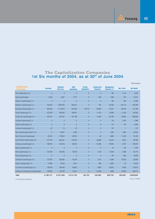

R\$ thousands

#### The Capitalization Companies 1st Six months of 2004, as at  $30<sup>th</sup>$  of June 2004

**Capitalization Companies** Alfa Capitalização S.A. Aplub Capitalização Atlântica Capitalização S.A. Bradesco Capitalização S.A. Brasilcap Capitalização S.A. Caixa Capitalização S.A. Cia Itaú de Capitalização S.A. Creficap Capitalização S.A. Global Capitalização S.A. Horizonte Capitalização S.A. Hsbc Capitalização (Brasil) S.A. Hsbc Financial Capitalização Icatu Hartford Capitalização S.A. Liderança Capitalização S.A. Motrin Capitalização S.A. Real Capitalização S.A. Rural Capitalização S.A. Santander Capitalização S.A. Santos Capitalização S.A. Sul América Capitalização S.A. Unibanco Companhia de Capitalização **Tota** 0 6,324 0 702,445 802,933 223,290 425,618 0  $\,$  0  $\,$ 67 0 82,318 277,618 168,785 0 107,393 0 137,876 17,689 106,790 138,982 3,198,127  $\pmb{0}$ 6,837 0 2,008,792 2,110,973 959,403 991,337 0  $\,$  0  $\,$ 16 54,857 179,653 864,347 324,533 0 265,536 0 309,285 18,342 294,449 319,108 8,707,469  $\pmb{0}$ 2,277 0 546,412 527,692 196,641 341,169 0 0 22 3,264 26,819 218,978 68,350 0 59,678  $\overline{0}$ 44,294 8,314 93,663 74,557 2,212,130 0 0 0  $\pmb{0}$ 68,733 0 0 0  $\Omega$  $\pmb{0}$ 0  $\overline{0}$ 0 0  $\pmb{0}$  $\overline{0}$  $\overline{0}$  $\overline{0}$  $\overline{0}$  $\overline{0}$ 0 68,733 0 602 0 201 58,029 11,414 14,484 0  $\overline{0}$  $\pmb{0}$ 0 62 28,068 34,396  $\pmb{0}$ 7,128 0 2,181 268 6,064 22,486 185,383 708 1,288 182 46,784 22,551 19,988 65,190 143 116 107 1,045 8,069 36,570 64,954 44 11,864 183 6,546 6,892 30,643 4,889 328,755 (113) 233 549 133,116 66,163 17,335 78,826 (143) 127 1 1,084 11,405 9,613 9,272 129 4,589 664 18,250 20 9,818 44,940 405,881 8,258 13,241 13,388 454,399 121,798 143,583 806,028 4,396 6,363 677 20,922 35,742 68,563 240,367 2,794 64,175 14,863 39,030 14,652 178,874 356,517 2,608,629 **Management**<br>Expenses (\*) Expenses (\*) Receipts Net Profit Net Worth **Technical Reserves** Total Liquidation Partial Liquidation **Commercial Expenses** 

(1) Include tax expenses Source: SUSEP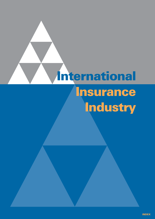# International Insurance **Industry**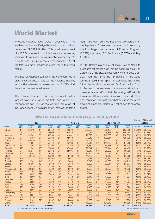

Premium (US\$ million)

# World Market

The world insurance market growth in 2003 was of 11.7% in relation to the year 2002, with a total volume of written premiums of US\$2,941 trillion. This growth was a result of a 15.5 % increase in Non-Life Insurance premiums, whereas Life Insurance premiums only increased by 9%. Nevertheless, Life Insurance still responds for 57% of the total volume of insurance premiums in the world market.

The most developed countries in the world continue to present absolute hegemony over the insurance industry, as the 5 largest national markets respond for 72% of all the written premiums in the world.

The U.S.A. and Japan, in this order, continue to be the largest world insurance markets and jointly are responsible for 52% of the world production of insurance. It should be highlighted, however, that the

North American insurance Industry is 120% larger than the Japanese. These two countries are followed by the four largest economies of Europe: England (8.39%), Germany (5.81%), France (5.57%) and Italy (3.80%).

In 2003, Brazil's total annual volume of Life and Non-Life premiums still ranked as 22<sup>nd</sup> in the world, in spite of the worsening of the Brazilian economy, which in 2003 went down from the 13<sup>th</sup> to the 15<sup>th</sup> position in the world ranking. In 2003, Brazil's premium per capita ratio ranked 55th in the world and premium to GNP ratio ranked 51st. In the Non-Life segment there was a significant movement - from 16<sup>th</sup> to 19th in the ranking. In Brazil, Life Insurance still has a smaller dimension in relation to Non-Life Insurance, differently to what occurs in the more developed markets; therefore, it still shows its potential growth.

#### World Insurance Industry – 2003/2002

|                     |                 |                                       | Life            |                        |                 |                        | Non-Life        |                        |                 |                        | $Life + Non-Life$ |                        |                                    | % Share            |
|---------------------|-----------------|---------------------------------------|-----------------|------------------------|-----------------|------------------------|-----------------|------------------------|-----------------|------------------------|-------------------|------------------------|------------------------------------|--------------------|
| <b>Country</b>      | Ranking<br>2003 | <b>Premium</b><br>2003                | Ranking<br>2002 | <b>Premium</b><br>2002 | Ranking<br>2003 | <b>Premium</b><br>2003 | Ranking<br>2002 | <b>Premium</b><br>2002 | Ranking<br>2003 | <b>Premium</b><br>2003 | Ranking<br>2002   | <b>Premium</b><br>2002 | <b>Individual</b>                  | <b>Accumulated</b> |
| <b>EEUU</b>         | 10              | 480.919                               | $1^{\circ}$     | 480,452                | $1^{\circ}$     | 574,579                | $1^{\circ}$     | 525,533                | $1^{\circ}$     | 1,055,498              | $1^{\circ}$       | 1,005,985              | 35.89%                             | 35.89%             |
| Japão               | $2^{\circ}$     | 381.335                               | $2^{\circ}$     | 353,909                | $2^{\circ}$     | 97,530                 | $2^{\circ}$     | 92,031                 | $2^{\circ}$     | 478.865                | $2^{\circ}$       | 445,940                | 16.28%                             | 52.18%             |
| Inglaterra          | 3 <sup>o</sup>  | 154,842                               | 3 <sup>o</sup>  | 159,758                | $4^\circ$       | 91,891                 | $3^{\circ}$     | 77,076                 | $3^{\circ}$     | 246,733                | 3 <sup>o</sup>    | 236,834                | 8.39%                              | 60.57%             |
| Alemanha            | 5 <sup>o</sup>  | 76,738                                | $5^\circ$       | 60,860                 | $3^{\circ}$     | 94,073                 | $4^\circ$       | 74,916                 | $4^\circ$       | 170,811                | $4^\circ$         | 135,776                | 5.81%                              | 66.38%             |
| França              | $4^\circ$       | 105.436                               | $4^\circ$       | 80,310                 | $5^\circ$       | 58,244                 | 5 <sup>o</sup>  | 44,832                 | $5^\circ$       | 163,680                | $5^{\circ}$       | 125,142                | 5.57%                              | 71.94%             |
| Itália              | $6^\circ$       | 71.694                                | $6^\circ$       | 52,444                 | $6^\circ$       | 40,066                 | $6^\circ$       | 31,616                 | $6^\circ$       | 111.760                | $6^\circ$         | 84,060                 | 3.80%                              | 75.74%             |
| Coréia do Sul       | $7^\circ$       | 41,998                                | $7^\circ$       | 40,190                 | 11 <sup>o</sup> | 17,760                 | 10 <sup>o</sup> | 16,530                 | $7^\circ$       | 59.758                 | $7^\circ$         | 56,720                 | 2.03%                              | 77.77%             |
| Canadá              | $12^{\circ}$    | 22,841                                | 13 <sup>o</sup> | 20,683                 | $7^\circ$       | 36,303                 | $7^\circ$       | 27,747                 | $8^\circ$       | 59,144                 | $8^\circ$         | 48,430                 | 2.01%                              | 79.79%             |
| Holanda             | $9^\circ$       | 25.371                                | 11 <sup>o</sup> | 20,842                 | $9^{\circ}$     | 24,895                 | $9^\circ$       | 18,917                 | 9 <sup>o</sup>  | 50,266                 | 10 <sup>o</sup>   | 39,759                 | 1.71%                              | 81.50%             |
| Espanha             | 16 <sup>o</sup> | 20,042                                | $9^\circ$       | 24,939                 | $8^\circ$       | 26,972                 | $8^{\circ}$     | 20,466                 | 10 <sup>o</sup> | 47,014                 | $9^\circ$         | 45,405                 | 1.60%                              | 83.09%             |
| China               | $8^\circ$       | 32,442                                | $8^\circ$       | 25,202                 | 13 <sup>o</sup> | 14,468                 | 13 <sup>o</sup> | 11,760                 | 11 <sup>o</sup> | 46,910                 | 11 <sup>o</sup>   | 36,962                 | 1.60%                              | 84.69%             |
| Suíça               | 10 <sup>o</sup> | 24.713                                | 10 <sup>o</sup> | 22,303                 | $12^{\circ}$    | 16,047                 | $12^{\circ}$    | 13,238                 | $12^{\circ}$    | 40.760                 | $12^{\circ}$      | 35,541                 | 1.39%                              | 86.08%             |
| Austrália           | 13 <sup>o</sup> | 22,341                                | 14 <sup>o</sup> | 19,971                 | 10 <sup>o</sup> | 18,044                 | 11 <sup>o</sup> | 13,748                 | 13 <sup>o</sup> | 40,385                 | 13 <sup>o</sup>   | 33,719                 | 1.37%                              | 87.45%             |
| Bélgica             | $14^\circ$      | 21.004                                | 16 <sup>o</sup> | 13,878                 | $14^{\circ}$    | 12,810                 | $14^\circ$      | 9,999                  | 14 <sup>o</sup> | 33.814                 | 15 <sup>o</sup>   | 23,877                 | 1.15%                              | 88.60%             |
| Taiwan              | 11 <sup>°</sup> | 23,739                                | $12^{\circ}$    | 20,765                 | $16^{\circ}$    | 8,662                  | 15 <sup>o</sup> | 7,949                  | 15 <sup>o</sup> | 32,401                 | $14^{\circ}$      | 28,714                 | 1.10%                              | 89.70%             |
| Africa do Sul       | 15 <sup>o</sup> | 20.728                                | 15 <sup>o</sup> | 16.592                 | $25^\circ$      | 4.670                  | $26^\circ$      | 2,983                  | 16 <sup>o</sup> | 25,398                 | 16 <sup>o</sup>   | 19,575                 | 0.86%                              | 90.56%             |
| Suécia              | $17^\circ$      | 14,297                                | 18 <sup>o</sup> | 10,947                 | $20^\circ$      | 6,742                  | 21°             | 4,992                  | 17 <sup>o</sup> | 21,039                 | 17 <sup>o</sup>   | 15,939                 | 0.72%                              | 91.28%             |
| Irlanda             | $22^{\circ}$    | 9.037                                 | $22^{\circ}$    | 6.823                  | 18 <sup>o</sup> | 8,291                  | $20^\circ$      | 5,988                  | 18 <sup>o</sup> | 17,328                 | $21^{\circ}$      | 12,811                 | 0.59%                              | 91.87%             |
| <b>India</b>        | 18 <sup>o</sup> | 13,590                                | $17^\circ$      | 11,515                 | $28^\circ$      | 3,712                  | $25^\circ$      | 3,149                  | 19 <sup>o</sup> | 17,302                 | 18 <sup>o</sup>   | 14,664                 | 0.59%                              | 92.46%             |
| Dinamarca           | $20^\circ$      | 10.944                                | $21^{\circ}$    | 8,379                  | $22^{\circ}$    | 5,793                  | $22^{\circ}$    | 4,684                  | $20^\circ$      | 16.737                 | $19^\circ$        | 13,063                 | 0.57%                              | 93.03%             |
| <b>Áustria</b>      | $24^\circ$      | 6,586                                 | $24^\circ$      | 5,378                  | $17^\circ$      | 8,410                  | 18 <sup>o</sup> | 6,589                  | $21^{\circ}$    | 14,996                 | $23^\circ$        | 11,967                 | 0.51%                              | 93.54%             |
| Brasil <sup>*</sup> | $25^\circ$      | 6.306                                 | $26^\circ$      | 4,756                  | 19 <sup>o</sup> | 8,259                  | 16 <sup>o</sup> | 7,865                  | $22^{\circ}$    | 14,565                 | $22^{\circ}$      | 12,621                 | 0.50%                              | 94.03%             |
| Finlândia           | $19^\circ$      | 11,065                                | $19^\circ$      | 9,170                  | $31^\circ$      | 3,058                  | $27^\circ$      | 2,456                  | $23^\circ$      | 14,123                 | $24^{\circ}$      | 11,626                 | 0.48%                              | 94.51%             |
| Rússia              | $29^\circ$      | 4.868                                 | $28^\circ$      | 3,318                  | $15^{\circ}$    | 9,220                  | $19^\circ$      | 6,266                  | $24^\circ$      | 14.088                 | $26^\circ$        | 9,584                  | 0.48%                              | 94.99%             |
| Hong Kong           | 21°             | 10.117                                | $20^\circ$      | 8,400                  | $33^\circ$      | 2,377                  | $28^\circ$      | 2,342                  | $25^\circ$      | 12,494                 | $25^\circ$        | 10,742                 | 0.42%                              | 95.42%             |
| Noruega             | $27^\circ$      | 6.031                                 | $25^\circ$      | 4,901                  | $23^\circ$      | 5,501                  | $23^\circ$      | 4,504                  | $26^\circ$      | 11,532                 | $27^\circ$        | 9,405                  | 0.39%                              | 95.81%             |
| México              | $30^\circ$      | 4.230                                 | $23^\circ$      | 5.995                  | $21^{\circ}$    | 6.690                  | 17 <sup>o</sup> | 6,941                  | $27^\circ$      | 10,920                 | $20^\circ$        | 12,936                 | 0.37%                              | 96.18%             |
| Portugal            | $26^\circ$      | 6,122                                 | $27^\circ$      | 4,207                  | $24^{\circ}$    | 4,688                  | $24^\circ$      | 3,789                  | $28^\circ$      | 10,810                 | $28^\circ$        | 7,996                  | 0.37%                              | 96.55%             |
| Demais              |                 | 43.138                                |                 | 37.174                 |                 | 58,402                 |                 | 49,506                 |                 | 101,540                |                   | 86,680                 | 3.45%                              | 100.00%            |
| <b>Total</b>        |                 | 1,672,514                             |                 | 1,534,061              |                 | 1,268,157              |                 | 1,098,412              |                 | 2,940,671              |                   | 2,632,473              | 100,00%                            |                    |
|                     |                 | Does not include Capitalization data. |                 |                        |                 |                        |                 |                        |                 |                        |                   |                        | Sources: Swiss Re, Sigma nº 3/2004 |                    |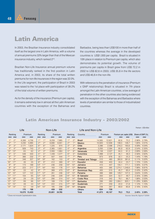

# Latin America

In 2003, the Brazilian Insurance industry consolidated itself as the largest one in Latin America, with a volume of annual premiums 33% larger than that of the Mexican insurance industry, which ranked 2<sup>nd</sup>.

Brazilian Non-Life Insurance annual premium volume has traditionally ranked in the first position in Latin America and, in 2003, its share of the total written premiums for non-life insurances in the region was 32.0%. In the Life segment, the participation of Brazil in 2003 was raised to the 1st place with participation of 39.2% of the total volume of written premiums.

As for the density of the insurance (Premium per capita), it remains extremely low in almost all the Latin American countries with the exception of the Bahamas and

Barbados, being less than US\$100 in more than half of the countries whereas the average in the developed countries is US\$1,000 per capita. Brazil is situated in 10th place in relation to Premium per capita, which also demonstrates its potential growth. The volume of premiums per capita in Brazil grew from US\$ 72,2 in 2002 to US\$ 82,6 in 2003, US\$ 35,8 in the life sectors and US\$ 46,8 in the non-life.

With reference to the penetration of insurance (Premium x GNP relationship) Brazil is situated in 7th place amongst the Latin American countries, a low average of penetration in the other countries also being evidenced with the exception of the Bahamas and Barbados where levels of penetration are similar to those of industrialized countries.

|                 |                 | Life          |         |                 |                 | Non-Life |         |                 |                 | Life and Non-Life          |        |         |         |                           |                  | Premium - US\$ million |
|-----------------|-----------------|---------------|---------|-----------------|-----------------|----------|---------|-----------------|-----------------|----------------------------|--------|---------|---------|---------------------------|------------------|------------------------|
|                 | Ranking         |               | Premium |                 | Ranking         |          | Premium |                 | Ranking         | Country                    |        | Premium |         | Premium per capita (US\$) | Share of GNP (%) |                        |
| 2003            | 2002            | 2003          | 2002    | 2003            | 2002            | 2003     | 2002    | 2003            | 2002            |                            | 2003   | 2002    | 2003    | 2002                      | 2003             | 2002                   |
| 10              | $2^{\circ}$     | 6,306         | 4,756   | 10              | 10              | 8,259    | 7.865   | $1^{\circ}$     | $2^{\circ}$     | <b>Brazil</b>              | 14,565 | 12,621  | 82,6    | 72,2                      | 2.96%            | 2.79%                  |
| $2^{\circ}$     | 1 <sup>0</sup>  | 4,230         | 5,995   | $2^{\circ}$     | $2^{\circ}$     | 6,690    | 6,941   | $2^{\circ}$     | 1 <sup>0</sup>  | <b>Mexico</b>              | 10,920 | 12,936  | 106,5   | 126,7                     | 1.80%            | 2.01%                  |
| $3^\circ$       | $3^\circ$       | 2,171         | 1,624   | $6^\circ$       | $6^\circ$       | 1,225    | 974     | 3 <sup>o</sup>  | $3^\circ$       | Chile                      | 3,396  | 2,598   | 216,3   | 165,6                     | 4.09%            | 4.04%                  |
| $4^\circ$       | $4^\circ$       | 928           | 743     | $3^\circ$       | $4^\circ$       | 2.365    | 1.651   | $4^\circ$       | $4^\circ$       | Argentina                  | 3,293  | 2,394   | 85,9    | 62,9                      | 2.54%            | 2.35%                  |
| 13 <sup>o</sup> | 13 <sup>o</sup> | 65            | 62      | $4^\circ$       | 3 <sup>o</sup>  | 2,093    | 1,964   | $5^\circ$       | $6^\circ$       | Venezuela                  | 2,158  | 2,027   | 84,5    | 81,3                      | 2.89%            | 2.06%                  |
| $5^\circ$       | $5^\circ$       | 548           | 550     | $5^\circ$       | $5^\circ$       | 1,449    | 1,577   | $6^\circ$       | $5^\circ$       | Colombia                   | 1,998  | 2,127   | 45,1    | 48,3                      | 2.56%            | 2.62%                  |
| $6^\circ$       | $7^\circ$       | 366           | 232     | $7^\circ$       | $8^\circ$       | 507      | 444     | $7^\circ$       | $7^\circ$       | Peru                       | 873    | 676     | 32,1    | 25,3                      | 1.44%            | 1.19%                  |
| $7^\circ$       | $6^\circ$       | 348           | 327     | 18 <sup>o</sup> | 18 <sup>o</sup> | 162      | 153     | $8^\circ$       | $9^\circ$       | <b>Trinidad and Tobago</b> | 510    | 480     | 383,9   | 381,6                     | 5.11%            | 5.02%                  |
| 16 <sup>o</sup> | $17^\circ$      | 46            | 35      | $8^\circ$       | $9^\circ$       | 412      | 369     | $9^\circ$       | $11^{\circ}$    | Equador                    | 458    | 403     | 34,4    | 23,7                      | 1.72%            | 1.54%                  |
| $9^\circ$       | $9^\circ$       | 173           | 189     | $13^\circ$      | $11^{\circ}$    | 236      | 258     | 10 <sup>o</sup> | $10^{\circ}$    | Jamaica                    | 410    | 447     | 155,1   | 171,1                     | 5.56%            | 5.57%                  |
| $8^{\circ}$     | $8^\circ$       | 223           | 217     | 17 <sup>°</sup> | $16^\circ$      | 183      | 178     | $11^{\circ}$    | $12^{\circ}$    | <b>Bahamas</b>             | 405    | 395     | ,274,1  | ,248,6<br>$\overline{1}$  | 7.98%            | 8.81%                  |
| $17^\circ$      | $16^\circ$      | 33            | 42      | $9^\circ$       | $7^\circ$       | 368      | 473     | $12^{\circ}$    | $8^\circ$       | Dominican Rep.             | 400    | 515     | 45,7    | 60,4                      | 2.43%            | 2.42%                  |
| 10 <sup>o</sup> | 10 <sup>o</sup> | 127           | 122     | 11 <sup>°</sup> | $12^{\circ}$    | 261      | 246     | 13 <sup>o</sup> | 13 <sup>o</sup> | Panama                     | 388    | 368     | 129,7   | 127,3                     | 3.64%            | 3.34%                  |
| 11 <sup>°</sup> | $11^{\circ}$    | 104           | 95      | $12^{\circ}$    | 13 <sup>o</sup> | 246      | 229     | $14^\circ$      | $15^{\circ}$    | <b>El Salvador</b>         | 350    | 324     | 52,7    | 49,7                      | 2.35%            | 2.28%                  |
| 18 <sup>o</sup> | 18 <sup>o</sup> | 28            | 29      | 10 <sup>o</sup> | 10 <sup>o</sup> | 290      | 314     | $15^\circ$      | $14^\circ$      | <b>Costa Rica</b>          | 318    | 342     | 79,1    | 86,7                      | 1.88%            | 2.03%                  |
| $12^{\circ}$    | $12^{\circ}$    | 99            | 86      | $15^{\circ}$    | 17 <sup>o</sup> | 189      | 174     | $16^\circ$      | $17^\circ$      | <b>Barbados</b>            | 288    | 260     | 1,064,1 | 820,1                     | 11.29%           | 8.86%                  |
| $15^\circ$      | $15^{\circ}$    | 48            | 44      | $14^\circ$      | $14^{\circ}$    | 222      | 215     | $17^\circ$      | $18^\circ$      | Guatemala                  | 271    | 259     | 22,0    | 21,6                      | 1.12%            | 1.15%                  |
| $14^\circ$      | $14^\circ$      | 52            | 59      | $16^\circ$      | $15^\circ$      | 185      | 208     | $18^\circ$      | $16^{\circ}$    | Uruguay                    | 238    | 267     | 69,9    | 80,8                      | 2.16%            | 2.45%                  |
|                 |                 | 175           | 196     |                 |                 | 459      | 532     |                 |                 | <b>Others</b>              | 634    | 728     |         |                           |                  |                        |
|                 |                 | 16,070 15,403 |         |                 |                 | 25,801   | 24,765  |                 |                 | Total                      | 41,873 | 40,167  | 78,3    | 75,5                      | 2.45%            | 2.39%                  |

#### Latin American Insurance Industry - 2003/2002

\* Does not include Capitalization data. Sources: Swiss Re, Sigma nº 3/2004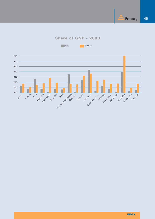



### Share of GNP - 2003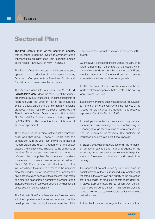# Sectorial Plan

The 2nd Sectorial Plan for the Insurance Industry was launched during the investiture ceremony of the fifth mandate of president João Elisio Ferraz de Campos as the head of FENASEG, on May 11<sup>th</sup> of 2004.

The Plan defines the vectors for institutional action, operation, and production of the insurance industry, Open-end Complementary Pensions Funds and Capitalization business over the next years.

The Plan is divided into four parts. The  $1<sup>st</sup>$  part –  $A$ *Retrospective View - does the mapping of the various* programs previously published. The principal points of reference were the Director Plan of the Insurance System, Capitalization and Complementary Pensions produced in the Ministries of the Economy, Finance and Planning of the Federal Government in 1992, and the First Sectorial Plan for the Insurance Industry prepared by FENASEG in 1994, under the first administration of the current president.

The analysis of the diverse institutional documents produced throughout these 12 years and the comparison with the 2nd Plan shows the phases of modernization and growth through which the sector passed and the advances in relation to the demands of the time. Recurring problems are also observed as referent to the monopolies of reinsurance and workers compensation insurance, themes present since the 1<sup>st</sup> Plan in 94. Preoccupation with the timidity of the insurance base, the retracted demand in the industrial area, the need for better understanding by society, the opinion formers and especially the consumer was noted and also the exaggerated normative presence of the State. For old problems, modern solutions. And for current difficulties, immediate solutions.

The 2nd part of the Plan – *Potentials for Growth -* deals with the importance of the insurance industry for the development of the country, for social protection of the citizens and the productive sector and the potential for growth.

Quantitatively translating, the insurance industry, in its large numbers the Plan shows that the sector, which currently responds for more than 3.4% of the GNP and employs more than 210 thousand persons, presents extremely favorable conditions for its growth.

In 2003, the sum of the technical reserves and the net worth of all the companies that operate in the country went beyond 95 billion.

Separately, the volume of technical reserves is equivalent to more than 6% of the GNP. And if the reserves of the Closed Pension Funds are added, these reserves represent 20% of the Brazilian GNP.

In developed countries the insurance industry plays an important role in channeling resources for financing the economy through the formation of long term savings and the investment of reserves. This qualifies the insurance industry as an institutional investor.

In Brazil, they are also strategic sectors in the formation of domestic savings and financing agents of the economy, since there are the only segments that put an amount of reserves of this size at the disposal of the country.

One aspect still not well known by public opinion is the social function of the insurance industry which is well reflected in the extension and quality of the protection that is assured to the productive agents and the families: in 2003, approximately R\$ 20 billion was paid in indemnities to insured parties. This amount represents close on 70% of the total volume of premiums collected by the Insurers.

In the Health Insurance segment alone, more than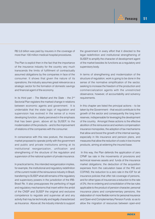

R\$ 5,6 billion was paid by insurers in the coverage of more than 100 million medical-hospital procedures.

The Plan is explicit then in the fact that the importance of the insurance industry for the country very much transcends the limits of fulfillment of contractually assumed obligations by the companies in face of the consumer. It shows that given the nature of its operations, the industry assumes great relevance as a strategic sector for the formation of domestic savings and financial agent of the economy.

In its third part *– The Market and the State –* the 2nd Sectorial Plan registers the marked change in relations between economic agents and government. It is undeniable that the state logic of regulation and supervision has evolved in the sense of a more developing function, clearly perceived in the emphasis that has been given, above all by SUSEP, to the modernization of the products – and to the improvement of relations of the companies with the consumer.

In consonance with this new posture, the insurance market proposed to operate jointly with the government and public and private institutions aiming at its institutional reorganization, unification and strengthening of the structure of the regulation and supervision of the national system of private insurance.

In practical terms, this intended reorganization implies, for example, the institutional and regulatory redefinition of the current model of the reinsurance industry in Brazil, transferring to SUSEP what still remains of the regulatory and supervisory powers in the jurisdiction of the IRB-Brasil Re. It also presupposes the perfecting of legal and regulatory mechanisms that insert within the ambit of the CNSP and SUSEP the original and exclusive competence to regulate and supervise all and any activity that may be technically and legally characterized as Insurance. Above all, the industry intends to support

the government in every effort that it directed to the legal redefinition and institutional strengthening of SUSEP, to amplify the character of development agent of the market besides its functions as a regulatory and supervisory body.

In terms of strengthening and modernization of the structure of regulation, work is going to be done in the sense of the normative simplification of the sector, seeking to increase the freedom of the production and commercialization agents with the unrestricted observance, however, of accountability and solvency requirements.

In this chapter are listed the principal actions – to be taken by the Government – that would contribute to the growth of the sector and consequently the long term reserves, indispensable for leveraging the development of the country. Amongst these actions is the effective abolition of the reinsurance and workers compensation insurance monopolies, the adoption of tax mechanisms that allow and boost the growth of the internal savings, especially in life insurance and pension plans, and measures that allow the reduction of costs in low income products, aiming at widening the insured base.

 In this way, the Plan defends the application of zero CPMF tax rate in the movements of provisions and technical reserves assets and funds of the insurance market obligations; the deduction of the acquisition expenses from the calculation base of the PIS and COFINS; the reduction to a zero rate in the IOF for all insurance policies that offer risk coverage of persons, and for other types of insurances a reduction to the rate of 2%; the re-ordering and consolidation of the tax rules applicable to the product of pension character, personal insurance plans and complementary pensions, the elaboration of more flexible norms for personal insurance and Open-end Complementary Pension Funds so as to allow the migration of resources between open-end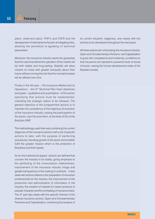plans, close-end plans, FAPI's and FGTS and the development of mechanisms that aim at mitigating risks, allowing the periodical re-agreeing of technical parameters.

Moreover, the insurance industry wants the guarantee that the rules that define the operation of the market will be both stable and long-lasting. Stability will allow citizens to invest with greater tranquility about their future without running the risk that the normative bases will be altered over time.

Finally in the 4th part – *The Insurance Market and its Operations* – the 2nd Sectorial Plan fixed objectives and goals – qualitative and quantitative - of the sector, specifying that actions must be implemented, indicating the strategic option to be followed. The general objective of the programmed actions is to maintain the consistency of the trajectory of evolution of the insurance industry, raising the participation of the sector, over the short term, to the level of 5% of the Brazilian GNP.

The methodology used here was combining the current diagnosis of the insurance sectors with a list of specific actions to take, with the purpose of perfecting procedures, boosting growth of the sector and to better fulfill the greater mission which is the protection of Brazilians and their assets.

As for the institutional aspect, actions are defined that concern the industry in its totality, giving emphasis to the perfecting of the consumption relationships, improvement of the insurance industry image and greater transparency in the making of contracts. It also deals with actions relative to the preparation of insurance professionals for the industry, the improvement of the production and administration of information in the industry, the creation of markets for newer products of popular character and the combating of insurance fraud. The 4<sup>th</sup> part also deals with the specific themes of the diverse insurance sectors, Open-end Complementary Pensions and Capitalization, combining the analysis of

its current situation, diagnosis, and needs with the actions to be developed throughout the next years.

All these actions aim at boosting the insurance industry, Open-end Complementary Pensions and Capitalization to grow with competence and modernity, conditions so that insurance can represent a powerful lever of social inclusion, raising the human development index of the Brazilian society.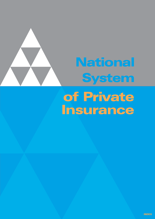# **National System**

# of Private Insurance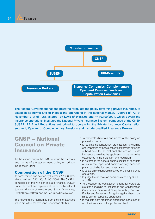



The Federal Government has the power to formulate the policy governing private insurance, to establish its norms and to inspect the operations in the national market. Decree n<sup>o</sup> 73, of November 21st of 1966, altered by Laws nº 9.656/98 and nº 10.190/2001, which govern the insurance operations, instituted the National Private Insurance System, composed of the CNSP, SUSEP, IRB-Brasil Re, entities authorized to operate in the Private Insurance Capitalization segment, Open-end Complementary Pensions and include qualified Insurance Brokers.

# CNSP – National Council on Private Insurance

It is the responsibility of the CNSP, to set-up the directives and norms of the government policy on private insurance in Brazil.

#### Composition of the CNSP

Its composition was defined by Decree nº 73/66, later altered by Law nº 10.190, of 14/02/2001. The CNSP is composed of the Minister of State Finance, SUSEP Superintendent and representatives of the Ministry of Justice, Ministry of Welfare and Social Assistance, Central Bank of Brazil and the Securities Commission.

The following are highlighted from the list of activities which are within the exclusive jurisdiction of CNSP:

- To elaborate directives and norms of the policy on private insurance.
- To regulate the constitution, organization, functioning and inspection of those entities that exercise activities subordinate to the National System of Private Insurance as well as the application of the penalties established in the legislation and regulation.
- To determine the general characteristics of contracts of insurance; open-end complementary pensions plans; capitalization; and reinsurance.
- To establish the general directives for the reinsurance operations.
- To judge the appeals on decisions made by SUSEP and IRB.
- To prescribe the constitution criteria for corporate statutes pertaining to Insurance and Capitalization Companies, Open-end Complementary Pension Entities and ReInsurers, fixing the legal and technical limits of their respective operations.
- To regulate both brokerage operations in the market and the insurance broker profession itself.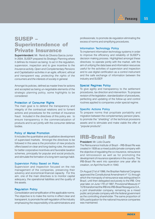

# SUSEP – Superintendence of Private Insurance

Superintendent: Mr. Renê de Oliveira Garcia Junior In 2004, SUSEP prepared its Strategic Planning where it defines its mission as being: to act in the regulation, supervision, inspection and to give incentive to the *Insurance activity, Open-end Complementary Pensions and Capitalization activities in an agile, efficient, ethical and transparent way, protecting the rights of the consumers and the interests of society in general.*

Amongst its policies, defined as master lines for actions and accepted as being un-negotiable elements of the strategic planning policy, some highlights to be considered:

#### Protection of Consumer Rights

The main goal is to defend the transparency and integrity of the contractual relations and to foment actions and procedures for the combat of insurance fraud. Included in the directives of this policy are: to ensure transparency in the commercialization of products and to act jointly with the consumer defense bodies.

#### Policy of Market Promotion

It includes the quantitative and qualitative development of supervised markets. Amongst the directives to be followed in this area is the promotion of new products offers based on clear and long-lasting rules, the search for better corporative incentives and favorable taxation schemes, principally for popular and social products, and stimulate the formation of a long-term savings habit.

#### Supervision Policy Based on Risks

Supervision and inspection focused on the risk management of the companies, preserving their solvency and economical-financial capacity. For this aim, one of the main directives is to monitor capital adequacy, the operational liabilities and the quality of the assets.

#### Regulation Policy

Consolidation and simplification of the applicable norms. The objective is to make the norms in effect clear and transparent, to promote the self-regulation of the industry emphasizing the responsibility of its administrators and

professionals; to promote de-regulation eliminating the excess of norms and simplifying procedures.

#### Information Technology Policy

To implement information technology systems in order to improve the efficiency and reliability of SUSEP's decision making process. Highlighted amongst these directives: to operate jointly with the market, with the aim of unifying the data base and information resources useful for the activities of supervision and inspection and to use digital certification as a control instrument and the safe exchange of information between the industry and SUSEP.

#### Special Regimes Policy

To give agility and transparency to the settlement procedures, tax direction and intervention. To propose revision of the legislation, standardization of procedures, perfecting and updating of the follow-up and control routines applied to companies under special regime.

#### Specific Actions Policy

To prepare norms that propitiate portability and migration between the complementary pension plans, to promote the "shielding" of the technical provisions assets and to stimulate and make viable the offer of "popular products".

# IRB-Brasil Re

President: Mr. Lidio Duarte

The Reinsurance Institute of Brazil – IRB-Brasil Re was created in 1939 as a mixed public/private company with the objective of regulating the co-insurance, reinsurance and retrocession as well as for promoting the development of insurance operations in the country. The IRB-Brasil Re went into operation one year after its creation, on April the fourth in 1940.

On August 21st of 1996, the Brazilian National Congress approved the Constitutional Amendment nº 13, through which the monopoly of reinsurance was extinguished in Brazil, until then delegated exclusively to the IRB. One year later, on June 17th of 1997, Provisional Measure nº 1578 transformed the IRB into IRB-Brasil Resseguros S.A., a joint shareholder company, remaining as a mixed public and private company with the federal government as the controlling shareholder. The same proportion of 50% participation for the national Insurance companies was maintained.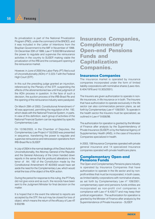

Its privatization is part of the National Privatization Program (PND), under the command of the BNDES, and it was included in the Letter of Intentions from the Brazilian Government to the IMF in November of 1998. On December 20th of 1999, Law nº 9.932/99 transferred the power to regulate and supervise the reinsurance activities in the country to SUSEP, making viable the privatization of the IRB and the consequent opening of the reinsurance market.

However, in June of 2000 the Labor Party (PT) filed a suit of Unconstitutionality (ADIn) nº 2.223-7 with the Federal High Court (STF).

In this suit the presiding judge granted an injunction, referenced by the Plenary of the STF, suspending the effects of the aforementioned law until final judgment of the ADIn process in question. In the face of such a decision, the auction process of the IRB-Brasil Re and the opening of the reinsurance industry were paralyzed.

On March 29th of 2003, Constitutional Amendment nº 40 was approved, permitting the regulation of Art. 192, which deals with the National Financial System, in parts. In view of this definition, each group of activities of the National Financial System can be regulated by specific Complementary Law.

On 12/06/2003, in the Chamber of Deputies, the Complementary Law Project nº 55/2003 was presented in sequence, transferring the power to regulate and supervise reinsurance and retrocession operations from IRB-Brasil Re to SUSEP.

In July of 2004 in the normal dealings of the Direct Action of Unconstitutionality, the Attorney General of the Republic and the General Advocacy of the Union handed down reports in the sense that the profound alterations in the tenor of Art. 192 of the Constitution made by the Constitutional Amendment  $n^{\Omega}$  40/2003 would have set aside the need for the Complementary Law, which would entail the loss of the object of the ADIn action.

During the period for response to this ruling, the PT Party did not give voice and as such, the records have been sent to the Judgment Minister for final decision on the matter.

It is hoped that in the event the referred to reports are accepted by the STF, the suit may be closed for loss of object, which means the return of the efficacy of Law  $n^{\Omega}$ 9.932/99.

# Insurance Companies, **Complementary** Open-end Pensions Funds and Capitalization Companies.

#### Insurance Companies

The insurance market is operated by insurance companies incorporated under the form of limited liability corporations with nominative shares (Laws nbrs. 6.404/1976 and 10.303/2001).

The Insurers are given authorization to operate in nonlife insurances, in life insurance or in both. The Insurers that have authorization to operate exclusively in the life sector can also commercialize pension plans, as set forth by Complementary Law nº 109/2001. To operate in the health sector the Insurers must be specialized, as outlined in Law nº 9.656/98.

The authorization for operation is granted by the Minister of Finance after analysis by the Superintendency of Private Insurance (SUSEP) or by the National Agency of Supplementary Health (ANS), in the case of Insurance Companies specialized in health.

In 2003, 108 Insurance Companies operated with private general insurance and 14 specialized Insurance companies operated with private healthcare plans.

#### Complementary Open-end Pensions Funds

The Open-end Complementary Pensions plans industry is operated by Insurance Companies that have authorization to operate in the life sector and by nonprofit entities that must be incorporated, in both cases, as limited liability corporations with nominative shares, as set forth by Complementary Law nº 109/2001, complementary open-end pensions funds entities are incorporated as non-profit civil companies in compliance with Law  $n^{\circ}$  6.435/77 and may keep their juridical organization. The authorization for operation is granted by the Minister of Finance after analysis by the Superintendence of Private Insurance – SUSEP.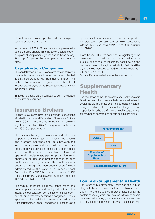

The authorization covers operations with pension plans, savings and/or income plans.

In the year of 2003, 39 insurance companies with authorization to operate in the life sector operated openend plans of complementary pensions. In the same way, 29 non-profit open-end entities operated with pension plans.

#### Capitalization Companies

The capitalization industry is operated by capitalization companies incorporated under the form of limited liability corporations with nominative shares. The authorization for operation is granted by the Minister of Finance after analysis by the Superintendence of Private Insurance (Susep).

In 2003, 15 capitalization companies commercialized capitalization securities.

# Insurance Brokers

The brokers are organized into state trade Associations affiliated to the National Federation of Insurance Brokers (FENACOR). There are currently 67,091 brokers registered as active, 43,575 being individual brokers and 23,516 corporate bodies.

The insurance broker, as a professional individual or a corporate body, is the intermediary authorized to solicit and promote insurance contracts between the Insurance companies and the individuals or corporate bodies of private law, being qualified to intermediate life and non-life insurances, capitalization plans, and open-end complementary pension plans. License to operate as an insurance broker depends on prior qualification and registration. This qualification is obtained through the Insurance Brokers´ Exam administered by the National Insurance School Foundation (FUNENSEG), in accordance with CNSP Resolution nº 45/2000 and SUSEP Circulars numbers 127, 140 and 146, all of 2000.

The registry of the life insurance, capitalization and pension plans broker is done by indication of the insurance, capitalization companies or entities openend of complementary pensions amongst candidates approved in the qualification exam promoted by the National Insurance School Foundation (Funenseg), or in

specific evaluation exams by discipline applied to participants of qualification courses held in consonance with the CNSP Resolution nº 62/2001 and SUSEP Circular nº 177/2001.

From the year 2002, the periodical re-registering of the brokers was instituted, being applied to the insurance brokers and to the life insurance, capitalization and pensions plans brokers, the periodicity of which will be 3 years and is regulated by SUSEP Circulars nbrs. 202, 207 and 222, all of 2002.

Source: Fenacor web site: www.fenacor.com.br.

# Supplementary Health

The regulation of the Complementary Health sector in Brazil demands that Insurers that operate in the health sector transform themselves into specialized Insurers, being subordinated to a new structure of regulation and inspection linked to the Ministry of Health, together with other types of operators of private health care plans.



#### Forum on Supplementary Health

The Forum on Supplementary Health was held in three stages, between the months June and November of 2003. The event gathered representatives of all the sectors of society which are involved in the relationship between the industry, government and academic area to discuss themes pertinent to private health care with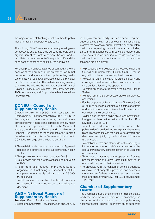the objective of establishing a national health policy that embraces the supplementary sector.

The holding of the Forum aimed at jointly seeking new perspectives and strategies to surpass the logic of the organization of the system as from the offer and to propitiate the improvement of the quality of life and the conditions of attention to health of the population.

Fenaseg prepared a work aimed at contributing to the debates of the Forum on Supplementary Health that presented the diagnosis of the supplementary health system, as well as showing solutions for the principal problems of the sector. The material was segmented, containing the following themes: Actuarial and Financial Balance; Policy of Adjustments, Regulatory Aspects, ANS Competence, and Proposal of Alterations in Law nbr. 9.656/98.

#### CONSU – Council on Supplementary Health

Created by Law nbr 9.656/98, and later altered by Decree nbrs 4.044 of December 6th of 2001, CONSU is the collegiate body member of the regimental structure of the Ministry of Health, being composed of the Minister of Justice – who presides over it – by the Minister of Health, the Minister of Finance and the Minister of Planning, Budgeting and Management, apart from the President of ANS who is the Secretary of the Council. CONSU is in charge of the following activities:

- 1. To establish and supervise the execution of general policies and directives of the supplementary health sector.
- 2. To approve the management contract of ANS.
- 3. To supervise and monitor the actions and operation of ANS.
- 4. To fix general directives for the constitution, organization, functioning and inspection of the companies operators of products that Law nº 9.656/ 98 deals with.
- 5. To deliberate on the creation of technical chambers of consultative character, so as to subsidize the decisions.

#### ANS – National Agency of Supplementary Health

President: Fausto Pereira dos Santos

Created by Law nbr 9.961, of January 28th of 2000, ANS

is a government body, under special regime, subordinate to the Ministry of Health. Its mission is to promote the defense of public interest in supplementary healthcare, regulating the sector operators including as to their relationships with service providers and consumers, thus contributing to the development of health actions in the country. Amongst its duties the following are highlighted:

- To propose general policies and directives to National Council on Supplementary Health (CONSU) for the regulation of the supplementary health sector.
- To establish parameters and indicators of quality and coverage in health care for their own services and of third parties offered by the operators.
- To establish norms for repaying the General Health System.
- To make norms for the concepts of preexistent sickness and lesions.
- For the purposes of the application of Law nbr. 9.656 of 1998, to define the segmentation of the operators and administrators of private healthcare plans, considering their peculiarities.
- To decide on the establishing of sub-segmentation of the types of plans defined in items I to IV of art. 12 of Law nbr. 9.656 of 1998.
- To authorize adjustments and revisions of the policyholders' contributions to the private healthcare plans in accordance with the general parameters and directives fixed jointly by the Ministries of Finances and of Health.
- To establish norms and standards for the sending of information of economical-financial nature by the operators with a view to the ratification of adjustments and revisions.
- To inspect the activities of the operators of private healthcare plans and to zeal for the fulfillment of the norms with respect to their operation.
- To articulate with the consumer defense agencies aiming at the efficacy of the protection and defense of the consumer of private healthcare services, observing the provisions set forth in Law - nbr. 8.078, of September 11th of 1990.

#### Chamber of Supplementary Health

The Chamber of Supplementary Health is a consultative body that has the main objective of promoting the discussion of themes relevant to the supplementary healthcare sector in Brazil, apart from giving support to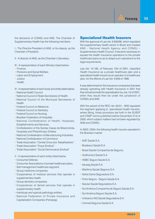

the decisions of CONSU and ANS. The Chamber of Supplementary Health has the following members:

I - The Director-President of ANS, or his deputy, as the Chamber's President;

II - A director of ANS, as the Chamber's Secretary;

- III A representative of each Ministry listed below:
- Finance.
- Pensions and Social Welfare.
- Labor and Employment.
- Justice
- Health.

IV - A representative of each body and entity listed below:

- •National Health Council.
- •National Council of State Secretaries of Health.
- •National Council of the Municipal Secretaries of Health.
- •Federal Council on Medicine.
- •Federal Council on Dentistry.
- •Federal Council on Nursing.
- •Brazilian Federation of Hospitals.
- •National Confederation of Health, Hospitals, Establishments and Services.
- •Confederation of the Santas Casas de Misericórdia, Hospitals and Philanthropic Entities.
- •National Confederation of Manufacturing Industries.
- •National Confederation of Commerce.
- •Trade Association "*Central Única dos Trabalhadores*".
- •Trade Association "*Força Sindical*".
- •Trade Association "*Social Democracia Sindical*"

V - A representative of each entity listed below:

- •Consumer Defense.
- •Consumer Associations of private healthcare plans.
- •Self management healthcare segment.
- •Group medicine companies.
- •Cooperatives of medical services that operate in supplementary health.
- •Group dentistry companies.
- •Cooperatives of dental services that operate in supplementary health.
- •Handicap and special pathology entities.
- •National Federation of Private Insurance and Capitalization Companies (Fenaseg).

#### Specialized Health Insurers

With the approval of Law nbr. 9.656/98, which regulated the supplementary health sector in Brazil and created ANS – National Health Agency and CONSU – Supplementary Health Council, it became necessary to equate the health insurance operations to the private healthcare plans so as to adapt such operations to the legal requirements.

Law nbr. 10.185, of February 12th of 2001, classified Health Insurance as a private healthcare plan and a specialized health insurer as an operator of a healthcare plan, for the effects of Law nbr. 9.656 of 1998.

It was determined for the Insurance companies that were already operating with Health Insurance in 2001 that they should provide the specialization by July 1st of 2001, when they would then be under the jurisdiction of CONSU and ANS.

With the advent of the RDC nbr. 65/01, ANS regulated this segment applying to specialized health insurers, where fitting, those provisions set forth in the SUSEP and CNSP norms published before December 21st of 2000, which subject matters had not been regulated by ANS and CONSU.

In 2003 / 2004, the following health insurers operated in the Brazilian market:

- AGF Saúde S.A.
- Bradesco Saúde S.A.
- Brasil Saúde Companhia de Seguros
- Gralha Azul Saúde S.A.
- HSBC Seguro Saúde S.A.
- Itauseg Saúde S.A.
- Marítima Saúde Seguros S.A.
- Notre Dame Seguradora S.A.
- Porto Seguro Seguro Saúde S.A.
- Salutar Saúde Seguradora S.A.
- Sul América Companhia de Seguro Saúde S.A.
- Sul América Seguro Saúde S.A.
- Unibanco AIG Saúde Seguradora S.A.
- Unimed Seguros Saúde S.A.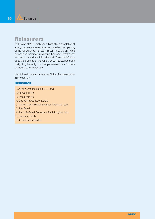

# Reinsurers

At the start of 2001, eighteen offices of representation of foreign reinsurers were set-up and awaited the opening of the reinsurance market in Brazil. In 2004, only nine companies remained, restricting their local investments and technical and administrative staff. The non-definition as to the opening of the reinsurance market has been weighing heavily on the permanence of these companies in the country.

List of the reinsurers that keep an Office of representation in the country:

#### Reinsures

- 1. Allianz América Latina S.C. Ltda.
- 2. Converium Re
- 3. Employers Re
- 4. Mapfre Re Assessoria Ltda.
- 5. Munchener do Brasil Serviços Técnicos Ltda.
- 6. Scor Brasil
- 7. Swiss Re Brasil Serviços e Participações Ltda.
- 8. Transatlantic Re
- 9. Xl Latin American Re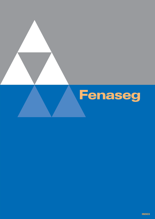

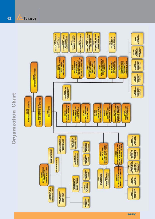**Organization Chart** Organization Chart



64 **Fenaseg**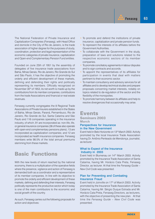**Fenaseg** 63

The National Federation of Private Insurance and Capitalization Companies (Fenaseg), with Head Office and domicile in the City of Rio de Janeiro, is the trade association of higher degree for the purposes of study, coordination, protection and legal representation of the economic categories of private insurance, capitalization and Open-end Complementary Pension Fund entities.

Founded on June 25th of 1951 by the assembly of delegates of five insurance trade associations from Bahia, Minas Gerais, Rio de Janeiro, Rio Grande do Sul and São Paulo, it has the objective of promoting the orderly and efficient development of these markets, defining and defending their rights and politically representing its members. Officially recognized on November 30<sup>th</sup> of 1953, its net worth is made up by the contributions from its member companies, contributions from the trade Associations and financial or real estate revenues.

Fenaseg currently congregates the 8 Regional Trade Associations of Private Insurers established in the States of Bahia, Minas Gerais, Paraná, Pernambuco, Rio de Janeiro, Rio Grande do Sul, Santa Catarina and São Paulo and 116 companies operating in the insurance industry, of which, 91 are incorporated as non-life, life, or general insurance companies (36 of these also operate with open-end complementary pensions plans); 13 are incorporated as capitalization companies; and 12 are incorporated as health insurance companies. Fenaseg members write 98.5% of the total annual premiums stemming from these markets.

# Basic Functions

With the new levels of return reached by the national economy, there is a multiplication of the operative fields where the presence, vigilance and action of Fenaseg is demanded both as a coordinator and a representative of its member companies. In line with its objective to promote the orderly and efficient development of these markets, defining and defending their interests, Fenaseg politically represents the productive sector which today is one of the main contributors to the economic and social growth of the country.

As such, Fenaseg carries out the following proposals for action and objectives:

- To promote and defend the institutions of private insurance, capitalization and private pension funds.
- To represent the interests of its affiliates before the Government Authorities.
- To collaborate with the Government in the study, preparation of laws and solutions related to the respective economic sectors of its member companies.
- To promote conciliatory agreements in labour disputes and to sign contracts and accords.
- To appoint the representatives of its affiliates for participation in events that deal with matters pertinent to their economic sector.
- To maintain consultancy and advisory services for all affiliates and to develop technical studies and prepare proposals concerning market interests, notably on topics related to de-regulation of the sector and the flexibility of the monopolies.
- To promote harmony between its affiliates and help to resolve divergences that occasionally may arise.

## Events

Seminars 2003 March Perspectives for Insurance in the New Government

Event held in Belo Horizonte on 13<sup>th</sup> March 2003. Activity promoted by the local Insurance Trade Association having Dr. Antônio Penteado de Mendonça, journalist, as lecturer.

#### What to Expect of the Insurance Industry in 2003

Event held in Blumenau on 14Th March 2003. Activity promoted by the Insurance Trade Association of Santa Catarina, having Mr. Horácio Cata Preta, Fenaseg Director, as lecturer. At that time the *Fenaseg Guide – New Civil Code* was presented.

#### Plan for Preventing and Combating Insurance Fraud

Event held in Joinville on 17<sup>th</sup> of March 2003. Activity promoted by the Insurance Trade Association of Santa Catarina, having Mr. Sérgio Duque Estrada and Mr. Horácio Cata Preta, Fenaseg Directors, as lecturers, with the objective of presenting the new plan. At that time the *Fenaseg Guide – New Civil Code* was presented.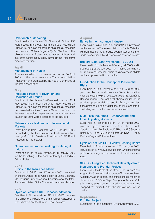

#### Relationship Marketing

Event held in the State of Rio Grande do Sul, on 25<sup>th</sup> March 2003, in the local Insurance Trade Association Auditorium, being an integral part of a series of meetings denominated "*Cultural Project – Cycle of Lectures*". The objective of this Project was to assist affiliates and interested parties in day to day themes in their respective areas of operation.

#### April

#### Management in Health

A presentation held in the State of Paraná, on 1<sup>st</sup> of April 2003, in the local Insurance Trade Association Auditorium and promoted by the Health Committee of the Trade Association.

#### **May**

#### Integrated Plan for Prevention and Reduction of Frauds

Event held in the State of Rio Grande do Sul, on 15<sup>th</sup> of May 2003, in the local Insurance Trade Association Auditorium, being an integral part of a series of meetings denominated "*Cultural Project – Cycle of Lectures*". In this event the actions to prevent and combat insurance fraud in the State were presented to the Insurers.

#### Reinsurance - National and International **Markets**

Event held in Belo Horizonte, on 15<sup>th</sup> of May 2003, promoted by the local Insurance Trade Association, having Mr. Lídio Duarte – President of IRB Brasil Resseguros – as lecturer.

#### Guarantee Insurance: seeking for its legal nature

Event held in the State of Paraná, on 28<sup>th</sup> of May 2003, for the launching of the book written by Dr. Gladimir Adriani Poletto.

#### June

#### Ethics in the Insurance Market

Event held in Criciúma on 10<sup>th</sup> of June 2003, promoted by the Insurance Trade Association of Santa Catarina. Mr. Henrique Furtado Arruda, Coordinator of the Inter-Trade Association Ethics Commission came as lecturer.

#### July

#### Cycle of Lectures RH – Tobacco addiction

Event held in Rio de Janeiro on 29<sup>th</sup> of July 2003. Lectures held on a monthly basis for the internal FENASEG public – an initiative from the Human Resources area.

#### August Ethics in the Insurance Industry

Event held in Joinville on 5<sup>th</sup> of August 2003, promoted by the Insurance Trade Association of Santa Catarina. Mr. Henrique Furtado Arruda, Coordinator of the Inter-Trade Association Ethics Commission came as lecturer.

#### Brokers Data Bank Workshop - BDCOR

Event held in Rio de Janeiro (6<sup>th</sup> of August 2003) and in São Paulo (12<sup>th</sup> August 2003), an initiative of the Board of Projects and Services, where this new service of data bank was presented to the market.

#### Introduction to the Concept of Preferential Risks

Event held in Belo Horizonte on 12<sup>th</sup> of August 2003, promoted by the local Insurance Trade Association, having the lecture given by executives of Transamérica Resseguradora. The technical characteristics of the product, preferential classes in Brazil, examples, considerations in the evaluations of risks, aspects of marketing and conclusions were discussed.

#### Multi-risks Insurance – Underwriting and Loss Adjusting Aspects

Event held in Florianópolis on 19<sup>th</sup> of August 2003, promoted by the Insurance Trade Association of Santa Catarina, having Mr. Paulo Wolff Filho – HSBC Seguros Brasil S.A. – and Mr. José Vicente da Silva – Liberty Paulista Seguros S.A as lecturers.

#### Cycle of Lectures RH – Healthy Feeding Habits

Event held in Rio de Janeiro on 26<sup>th</sup> of August 2003; lecture given by Mrs. Sueli Couto of INCA to the internal public of Fenaseg, an initiative of the Human Resources Area.

#### SISEG – Integrated Technical Data System of Insurance and Frontier Project

Event held in the State of Rio Grande do Sul on 29<sup>th</sup> of August 2003, in the local Insurance Trade Association Auditorium, as an integral part of the series of meetings denominated "*Cultural Project – Cycle of Lectures*". In this event, participants shared expectations and mapped the difficulties for the improvement of the market.

#### September

#### Frontier Project

Event held in Rio de Janeiro (2<sup>nd</sup> of September 2003)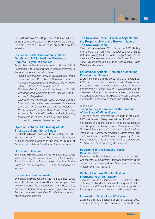

and in São Paulo (9<sup>th</sup> of September 2003); an initiative of the Board of Projects and Services where the new Sinivem/Fenaseg Project was presented to the industry.

#### Insurance Trade Association of Minas Gerais and IMES - Instituto Mineiro de Seguros – Cycle of Lectures

Project held in Belo Horizonte on 4th, 11th and 25<sup>th</sup> of September 2003, covering various themes of interest to the local insurance market such as:

- *Aspects of the Current Policy on Insurance and Private Pensions Funds* - Prof. Cláudio Contador - lecturer;
- *Transport Insurance under the Optic of the New Civil Code* - Dr. Landulfo de Oliveira Júnior;
- *The New Civil Code and its implications for Life Insurance and Complementary Pension Plans* lecturer Dr. Sérgio Mello.;
- *Changes in the Health Care Plans* Dr. Valdir Câmara
- *Treatment of the business partnership under the new Civil Code* - Dr. Cleber Batista de Souza, lecturer;
- *The National Insurance Market and Automobile Insurance* - Dr. Maurício Tadeu Barros Morais, lecturer;
- *The Insurance Contract and the New Civil Code* Dr. Joaquim Celestino Pereira, lecturer.

#### Cycle of Lectures RH – Quality of Life - Stress as a Generator of Illness

Event held in Rio de Janeiro on 10<sup>th</sup> of September 2003; lecture given by Dr. Marcos Brazão of the Guanabara Nuclear Medicine Center to the internal public of Fenaseg, an initiative of the Human Resources Area.

#### Consumer Defense

Event held in Rio de Janeiro on 12<sup>th</sup> of September 2003, in the Funenseg Auditorium; promoted by the Insurance Trade Association of Rio de Janeiro, had Mrs. Nadja Sampaio, the journalist of O Globo newspaper, as lecturer.

#### Insurance – Fundamentals

Event held in Rio de Janeiro on 22<sup>nd</sup> of September 2003, in the Helio Alonso Faculty Auditorium. Activity promoted by the Insurance Trade Association of Rio de Janeiro, the lecture being about insurance, given by Janes Rocha, journalist of Jornal Valor Econômico, to students of social communication.

#### The New Civil Code – Polemic Aspects and the Responsibility of the Broker in face of The New Civil Code

Event held in Joinville on 23rd of September 2003. Activity promoted by the Insurance Trade Association of Santa Catarina, having Mr. Lodi Sodré – Legal Adviser of the Insurance Trade Association – and Mr. Edson Passold – Legal Adviser of the Brokers Trade Association of Santa Catarina as lecturers.

#### Educational Aspects: Helping or Upsetting Professional Careers

Event held in Rio Grande do Sul on 30<sup>th</sup> of September 2003, in the local Insurance Trade Association Auditorium, being an integral part of a series of meetings denominated "*Cultural Project – Cycle of Lectures*". In this event factors such as pressure, stress, violence and personal and professional expectations were discussed as variables in personal relations and quality of life.

#### **October**

#### Technical Legal Seminar for the Procons of the State of Minas Gerais

Event held in Belo Horizonte on 13th and 14<sup>th</sup> of October 2003. In this event, 80 representatives of the Procons of the capital and interior cities of the State participated and the principal lectures were: "*Insurance and its Technical Fundamentals*", given by Mr. José Américo Peón de Sá; "*Automobile lnsurance*", given by Mr. Julio de Souza Avellar; "*Health Insurance*", given by Mr. João Alceu Amoroso Lima and "*The Insurance Contract and the New Civil Code*", given by Dr. Sérgio Mello.

#### Publishing of the Fenaseg Social Balance Sheet

Event held in Rio de Janeiro on 14<sup>th</sup> of October 2003, with the lecture "*Corporate Social Responsibility*" given by Frei Beto – Theologist and Special Adviser to the Presidency of the Republic.

#### Cycle of Lectures RH - Motivation: Improving your Self Esteem

Event held in Rio de Janeiro on 15<sup>th</sup> of October 2003, lecture given by Mrs. Rosemeire Henriques of DGG – Education and Consultation to the internal public of Fenaseg. An initiative of the Human Resources Area.

#### Information Technology Workshop

Event held in Rio de Janeiro on 28<sup>th</sup> of October 2003, annual meeting of the Technical Committee on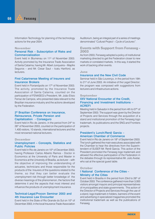

Information Technology for planning of the technology actions for the year 2004.

#### November

#### Personal Risk – Subscription of Risks and Commercialization

Event held in Blumenau on 11<sup>th</sup> of November 2003. Activity promoted by the Insurance Trade Association of Santa Catarina, having Mr. Albert Junqueira – Mapfre Seguros – and Mr. Cesar Saut – Icatu Hartford, as lecturers.

#### First Catarinense Meeting of Insurers and Insurance Brokers

Event held in Florianópolis on 17<sup>th</sup> of November 2003. The activity, promoted by the Insurance Trade Association of Santa Catarina, counted on the participation of FENASEG's President, Mr. João Elisio Ferraz de Campos, who presented data relevant to the Brazilian insurance industry and the actions developed by the Federation.

#### 2ª Brazilian Conference on Insurance, Reinsurance, Private Pension and Capitalization - Conseguro

Event held in Rio de Janeiro, in the period from 24<sup>th</sup> to 26<sup>th</sup> of November 2003, counted on the participation of 1,400 visitors, 10 stands, international lecturers and the most renowned national lecturers.

#### December

#### Unemployment – Concepts, Statistics and Public Policies

Event held in Rio de Janeiro on 10<sup>th</sup> of December 2003, having Professor Carlos Alberto Ramos - Doctor in Economics at the University of Paris and Master in Economics at the University of Brasília, as lecturer – with the objective of improving the understanding of actuaries, technicians and those responsible for the products of the Insurers of the questions related to the theme, so that they can better evaluate the unemployment risk through better knowledge of the diverse meanings of the phenomenon, the factors that determine it and the aspects that most interest and influence the products of unemployment insurance.

#### Technical-Legal/Procon Seminar 2003 and 4th Insurance Law Encounter

Event held in the State of Rio Grande do Sul on 10<sup>th</sup> of December 2003, in the local Insurance Trade Association

Auditorium, being an integral part of a series of meetings denominated "*Cultural Project – Cycle of Lectures*".

#### Events with Support from Fenaseg - 2003

As from 2003, Fenaseg adopted a policy of institutional marketing directed to get the Federation closer to new markets or correlated markets. In this way, it started the work of backing other events.

#### June

#### Insurance and the New Civil Code

Seminar held in São Lourenço, in the period from 19th to 21<sup>st</sup> of June 2003. An initiative of the Legal Director; the program was composed with suggestions from lecturers and infrastructure actions.

#### September

#### XXV National Encounter of the Credit, Financing and Investment Institutions – ACREFI

Meeting held in Salvador in the period from 4th to 07th of September 2003. The support was given by the Director of Projects and Services through the acquisition of a stand and institutional promotion of the Fenaseg logo trademark, its publications and the SNG and Frontiers projects.

#### President's Lunch/Renê Garcia – American Chamber of Commerce

Event held in Rio de Janeiro on 18<sup>th</sup> of September 2003. The lunch gathered the main executives associated with the Chamber to hear the directives from the Superintendent of SUSEP, Mr. Renê Garcia. This action of the President promoted the Fenaseg logo trademark and allowed the effective participation of the Federation in the debates through its representative Mr. Julio Avelar, who sat at the special guest table.

#### **October**

#### I National Conference of the Cities – Ministry of the Cities

Event held in Brasília in the period from 23rd to 26<sup>th</sup> of October 2003. The conference gathered more than 3,000 visitors amongst mayors and principal representatives of municipalities and state governments. This action of the Director of Projects and Services through the use of a stand, logo trademark in folders, banners of the event and advertising in specialized magazines promoted the institutional trademark as well as the publications of Fenaseg.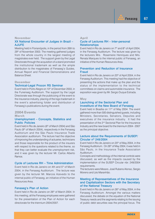

#### November

#### XX National Encounter of Judges in Brazil – AJUFE

Meeting held in Florianópolis, in the period from 26th to 29<sup>th</sup> of November 2003. The meeting gathered judges from the whole country in the largest meeting of magistrates ever held. The support given by the Legal Directorate through the acquisition of a stand promoted the institutional trademark as well as the ample distribution to the magistrates of Fenaseg's Guides, Annual Report and Financial Demonstrations and Balance Sheet.

#### December

#### Technical-Legal Procon RS Seminar

Event held in Porto Alegre on 10<sup>th</sup> of December 2003, in the Funenseg Auditorium. The support by the Legal Directorate was through the publicizing of the event to the insurance industry, placing of the logo trademark in the event's advertising folder and distribution of Fenaseg's publications during the event.

#### 2004 Events

March

#### Unemployment – Concepts, Statistics and Public Policies

Event held in Rio de Janeiro (6<sup>th</sup> of March 2004) and São Paulo (9<sup>th</sup> of March 2004), respectively in the Fenaseg Auditorium and the São Paulo Insurance Trade Association auditorium. The lecture had the objective of improving the understanding of actuaries, technicians and those responsible for the product of the insurers with respect to the questions related to the theme, so that they can better evaluate the unemployment risk, and it was given by the lecturer Mr. Carlos Alberto Ramos.

#### Cycle of Lectures RH – Time Administration

Event held in Rio de Janeiro on 4th and 5<sup>th</sup> of March 2004, in the Fenaseg Auditorium. The lecture was given by the lecturer Mr. Marcos Azevedo to the internal public of Fenaseg, an initiative of the Human Resources Area.

#### Fenaseg's Plan of Action

Event held in Rio de Janeiro on 26<sup>th</sup> of March 2004. In this meeting, all the Fenaseg employees were gathered for the presentation of the Plan of Action for each directorate for the triennium 2004/2007.

#### April

#### Cycle of Lectures RH – Inter-personal **Relationships**

Event held in Rio de Janeiro on 7<sup>th</sup> and 8<sup>th</sup> of April 2004, in the Fenaseg Auditorium. The lecture was given by the lecturers Mrs. Rosemeire Henriques and Mrs. Renata Marques to the internal public of Fenaseg, an initiative of the Human Resources Area.

#### Prevention and Reduction of Insurance Fraud

Event held in Rio de Janeiro on 20<sup>th</sup> of April 2004, in the Fenaseg Auditorium. This meeting had the objective of presenting the actions that make up the plan and the status of the implementation to the technical committees on claims and automobile insurance. The exposition was given by Mr. Sergio Duque Estrada.

#### **May**

#### Launching of the Sectorial Plan and Investiture of the New Board of Fenaseg

Event held in Brasília on 11<sup>th</sup> of May 2004. The event gathered more than 500 distinguished guests, including Ministers, Secretaries, Senators, Deputies and executives of the insurance industry. It had the presentation of the 2nd Sectorial Plan for the Insurance Industry and the new board for the triennium 2004 - 2007 as the principal objective.

#### Lecture about the Requirements of SUSEP/ Circular nº 249/2004

Event held in Rio de Janeiro on 20<sup>th</sup> of May 2004, in the Fenaseg Auditorium. On 26<sup>th</sup> of May 2004, it was held in São Paulo, in the Insurance Trade Association Auditorium.

Concepts and methodology of the internal controls were discussed, as well as the impacts caused by the implementation of the SUSEP Circular nbr. 249/2004 requirements.

The lecturers were Messrs. José Rubens Alonso, Sergio Moreno and Léo Maranhão.

#### Meeting of Representatives of the Insurance and Capitalization Sectors with the Secretary of the National Treasury

Event held in Rio de Janeiro on 26<sup>th</sup> of May 2004, in the Fenaseg Auditorium. Amongst the various matters discussed, the debate on the equation of the National Treasury needs and the segments relating to the issuing of public debt securities was the principal focus. The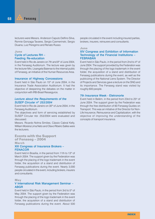

lecturers were Messrs. Anderson Caputo Delfino Silva, Ronnie Gonzaga Tavares, Sergio Czemerinski, Sergio Diuana, Luiz Peregrino and Renato Russo.

#### June

#### Cycle of Lectures RH – Feeding Re-education

Event held in Rio de Janeiro on 7th and 8<sup>th</sup> of June 2004, in the Fenaseg Auditorium. The lecture was given by the lecturer Mrs. Lisangela Baiense to the internal public of Fenaseg, an initiative of the Human Resources Area.

#### Insurance of Highway Concessions

Event held in São Paulo on 15<sup>th</sup> of June 2004, in the Insurance Trade Association Auditorium. It had the objective of deepening the debates on the matter in conjunction with IRB-Brasil Resseguros.

#### *Lecture about the Requirements of the SUSEP Circular nº 253/2004*

Event held in Rio de Janeiro on 30<sup>th</sup> of June 2004, in the Fenaseg Auditorium.

The objectives and form of servicing established by SUSEP Circular nbr. 253/2004 were evaluated and discussed.

Messrs. Ricardo Nohra Simões, Cássio Cabral Kelly, William Moreira Lima Neto and Olavo Ribeiro Salles were the lecturers.

#### Events with the Support of Fenaseg – 2004 March XIII Congress of Insurance Brokers – FENACOR

Event held in Brasília, in the period from 11th to  $13<sup>th</sup>$  of March 2004. The support given by the Federation was through the placing of the logo trademark in the event folder, the acquisition of a stand and distribution of Fenaseg publications during the event. Nearly 3,000 people circulated in the event, including brokers, insurers and consultants.

#### **May**

#### V International Risk Management Seminar – ABGR

Event held in São Paulo, in the period from 3rd to 5<sup>th</sup> of May 2004. The support given by the Federation was through the placing of the logo trademark in the event folder, the acquisition of a stand and distribution of Fenaseg publications during the event. About 500

people circulated in the event including insured parties, brokers, insurers, reinsurers and consultants.

#### June

#### XIV Congress and Exhibition of Information Technology of the Financial Institutions – FEBRABAN

Event held in São Paulo, in the period from 2nd to 4<sup>th</sup> of June 2004. The support provided by the Federation was through the placing of the logo trademark in the event folder, the acquisition of a stand and distribution of Fenaseg publications during the event, as well as the publicizing of the National Liens System. The Director of Projects and Services gave a lecture on the SNG and its importance. The Fenaseg stand was visited by roughly 600 people.

#### 7th Insurance Week - Eletronorte

Event held in Belém, in the period from 23rd to 25<sup>th</sup> of June 2004. The support given by the Federation was through the free distribution of 60 Fenaseg Guides on Transport. This was an initiative of the Director for Non-Life Insurance, Reinsurance and Capitalization, with the objective of improving the understanding of the concepts of transport insurance.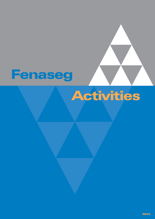



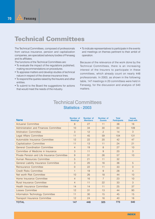

# Technical Committees

The Technical Committees, composed of professionals from various insurance, pension and capitalization companies, are specialized advisory bodies of Fenaseg and its affiliates.

The functions of the Technical Committees are:

- To evaluate the impact of the regulations published, making recommendations on procedures.
- To appraise matters and develop studies of technical nature in respect of the diverse insurance lines.
- To respond the queries raised by the Insurers and other entities.
- To submit to the Board the suggestions for actions that would meet the needs of the industry.

• To indicate representatives to participate in the events and meetings on themes pertinent to their ambit of operation.

Because of the relevance of the work done by the Technical Committees, there is an increasing interest of the Insurers to participate in these committees, which already count on nearly 448 professionals. In 2003, as shown in the following table, 147 meetings in 20 committees were held in Fenaseg, for the discussion and analysis of 540 matters.

## Technical Committees Statistics - 2003

| <b>Name</b>                                  | Number of<br><b>Meetings</b> | Number of<br><b>Members</b> | Number of<br><b>Guests</b> | Total<br><b>Participants</b> | <b>Issues</b><br><b>Dealt with</b> |
|----------------------------------------------|------------------------------|-----------------------------|----------------------------|------------------------------|------------------------------------|
| <b>Actuarial Committee</b>                   | 8                            | 27                          | 11                         | 38                           | 16                                 |
| Administration and Finances Committee        | 10                           | 34                          | 30                         | 64                           | 109                                |
| <b>Arbitration Committee</b>                 | 3                            | 12                          | $\overline{c}$             | 14                           | 3                                  |
| Legal Affairs Committee                      | 11                           | 45                          | 59                         | 104                          | 131                                |
| Automobile Insurance Committee               | 12                           | 22                          | 20                         | 42                           | 47                                 |
| <b>Capitalization Committee</b>              | 11                           | 13                          | 11                         | 24                           | 21                                 |
| <b>General Coordination Committee</b>        | $\overline{4}$               | 19                          | $\mathcal{B}$              | 27                           | 10                                 |
| Committee of Medicine in Insurance           | 3                            | 11                          | 9                          | 20                           | 3                                  |
| Private Pension and Life Insurance Committee | 9                            | 31                          | 26                         | 57                           | 10                                 |
| Human Resources Committee                    | 5                            | 21                          | 11                         | 32                           |                                    |
| General Liability Insurance Committee        | 3                            | 20                          | 16                         | 36                           | 5                                  |
| Reinsurance Committee                        | $\Omega$                     | 22                          | 11                         | 33                           | $\Omega$                           |
| Credit Risks Committee                       | $\overline{1}$               | 19                          | $\overline{9}$             | 28                           | $\overline{4}$                     |
| Net worth Risk Committee                     | 10                           | 26                          | 18                         | 44                           | 10                                 |
| Home Insurance Committee                     | $\overline{4}$               | 16                          | $\overline{7}$             | 23                           | 10                                 |
| <b>Rural Insurance Committee</b>             | $\overline{4}$               | 11                          | 22                         | 33                           | 3                                  |
| <b>Health Insurance Committee</b>            | 14                           | 14                          | 11                         | 25                           | 37                                 |
| <b>Losses Committee</b>                      | 12                           | 31                          | 13                         | 44                           | 90                                 |
| Information Technology Committee             | 11                           | 30                          | 15                         | 45                           | 15                                 |
| <b>Transport Insurance Committee</b>         | 12                           | 24                          | 16                         | 40                           | 16                                 |
| <b>TOTAL</b>                                 | 147                          | 448                         | 325                        | 773                          | 540                                |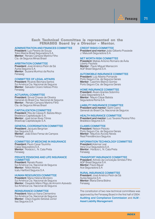

71

#### Each Technical Committee is represented on the FENASEG Board by a Director - Mentor.

#### ADMINISTRATION AND FINANCES COMMITTEE

President: Luiz Pereira de Souza Tokio Marine Brasil Seguradora S.A. Mentor: Renato Campos Martins Filho Cia. de Seguros Minas Brasil

#### ARBITRATION COMMITTEE

President: José Américo Peón de Sá Áurea Seguros S.A. Mentor: Suzana Munhoz da Rocha Fenaseg

#### COMMITTEE OF LEGAL AFFAIRS

President: Ricardo Bechara Santos Sul América Cia. Nacional de Seguros Mentor: Salvador Cícero Velloso Pinto Fenaseg

#### ACTUARIAL COMMITTEE

President: Sinval Chaves de Oliveira Generali do Brasil Cia. Nacional de Seguros Mentor: : Renato Campos Martins Filho Cia. de Seguros Minas Brasil

#### CAPITALIZATION COMMITTEE

President: Rita de Cássia R. Batista Moço Bradesco Capitalização S.A. Mentor: José Ismar Alves Tôrres Brasilcap Capitalização S.A.

#### GENERAL COORDINATION COMMITTEE

President: Jacques Bergman Itaú Seguros S.A. Mentor: João Elisio Ferraz de Campos Fenaseg

#### COMMITTEE OF MEDICINE IN INSURANCE

President: Paulo Cesar Tourinho Caixa Seguradora S.A. Mentor: Horácio L. N. Cata Preta Fenaseg

#### PRIVATE PENSIONS AND LIFE INSURANCE **COMMITTEE**

**President: Renato Russo** Sul América Cia. Nacional de Seguros Mentor: Nilton Molina Icatu Hartford Seguros S.A.

#### HUMAN RESOURCES COMMITTEE

President: Maria Helena Monteiro Sul América Cia. Nacional de Seguros Mentor: Oswaldo Mário Pêgo de Amorim Azevedo Sul América Cia. Nacional de Seguros

#### REINSURANCE COMMITTEE

President: Marcus Viana Clementino Sul América Cia. Nacional de Seguros Mentor: Olavo Egydio Setúbal Júnior Itaú Seguros S.A.

#### CREDIT RISKS COMMITTEE

President and mentor:João Gilberto Possiede J. Malucelli Seguradora S.A.

#### NET WORTH RISK COMMITTEE

President: Matias Antonio Romano de Ávila Liberty Paulista Mentor: Paulo Miguel Marraccini AGF Brasil Seguros S.A.

#### AUTOMOBILE INSURANCE COMMITTEE

President: Luiz Alberto Pomarole Porto Seguro Cia. de Seguros Gerais Mentor: Casimiro Blanco Gomez Porto Seguro Cia. de Seguros Gerais

#### HOME INSURANCE COMMITTEE

President: Álvaro Arantes Sobrinho Caixa Seguradora S.A. Mentor: Mauro César Batista Seguradora Roma S.A.

#### LIABILITY INSURANCE COMMITTEE

President and mentor: Santi Cianci Generali do Brasil Cia. Nacional de Seguros

#### HEALTH INSURANCE COMMITTEE

President and mentor: Luiz Tavares Pereira Filho Bradesco Seguros S.A.

#### CLAIMS COMMITTEE

President: Nelson Peixoto Porto Seguro Cia. de Seguros Gerais Mentor: Maurício Accioly Neves Real Previdência e Seguros

#### INFORMATION TECHNOLOGY COMMITTEE

President:Ademar Leal Vera Cruz Seguradora S.A. Mentor: Horácio L. N. Cata Preta Fenaseg

#### TRANSPORT INSURANCE COMMITTEE

President: Arlindo da Conceição Simões Filho AGF Brasil Seguros S.A. Mentor: Flavio Bauer Ace Seguradora S.A

#### RURAL INSURANCE COMMITTEE

President: José Américo Peón de Sá Áurea Seguros S.A. Mentor: Maria Elena Bidino Fenaseg

The constitution of two new technical committees was approved by the Fenaseg Board in the first half of 2004: Auditing and Compliance Commission and ALM - Asset Liability Management.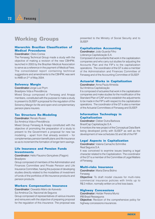# Working Groups

## Hierarchic Brazilian Classification of Medical Procedures

Coordinator: Otelo Correa

The Fenaseg Technical Group made a study with the objective of making a revision of the new CBHPM, launched in 2003 by the Brazilian Medical Association to serve as a reference in the payment of Medical Fees. The consolidated report containing technical suggestions and amendments to the CBHPM, was sent to AMB on 2<sup>nd</sup> of May 2004.

### Solvency Margin

Coordinator:Jorge Luiz Prym

Brasilprev Vida e Previdência

Mixed Group composed of Fenaseg and Anapp members, constituted with the purpose to make a study to present to SUSEP a proposal for the regulation of the Solvency Margin for life and open-end complementary pension plans insurers.

### Tax Structure Re-Modeling

Coordinator: Renato Russo

Sul América Vida e Previdência

Mixed Group Fenaseg & Anapp constituted with the objective of promoting the preparation of a study to present to the Government a proposal for new tax modeling – apart from that already existent – for complementary pension benefit plans and life insurance so as to increment the formation of longer term savings.

## Life Insurance and Pension Funds **Investments**

Coordinator: Helio Flausino Gonçalves (Flagon) **Brasilprev** 

Group composed of members of the Administration and Finances Committee and Private Pension and Life Insurance Committee, having the purpose of developing studies directly related to the modalities of investment of funds of the portfolios of life insurance products and pension products.

### Workers Compensation Insurance

Coordinator: Oswaldo Mário de Azevedo Sul América Cia. Nacional de Seguros

Group composed of representatives of various insurers and reinsurers with the objective of preparing proposal for the regulation of this insurance. The proposal was presented to the Ministry of Social Security and to SUSEP.

## Capitalization Accounting

Coordinator: João Guarda Filho

Liderança Capitalização S.A.

Composed of accountants that work in the capitalization companies and who carry out studies for adjusting the Accounts Plan and the FIP's to the capitalization operations. The coordinator of the GT is also a member of the Administration and Finances Committee of Fenaseg and of the Accounting Committee of SUSEP.

## Actuarial Works in Capitalization

Coordinator: Anna Paula Almeida Sul América Capitalização

It is composed of actuaries that work in the capitalization companies and make studies for the modification of the Standard Plan of CAP and to establish the adjustments to be made in the FIP's with respect to the capitalization operations. The coordinator of the GT is also a member of the Actuarial Committees of Fenaseg and SUSEP.

## Information Technology in Capitalization

Coordinator: Cleber Dutra Barboza BrasilCap Capitalização S.A.

It monitors the new project of the Conceptual Data Bank being developed jointly with SUSEP as well as the development of new schedules 55 and 56 of the FIP.

## Legal Aspects in Capitalization

Coordinator: Valeria Camacho Schmitke Real Seguros S.A.

It was conceived to examine issues bearing a legal character related to the Capitalization. The coordinator of the GT is a member of the Committee of Legal Matters of Fenaseg.

### Multi-risks Insurance

Coordinator: Maria Elena Bidino Fenaseg

**Objective:** To draft model clauses for multi-risks commercial insurance policies with limits up to R\$ 2 million, normally written on a first loss basis.

### Highway Concessions

Coordinator: Helder Pereira Muniz IRB Brasil Resseguros **Objective:** Revision of the comprehensive policy for highway concessions insurances.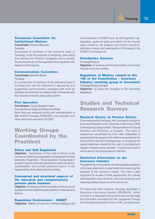73

## Permanent Committee for Institutional Matters

Coordinator: Antonio Mazurek

### Fenaseg

Composed of members of the executive body of Fenaseg, it has the purpose of analyzing, discussing and defining the industry's strategies and to monitor the developments on the legislation and regulation with respect to the Industry.

### Communication Committee

### Coordinator:Geraldo Bolda

#### Fenaseg

It is composed of members of the executive body of Fenaseg and has the objective of discussing and suggesting communication strategies that must be adopted to increment the relationship of Fenaseg with the insurance industry and public opinion.

#### Port Operators

Coordinator: Cicely Borgerth Sette Companhia de Seguros Aliança do Brasil Work that was prepared jointly with representative of IRB, SUSEP, Fenaseg, FENACOR, Loss Adjusters and other reinsurers was sent to SUSEP.

# Working Groups Coordinated by the President

#### Ethics and Self Regulation

Objective: Constitution of the code of ethics of the insurance market and preparation of proposals for best practices of operation. The preparation of proposals of guides for good corporate practices for each insurance, capitalization and private pensions sector is the responsibility of the Technical Committee.

## Conceptual and structural aspects of life insurance and complementary pension plans business

**Objective:** To discuss priority conceptual and structural questions and to determine the pertinent measures and actions.

#### Regulatory Environment - SUSEP

Objective: Matters of common interest relating to the

new proposals of SUSEP such as self-regulation, deregulation, guide of rights and duties for the insured party, model for risk analysis, low income insurance, arbitration clause and participation of Fenaseg in the SUSEP Committees etc.

### Distribution Systems

Fenaseg/Fenacor

**Objective:** To analyze and forward matters of common interest to the two entities.

# Regulation of Matters related to Art. 192 of the Constitution – Insurance Industry (working group in formation)

## Fenaseg/Fenacor/Anapp

**Objective:** To study the changes in the insurance legislation.

# Studies and Technical Research Surveys

#### Research Survey on Pension Reform

Commissioned by Fenaseg, the Foundation Institute of Economic Research of the University of São Paulo (FIPE) is developing a study entitled "Pension Reform for Social Inclusion and Promotion of Equality". The team of researchers coordinated by Prof. Helio Zylberstanj is analyzing the tax impact of the reforms proposed by the Government and the consequences of lessening the payroll expenses related to the cost of compliance in respect of employment contracts. The final conclusions will be sent to the Social Security Ministry.

## Statistical Information on the Insurance Industry

The gathering of information and the qualitative analysis of the data obtained is fundamental for envisioning the potential of the insurance market. This data is also important for studies of tariff adjustments, for making administrative improvements, reducing expenses and widening market exposure of the sector etc.

For these and other reasons, Fenaseg developed a Statistical Information System (SEGDATA), which consists of a data bank structured to receive and store the information received from the companies through the Periodical Information Forms (FIP), as well as from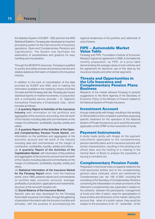

the Statistics System of SUSEP – SES and from the ANS Statistical Bulletins. Fenaseg also developed an inquiries processing system for the main accounts of insurance operations, Open-end Complementary Pensions and Capitalization. The System now facilitates the elaboration of spreadsheets and graphics for easy handling and visualization.

Through the SEGDATA resources, Fenaseg is qualified to quickly and safely process and produce precise and reliable statistical information of interest to the insurance industry.

In addition to the work of consolidation of the data provided by SUSEP and ANS, and of making the information available to the market by means of printed Circulars and the Fenaseg web site, Fenaseg also issues statistical reports on market movements, in conjunction with a contracted service provider – G. Tagliavini Consultoria Financeira e Empresarial Ltda., which includes as follows:

(1) A quarterly Report of Activities of the Insurance Industry with information on the portfolios and aggregates of the economic accounting and net worth of the industry including data and commentaries on the margin of contribution, profitability, liquidity, solidity and others.

(2) A quarterly Report of the Activities of the Openend Complementary Pension Funds Market, with information on the portfolios and aggregates of the economic account and net worth of the industry including data and commentaries on the margin of contribution, profitability, liquidity, solidity and others.

(3) A quarterly Report of the Activities of the Capitalization Market, with information of the portfolios and aggregates of the economic account and net worth of the industry including data and commentaries on the margin of contribution, profitability, liquidity, solidity and others.

(4) Statistical Information of the Insurance Market for the Fenaseg Report which, from the historical series, since 1993, presents reports and commentaries on portfolio data, economic accounts, leverage, profitability of production, applications and investments, structure of the net worth situation etc.

#### (5) Social Balance of the Insurance Market.

Specific jobs are also developed for the Fenaseg Automobile Insurance Committee, through the gathering of periodical information with the Insurers (monthly and annually), with the purpose of accompanying the regional tendencies of the portfolio and referential of cost of losses.

# FIPE – Automobile Market Value Table

Fenaseg and FIPE, Foundation Institute of Economic Research signed an agreement in 2000, to formalize the monthly preparation, by FIPE, of a price table demonstrating the average values of auto vehicles and the agreement for electronic use of this data by the insurance industry and other similar segments.

## Threats and Opportunities in the Life Insurance and Complementary Pension Plans **Business**

Research of the market allowed Fenaseg to present suggestions to the Work Agenda of the Secretary of Economic Policy of the Ministry of Finance related to the National System of Private Insurance.

#### Investment Account

A study made jointly with Anapp, resulting in the sending of official letters to the competent authorities proposing specific treatment for the operators of the National System of Private Insurance so as to avoid the recurrent application of the CPMF on the movement of funds.

#### Payment Instruments

A study made jointly with Anapp on the payment instruments applicable to the complementary pension benefits plans and to insurance policies with similar characteristics, resulting in the sending of an official letter and the holding of a meeting in the Central Bank of Brazil to analyze the possibility of issuing a normative act.

# Complementary Pension Funds

Preparation of technical notes on aspects related to the multi-sponsored entities and to the complementary pension plans instituted, which are mentioned by Complementary Law nbr. 109, of 2001, including the consulting of the Secretary of Complementary Pensions concerning the interpretation of certain provisions of the referred to complementary law, especially in relation to the solidarity between the participants, management of funds and offer of plans, need for specialization of these entities and dimension of the market, taking into account that, when of a public nature, they would be subject to the provisions of art. 37, "preamble", of the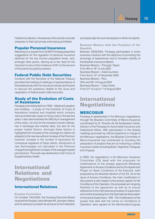

Federal Constitution, the exercise of the activity of private character or that had private ends being prohibited.

# Popular Personal Insurance

Attending to a request from SUSEP, Fenaseg presented suggestions for the regulation of personal insurance destined for the low income population levels, and, amongst other points, alerting as to the need for the reduction to zero of the incidence of IOF on the amount of the premiums paid by workers.

# Federal Public Debt Securities

Contacts with the Secretary of the National Treasury permitted the holding of meetings of representatives of that federal body with the insurance industry technicians to discuss the questions related to the issue and negotiation of federal public debt securities.

## Study of the Evolution of Costs of Assistance

Fenaseg commissioned from FIND – Medical Evaluation and Auditing – a study on the Evolution of Costs of Assistance (medical and hospital) which contains various emblematic cases of rising costs in the last few years. It also demonstrates the difficulty in management of the costs, not only for the increase of price indexes, rise in exchange and interest rates, but also for the proper market factors. Amongst these factors is highlighted the increase of the coverage for clients not adapted to the new law without increase of the Premium received, increase in the number of injunctions for contractual negatives of these clients, introduction of new Technologies not calculated in the Premium charged and significant increase of the average hospital permanence. This work was distributed in the Forum of Supplementary Health.

# International Relations and **Negotiations**

# International Relations

#### Russian Committee

On October 10th/2003, the Fenaseg Executive Board received the Russian Labor Minister Mr. Janvariev Valeriy, and his advisors to present its structure to the Federation and especially the work developed on Work Accidents.

Business Mission with the President of the Republic

Between 2003/2004, Fenaseg participated in some business missions with the objective of promoting the exchange of experiences and to increase visibility of the Brazilian Insurance Market.

Business Mission – Portugal / Spain From 9th to 18th of July 2003 Business Mission – Arab Countries From 3rd to 12th of December 2003 Business Mission – Peru 25th and 26<sup>th</sup> of August 2003 Business Mission – Cabo Verde From 27<sup>th</sup> of July to 1<sup>st</sup> of August 2004

# International **Negotiations**

## MERCOSUR

Fenaseg is represented in the Mercosur negotiations through the Brazilian Committee of Merco-Insurance coordinated by Dr. Ricardo de Sá Acatauassú Xavier, Director of the Fenaseg for Automobile Insurance and Institutional Affairs. With participation in the diverse meetings promoted by official organisms in charge of the Mercosur negotiations, the Brazilian Committee of Merco-Insurance has contributed to founding the preparation of projects that aim at instituting a unified insurance market including Brazil, Argentina, Paraguay and Uruguay.

In 2003, the negotiations in the Mercosur Insurance Committee (CS) dealt with the proposals for modifications of the already approved Milestone Agreement on Access Conditions and for the Agreement Project on Basic Conditions of the Exercise, both proposed by the Brazilian Section of the CS. As to the issue of Access Conditions, the main modification in discussions is with respect to the access capital; for the Conditions of the Operation, the proposals aim at giving flexibility to the agreement as well as to ensure adherence to the international principles of supervision and control emanating from the International Association of Insurance Supervisors - IAIS. The modifications of the project that deal with the norms on Conditions of Operation were agreed at the Montevideo/Uruguay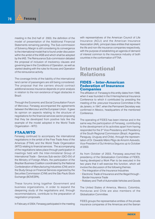

meeting in the 2nd half of 2003, the definition of the model of presentation of the Additional Financial Statements remaining pending. The Sub-commission of Solvency Margin is still considering its convergence to the international model that is found under discussion within the ambit of the IASB and which shall be adopted by the IAIS. The Reinsurance Sub-commission debated the proposal of inclusion of insolvency clauses and governing law in the Conditions of Operation, as well as started dealing with the rules for Access and Operation of the reinsurance activity.

The coverage limits of the liability of the international land carrier of passengers are still being considered. The proposal that the carriers should contract additional excess insurance depends on prior analysis in relation to the non existence of legal obstacles in Brazil.

Through the Economic and Social Consultation Forum of Mercosur, Fenaseg accompanied the agreements between the Mercosur and the European Union. It gave its opinion on aspects relating to the structure of negotiations for the financial services sector proposing that they be developed from positive lists like the example of the model adopted in the World Trade Organization – WTO.

# FTAA/WTO

Fenaseg continued to accompany the international negotiations in the ambit of the Free Trade Area of the Americas (FTAA) and the World Trade Organization (WTO) relating to financial services. The accompanying of the negotiations takes place through participation in meetings held with the Inter-ministerial Group of International Trade – Services Sub-sector (GICI-SV) of the Ministry of Foreign Affairs, the participation of the Brazilian Business Coalition coordinated by the National Confederation of Manufacturing Industries (CNI) and in the Study Group on Financial Services organized by the Securities Commission (CVM) and the São Paulo Stock Exchange (BOVESPA).

These forums bring together Government and business organizations, in order to expand the deepening study of the negotiations and, through recommendations, contribute to the preparation of negotiation proposals.

In February of 2004, Fenaseg participated in the meeting

with representatives of the American Council of Life Insurance (ACLI) and the American Insurance Association (AIA), principal class entities that represent the life and non-life insurance companies respectively, with the purpose of establishing an agenda of demand of interest common to the insurance industry of both countries in the conformation of FTAA.

# International Relations

## FIDES – Inter-American Federation of Insurance Companies

The affiliation of Fenaseg to this entity dates from 1948, when it was founded in the II Hemispherical Insurance Conference to which it contributed by presiding the meeting of the precursor Insurance Committee in Rio de Janeiro, in 1947, when the Permanent Secretary was confirmed in Mexico, headquarters of the mentioned Conference.

The operating of FIDES has been intense and in the same way the participation of Fenaseg, contributing to the development of its activities apart from having responded for the 3rd Vice-Presidency and Presidency of the South Regional Commission (Brazil, Argentina, Paraguay, Uruguay and Chile), through the representation of Dr. Oswaldo Mário Pêgo de Amorim Azevedo, Vice-President of Sul América Seguros up to October of 2003.

As from October of 2003, Fenaseg assumed the presidency of the Globalization Committee of FIDES, having developed a Work Plan to be executed in the two years that it will exercise this function, which will involve the discussion of the following themes:

- The Integration of the Insurance Industries
- Electronic Trade of Insurance and the Illegal through Border Insurance Trade
- Robbery and Theft of Automobile Vehicles and Goods

The United States of America, Mexico, Colombia, Honduras and Chile are also members of the Globalization Committee.

FIDES groups the representative entities of the private insurance companies of the Americas and the Iberian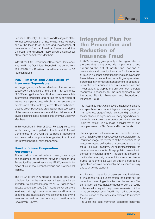

Peninsula. Recently, FIDES approved the ingress of the Portuguese Association of Insurers as Active Member, and of the Institute of Studies and Investigation of Insurance of Central America, Panama and the Caribbean and Funenseg – National Foundation School of Insurance as Adherent Members.

In 2003, the XXIX Hemispherical Insurance Conference was held in the Dominican Republic in the period from 26 to 29/10. The Brazilian committee consisted of 30 representatives.

## IAIS – International Association of Insurance Supervisors

IAIS aggregates, as Active Members, the insurance supervisory authorities of more than 110 countries, SUSEP amongst them. One of its functions is to establish international principles and norms for supervision of insurance operations, which will orientate the development of the control systems of these authorities. Dozens of companies and organizations representative of the insurance, reinsurance and financial sectors of diverse countries also integrate this entity as Observer Members.

In this condition, in May of 2002, Fenaseg joined the entity, having participated in the IX and X Annual Conferences of IAIS with the purpose of becoming acquainted with the precepts originating from it and the international regulation tendencies.

## Brazil – France Cooperation Agreement

This accord focuses on the development, interchange and reciprocal collaboration between Fenaseg and Fédération Française d'Assurance (FFSA), mainly in the areas of insurance, combat of fraud and professional training.

The FFSA offers innumerable courses including scholarships. In the same way it interacts with an important fraud combat organ, the ALFA - Agence pour la Lutte contre la Fraude à L´Assurance, which offers services providing information, research and formation of agents and investigators who are contracted by the Insurers as well as promote approximation with Government Powers.

# Integrated Plan for the Prevention and Reduction of Insurance Fraud

In 2003, Fenaseg gave priority to the organization of the area that is entrusted with implementing and executing the set of institutional actions of preventative and investigative nature for the reduction of fraud in insurance operations having made available financial resources for the contracting of specialized personnel in information management in actions of prevention and education and in insurance law and investigation, equipping the unit with technological resources necessary for the management of the Integrated Plan for Prevention and Reduction of Insurance Fraud.

The Integrated Plan, which covers institutional actions and specific actions under integrated management, is in an advanced stage of implementation. Highlights from the initiatives and agreements already signed include: the implementation of the insurance denouncement hotline in the State of Rio de Janeiro, a service that will also be implemented in São Paulo and Minas Gerais.

The first approach to the issue of fraud prevention started with a nationwide market survey for the evaluation of the insurance image, the tolerance of the population to the practice of insurance fraud and its propensity to practice fraud. Results of this survey will permit the tracing of the panorama of sentiments of the population in relation to the use of insurance and will indicate the creation of clarification campaigns about insurance to diverse public consumers as well as offering courses to specialized technical personnel of the insurance industry and to university students.

Another step in the action of prevention was the defining of insurance fraud quantification indicators for the periodical measuring of its effects on the insurers. The compilation of these indicators together with the results of the market survey will compose a more realistic picture of the consequences of fraud in the market, permitting the evaluation of the measures adopted to minimize fraud impact.

The use of intelligent information, capable of identifying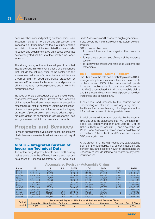

patterns of behavior and pointing out tendencies, is an important mechanism for the actions of prevention and investigation. It has been the focus of study and the association of forces of the Associated Insurers in order to perfect and widen the shared data bases as well as define integrated solutions for the Brazilian Insurance Industry.

The strengthening of the actions adopted to combat insurance fraud in the market is based on the changes that include the self-regulation of the sector and the across-board adhesion of a code of ethics. In this sense a compendium of good corporative practices for Insurance Companies, for the reduction and prevention of insurance fraud, has been prepared and is now in the discussion phase.

Included among the procedures that guarantee the success of the Integrated Plan of Prevention and Reduction of Insurance Fraud are: investments in protection mechanisms of market operations using advanced techniques of investigation and information technologies; promotion of prevention campaigns and education programs targeting the consumer as to the responsibilities and guarantees built into the insurance contracts.

# Projects and Services

Fenaseg administrates diverse data bases, the contents of which are made available to the insurance industry at large.

# SISEG – Integrated System of Insurance Technical Data

This system brings together the data banks that Fenaseg makes available to the affiliated insurers and that use data bases of Fenaseg, Denatran, ACSP – São Paulo

Trade Association and Fenacor through agreements. It also covers the information exchange system between Insurers.

SISEG has as objectives:

- To prevent fraudulent acts against the Insurance market.
- To improve the underwriting of risks in all the Insurance sectors.
- To improve the procedures for loss adjustments and settlements.

#### RNS – National Claims Registry

The RNS, one of the data banks that integrates the SISEG – Integrated System of Insurance Technical Data, counts on the adhesion of 95% of the companies that operate in the automobile sector. Its data base on December 12th/2003 accumulated 4.9 million automobile claims and 8.6 thousand claims on life and personal accident insurances and pension plans.

It has been used intensely by the insurers for the underwriting of risks and in loss adjusting, since it facilitates the cross-checking of a large amount of information contained in its ample data base.

In addition to the information provided by the insurers, RNS also uses the data bases of DPVAT, Denatran (BIN Fabril, BIN Robbery and Theft and State BIN), of the National System of Liens (SNG), and also of the São Paulo Trade Association, which makes available the information of "Use a Check", and Personal and Business SPC, amongst others.

At the present time, the RNS houses only data related to claims in the automobile, life, personal accident and pension insurance sectors, however, preparations are underway to include information related to any other insurance line.

| Accumulated Redistry<br>Automobile Claims<br>$\equiv$              |                 |                      |                |          |                  |                  |                |                        |
|--------------------------------------------------------------------|-----------------|----------------------|----------------|----------|------------------|------------------|----------------|------------------------|
| Period                                                             | <b>PP</b>       | LLL.                 | I.I.R.         | THEFT    | <b>LOC</b>       | <b>RCFV</b>      | <b>RE</b>      | <b>TOTAL</b>           |
| jan/03                                                             | 2.793.535       | 113.797              |                | 382.116  | 108.635          | 365.210          | 3.173          | 3.766.466              |
| feb/03                                                             | 2.851.715       | 116.450              |                | 387.819  | 112.125          | 378.048          | 3.298          | 3.849.455              |
| mar/03                                                             | 2.916.148       | 121.080              |                | 392.689  | 117.283          | 392.672          | 3,426          | 3,943,298              |
| apr/03                                                             | 2.977.423       | 124.160              |                | 400.340  | 119.896          | 404.635          | 3.571          | 4,030,025              |
| may/03                                                             | 3.041.446       | 181.878              |                | 532.318  | 121.401          | 422.139          | 3.708          | 4.181.489              |
| jun/03                                                             | 3.092.464       | 186.469              |                | 541,365  | 123.721          | 433.397          | 3.865          | 4,257,560              |
| jul/03                                                             | 3.172.397       | 193.754              |                | 555.270  | 126.600          | 471.517          | 3.998          | 4,396,936              |
| aug/03                                                             | 3.253.130       | 198.916              |                | 564,686  | 129.129          | 486.355          | 4.181          | 4,507,268              |
| sep/03                                                             | 3.309.097       | 214.438              |                | 575.723  | 137.399          | 500.860          | 0              | 4.600.118              |
| oct/03                                                             | 3.379.783       | 218.521              | 706            | 586.272  | 140.591          | 517.757          | 0              | 4,703,039              |
| nov/03                                                             | 3.444.685       | 222.165              | 1.806          | 595.141  | 143.256          | 534.919          | 0              | 4.798.716              |
| dec/03                                                             | 3.513.744       | 225,188              | 2,762          | 603.379  | 145.421          | 548.053          | 0              | 4,893,126              |
| Accumulated Registry - Life, Personal Accident and Pensions Claims |                 |                      |                |          |                  |                  |                |                        |
| Period                                                             |                 |                      |                |          |                  |                  |                |                        |
|                                                                    | <b>Insureds</b> | <b>Beneficiaries</b> | <b>Brokers</b> | Lawyers  | <b>Hospitals</b> | <b>Attorneys</b> | <b>Doctors</b> | <b>Total of Claims</b> |
| Dec/03                                                             | 8.575           | 4.331                | 5.089          | $\Omega$ | 0                | $\Omega$         | $\Omega$       | 8,575                  |

Accumulated Registry - Automobile Claims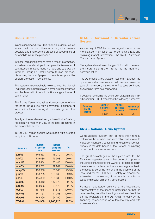In operation since July of 2001, the Bonus Center issues an automatic bonus confirmation amongst the insurers possible and improves the process of acceptance of automobile insurance proposals.

With the increasing demand for this type of information, a system was developed that permits issuance of contract confirmations made in a rapid and safe way via Internet, through a totally computerized process, dispensing the use of paper documents supported by efficient protection mechanisms.

The system makes available two modules: the Manual (individual), for the insurers with a small number of queries and the Automatic (in lots) to facilitate large volumes of confirmation.

The Bonus Center also takes rigorous control of the replies to the queries, with permanent exchange of information for answering doubts arising from the process.

Twenty six insurers have already adhered to the System, representing more than 98% of the total premiums in the automobile sector.

In 2003, 1,8 million queries were made, with average reply time of 12 hours.

| <b>Summary</b>      | <b>Number</b><br>of queries<br>sent | <b>Number</b><br>of replies<br>received | %      |
|---------------------|-------------------------------------|-----------------------------------------|--------|
| jan/03              | 146,553                             | 146,219                                 | 99.8%  |
| f <sub>eb</sub> /03 | 126,039                             | 125,903                                 | 99.9%  |
| mar/03              | 135,464                             | 135,448                                 | 100.0% |
| apr/03              | 129,262                             | 129,262                                 | 100.0% |
| may/03              | 166,956                             | 165,763                                 | 99.3%  |
| jun/03              | 133,735                             | 133,663                                 | 99.9%  |
| jul/03              | 155,339                             | 155,339                                 | 100.0% |
| aug/03              | 148,810                             | 147,975                                 | 99.4%  |
| sep/03              | 153,906                             | 152,473                                 | 99.1%  |
| oct/03              | 161,678                             | 161,678                                 | 100.0% |
| nov/03              | 141,767                             | 141,753                                 | 100.0% |
| dec/03              | 165,399                             | 164,750                                 | 99.6%  |
| <b>TOTAL</b>        | 1,764,908                           | 1,760,226                               | 99.7%  |

## SIAC – Automatic Circularization **System**

As from July of 2002 the Insurers began to count on one more fast communication tool for combating fraud and divulging market information – the SIAC – Automatic Circularization System

The system allows the exchange of information between the insurers using the Internet as the means of communication.

The Automatic Circularization System manages the questions and answers related to losses and any other type of information, in the form of free texts so that no questioning remains unanswered.

It began to function at the end of July of 2002 and on 31<sup>st</sup> ofDecember 2003 it presented the following numbers:

| <b>Summary</b><br>Jan $03/$<br><b>Dez 03</b> | <b>Number</b><br>of queries<br>sent | <b>Number</b><br>of replies<br>received | <b>Numbers of</b><br><b>Insurers</b> |
|----------------------------------------------|-------------------------------------|-----------------------------------------|--------------------------------------|
|                                              | 1,880                               | 37,358                                  | 36                                   |

#### SNG – National Liens System

Computerized system that permits the financial institutions the inclusion and write-off of liens relative to Fiduciary Alienation, Leasing and Reserve of Domain directly in the data bases of the Detrans, eliminating bureaucratic processes and fraud.

The great advantages of the System are: for the Financiers – greater safety in the control of propriety of the vehicle financed; for the Owners – greater speed in the release of the liens; for the Insurers – guarantee in the acceptance of the risk and in the payment of the loss; and for the DETRANS – safety of procedures, elimination of the keeping of documents, reduction of tasks and receipt of monthly contributions.

Fenaseg made agreements with all the Associations representative of the financial institutions so that the liens resulting from the financing operations of vehicles can be registered in the DETRANS, directly by the financing companies in an automatic way and with absolute safety.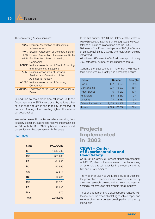80

The contracting Associations are:

|                  | <b>ABAC</b> Brazilian Association of Consortium          |  |  |  |
|------------------|----------------------------------------------------------|--|--|--|
|                  | Administrators                                           |  |  |  |
|                  | <b>ABBC</b> Brazilian Association of Commercial Banks    |  |  |  |
|                  | <b>ABBI</b> Brazilian Association of International Banks |  |  |  |
|                  | <b>ABEL</b> Brazilian Association of Leasing             |  |  |  |
|                  | Companies                                                |  |  |  |
|                  | <b>ACREFI</b> National Association of Credit, Financing  |  |  |  |
|                  | and Investment Institutions                              |  |  |  |
|                  | <b>ANEF</b> National Association of Financial            |  |  |  |
|                  | Services and Consortium of the                           |  |  |  |
|                  | Automobile Industry                                      |  |  |  |
|                  | <b>ANFAC</b> National Association of Factoring           |  |  |  |
|                  | Companies                                                |  |  |  |
| <b>FEBRABANI</b> | Federation of the Brazilian Association of               |  |  |  |
|                  | Banks                                                    |  |  |  |

In addition to the companies affiliated to these Associations, the SNG is also used by various other entities that operate in the modality of reserve of domain. Amongst them are highlighted the vehicle concessionaires.

Information referent to the liens of vehicles resulting from fiduciary alienation, leasing and reserve of domain held in 2003 with the DETRANS by banks, financiers and consortiums with agreements with Fenaseg:

## SNG 2003

| <b>State</b> | <b>INCLUSIONS</b> |
|--------------|-------------------|
| <b>SP</b>    | 1,519,737         |
| MG           | 393,200           |
| PR           | 371,956           |
| <b>RJ</b>    | 213,956           |
| GO           | 130,517           |
| RS           | 65,624            |
| MS           | 43,128            |
| PE           | 12,890            |
| MА           | 875               |
| Total        | 2,751,883         |

In the first quarter of 2004 the Detrans of the states of Mato Grosso and Espírito Santo integrated the system totaling 11 Detrans in operation with the SNG.

By the end of the 1<sup>st</sup> four month period of 2004, the Detrans of Bahia, Piauí, Santa Catarina and Tocantins should be integrated.

With these 15 Detrans, the SNG will have approximately 90% of the total number of liens under its control.

Currently the SNG counts on more than 3,085 users, thus distributed by quantity and percentage of use:

| <b>Users</b>         |       | <b>Number</b> | Use $(\%)$ |  |
|----------------------|-------|---------------|------------|--|
| <b>Banks</b>         | 142   | 4.6%          | 55%        |  |
| Consortiums          | 307   | $10.0\%$      | 18%        |  |
| <b>Agent Banks</b>   | 6     | 0.2%          | 10%        |  |
| <b>Financiers</b>    | 80    | $-2.6%$       | 9%         |  |
| Leasing              | 74    | $2.4\%$       | 3%         |  |
| Others Instituitions | 2.476 | 80.3%         | 5%         |  |
| <b>Totals</b>        |       | 3,085 100.0%  | 100%       |  |

# Projects Implemented in 2003

# CESVI – Center of Experimentation and Road Safety

On 15<sup>th</sup> of January 2003, Fenaseg signed an agreement with CESVI, which is the sole research center focusing on automobile repair statistics in the country and the first one in Latin America.

The mission of CESVI BRASIL is to provide solutions for the prevention of accidents and automobile repair by means of research, training and technical publications, aiming at the evolution of the whole repair industry.

Through this agreement, CESVI supplies Fenaseg with the results of the research relating to vehicle repair and services of technical content developed or validated by the Center:

[INDEX](#page-2-0)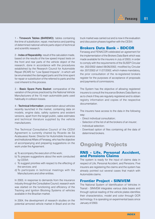1 – Timework Tables (BAREMO): tables containing the time of substitution, repair, mechanics and painting of determined national vehicle parts object of technical and scientific research.

2 – Index of Reparability: result of the calculation made, based on the results of the low speed impact tests on the front and rear parts of the vehicle object of the research, done in accordance with the procedures established by the Research Council for Automobile Repair (RCAR) for "Low Speed Impacts", in which will be enumerated the damaged parts and the time spent for repair or substitution of the referred to parts and the cost inherent to this process.

3 – Basic Spare Parts Basket: comparative of the variation of the prices practiced by the National Vehicle Manufacturers of the 15 main automobile parts used habitually in collision losses.

4 – Technical Information: presentation about vehicles recently launched in the market, containing data on models, engine data, safety systems and existent versions, apart from the target public, sales estimates and technical literature supplied by the vehicle manufacturers.

The Technical Consultative Council of the CESVI Agreement is currently chaired by Ricardo de Sá Acatauassú Xavier, Director for Automobile Insurance and Institutional Affairs of Fenaseg, who has the objective of accompanying and preparing suggestions on the work under the Agreement.

- a) To accompany the execution of the work;
- b) To prepare suggestions about the work conducted by CESVI;
- c To suggest priorities with respect to the effecting of the services; and
- d) To participate in technical meetings with the Manufacturers and other entities.

In 2003, in response to demands from the insurance industry through the Consultative Council, research work was started on the functioning and efficiency of the Tracking and Ignition Blocking Systems of vehicles available in the Brazilian market.

In 2004, the development of research studies on the potential armored vehicle market in Brazil and on the

truck market was carried out and is now in the evaluation and discussion phases together with the CESVI.

# Brokers Data Bank – BDCOR

Fenaseg and FENACOR celebrated an agreement for the implementation of the Brokers Data Bank which was made available for the insurers in July of 2003, in order to comply with the requirements of the SUSEP Circular nbr. 202/2002 dated 09/26/2002, modified by Circular nbr. 207/2002 of 11/27/2002, which makes mandatory, the prior consultation of the re-registered brokers register for the purposes of acceptance of proposals and payments of commissions.

The System has the objective of allowing registered insurers to consult the Insurance Brokers Data Bank so as to check if they are regularly registered and to obtain registry information and copies of the respective documentation.

The insurers have access to the data in the following way:

- Direct individual consultation;
- Selection of the list of all the brokers of an insurer;
- Individual selection;
- Download option of files containing all the data of determined brokers.

# Ongoing Projects

## RNS - Life, Personal Accident, and Pensions Claims

The system is ready for the input of claims data in respect of Life, Personal Accident, and Pensions. Five insurers are registering the claims and the system has already pointed out several cases that match with Automobile claims.

## Frontier Project - SINIVEM

The National System of Identification of Vehicles in Transit - SINIVEM integrates various data bases and through optical reading of the vehicle plates identifies their characteristics, model and color through OCR technology. It is operating on experimental basis since January of 2003.

**Fenaseg**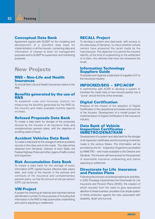

# Conceptual Data Bank

Agreement signed with SUSEP for the modeling and development of a standard data base for implementation in all the insurers, containing data and information of interest to them for management purposes and to SUSEP for supervision and monitoring purposes.

# New Projects

# RNS - Non-Life and Health **Insurances**

To include Non-Life and Health Insurances claims in the RNS.

## Benefits generated by the use of RNS

To establish rules and formulas (metric) for measuring the benefits generated by the RNS for the insurers and make available monthly reports on these.

# Refused Proposals Data Bank

To create a data bank for storage of the proposals refused by the insurers in all insurance lines and complementary pension plans, with the objective of avoiding cases of fraud.

# Accident Vehicles Data Bank

To create a data bank for the storage of vehicle accidents records in the cities and on the roads. The data will be obtained from Denatran, Detrans of each State, the Federal Highway Police and other organs of traffic control and inspection.

# Risk Accumulation Data Bank

To create a data bank for the storage of basic information (CPF, capital insured, effective date, expiry date, and code of the insurer) in the policies and contracts of life insurance and complementary pension plans, so that the amount at risk per person (CPF) can be known.

# VIN Project

A system for checking all national and imported vehicle identification number for the purposes of including that information in the RNS to help automobile underwriting and claims adjusting or settlement.

# RECALL Project

To develop a system and data bank, with access to the data base of Denatran, to check whether vehicle owners have answered the recall made by the manufacturer. The objective is to permit the insurers identify, at the time of underwriting or the settlement of a claim, the vehicles that have not answered the recall.

## Information Technology Suppliers Guide

To prepare and organize a data bank of suppliers of IT to the insurance industry.

# INFOCRED/SEG - SPC/ACSP

In partnership with ACSP, to develop a system to translate the credit risks of new insured parties into a "score" and at the time of the renewals.

# Digital Certification

Analysis of the impact of the adoption of Digital Certification in the operational processes and routines of the Insurers. Development of a model project for implementation of Digital Certification in the insurance industry.

# Data Bank of Vehicle Inspection Certificates - INMETRO/DENATRAM

Development of a system and data bank for the storage of all inspection certificates and the licensing of vehicles made in the various States. The information will be provided by the OI – Inspection Organisms accredited by INMETRO – and made available to the Detrans and Denatran. The Insurers will have access for the purposes of automobile insurance underwriting and claims adjusting or settlement.

## Directorate for Life Insurance and Pension Plans

Following the process of professionalizing its activities, in 2003 Fenaseg implemented the Directorate for Life Insurance and Pension Plans (DIVID), the creation of which resulted from the need to give specialized attention to these business, providers of an ample system of family protection against the risks associated with disability, death and survival.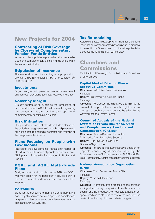# New Projects for 2004

## Contracting of Risk Coverage by Close-end Complementary Pension Funds Entities

 Analysis of the stipulation/approval of risk coverage by close-end complementary pension funds entities with the insurance industry.

# Stipulation of Insurance

The elaboration and forwarding of a proposal for alterations in CNSP Resolution nbr. 107 of January 19th/ 2004 to SUSEP.

## **Investments**

Project designed to improve the rules for the investment of resources, provisions, technical reserves and funds.

# Solvency Margin

A study contracted to subsidize the formulation of proposals to be sent to SUSEP, with a view to regulating the solvency margin for life and open-end complementary pension plan insurers.

# Risk Mitigation

Study for development of plans to include a clause for the periodical re-agreement of the technical parameters during the deferred period of contracts and typifying of the re-agreement of income.

# Plans Focusing on People with Low Income

Analysis for the development of regulation in respect of plans that match the needs of people with a low income (PLR plans – Plans with Participation in Profits and Results).

# PGBL and VGBL Multi-funds Plans

Study for the structuring of plans of the PGBL and VGBL type with option for the participant / insured party to choose the mutual funds where his resources will be invested.

# **Portability**

Study for the perfecting of norms so as to permit the portability of resources between open-end complementary pension plans, close-end complementary pension plans and FAPI's, FGTS, etc.

# Tax Re-modeling

A study contracted to develop - within the ambit of personal insurance and complementary pension plans – a proposal to be sent to the Government to optimize the potential of these segments from the tax point of view.

# Chambers and Commissions

Participation of Fenaseg in Commissions and Chambers of other entities.

## Capital Market Director Plan – Executive Committee

Chairman: João Elisio Ferraz de Campos Fenaseg

Deputy: Luiz Peregrino Vieira da Cunha Fenaseg

**Objective:** To discuss the directives that aim at the renewal of the productive activity through the capital market – through a set of actions to be taken by the Government and Private Sector.

## Council of Appeals of the National System of Private Insurance, Openend Complementary Pensions and Capitalization (CRSNSP)

Chairman: Ricardo Bechara dos Santos Sul América Cia. Nacional de Seguros Deputy: Luiz Tavares Pereira Filho Bradesco Seguros S.A.

**Objective:** To take a final administrative decision on appeals concerning decisions taken by the Superintendence of Private Insurance – SUSEP and IRB – Brasil Resseguros S.A., in the cases specified in the legislation.

### National Accreditation Organization (ONA)

Chairman: Otelo Côrrea dos Santos Filho Fenaseg Deputy: Maria da Gloria Faria

Fenaseg

**Objective:** Promotion of the process of accreditation aiming at improving the quality of health care in our country and the productivity of hospitals, ambulatories, specialized clinics etc., and to control the impact of the costs of service on public and private budgets.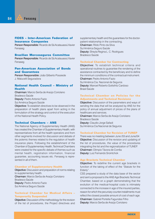

## FIDES - Inter-American Federation of Insurance Companies

Person Responsible: Ricardo de Sá Acatauassú Xavier Fenaseg

#### Brazilian Mercoseguros Committee

Person Responsible: Ricardo de Sá Acatauassú Xavier Fenaseg

## Pan-American Association of Bonds and Guarantees

Person Responsible: João Gilberto Possiede J. Malucelli Seguradora

#### National Health Council – Ministry of **Health**

Chairman: Marcio Serôa de Araújo Coriolano Bradesco Saúde

Deputy: Pedro Antonio Fazio

Sul América Seguro Saúde

**Objective:** To establish directives to be observed in the preparation of health plans apart from acting in the formulation of the strategy and control of the execution of the National Health Policy.

#### Technical Chambers – ANS

The National Agency of Supplementary Health (ANS) has created the Chamber of Supplementary Health, with representatives from all the health operators and from other segments involved for discussion and debate of the polemic themes related to the regulation of health insurance plans. Following the establishment of the Chamber of Supplementary Health, Technical Chambers were created for the specific debate of themes such as mental health, registration information, financial guarantee, accounting issues etc. Fenaseg is represented in all of them.

#### Chamber of Supplementary Health

Objective: Discussion and preparation of norms relating to supplementary health. Charman: Marcio Serôa de Araújo Coriolano Bradesco Saúde Deputy: Pedro Antonio Fazio Sul América Seguro Saúde

### Technical Chamber for Medical Affairs – Temporarily Suspended

**Objective:** Discussion of the methodology for the revision of the list of procedures, the Project directives and

supplementary health and the guarantees for the doctorpatient relationship in the contracting. Chairman: Rildo Pinto da Silva Sul América Seguro Saúde Deputy: Sheyla Regina L. C. Rodrigues Bradesco Saúde

#### Technical Chamber for Contracting

**Objective:** To establish technical criteria and operational routines to guarantee the rendering of the assistance contracted by the beneficiary and to define the minimum conditions of the contractual instrument.

Chairman: Pedro Antonio Fazio Sul América Cia. Nacional de Seguros Deputy: Manoel Roberto Gottsfritz Cardoso Brasil Saúde

### Technical Chamber on Policies for the Adjustments and Technical Revisions

**Objective:** Discussion of the parameters and ways of sending the data that will be analyzed by ANS for the policy of annual adjustment of prices of the plans of healthcare and services.

Chairman: Marcio Serôa de Araújo Coriolano Bradesco Saúde Deputy: Claudio Jorge Safadi Sul América Cia Nacional de Seguros

#### Technical Chamber for Revision of TUNEP

There was no meeting between June /03 and June/04 **Objective:** Discussion of the revision and updating of the list of procedures, the value of the procedures integrating the list and the regionalization of TUNEP. Chairman: Olimpio Távora de Corrêa Deputy: Luiz Fernando Srointchok

#### Age Brackets Technical Chamber

**Objective:** To redefine the current age brackets in function of the taking of effect of the "Statute for the Elderly".

CSS prepared a study of the data base of the sector and sent a proposal to the ANS Age Brackets Technical Chamber, based on a graph demonstrating that the evolution of the medical-hospital costs is intimately connected to the increase in age of the insured parties, reason for which the pecuniary counter-installments must reflect the closest possible amount of cost of each age. Chairman: Gabriel Portella Fagundes Filho Deputy: Marcio Serôa de Araújo Coriolano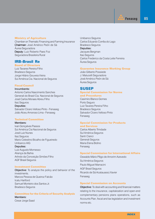#### **Fenaseg** 85

#### Ministry of Agriculture

Chamber on Thematic Financing and Farming Insurance Chairman: José Américo Peón de Sá Áurea Seguradora Deputy: Luiz Roberto Paes Foz Seguradora Brasileira Rural

# IRB-Brasil Re

### Board of Directors

Luiz Tavares Pereira Filho Bradesco Seguros Jorge Hilário Gouveia Vieira Sul América Cia. Nacional de Seguros

#### Fiscal Council

#### Incumbents:

Antonio Carlos Nascimento Sanches Generali do Brasil Cia. Nacional de Seguros José Carlos Moraes Abreu Filho Itaú Seguros

#### Deputies:

Salvador Cícero Velloso Pinto - Fenaseg João Alceu Amoroso Lima - Fenaseg

#### Technical Committee

#### Members:

Ivan Gonçalves Passos Sul América Cia Nacional de Seguros José Luiz Nunes Itaú Seguros Mario Celestino Bicalho de Figueiredo Unibanco AIG

#### Deputies:

Luiz Augusto Momesso Aliança da Bahia Arlindo da Conceição Simões Filho AGF Brasil Seguros

#### Investment Committee

**Objective:** To analyze the policy and behavior of the investments. Marcos Pessoa de Queiroz Falcão Icatu Hartford Samuel Monteiro dos Santos Jr. Bradesco Seguros

#### Committee for the Criteria of Security Analysis

Members: Cesar Jorge Saad Unibanco Seguros Carlos Eduardo Corrêa do Lago Bradesco Seguros Deputies: Jacques Bergman Itaú Seguros Carlos Frederico da Costa Leite Ferreira Áurea Seguros

#### Guarantee Insurance Working Group

João Gilberto Possiede J. Malucelli Seguradora José Américo Peón de Sá Áurea Seguros

### SUSEP

#### Special Commission for Norms and Procedures

Casimiro Blanco Gomes Porto Seguro Luiz Tavares Pereira Filho Bradesco Seguros Salvador Cícero Velloso Pinto Fenaseg

## Special Commission for Products and Services

Carlos Alberto Trindade Sul América Seguros Santi Cianci Generali Seguros Maria Elena Bidino Fenaseg

#### Special Commission for International Affairs

Oswaldo Mário Pêgo de Amorim Azevedo Sul América Seguros Paulo Miguel Marracini AGF Brasil Seguros Ricardo de Sá Acatauassú Xavier Fenaseg

### Special Commission on Accounts

**Objective:** To deal with accounting and financial matters relating to the insurance, capitalization and open-end complementary pensions plans operations, such as Accounts Plan, fiscal and tax legislation and investment norms etc.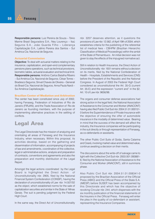

Responsible persons: Luiz Pereira de Souza – Tokio Marine Brasil Seguradora S.A.; Ney Lourenço – Itaú Seguros S.A.; João Guarda Filho – Liderança Capitalização S.A.; Laênio Pereira dos Santos – Sul América Cia. Nacional de Seguros.

#### Actuarial Commission

Objective: To deal with actuarial matters relating to the insurance, capitalization, and open-end complementary pensions plans operations, such as technical provisions, biometric tables, actuarial evaluation and technical limit. Responsible persons: Antônio Carlos Batalha Ribeiro – Sul América Cia. Nacional de Seguros; César Torres – Bradesco Seguros; Sinval Chaves de Oliveira – Generali do Brasil Cia. Nacional de Seguros; Anna Paula Nardi – Sul América Capitalização.

#### Brazilian Center of Mediation and Arbitration

The center has been constituted since July of 2002, having Fenaseg, Federation of Industries of Rio de Janeiro (FIRJAN), and the Trade Association of Rio de Janeiro as founding members, with the purpose of implementing alternative practices in the settling of conflicts.

# Legal Area

The Legal Directorate has the mission of analyzing and orientating all areas of Fenaseg and the Insurance Industry, when necessary. Within this proposal, its activities develop, based on the gathering and dissemination of information, accompanying of projects of law and amendments, coordination of the collective, legal or administrative actions, analysis and preparation of contracts, conventions and agreements and also the preparation and monthly distribution of the Legal Report.

Amongst the legal actions coordinated by the Legal Board is highlighted the Direct Action of Unconstitutionality nbr. 2905, filed by the National Financial System Confederation (CONSIF), having the declaration of unconstitutionality of Law nbr. 14.507/02 as the object, which established norms for the sale of capitalization securities and similar in the State of Minas Gerais. The suit is pending judgment by the Federal High Court.

In the same way, the Direct Act of Unconstitutionality

nbr. 3207 deserves attention, as it questions the provisions of Law nbr. 12.562, of April 19th of 2004, which establishes criteria for the publishing of the referential list of medical fees - CBHPM (Brazilian Hierarchic Classification of Medical Proceedings) within the ambit of the State of Pernambuco. An initial decision was not given to stay the effects of the impugned normative act.

Still in relation to Health Insurance, the Direct Action of Unconstitutionality nbr. 1931 remains without a decision on its merits, filed by the National Confederation of Health – Hospitals, Establishments and Services (CNS) before the President of the Republic and the National Congress. In August of 2003 the Federal High Court considered as unconstitutional the Art. 35-G (current Art. 35-E) and the expression "current and" in the §2, Art. 10 of Law nbr. 9656/98.

The organs and consumer defense associations had strong action in the legal field, the National Association of Assistance to the Consumer and Worker (ANACONT) having also filed Public Civil Suit nbr. 2004.51.01.000151- 0 before the Superintendence of Private Insurance with the objective of ensuring the offer of automobile insurance in the modality of determined value. Bearing in mind that the success of the demand will affect the industry, the Insurance companies will be participating in the suit directly or through representation of Fenaseg, as co-defendants or assistants.

The other Public Civil Suits of Goiás, Santa Catarina and Ceará, involving market value and determined value, continue awaiting a decision on their merits.

The discussions about the write-off of salvage came to light with the Collective Civil Suit nbr. 2003.001.093881- 8, filed by the National Association of Assistance to the Consumer and Worker (ANACONT), still in summons phase.

Also Public Civil Suit nbr. 2004.51.01.008341-0 proposed by the Brazilian Association of the Official Press (ABIO) and the Official Press of the State S.A. (IMESP) before SUSEP, has been accompanied by this Directorate and which has the objective of revoking Circular nbr. 244, which dispenses with the six monthly publication of the financial statements of the Insurers in the Official Press. Fenaseg will enter the plea in the quality of co-defendant or assistant, representing the Insurance Companies.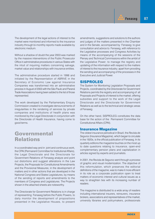The development of the legal actions of interest to the market were monitored and informed to the insurance industry through bi-monthly reports made available by electronic medium.

Without a shadow of doubt the year 2003 was marked by the massive interventions of the Public Prosecutor Office in administrative procedures in various States with the intuit of inquiring matters concerning salvage, market value and relationships with insurance entities.

The administrative procedure started in 1998 and initiated by the Representation of ABRIVE in the Secretary of Economic Law against Insurance Companies was transformed into an administrative process in August of 2003 with the São Paulo and Paraná Trade Associations having been added to the list of those represented.

The work developed by the Parliamentary Enquiry Commission created to investigate denouncements of irregularities in the rendering of services by private companies and institutions of health plans was monitored by the Legal Directorate in conjunction with the Directorate of Health Insurance, having come to good terms.

# Governmental Relations

In a coordinated way and in joint and continuous work, the CPAI (Permanent Committee for Institutional Affairs), the Legal Directorate and the Directorate for Government Relations of Fenaseg analyze and point out distortions and suggest alterations in the Law Projects, the Proposals for Constitutional Amendments and the Provisional Measures; in the development of matters and in other actions that are developed in the National Congress and States Legislatures, by means of the sending of reports and amendments to the members of Congress and Legislatures. The Projects shown in the attached sheets are noteworthy.

The Directorate for Government Relations is in charge of representing Fenaseg before the Public Powers, to daily monitor the development of propositions presented in the Legislative Houses, to present

amendments, suggestions and solutions to the authors and judges of the matters presented in the Chamber and in the Senate, accompanied by Fenaseg; to give consultation and advice to Fenaseg, with reference to the Legislative processes and Congress Activities by means of the accompanying of the sessions of the Plenary and Technical Commissions within the ambit of the Legislative Power; to manage the registry and updating of the information with respect to the matters of interest to the insurance industry; apart from providing the sending and accompanying of the processes in the Executive and Judicial Power.

## SISPROLEG

The System for Monitoring Legislation Proposals and Projects, coordinated by the Directorate for Government Relations permits the registry and accompanying of all Proposals and Projects of interest to the market, offering subsidies and support to the work of the Legal Directorate and the Directorate for Government Relations as well as to the technical and strategic areas of Fenaseg.

On the other hand, SISPROLEG constitutes the data base for the action of the Permanent Committee for Constitutional Affairs (CPAI).

## Insurance Magazine

The oldest insurance periodical in Brazil, the *Revista de Seguros* (Insurance Magazine), which began to circulate in the 1920s, is the official publication of Fenaseg. In its quarterly editions the magazine touches on the most up to date questions relating to insurance, open-end complementary pension plans and capitalization in articles signed by experts and journalists.

In 2001, the *Revista de Seguros* went through a process of graphic and visual modernization. The objective of this reformulation, which preserves the editorial definitions of the magazine, was to make it more efficient in its role as a corporate publication open to treat matters of economic interest and cultural issues as a way to straighten ties with its increasing number of readers.

The magazine is distributed to a wide array of readers including international insurers, reinsurers, insurance brokers, associations and representatives of the market, university libraries and policymakers, professionals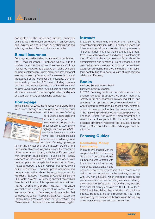

connected to the insurance market, business personalities and members of the Government, Congress and Legislatures, and Judiciary, cultural institutions and advisory bodies of the most diverse specialties.

# E-mail Insurance

Fenaseg also edits a directed circulation publication: the "E-mail Insurance". Published weekly, it is the modern version of the former "Fax-Insurance". It has maintained however, its objective of making available corporate information, urgent news, and lists of market events promoted by Fenaseg or Trade Associations and the agenda of the Technical Commissions. Currently accessed by more than 800 users including directors and insurance market specialists, the "E-mail Insurance" has improved its accessibility to officers and managers at various levels in insurance, capitalization, and openend complementary pension fund companies.

## Home-page

In the first half of 2003, the Fenaseg *home-page* in the Web went through a new graphic and editorial reformulation with the objective of offering



to its users a more agile and efficient navigation. The information is grouped in the most functional way, giving highlight to *Fenaseg ONLINE*, service of insurance industry news. The Fenaseg site also counts on the following fixed sections: "*Fenaseg*": presenta-

tion of the institutional and statutory profile of the Federation, objectives, organization chart, composition of the councils and board, activities of Fenaseg, and work program; publications – such as the "*Social Balance*" of the insurance, complementary private pension plans and capitalization sectors in Brazil, "*Fenaseg Report*", and the "*Guides*" published by the entity; "*Presidenc*y" - agenda, pronouncements and general information about the organization and its President; "*Services*" – such as SIAC, SNG, SISEG and FIPE Table; "*Events*" – of Fenaseg and/or those in which there is participation of its representatives apart from market events in general; "*Market*" – updated information on National System of Insurance, Mercoinsurance, Fenacor, Funenseg and companies that compose the sector; "*Insurance Statistics*", "*Open-end Complementary Pensions Plans*", "*Capitalization*", and "*Reinsurance*". Access our site: www.fenaseg.org.br.

## Intranet

In addition to expanding the ways and means of its external communication, in 2001 Fenaseg launched an inter-departmental communication tool by means of "Intranet". Since that time, the electronic page, apart from universalizing contacts and giving instantaneity to the diffusion of the more relevant facts about the administrative and functional life of Fenaseg, it has provided a space where social topics can be ventilated apart from promoting improved internal communication thus contributing to a better quality of inter-personal relations at Fenaseg.

## Books

*Atividade Seguradora no Brasil* (*Insurance Activity in Brazil)*

In 2002, Fenaseg continued to distribute the book entitled *Atividade Seguradora no Brasil* (Insurance Activity in Brazil: fundaments, history, regulation, and practice), in an updated edition, the circulation of which was directed to professionals, technicians, directors, opinion formers and authorities. The book was included in the marketing *kit* distributed to the participants of the Fenaseg Fiftieth Anniversary Commemorations, a solemnity that took place in Rio de Janeiro with the presence of the then President of the Republic Fernando Henrique Cardoso. A third edition is being prepared at this time.

## Fenaseg Guides

#### Combating Money **Laundreing**

Prepared by Fenaseg, with the support of SUSEP, the Fenaseg Guide on Combating Money Laundering was created with the objective of orienting insurance, capitalization and



open-end complementary pension fund companies as well as insurance brokers on the best way to comply with Law nbr. 9.613/98, which institutes a policy and procedures directed to combating money laundering, the concealment of goods, rights and money resulting from criminal activity and also the SUSEP Circular nº 200/02, which explained the registration information of clients, beneficiaries and representatives to be presented by the companies that operate in the industry as necessary to comply with the present Law.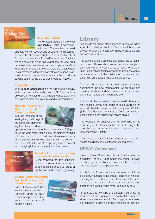



## New Civil Code

The Fenaseg Guide on the New Brazilian Civil Code – Recommendations and Comments is the result

of ample work of research and debates on the repercussions of the changes brought about by the New Civil Code for the Insurance, Private Pensions, and Capitalization operations which involve not only the legal area but also the technical areas of the companies and the Federation. The objective of the Guide is to serve as a useful reference in the definition of the operational practices of the companies that operate in the Industry. A second edition of the Guide was prepared in 2004.

#### Capitalizaton

The **Guide to Capitalization** is the fruit of work done by technicians of the Federation and SUSEP and has the objective of divulging the principal concepts of the capitalization industry in simple and direct language.

#### Health Insurance – Guide for Quick **Consultation**

With the intention of preserving the good image of the sector and of promoting the Constant devel-



opment of the industry of health insurance, CSS prepared the rapid consultation guide, the function of which is to orient public opinion on the most relevant aspects of the legislation and the relationship with the consumers. The material aims at the propagation of correct and clarifying information about the health area.



#### Arbitration – Resolving conflicts is now easier

Guide prepared for rapid consultation about how Arbitration works, to understand its procedures, areas of application, and verify its legitimacy.

#### Better Understanding for better use – He, who knows it, have it

Basic Guide to orient those involved in the operation of transport about its most common aspects and the insurance coverage of goods in transit.



# Library

Attentive to the speed of the changes generated in this Age of Knowledge, the Luiz Mendonça Library has strived to offer the Insurance Industry products and services in real time.

The sector gathers a precious bibliographical collection composed of books about insurance, related subjects, technical manuals, year books, collection of Laws of Brazil, national and foreign periodicals, reference works, rare works about the history of insurance and entertainment books of various literary genres.

The Luiz Mendonça Library has been attentively assimilating the new technologies, which allow it to make available its data base on insurance and correlated matters on the Fenaseg site.

In addition to the services traditionally offered to the market, the Fenaseg Library also began to make available the access to the data base of the Statistics System of SUSEP (SES). The Fenaseg library also offers summaries of periodicals, on-line bulletin and service of alert.

The requests for publications not belonging to the Fenaseg collection can be made through the interchange system between libraries and Documentation Centers.

Queries and requests for information can be made by email to the library at: biblioteca@fenaseg.org.br.

# DPVAT Agreement

Law nbr. 6.194 of December 19th of 1974, instituted the obligatory "no-fault" automobile insurance to cover bodily injury caused by land motor vehicles or by their cargo to passengers or pedestrians.

In 1986, the Government saw the need to link the obligatory insurance to the annual licensing of vehicles, creating the DUT – Unified Transit Document, for better control and inspection of the payment of licensing charges and taxes by land motor vehicles owners.

To operate this new type of obligatory insurance, the Insurers that are organized in a pool of 61 companies signed an agreement in which Fenaseg was constituted as manager to administer their interests in their joint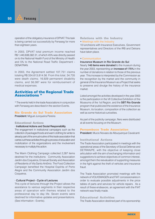

operation of the obligatory insurance of DPVAT. This task is being carried out successfully by Fenaseg for more than eighteen years.

In 2003, DPVAT total premium income reached R\$ 1,440,838,582.31, of which 45% was directly passed on to the National Health Fund of the Ministry of Health and 5% to the National Road Traffic Department - **DENATRAN** 

In 2003, the Agreement settled 107,751 claims totaling R\$ 334,613,814.56. From this total, 34,735 were death claims; 16,929 permanent disability claims, and 56,087 were for reimbursement of medical expenses.

# Activities of the Regional Trade **Associations**

\* The events held in the trade Associations in conjunction with Fenaseg are described in the section Events.

### Rio Grande do Sul Trade Association

President: Miguel Junqueira Pereira

#### Educational Actions

## · Institutional Actions and Social Responsibility

The engagement in institutional campaigns such as the collection of packaged foods and warm clothing for winter is already part of the annual routine of this trade association that carries out these activities through a process of education and mobilization of the organizations and the involvement necessary to multiply this action.

The Warm Clothing Campaign collected 2,287 items destined for the institutions: Community Association Jardim dos Coqueiros, Emanuel Society and Association of Residents of Vila Santo Antônio. The Food Collection Campaign benefited the Hospital Espírita of Porto Alegre and the Community Association Jardim dos Coqueiros.

#### · Cultural Project - Cycle of Lectures

This cycle of lectures through the Project allows the assistance to various segments in their respective areas of operation with themes related to the professional day to day life. Seven events were destined for informative updates and presentations. (See information - Events).

Relations with the Industry

#### • Meetings with the Industry

10 luncheons with Insurance Executives, Government representatives and Directors of the IRB and Detrans have taken place.

#### • Communication

#### Insurance Museum in Rio Grande do Sul

Nearly 146 items were donated to the museum during the year 2003, representing an **increase of 175%** in the number of donations in relation to those of the previous year. This increase is interpreted by the Commission as the recognition by the market and the community in general of the Insurance Museum as a Project that seeks to preserve and divulge the history of the insurance market.

Listed amongst the activities developed in the year 2003 is the participation in the VII Collective Exhibition of the Museums of the 1st Region, and the SBT Rio Grande program that publicized the existence of the Insurance Museum, its location, composition of the collection as well as some historical curiosities.

As part of the publicity campaign, fliers were distributed at all events focusing on the Museum.

#### Pernambuco Trade Association

President: Mucio Novaes de Albuquerque Cavalcanti

#### Institutional Actions

The Trade Association participated in meetings with the operational areas of the Secretary of Social Defense and DETRAN/PE, with the objective of keeping close articulation with the aim of exchanging information and suggestions to achieve objectives of common interest, amongst them the reevaluation of supporting measures in the fight against the theft of vehicles and insurance fraud.

The Trade Association promoted meetings with the network of VOLKSWAGEN and FIAT concessionaires in order to evaluate possible adjustments in the price tables of parts and services for vehicle repairs. As a result of these endeavors, an agreement with the FIAT network was finally made.

#### Educational Activities

The Trade Association destined part of its sponsorship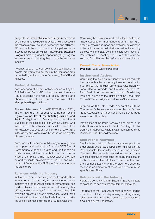budget to the *Friend of Insurance Program*, captained by the Pernambuco Regional Office of Funenseg, with the collaboration of this Trade Association and of Sincor-PE, and with the support of the principal insurance industry companies of the State. The *Friend of Insurance* **Program** aims at giving the opportunity to young low income workers, qualifying them to join the insurance industry.

Activities: support, co-sponsorship and participation in events, programs and courses in the insurance area promoted by entities such as Funenseg, SINCOR and Fenaseg.

#### Technical Actions

Accompanying of specific actions carried out by the Civil Police and Detran/PE, in the fight against insurance fraud, especially the removal of 560 burned and abandoned vehicles left on the roadways of the Metropolitan Region of Recife.

The Association joined Sincor-PE, DETRAN, and CTTU, in the making of an educative campaign for the regulation of Art. 178 of Law 9503/97 (Brazilian Road Traffic Code), in which a fine is applied to the driver of a vehicle (in the case of collision without victims) who fails to remove the vehicle in question to a place close to the accident, so as to guarantee the safe flow of traffic in the vicinity and to remain on the scene for due registry of the occurrence.

Agreement with Fenaseg, with the objective of getting the support and articulation from the DETRANs of Pernambuco, Alagoas, Paraíba and Rio Grande do Norte, aiming at the implantation of the SNG – National Lien System. The Trade Association provided an work station for an employee of the SNG and in the month of December the SNG was fully operational in the state of PE.

#### Relations with the Industry

With a view to better servicing the market and fulfilling its mission to institutionally represent the insurance industry, the Trade Association of Pernambuco has made a physical and administrative restructuring of its offices, and now operates from a new head office. Still within this objective, it hired a professional to work in the Executive Coordination of the Trade Association, with the aim of incrementing the form of current relations.

Continuing the informative work for the local market, the Trade Association maintained regular mailing of circulars, resolutions, news and statistical data relative to the national insurance industry as well as the monthly disclosure of the Balance of the Insurance Industry of Pernambuco, presenting the data of the principal sectors of activities and the performance of each insurer.

#### Paraná Trade Association

President: João Gilberto Possiede

#### Institutional Actions

Continuing the excellent relationship maintained with the state authorities, especially those responsible for public safety, the President of the Trade Association, Mr. João Gilberto Possiede, and the Vice-President, Mr. Paulo Moll, visited the new commanders of the Military Police of Paraná and the Battalion of the Road Traffic Police (BPTran), designated by the new State Governor.

Signing of the Inter-Trade Association Ethics Commission's bylaw was celebrated by the Brokers Trade Association of Paraná and the Insurance Trade Association of this State.

Participation of the Trade Association of Paraná in the XXIX Fides Conference in Santo Domingo, in the Dominican Republic, where it was represented by its President, João Gilberto Possiede.

### Educational Activities

The Trade Association of Paraná gave its support to the organization, by the Regional Office of Funenseg, of the Post Graduate Course in Insurance Law and Business Operation. The course is destined for Law graduates with the objective of promoting the study and research on the relations referent to the insurance contract and the business activity with the view to perfecting technique and practice of those who operate in the specific area of Law.

#### Relations with the Industry

Visit to the company Tectran Sascar in São Paulo State to examine the new system of automobile tracking.

The Board of the Trade Association met with leading executives of the industry aiming at straightening relations and informing the market about the activities developed by the Federation.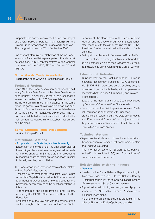

Support for the construction of the Ecumenical Chapel of the Civil Police of Paraná, in partnership with the Brokers Trade Association of Paraná and Fenabrave - The inauguration was on 28<sup>th</sup> of September 2003.

End of year fraternization celebration of the insurance industry of Paraná with the participation of local market personalities, SUSEP, representatives of the General Command of the PMPR, BPTran, Detran PR and ARBITAC.

#### Minas Gerais Trade Association

President: Alberto Oswaldo Continentino de Araújo

### Technical Actions

Since 1988, the Trade Association publishes the half yearly Statistical Data Report of the Minas Gerais Insurance Industry. In April of 2002, the 2<sup>nd</sup> half year and the year-end annual report of 2002 were published informing the total premium income in the period. In the same report the general total of claims paid out was also published. In October the same report was published referent to the period from January to July of 2003. The reports are distributed to the insurance industry, to the main companies located in the State, business entities and the press.

## Santa Catarina Trade Association

President: Sergio Passold

#### Institutional Actions

#### • Proposals to the State Legislative Assembly

- Elaboration and forwarding of the draft of a Project of Law aiming at the alteration of the legislation that deals with IPVA charges in Santa Catarina, proposing proportional charging for stolen vehicles or with integral indemnity resulting from collision.

The Trade Association developed many actions relative to Road Traffic Safety such as:

- Proposals for the creation of a Road Traffic Safety Forum of the State Capital installed in the ACIF – Commercial and Industrial Association of Florianópolis for the permanent accompanying of the questions relating to this issue.
- Sponsorship of the Road Traffic Friend Project, receiving the DENATRAN Prize for Road Traffic Education.
- Straightening of the relations with the entities of the sector through visits to the head of the Road Traffic

Department, the Coordinator of the Peace in Traffic Program and the Director of DETRAN – this, amongst other matters, with the aim of making the SNG – National Lien System operational in the state of Santa Catarina.

- Participation as lecturer in Seminars on Road Traffic.
- Donation of seven damaged vehicles (salvaged) for training of the first aid and rescue teams of victims of traffic accidents of the Voluntary Fire Corp of Joinville.

### Educational Activities

- Support went to the Post Graduation Course in Insurance Management (Funenseg – ICPG agreement) with SINDESESC promoting ample publicity and, as incentive, it granted scholarships to employees of associates both in class 1 (Blumenau) and in class 2 (Florianópolis).
- Support of the Multi-risk Insurance Course developed by Funenseg/SC in June/03 in Florianópolis.
- Development of the Risk Inspection Course in Multirisk Insurance, in partnership with Funenseg.
- Creation of the lecture "Insurance-Data of the Industry and Fundamental Concepts" in conjunction with Ampla Consultoria e Treinamento Ltda, to be held in universities and class entities.

#### Technical Actions

- To particularize studies and to foment specific activities, the commissions of Personal Risk from Diverse Sectors and Legal were created.
- The information systems "Segfurt" (data bank of robbed/stolen vehicles in SC) and "Special Losses" were updated and perfected.

#### Relationships with the Industry

#### • Services

- Creation of the Social Balance Report presenting in three booklets (Automobile & Health – Return to Society - Social Responsibility) the relevant data and functions of the national and Santa Catarina markets.
- Support to the restructuring and assignment of physical space for the ACTS (Sta. Catarina Association of Insurance Technicians).
- Holding of the Christmas Solidarity campaign in the cities of Blumenau, Florianópolis and Joinville.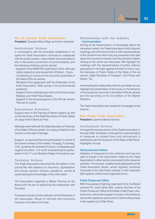#### Rio de Janeiro Trade Association

President: Oswaldo Mário Pêgo de Amorim Azevedo

#### Institutional Actions

In consonance with the principles established in its bylaw the Trade Association continued to collaborate with the public powers, class entities and associations also in the sense of promotion of social solidarity, and the following initiatives can be named:

- Support to the INMETRO certification of the vehicular safety inspection post equipment of Detran - Tijuca.
- Contracting of a study on the economic potentials of the State of Rio de Janeiro.
- Renewal of the agreement with the Defenders of the Earth Association, NGO acting in the environmental questions.
- Support to the undertaking of work on the Automobile Robbery and Theft Police Station.
- Support to the social programs of the Rio de Janeiro Tribunal of Justice.

## Educational Activities

Support went to the Training of Detran experts as well as the Seminary of the State Secretary of Public Safety on cargo theft in Barra do Piraí.

Meetings were held with the State Secretary of Finances of the State of Rio de Janeiro, for supply of data from the insurers on the sale of salvage.

Support, co-sponsorship and participation in events of the diverse entities of the market, Fenaseg, Funenseg, CVG, as well as the important Forums, Congresses and Legal Encounters. It is worth emphasizing the participation in the 1st Luso-Brazilian Stage of Insurance Law.

#### Technical Actions

The Trade Association launched the 3rd edition of the pocket flier with statistics on insurance, capitalization and private pension industry operations, aimed at systematizing the knowledge of this information.

The Association organized a Media Training for the Board with the aim of optimizing the relationship with the press.

Purchase of books for the collection of the Presidents of the Associates: *Recall* of vehicles and Insurance Contract in the New Civil Code.

#### Relationships with the Industry • Communication

Aiming at the dissemination of knowledge about the insurance market, the Trade Association holds frequent meetings and informal luncheons with representatives of the Government when they are presented with data about the insurance industry and the principal matters relating to the sector are discussed. We highlight the meetings with the representatives of police stations specialized in the fight against the theft of motor cars, the Secretary of Public Safety of the State of Rio de Janeiro, State Secretary of Transport, Civil Police and Detran - RJ.

Incrementing the relationship with the journalists we can highlight the presentation of the study on the behavior of the insurance consumer in the State of Rio de Janeiro and the launching of the 3rd edition of the Market Statistics.

The Trade Association has created its homepage on the Internet.

### São Paulo Trade Association

President: Casimiro Blanco Gomez

#### Institutional Actions

Amongst the diverse actions of the Trade Association in the year 2003, the Board continued the implementation of measures to combat fraud and joint-actions in partnership with the Governor of the State of São Paulo. Highlights include:

#### Denouncement Hotline

Adoption of measures for the confection and use of a seal on frauds in the documents mailed by the Trade Association to other sectors connected to the insurance activities. The insurers, notably those participants of the Trade Association Board, would regularly contribute financially to the São Paulo Institute in their important fight against violence and organized crime.

#### Public Prosecutor Office

With the purpose of fighting organized crime, the Board received Dr. José Carlos Blat, Justice Attorney of the Public Prosecutor Office of the State of São Paulo, who, at the time, set out the program of action of that body as well as the inspection and control of dismantling shops in the capital city of São Paulo.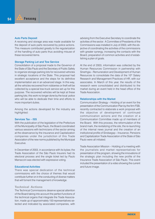

A receiving and storage area was made available for the deposit of auto parts recovered by police actions. This measure contributed greatly to the regularization of the handling of auto parts thus avoiding misuse of these recovered items.

#### Storage Parking Lot and Tow Service

Consolidation of a proposal made to the Governor of the State of São Paulo and the Secretary of Public Safety to organize storage parking lots for recovered vehicles in strategic locations of the State. This proposal had excellent acceptance and the steps for its definitive implementation are in an advanced stage. In this way, all the vehicles recovered from robberies or theft will be collected by a special tow-truck service set up for this purpose. The recovered vehicles will be kept at these parking lots; this work no longer done by the local police who will be able to dedicate their time and efforts to more important duties.

Among the actions developed for the industry are highlighted:

#### Services Tax – ISS

With the publication of the legislation of the Prefecture of the Municipality of São Paulo, the Board coordinated various sessions with technicians of the sector aiming at the observance by the insurance and Capitalization companies under the jurisdiction of this Trade Association of the new norms published by the Municipal Executive.

In December of 2003, in accordance with its bylaw, the Trade Association of the São Paulo Insurers had its electoral process and the single ticket led by Paulo Marraccini was elected with expressive voting.

#### Educational Activities

There was special dedication of the technical commissions with the choice of themes that would contribute further on in the conducting of diverse matters that will foment the management of knowledge.

#### Technical Actions

The Technical Commissions deserve special attention of the Board taking into account the perfect functions of the technical organs that integrate the Trade Association, made up of approximately 150 representatives selected and indicated by associated companies, with

advising from the Executive Secretary to coordinate the activities of the sector. A Committee of Presidents of the Commissions was installed in July of 2003, with the objective of coordinating the activities of the commissions with greater synergy, increasing the contacts with the Board, preparation of common activities and of establishing a plan of goals.

At the end of 2003, information was collected by the Human Resources Commission in partnership with Sinerhgia – Remuneration and Development of Human Resources to consolidate the data of the 10<sup>th</sup> Salary Research and Management Practices of HR, with our associates. In March of this year, the results of the research were consolidated and distributed to the market during an event held in the head office of the Trade Association.

#### Relationships with the Market

Communication Strategy – Holding of an event for the presentation of the Communication Plan by the firm FSB, recently contracted to elaborate a work proposal with the objective of development of continued communication actions and the creation of a Communication Committee made up of members of the Board. With this process, the reformulation of the brand mark, the revitalizing of the site, the re-launching of the internal news journal and the creation of an institutional profile of Sindsegsp – Insurance, Pensions and Capitalization Trade Association of the State of São Paulo were all initiated.

Trade Association Mission – Holding of a meeting with the journalists and market representatives for presentation of the program, showing the innovations of the strategic plan including the new profile of the Insurance Trade Association of São Paulo. This event included the presentation of a video showing the current and future image.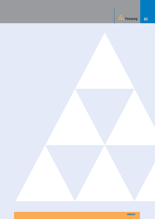